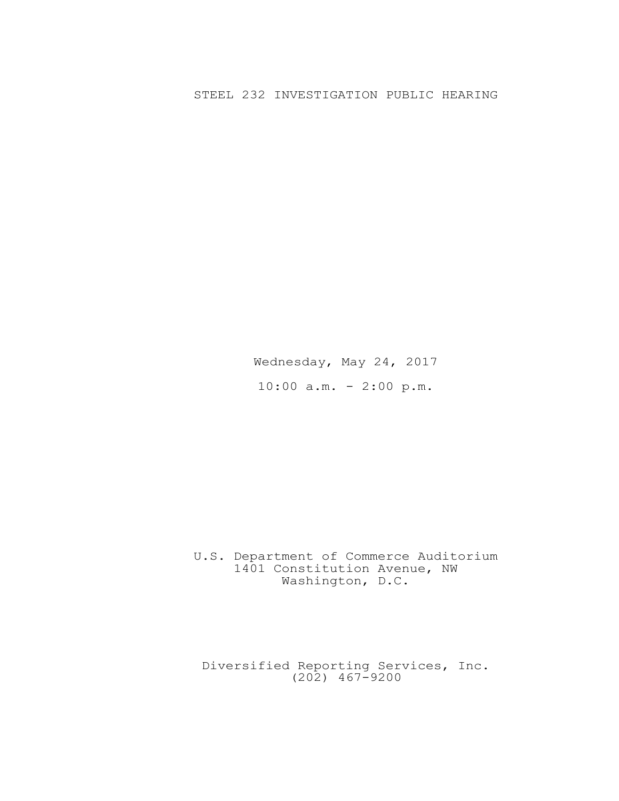## STEEL 232 INVESTIGATION PUBLIC HEARING

Wednesday, May 24, 2017 10:00 a.m. - 2:00 p.m.

## U.S. Department of Commerce Auditorium 1401 Constitution Avenue, NW Washington, D.C.

Diversified Reporting Services, Inc. (202) 467-9200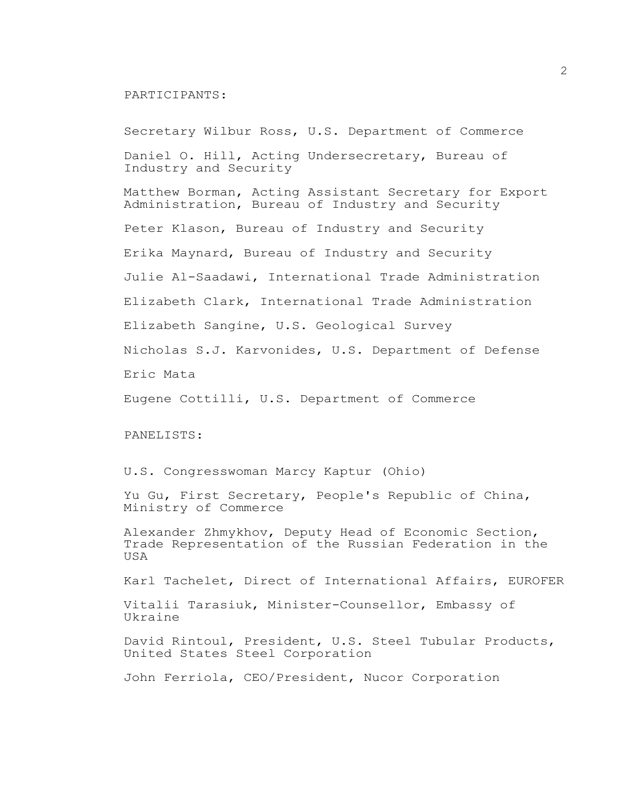## PARTICIPANTS:

Secretary Wilbur Ross, U.S. Department of Commerce Daniel O. Hill, Acting Undersecretary, Bureau of Industry and Security Matthew Borman, Acting Assistant Secretary for Export Administration, Bureau of Industry and Security Peter Klason, Bureau of Industry and Security Erika Maynard, Bureau of Industry and Security Julie Al-Saadawi, International Trade Administration Elizabeth Clark, International Trade Administration Elizabeth Sangine, U.S. Geological Survey Nicholas S.J. Karvonides, U.S. Department of Defense Eric Mata Eugene Cottilli, U.S. Department of Commerce PANELISTS: U.S. Congresswoman Marcy Kaptur (Ohio) Yu Gu, First Secretary, People's Republic of China, Ministry of Commerce Alexander Zhmykhov, Deputy Head of Economic Section, Trade Representation of the Russian Federation in the USA Karl Tachelet, Direct of International Affairs, EUROFER Vitalii Tarasiuk, Minister-Counsellor, Embassy of Ukraine David Rintoul, President, U.S. Steel Tubular Products, United States Steel Corporation John Ferriola, CEO/President, Nucor Corporation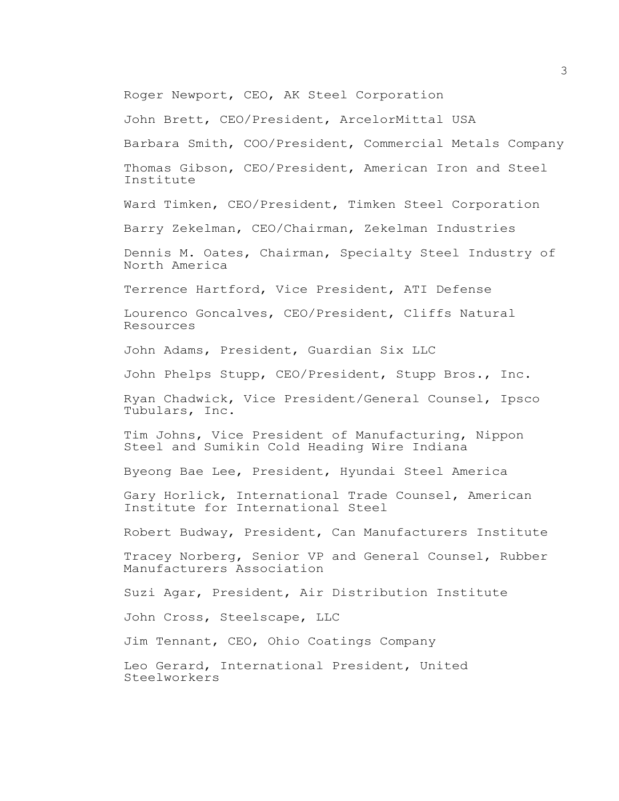Roger Newport, CEO, AK Steel Corporation

John Brett, CEO/President, ArcelorMittal USA

Barbara Smith, COO/President, Commercial Metals Company Thomas Gibson, CEO/President, American Iron and Steel Institute

Ward Timken, CEO/President, Timken Steel Corporation

Barry Zekelman, CEO/Chairman, Zekelman Industries

Dennis M. Oates, Chairman, Specialty Steel Industry of North America

Terrence Hartford, Vice President, ATI Defense

Lourenco Goncalves, CEO/President, Cliffs Natural Resources

John Adams, President, Guardian Six LLC

John Phelps Stupp, CEO/President, Stupp Bros., Inc.

Ryan Chadwick, Vice President/General Counsel, Ipsco Tubulars, Inc.

Tim Johns, Vice President of Manufacturing, Nippon Steel and Sumikin Cold Heading Wire Indiana

Byeong Bae Lee, President, Hyundai Steel America

Gary Horlick, International Trade Counsel, American Institute for International Steel

Robert Budway, President, Can Manufacturers Institute

Tracey Norberg, Senior VP and General Counsel, Rubber Manufacturers Association

Suzi Agar, President, Air Distribution Institute

John Cross, Steelscape, LLC

Jim Tennant, CEO, Ohio Coatings Company

Leo Gerard, International President, United Steelworkers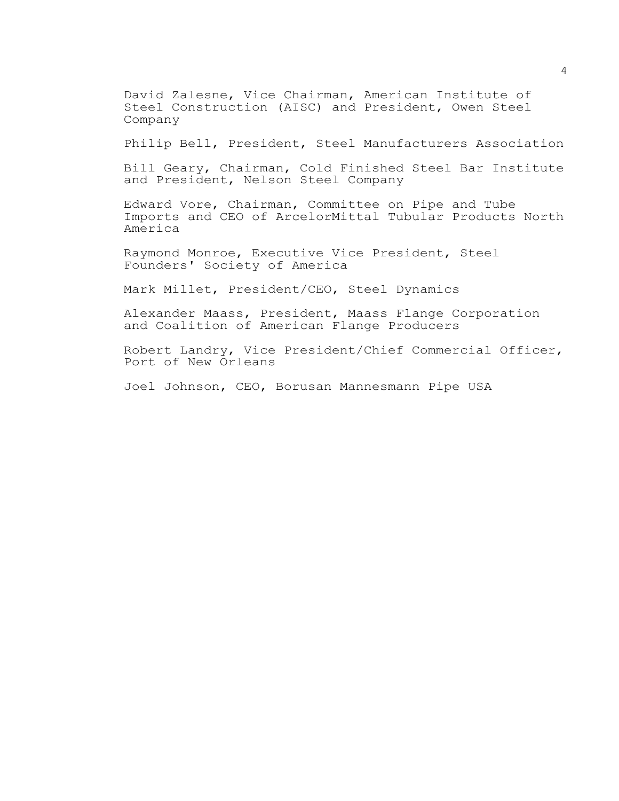David Zalesne, Vice Chairman, American Institute of Steel Construction (AISC) and President, Owen Steel Company

Philip Bell, President, Steel Manufacturers Association

Bill Geary, Chairman, Cold Finished Steel Bar Institute and President, Nelson Steel Company

Edward Vore, Chairman, Committee on Pipe and Tube Imports and CEO of ArcelorMittal Tubular Products North America

Raymond Monroe, Executive Vice President, Steel Founders' Society of America

Mark Millet, President/CEO, Steel Dynamics

Alexander Maass, President, Maass Flange Corporation and Coalition of American Flange Producers

Robert Landry, Vice President/Chief Commercial Officer, Port of New Orleans

Joel Johnson, CEO, Borusan Mannesmann Pipe USA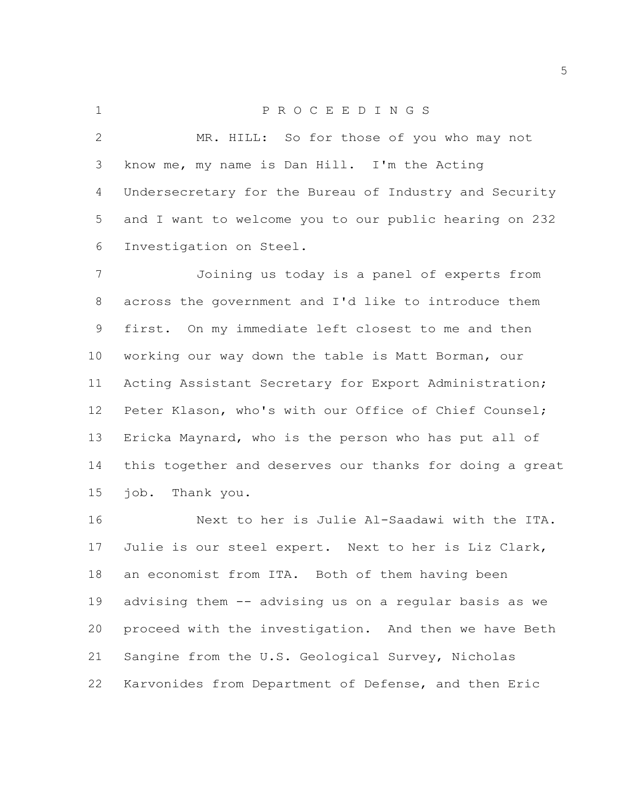P R O C E E D I N G S MR. HILL: So for those of you who may not know me, my name is Dan Hill. I'm the Acting Undersecretary for the Bureau of Industry and Security and I want to welcome you to our public hearing on 232 Investigation on Steel.

 Joining us today is a panel of experts from across the government and I'd like to introduce them first. On my immediate left closest to me and then working our way down the table is Matt Borman, our Acting Assistant Secretary for Export Administration; Peter Klason, who's with our Office of Chief Counsel; Ericka Maynard, who is the person who has put all of this together and deserves our thanks for doing a great job. Thank you.

 Next to her is Julie Al-Saadawi with the ITA. Julie is our steel expert. Next to her is Liz Clark, an economist from ITA. Both of them having been advising them -- advising us on a regular basis as we proceed with the investigation. And then we have Beth Sangine from the U.S. Geological Survey, Nicholas Karvonides from Department of Defense, and then Eric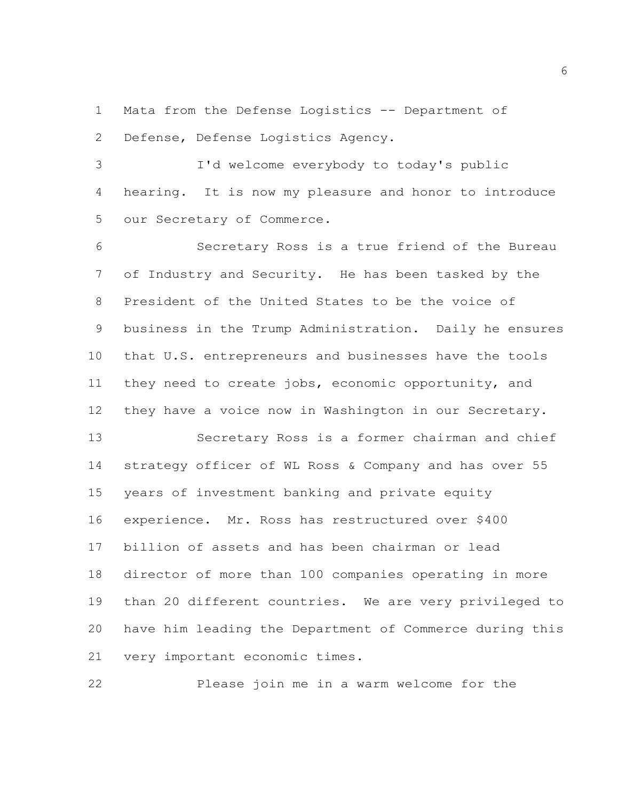Mata from the Defense Logistics -- Department of Defense, Defense Logistics Agency.

 I'd welcome everybody to today's public hearing. It is now my pleasure and honor to introduce our Secretary of Commerce.

 Secretary Ross is a true friend of the Bureau of Industry and Security. He has been tasked by the President of the United States to be the voice of business in the Trump Administration. Daily he ensures that U.S. entrepreneurs and businesses have the tools they need to create jobs, economic opportunity, and they have a voice now in Washington in our Secretary. Secretary Ross is a former chairman and chief strategy officer of WL Ross & Company and has over 55 years of investment banking and private equity experience. Mr. Ross has restructured over \$400 billion of assets and has been chairman or lead director of more than 100 companies operating in more than 20 different countries. We are very privileged to have him leading the Department of Commerce during this

Please join me in a warm welcome for the

very important economic times.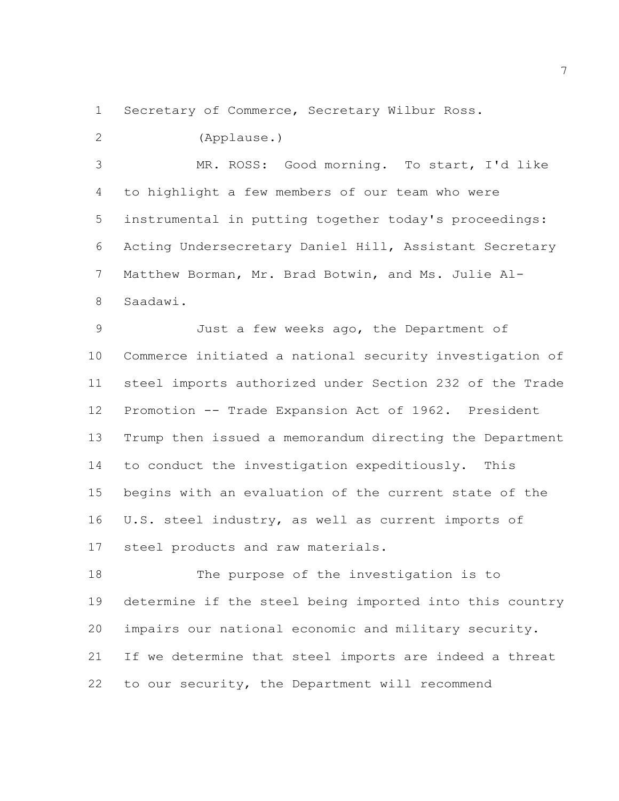Secretary of Commerce, Secretary Wilbur Ross.

(Applause.)

 MR. ROSS: Good morning. To start, I'd like to highlight a few members of our team who were instrumental in putting together today's proceedings: Acting Undersecretary Daniel Hill, Assistant Secretary Matthew Borman, Mr. Brad Botwin, and Ms. Julie Al-Saadawi.

 Just a few weeks ago, the Department of Commerce initiated a national security investigation of steel imports authorized under Section 232 of the Trade Promotion -- Trade Expansion Act of 1962. President Trump then issued a memorandum directing the Department to conduct the investigation expeditiously. This begins with an evaluation of the current state of the U.S. steel industry, as well as current imports of steel products and raw materials.

 The purpose of the investigation is to determine if the steel being imported into this country impairs our national economic and military security. If we determine that steel imports are indeed a threat to our security, the Department will recommend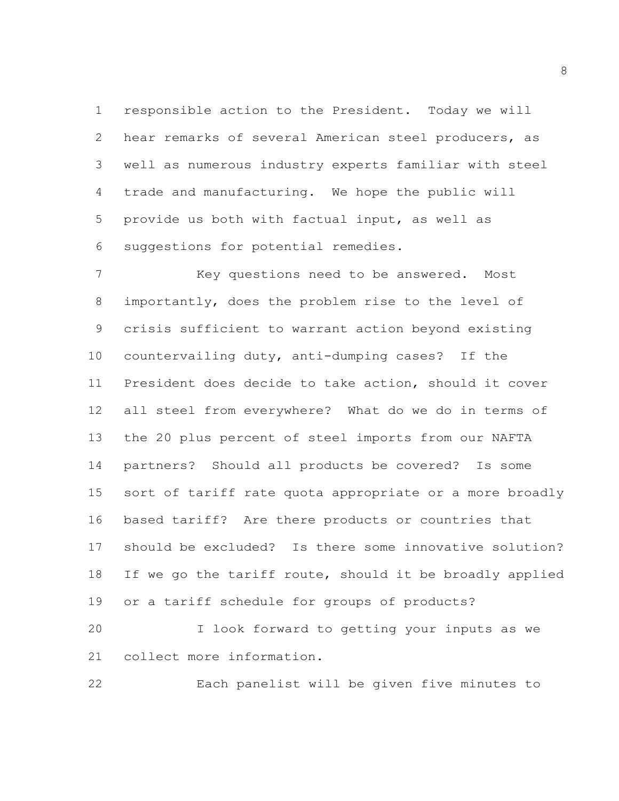responsible action to the President. Today we will hear remarks of several American steel producers, as well as numerous industry experts familiar with steel trade and manufacturing. We hope the public will provide us both with factual input, as well as suggestions for potential remedies.

 Key questions need to be answered. Most importantly, does the problem rise to the level of crisis sufficient to warrant action beyond existing countervailing duty, anti-dumping cases? If the President does decide to take action, should it cover all steel from everywhere? What do we do in terms of the 20 plus percent of steel imports from our NAFTA partners? Should all products be covered? Is some sort of tariff rate quota appropriate or a more broadly based tariff? Are there products or countries that should be excluded? Is there some innovative solution? If we go the tariff route, should it be broadly applied or a tariff schedule for groups of products?

 I look forward to getting your inputs as we collect more information.

Each panelist will be given five minutes to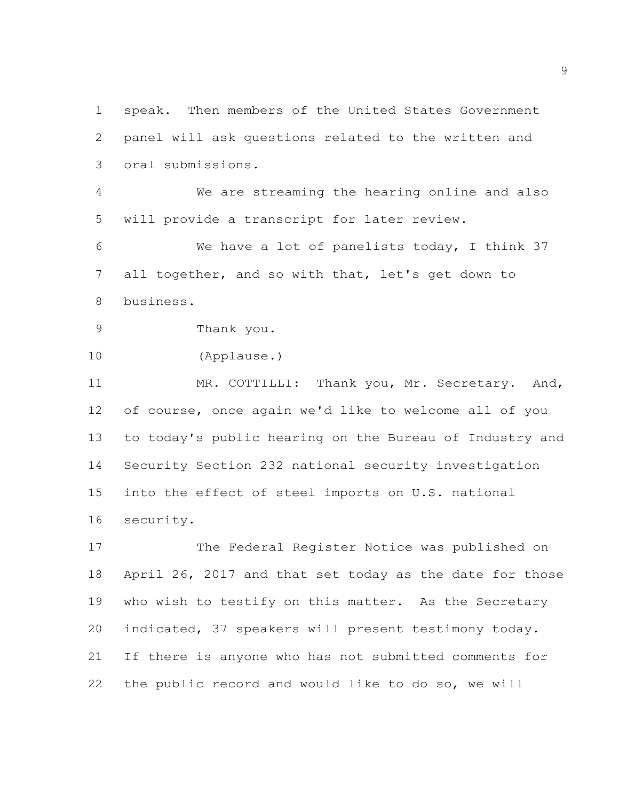speak. Then members of the United States Government panel will ask questions related to the written and oral submissions. We are streaming the hearing online and also will provide a transcript for later review. We have a lot of panelists today, I think 37 all together, and so with that, let's get down to business. Thank you. (Applause.) 11 MR. COTTILLI: Thank you, Mr. Secretary. And, of course, once again we'd like to welcome all of you to today's public hearing on the Bureau of Industry and Security Section 232 national security investigation into the effect of steel imports on U.S. national security. The Federal Register Notice was published on April 26, 2017 and that set today as the date for those who wish to testify on this matter. As the Secretary indicated, 37 speakers will present testimony today. If there is anyone who has not submitted comments for the public record and would like to do so, we will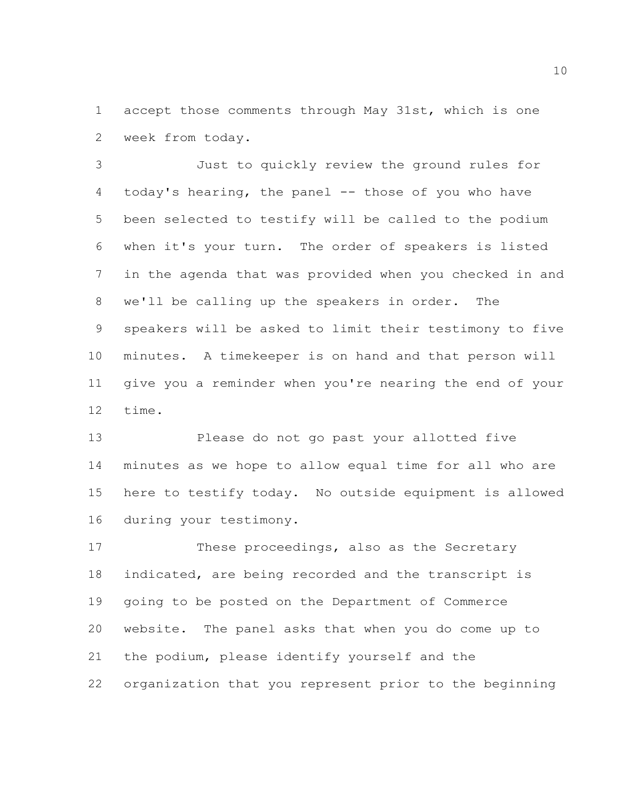accept those comments through May 31st, which is one week from today.

 Just to quickly review the ground rules for 4 today's hearing, the panel -- those of you who have been selected to testify will be called to the podium when it's your turn. The order of speakers is listed in the agenda that was provided when you checked in and we'll be calling up the speakers in order. The speakers will be asked to limit their testimony to five minutes. A timekeeper is on hand and that person will give you a reminder when you're nearing the end of your time.

 Please do not go past your allotted five minutes as we hope to allow equal time for all who are here to testify today. No outside equipment is allowed during your testimony.

 These proceedings, also as the Secretary indicated, are being recorded and the transcript is going to be posted on the Department of Commerce website. The panel asks that when you do come up to the podium, please identify yourself and the organization that you represent prior to the beginning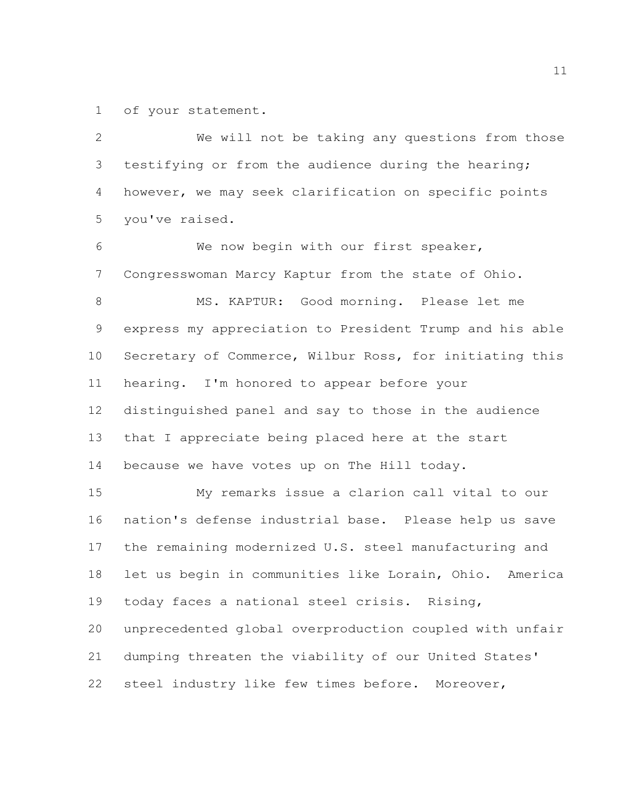of your statement.

 We will not be taking any questions from those testifying or from the audience during the hearing; however, we may seek clarification on specific points you've raised. We now begin with our first speaker, Congresswoman Marcy Kaptur from the state of Ohio. MS. KAPTUR: Good morning. Please let me express my appreciation to President Trump and his able Secretary of Commerce, Wilbur Ross, for initiating this hearing. I'm honored to appear before your distinguished panel and say to those in the audience that I appreciate being placed here at the start because we have votes up on The Hill today. My remarks issue a clarion call vital to our nation's defense industrial base. Please help us save the remaining modernized U.S. steel manufacturing and let us begin in communities like Lorain, Ohio. America today faces a national steel crisis. Rising, unprecedented global overproduction coupled with unfair dumping threaten the viability of our United States' steel industry like few times before. Moreover,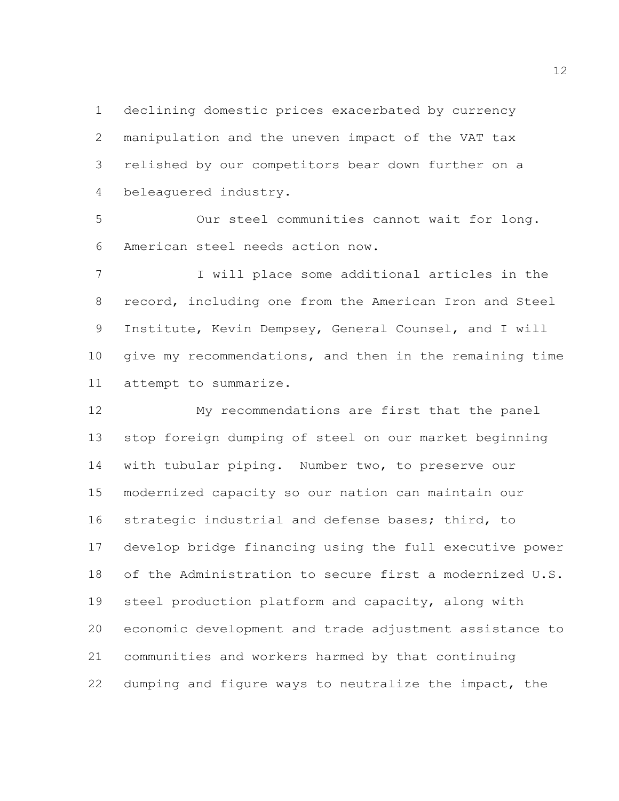declining domestic prices exacerbated by currency manipulation and the uneven impact of the VAT tax relished by our competitors bear down further on a beleaguered industry.

 Our steel communities cannot wait for long. American steel needs action now.

 I will place some additional articles in the record, including one from the American Iron and Steel Institute, Kevin Dempsey, General Counsel, and I will give my recommendations, and then in the remaining time attempt to summarize.

 My recommendations are first that the panel stop foreign dumping of steel on our market beginning with tubular piping. Number two, to preserve our modernized capacity so our nation can maintain our strategic industrial and defense bases; third, to develop bridge financing using the full executive power of the Administration to secure first a modernized U.S. steel production platform and capacity, along with economic development and trade adjustment assistance to communities and workers harmed by that continuing dumping and figure ways to neutralize the impact, the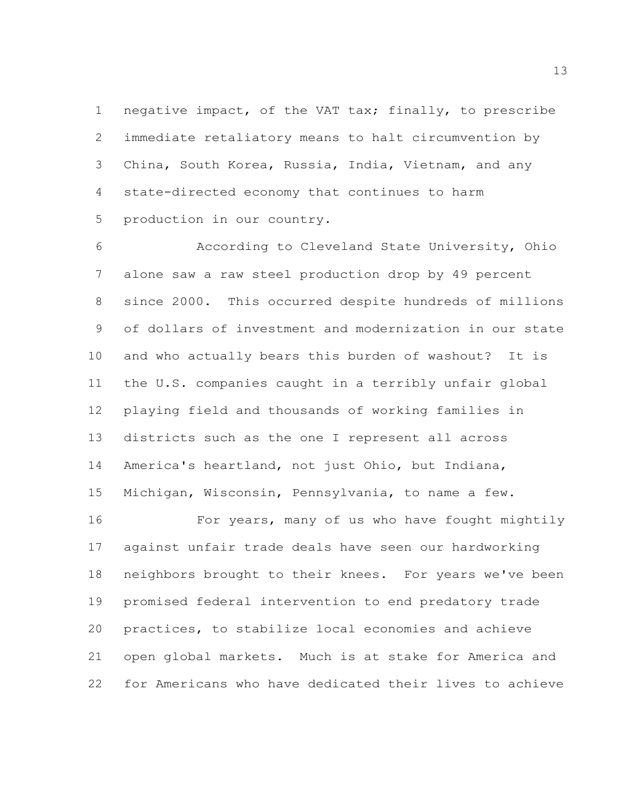negative impact, of the VAT tax; finally, to prescribe immediate retaliatory means to halt circumvention by China, South Korea, Russia, India, Vietnam, and any state-directed economy that continues to harm production in our country.

 According to Cleveland State University, Ohio alone saw a raw steel production drop by 49 percent since 2000. This occurred despite hundreds of millions of dollars of investment and modernization in our state and who actually bears this burden of washout? It is the U.S. companies caught in a terribly unfair global playing field and thousands of working families in districts such as the one I represent all across America's heartland, not just Ohio, but Indiana, Michigan, Wisconsin, Pennsylvania, to name a few.

 For years, many of us who have fought mightily against unfair trade deals have seen our hardworking neighbors brought to their knees. For years we've been promised federal intervention to end predatory trade practices, to stabilize local economies and achieve open global markets. Much is at stake for America and for Americans who have dedicated their lives to achieve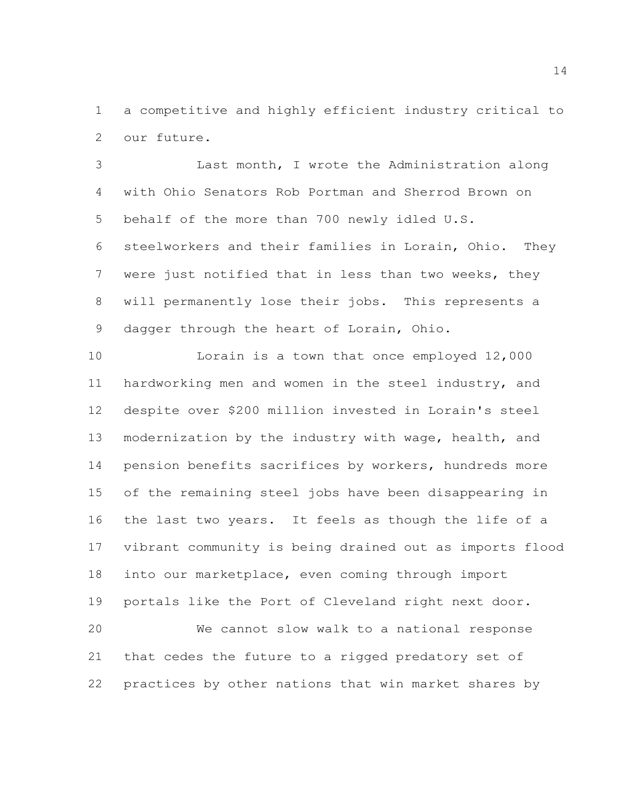a competitive and highly efficient industry critical to our future.

 Last month, I wrote the Administration along with Ohio Senators Rob Portman and Sherrod Brown on behalf of the more than 700 newly idled U.S. steelworkers and their families in Lorain, Ohio. They were just notified that in less than two weeks, they will permanently lose their jobs. This represents a 9 dagger through the heart of Lorain, Ohio.

 Lorain is a town that once employed 12,000 hardworking men and women in the steel industry, and despite over \$200 million invested in Lorain's steel modernization by the industry with wage, health, and pension benefits sacrifices by workers, hundreds more of the remaining steel jobs have been disappearing in the last two years. It feels as though the life of a vibrant community is being drained out as imports flood into our marketplace, even coming through import portals like the Port of Cleveland right next door. We cannot slow walk to a national response that cedes the future to a rigged predatory set of practices by other nations that win market shares by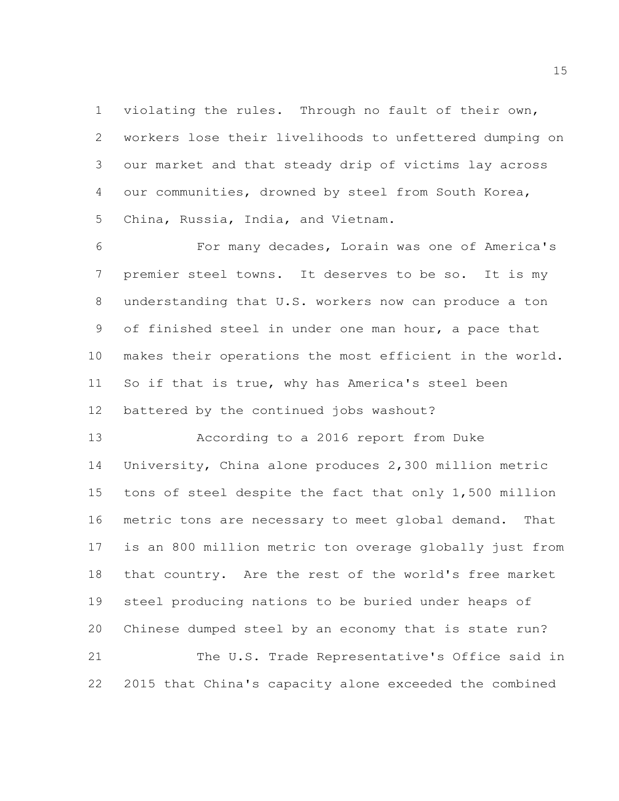violating the rules. Through no fault of their own, workers lose their livelihoods to unfettered dumping on our market and that steady drip of victims lay across our communities, drowned by steel from South Korea, China, Russia, India, and Vietnam.

 For many decades, Lorain was one of America's premier steel towns. It deserves to be so. It is my understanding that U.S. workers now can produce a ton of finished steel in under one man hour, a pace that makes their operations the most efficient in the world. So if that is true, why has America's steel been battered by the continued jobs washout?

 According to a 2016 report from Duke University, China alone produces 2,300 million metric tons of steel despite the fact that only 1,500 million metric tons are necessary to meet global demand. That is an 800 million metric ton overage globally just from that country. Are the rest of the world's free market steel producing nations to be buried under heaps of Chinese dumped steel by an economy that is state run? 21 The U.S. Trade Representative's Office said in 2015 that China's capacity alone exceeded the combined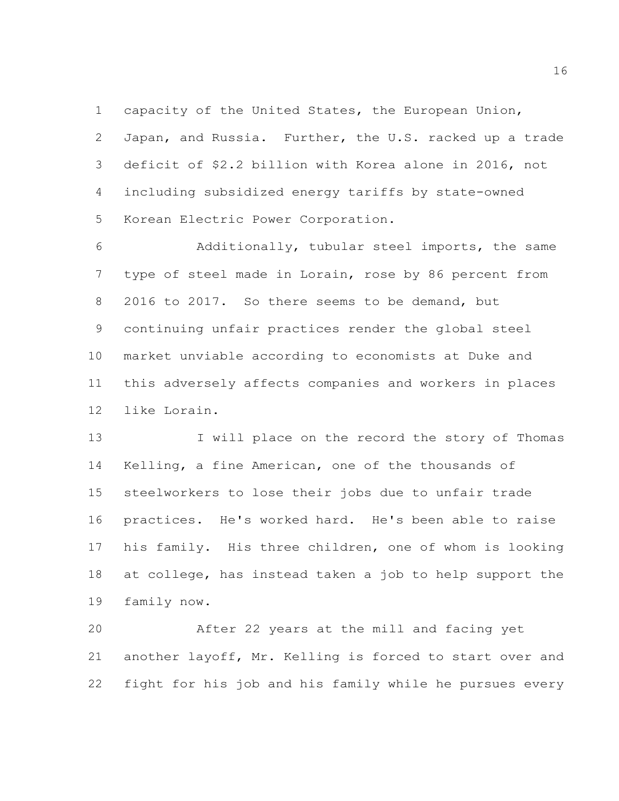capacity of the United States, the European Union, Japan, and Russia. Further, the U.S. racked up a trade deficit of \$2.2 billion with Korea alone in 2016, not including subsidized energy tariffs by state-owned Korean Electric Power Corporation.

 Additionally, tubular steel imports, the same type of steel made in Lorain, rose by 86 percent from 2016 to 2017. So there seems to be demand, but continuing unfair practices render the global steel market unviable according to economists at Duke and this adversely affects companies and workers in places like Lorain.

13 I will place on the record the story of Thomas Kelling, a fine American, one of the thousands of steelworkers to lose their jobs due to unfair trade practices. He's worked hard. He's been able to raise his family. His three children, one of whom is looking at college, has instead taken a job to help support the family now.

 After 22 years at the mill and facing yet another layoff, Mr. Kelling is forced to start over and fight for his job and his family while he pursues every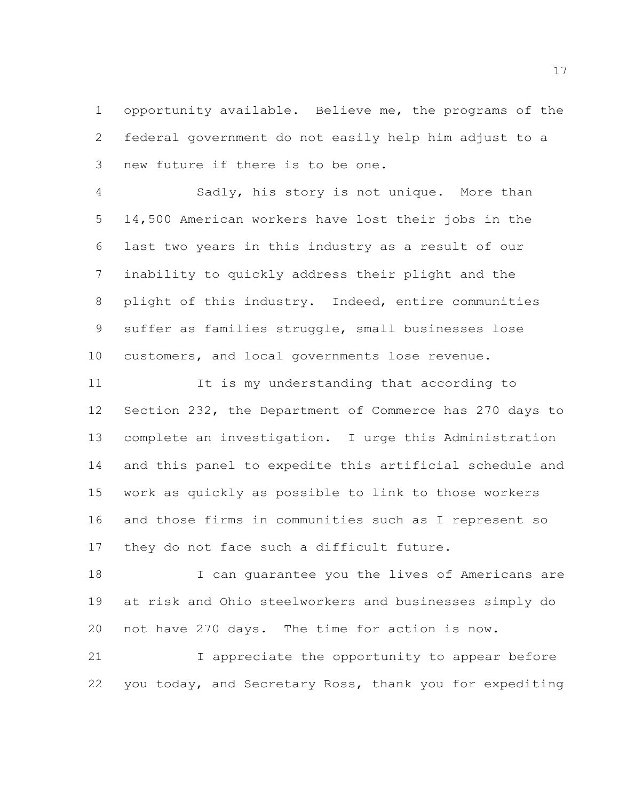opportunity available. Believe me, the programs of the federal government do not easily help him adjust to a new future if there is to be one.

 Sadly, his story is not unique. More than 14,500 American workers have lost their jobs in the last two years in this industry as a result of our inability to quickly address their plight and the plight of this industry. Indeed, entire communities suffer as families struggle, small businesses lose customers, and local governments lose revenue.

 It is my understanding that according to Section 232, the Department of Commerce has 270 days to complete an investigation. I urge this Administration and this panel to expedite this artificial schedule and work as quickly as possible to link to those workers and those firms in communities such as I represent so they do not face such a difficult future.

 I can guarantee you the lives of Americans are at risk and Ohio steelworkers and businesses simply do not have 270 days. The time for action is now.

21 I appreciate the opportunity to appear before you today, and Secretary Ross, thank you for expediting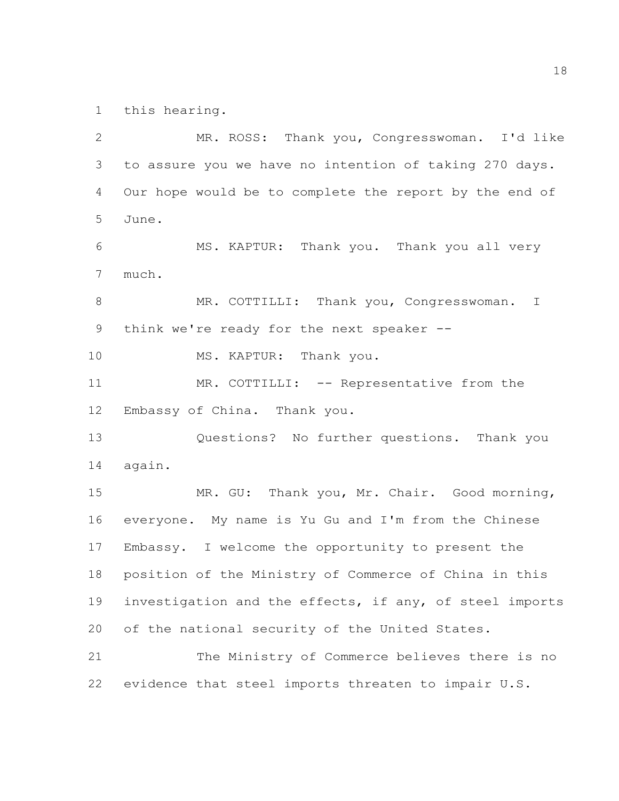this hearing.

 MR. ROSS: Thank you, Congresswoman. I'd like to assure you we have no intention of taking 270 days. Our hope would be to complete the report by the end of June. MS. KAPTUR: Thank you. Thank you all very much. 8 MR. COTTILLI: Thank you, Congresswoman. I 9 think we're ready for the next speaker -- MS. KAPTUR: Thank you. 11 MR. COTTILLI: -- Representative from the Embassy of China. Thank you. Questions? No further questions. Thank you again. MR. GU: Thank you, Mr. Chair. Good morning, everyone. My name is Yu Gu and I'm from the Chinese Embassy. I welcome the opportunity to present the position of the Ministry of Commerce of China in this investigation and the effects, if any, of steel imports of the national security of the United States. The Ministry of Commerce believes there is no evidence that steel imports threaten to impair U.S.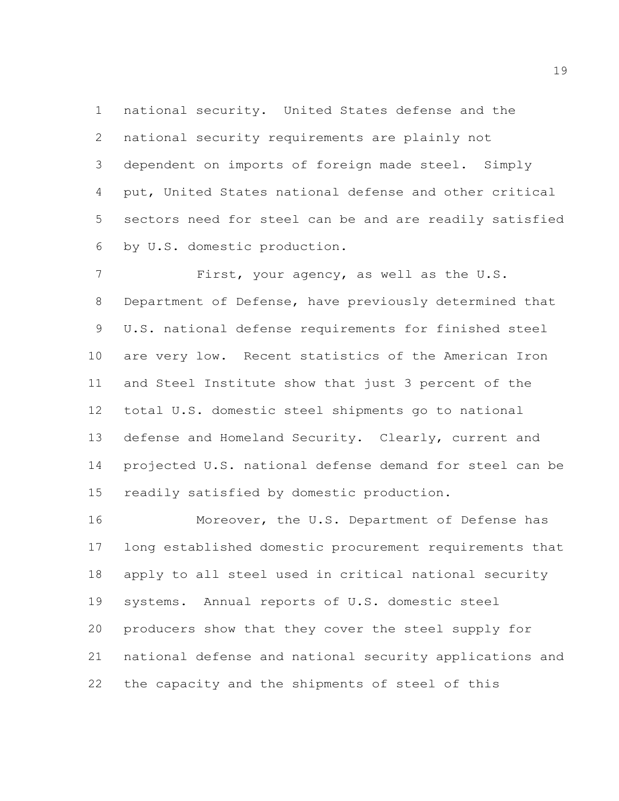national security. United States defense and the national security requirements are plainly not dependent on imports of foreign made steel. Simply put, United States national defense and other critical sectors need for steel can be and are readily satisfied by U.S. domestic production.

 First, your agency, as well as the U.S. Department of Defense, have previously determined that U.S. national defense requirements for finished steel are very low. Recent statistics of the American Iron and Steel Institute show that just 3 percent of the total U.S. domestic steel shipments go to national defense and Homeland Security. Clearly, current and projected U.S. national defense demand for steel can be readily satisfied by domestic production.

 Moreover, the U.S. Department of Defense has long established domestic procurement requirements that apply to all steel used in critical national security systems. Annual reports of U.S. domestic steel producers show that they cover the steel supply for national defense and national security applications and the capacity and the shipments of steel of this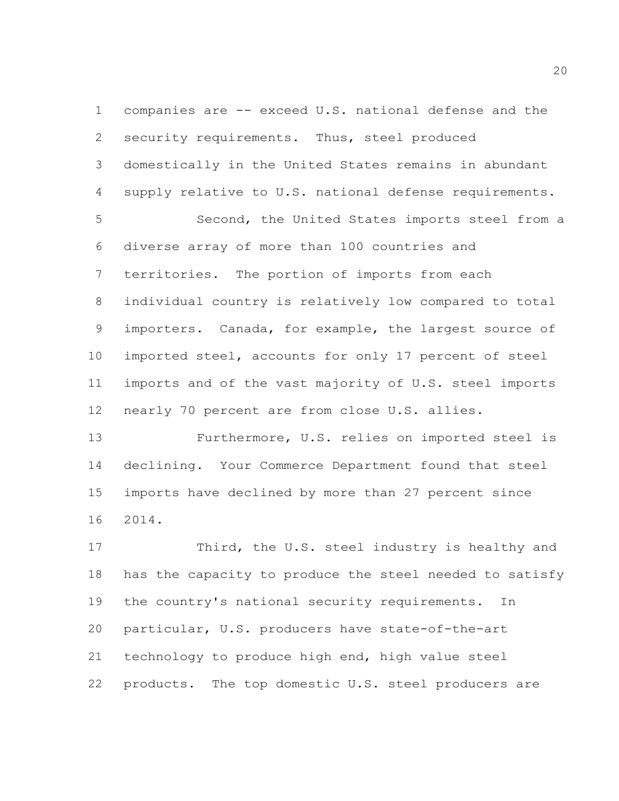companies are -- exceed U.S. national defense and the security requirements. Thus, steel produced domestically in the United States remains in abundant supply relative to U.S. national defense requirements. Second, the United States imports steel from a diverse array of more than 100 countries and territories. The portion of imports from each individual country is relatively low compared to total importers. Canada, for example, the largest source of imported steel, accounts for only 17 percent of steel imports and of the vast majority of U.S. steel imports nearly 70 percent are from close U.S. allies.

 Furthermore, U.S. relies on imported steel is declining. Your Commerce Department found that steel imports have declined by more than 27 percent since 2014.

 Third, the U.S. steel industry is healthy and has the capacity to produce the steel needed to satisfy the country's national security requirements. In particular, U.S. producers have state-of-the-art technology to produce high end, high value steel products. The top domestic U.S. steel producers are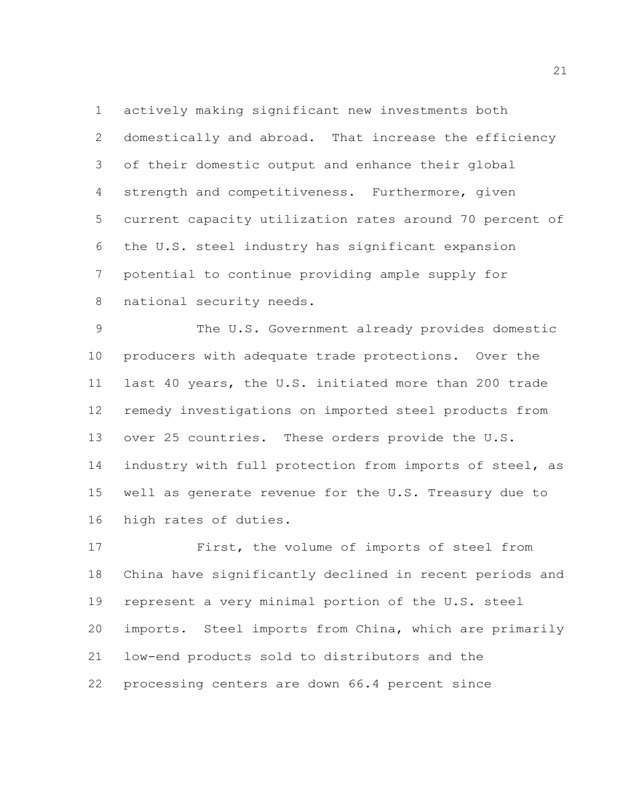actively making significant new investments both domestically and abroad. That increase the efficiency of their domestic output and enhance their global strength and competitiveness. Furthermore, given current capacity utilization rates around 70 percent of the U.S. steel industry has significant expansion potential to continue providing ample supply for national security needs.

 The U.S. Government already provides domestic producers with adequate trade protections. Over the last 40 years, the U.S. initiated more than 200 trade remedy investigations on imported steel products from over 25 countries. These orders provide the U.S. industry with full protection from imports of steel, as well as generate revenue for the U.S. Treasury due to high rates of duties.

 First, the volume of imports of steel from China have significantly declined in recent periods and represent a very minimal portion of the U.S. steel imports. Steel imports from China, which are primarily low-end products sold to distributors and the processing centers are down 66.4 percent since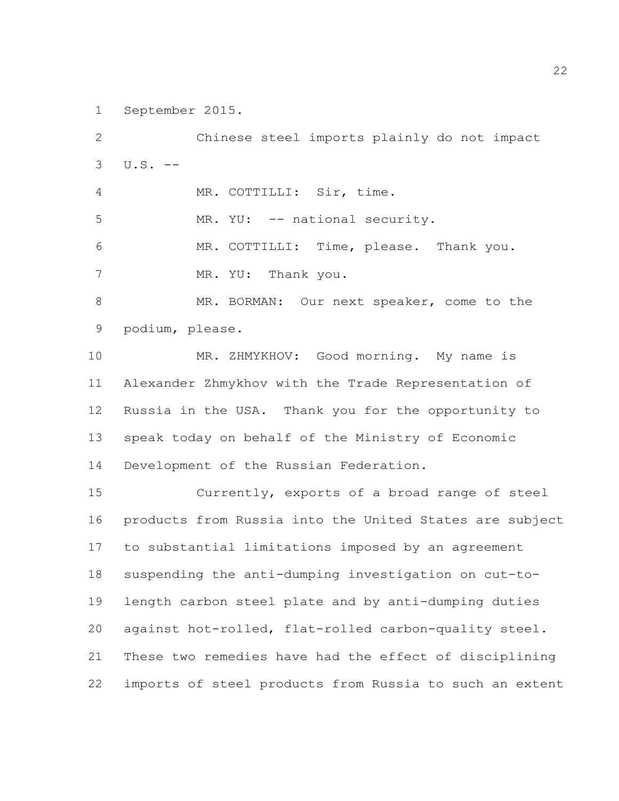September 2015.

 Chinese steel imports plainly do not impact  $3 \text{ U.S. } -$  MR. COTTILLI: Sir, time. MR. YU: -- national security. MR. COTTILLI: Time, please. Thank you. 7 MR. YU: Thank you. MR. BORMAN: Our next speaker, come to the podium, please. MR. ZHMYKHOV: Good morning. My name is Alexander Zhmykhov with the Trade Representation of Russia in the USA. Thank you for the opportunity to speak today on behalf of the Ministry of Economic Development of the Russian Federation. Currently, exports of a broad range of steel products from Russia into the United States are subject to substantial limitations imposed by an agreement suspending the anti-dumping investigation on cut-to- length carbon steel plate and by anti-dumping duties against hot-rolled, flat-rolled carbon-quality steel. These two remedies have had the effect of disciplining imports of steel products from Russia to such an extent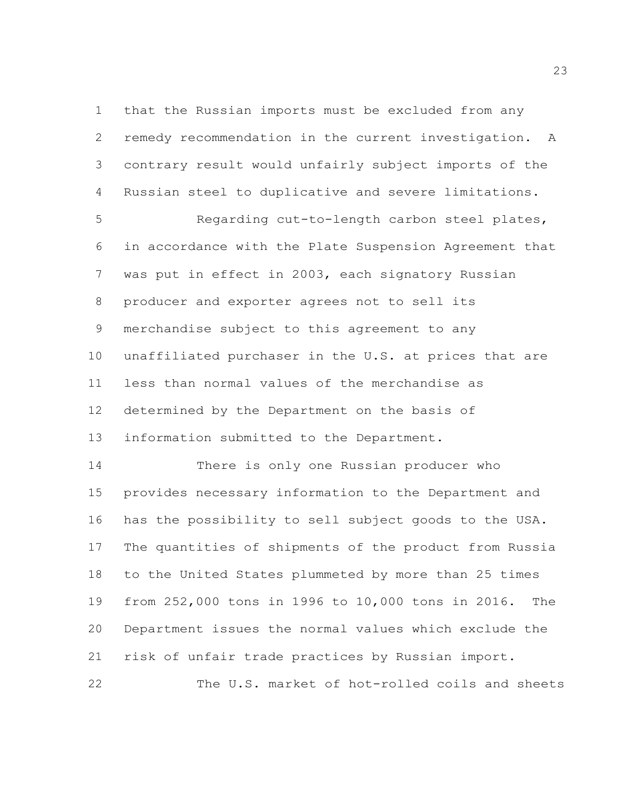that the Russian imports must be excluded from any remedy recommendation in the current investigation. A contrary result would unfairly subject imports of the Russian steel to duplicative and severe limitations.

 Regarding cut-to-length carbon steel plates, in accordance with the Plate Suspension Agreement that was put in effect in 2003, each signatory Russian producer and exporter agrees not to sell its merchandise subject to this agreement to any unaffiliated purchaser in the U.S. at prices that are less than normal values of the merchandise as determined by the Department on the basis of information submitted to the Department.

 There is only one Russian producer who provides necessary information to the Department and has the possibility to sell subject goods to the USA. The quantities of shipments of the product from Russia to the United States plummeted by more than 25 times from 252,000 tons in 1996 to 10,000 tons in 2016. The Department issues the normal values which exclude the risk of unfair trade practices by Russian import.

The U.S. market of hot-rolled coils and sheets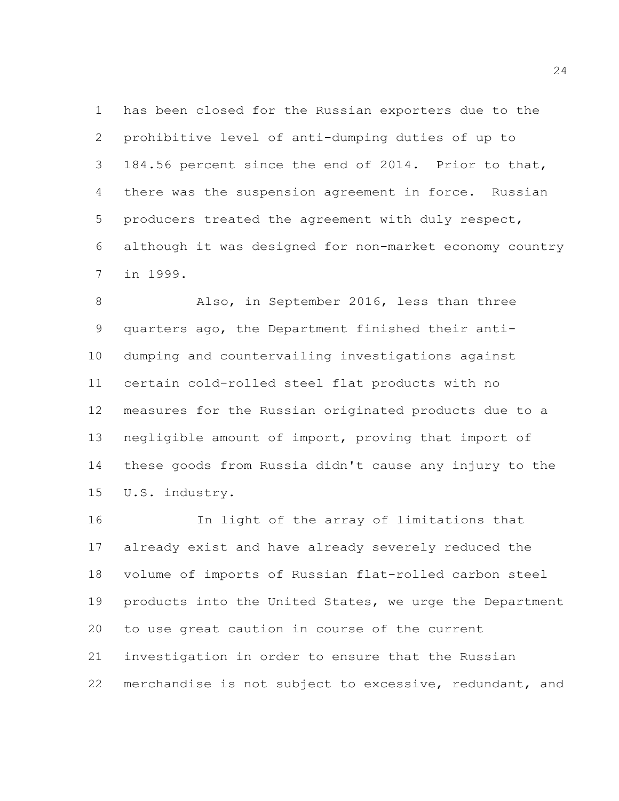has been closed for the Russian exporters due to the prohibitive level of anti-dumping duties of up to 184.56 percent since the end of 2014. Prior to that, there was the suspension agreement in force. Russian producers treated the agreement with duly respect, although it was designed for non-market economy country in 1999.

 Also, in September 2016, less than three quarters ago, the Department finished their anti- dumping and countervailing investigations against certain cold-rolled steel flat products with no measures for the Russian originated products due to a negligible amount of import, proving that import of these goods from Russia didn't cause any injury to the U.S. industry.

 In light of the array of limitations that already exist and have already severely reduced the volume of imports of Russian flat-rolled carbon steel products into the United States, we urge the Department to use great caution in course of the current investigation in order to ensure that the Russian merchandise is not subject to excessive, redundant, and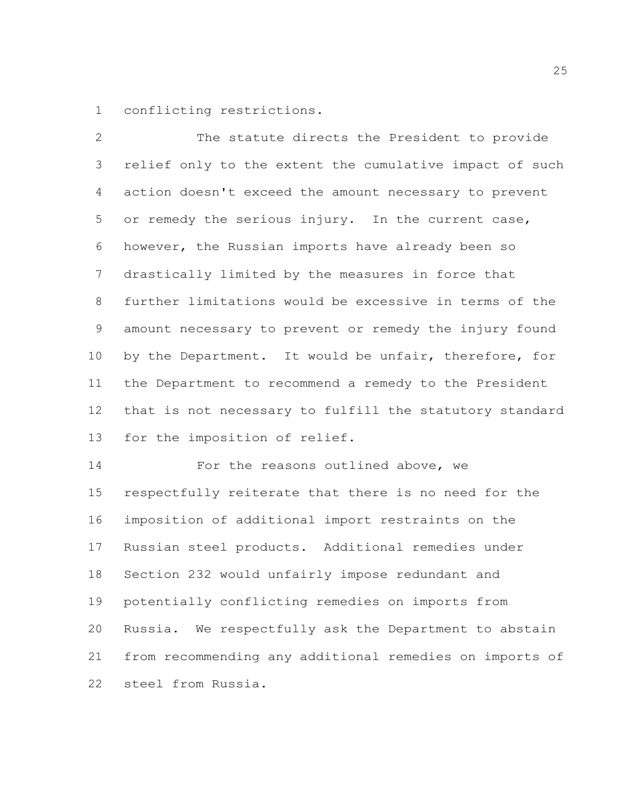conflicting restrictions.

 The statute directs the President to provide relief only to the extent the cumulative impact of such action doesn't exceed the amount necessary to prevent or remedy the serious injury. In the current case, however, the Russian imports have already been so drastically limited by the measures in force that further limitations would be excessive in terms of the amount necessary to prevent or remedy the injury found 10 by the Department. It would be unfair, therefore, for the Department to recommend a remedy to the President that is not necessary to fulfill the statutory standard for the imposition of relief.

**For the reasons outlined above, we**  respectfully reiterate that there is no need for the imposition of additional import restraints on the Russian steel products. Additional remedies under Section 232 would unfairly impose redundant and potentially conflicting remedies on imports from Russia. We respectfully ask the Department to abstain from recommending any additional remedies on imports of steel from Russia.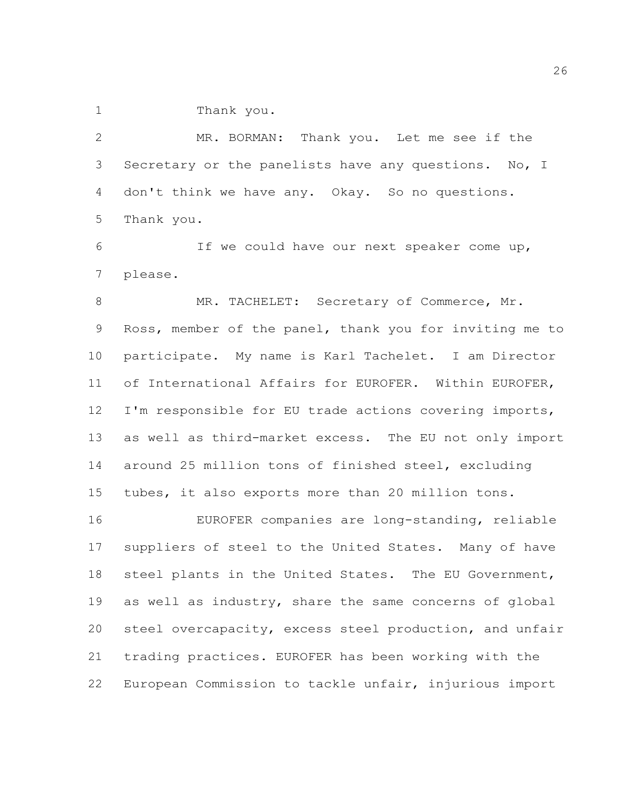Thank you.

 MR. BORMAN: Thank you. Let me see if the Secretary or the panelists have any questions. No, I don't think we have any. Okay. So no questions. Thank you.

 If we could have our next speaker come up, please.

8 MR. TACHELET: Secretary of Commerce, Mr. Ross, member of the panel, thank you for inviting me to participate. My name is Karl Tachelet. I am Director of International Affairs for EUROFER. Within EUROFER, I'm responsible for EU trade actions covering imports, as well as third-market excess. The EU not only import around 25 million tons of finished steel, excluding tubes, it also exports more than 20 million tons.

 EUROFER companies are long-standing, reliable suppliers of steel to the United States. Many of have steel plants in the United States. The EU Government, as well as industry, share the same concerns of global steel overcapacity, excess steel production, and unfair trading practices. EUROFER has been working with the European Commission to tackle unfair, injurious import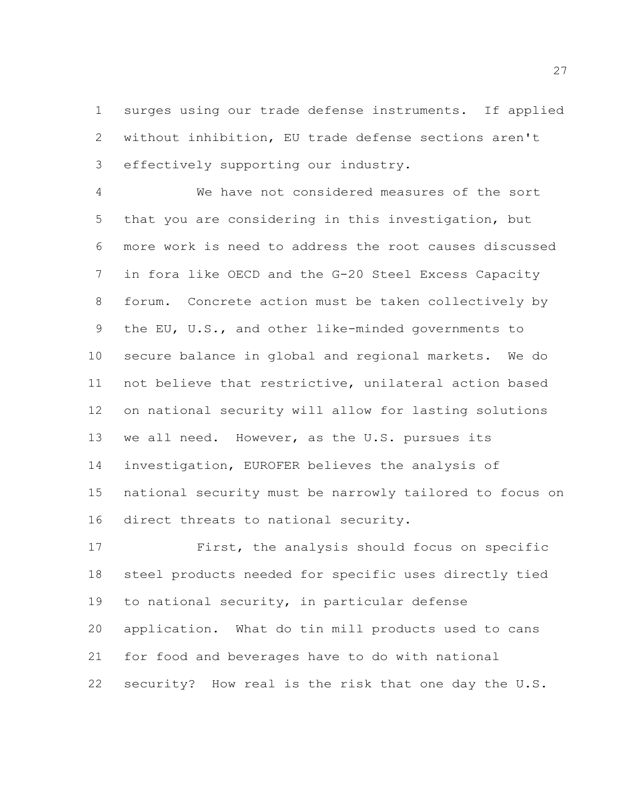surges using our trade defense instruments. If applied without inhibition, EU trade defense sections aren't effectively supporting our industry.

 We have not considered measures of the sort that you are considering in this investigation, but more work is need to address the root causes discussed in fora like OECD and the G-20 Steel Excess Capacity forum. Concrete action must be taken collectively by the EU, U.S., and other like-minded governments to secure balance in global and regional markets. We do not believe that restrictive, unilateral action based on national security will allow for lasting solutions we all need. However, as the U.S. pursues its investigation, EUROFER believes the analysis of national security must be narrowly tailored to focus on direct threats to national security.

 First, the analysis should focus on specific steel products needed for specific uses directly tied to national security, in particular defense application. What do tin mill products used to cans for food and beverages have to do with national security? How real is the risk that one day the U.S.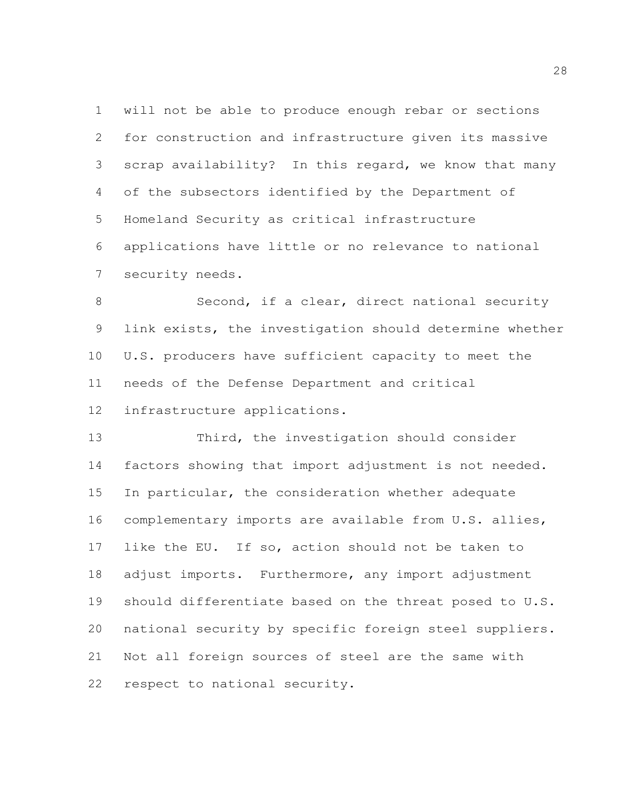will not be able to produce enough rebar or sections for construction and infrastructure given its massive scrap availability? In this regard, we know that many of the subsectors identified by the Department of Homeland Security as critical infrastructure applications have little or no relevance to national security needs.

 Second, if a clear, direct national security link exists, the investigation should determine whether U.S. producers have sufficient capacity to meet the needs of the Defense Department and critical infrastructure applications.

 Third, the investigation should consider factors showing that import adjustment is not needed. In particular, the consideration whether adequate complementary imports are available from U.S. allies, like the EU. If so, action should not be taken to adjust imports. Furthermore, any import adjustment should differentiate based on the threat posed to U.S. national security by specific foreign steel suppliers. Not all foreign sources of steel are the same with respect to national security.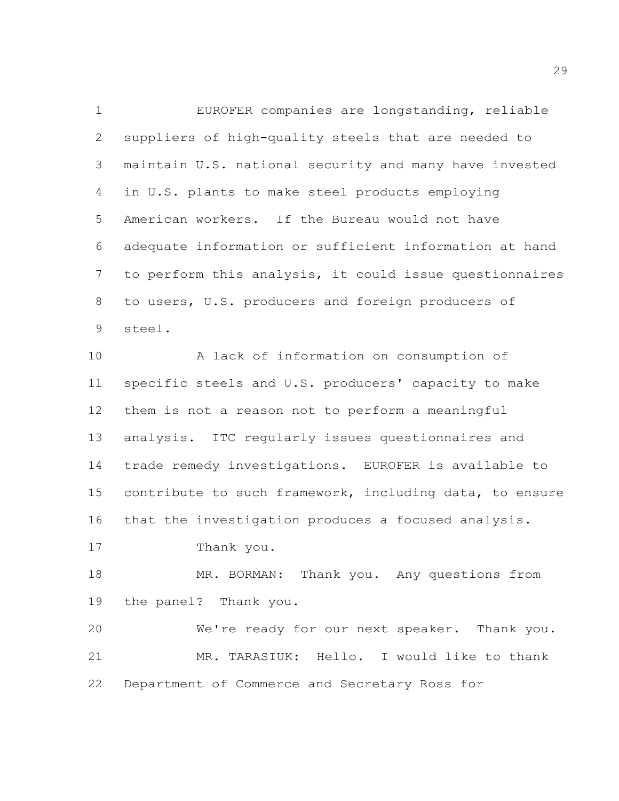EUROFER companies are longstanding, reliable suppliers of high-quality steels that are needed to maintain U.S. national security and many have invested in U.S. plants to make steel products employing American workers. If the Bureau would not have adequate information or sufficient information at hand to perform this analysis, it could issue questionnaires to users, U.S. producers and foreign producers of steel.

 A lack of information on consumption of specific steels and U.S. producers' capacity to make them is not a reason not to perform a meaningful analysis. ITC regularly issues questionnaires and trade remedy investigations. EUROFER is available to contribute to such framework, including data, to ensure that the investigation produces a focused analysis.

Thank you.

18 MR. BORMAN: Thank you. Any questions from the panel? Thank you.

 We're ready for our next speaker. Thank you. MR. TARASIUK: Hello. I would like to thank Department of Commerce and Secretary Ross for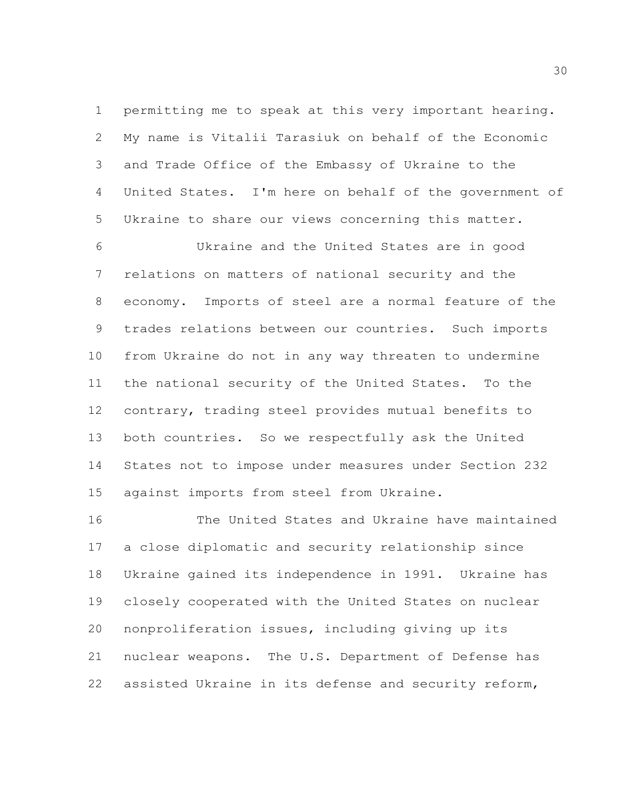permitting me to speak at this very important hearing. My name is Vitalii Tarasiuk on behalf of the Economic and Trade Office of the Embassy of Ukraine to the United States. I'm here on behalf of the government of Ukraine to share our views concerning this matter.

 Ukraine and the United States are in good relations on matters of national security and the economy. Imports of steel are a normal feature of the trades relations between our countries. Such imports from Ukraine do not in any way threaten to undermine the national security of the United States. To the contrary, trading steel provides mutual benefits to both countries. So we respectfully ask the United States not to impose under measures under Section 232 against imports from steel from Ukraine.

 The United States and Ukraine have maintained a close diplomatic and security relationship since Ukraine gained its independence in 1991. Ukraine has closely cooperated with the United States on nuclear nonproliferation issues, including giving up its nuclear weapons. The U.S. Department of Defense has assisted Ukraine in its defense and security reform,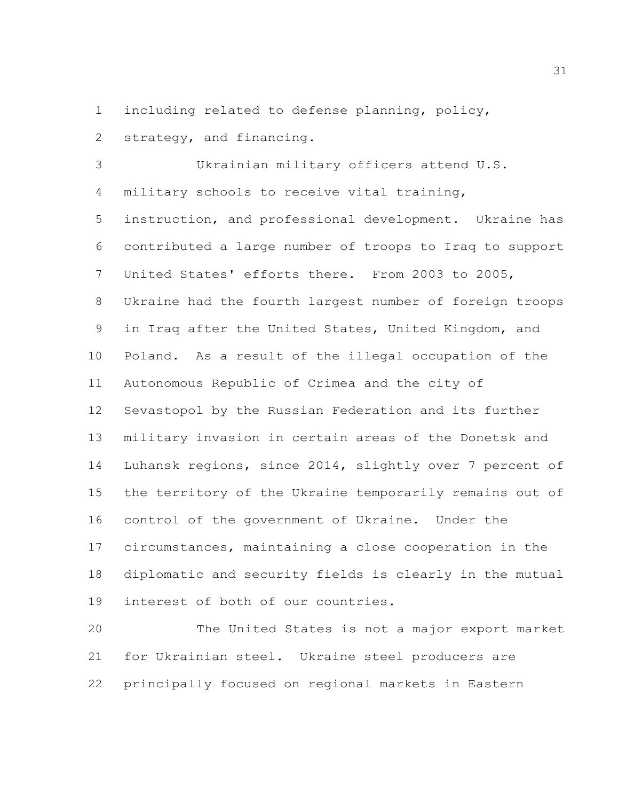including related to defense planning, policy,

strategy, and financing.

 Ukrainian military officers attend U.S. military schools to receive vital training, instruction, and professional development. Ukraine has contributed a large number of troops to Iraq to support United States' efforts there. From 2003 to 2005, Ukraine had the fourth largest number of foreign troops in Iraq after the United States, United Kingdom, and Poland. As a result of the illegal occupation of the Autonomous Republic of Crimea and the city of Sevastopol by the Russian Federation and its further military invasion in certain areas of the Donetsk and Luhansk regions, since 2014, slightly over 7 percent of the territory of the Ukraine temporarily remains out of control of the government of Ukraine. Under the circumstances, maintaining a close cooperation in the diplomatic and security fields is clearly in the mutual interest of both of our countries.

 The United States is not a major export market for Ukrainian steel. Ukraine steel producers are principally focused on regional markets in Eastern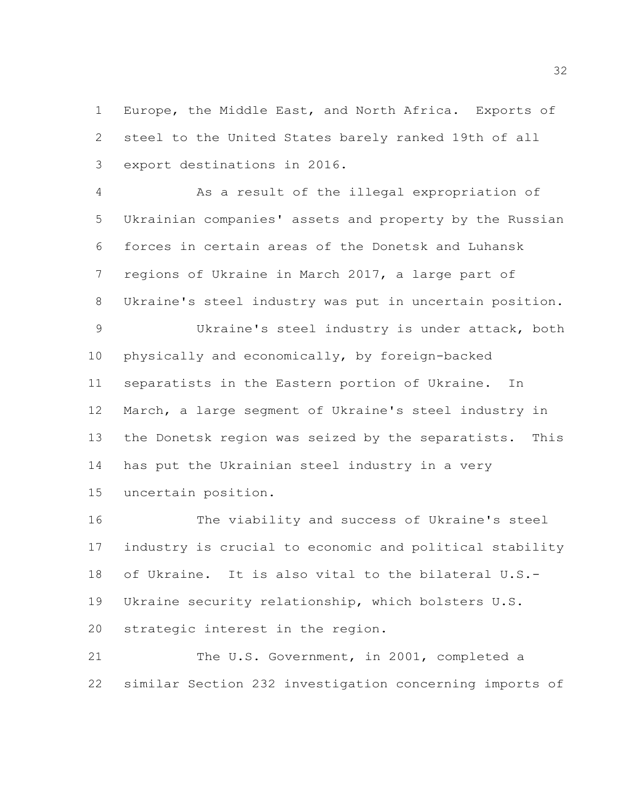Europe, the Middle East, and North Africa. Exports of steel to the United States barely ranked 19th of all export destinations in 2016.

 As a result of the illegal expropriation of Ukrainian companies' assets and property by the Russian forces in certain areas of the Donetsk and Luhansk regions of Ukraine in March 2017, a large part of Ukraine's steel industry was put in uncertain position. Ukraine's steel industry is under attack, both

 physically and economically, by foreign-backed separatists in the Eastern portion of Ukraine. In March, a large segment of Ukraine's steel industry in the Donetsk region was seized by the separatists. This has put the Ukrainian steel industry in a very uncertain position.

 The viability and success of Ukraine's steel industry is crucial to economic and political stability of Ukraine. It is also vital to the bilateral U.S.- Ukraine security relationship, which bolsters U.S. strategic interest in the region. 21 The U.S. Government, in 2001, completed a

similar Section 232 investigation concerning imports of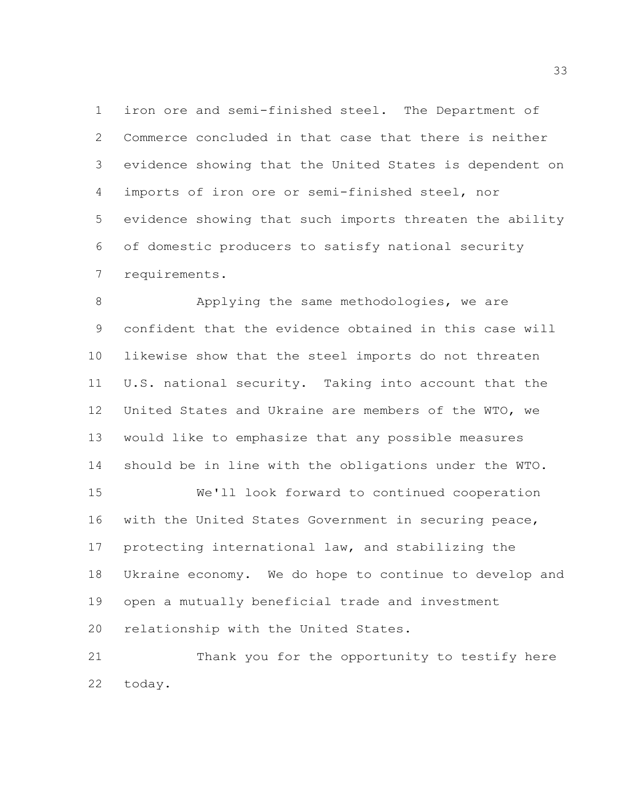iron ore and semi-finished steel. The Department of Commerce concluded in that case that there is neither evidence showing that the United States is dependent on imports of iron ore or semi-finished steel, nor evidence showing that such imports threaten the ability of domestic producers to satisfy national security requirements.

 Applying the same methodologies, we are confident that the evidence obtained in this case will likewise show that the steel imports do not threaten U.S. national security. Taking into account that the United States and Ukraine are members of the WTO, we would like to emphasize that any possible measures should be in line with the obligations under the WTO.

 We'll look forward to continued cooperation with the United States Government in securing peace, protecting international law, and stabilizing the Ukraine economy. We do hope to continue to develop and open a mutually beneficial trade and investment relationship with the United States.

 Thank you for the opportunity to testify here today.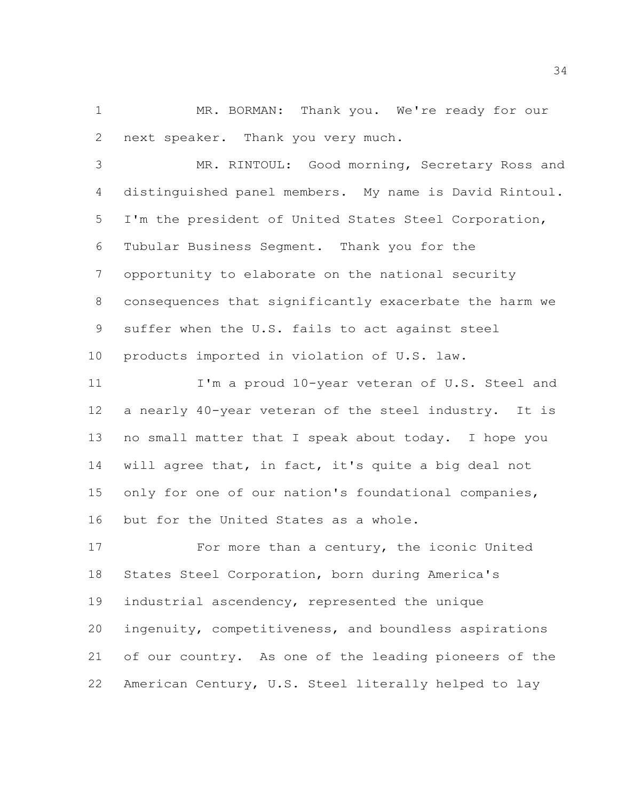MR. BORMAN: Thank you. We're ready for our next speaker. Thank you very much.

 MR. RINTOUL: Good morning, Secretary Ross and distinguished panel members. My name is David Rintoul. I'm the president of United States Steel Corporation, Tubular Business Segment. Thank you for the opportunity to elaborate on the national security consequences that significantly exacerbate the harm we suffer when the U.S. fails to act against steel products imported in violation of U.S. law.

11 I'm a proud 10-year veteran of U.S. Steel and a nearly 40-year veteran of the steel industry. It is no small matter that I speak about today. I hope you will agree that, in fact, it's quite a big deal not only for one of our nation's foundational companies, but for the United States as a whole.

17 For more than a century, the iconic United States Steel Corporation, born during America's industrial ascendency, represented the unique ingenuity, competitiveness, and boundless aspirations of our country. As one of the leading pioneers of the American Century, U.S. Steel literally helped to lay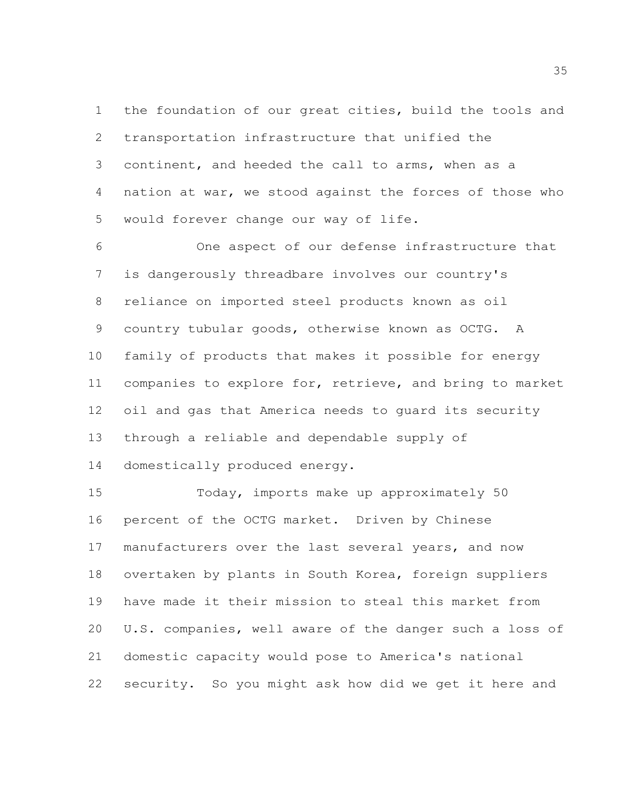the foundation of our great cities, build the tools and transportation infrastructure that unified the continent, and heeded the call to arms, when as a nation at war, we stood against the forces of those who would forever change our way of life.

 One aspect of our defense infrastructure that is dangerously threadbare involves our country's reliance on imported steel products known as oil country tubular goods, otherwise known as OCTG. A family of products that makes it possible for energy companies to explore for, retrieve, and bring to market oil and gas that America needs to guard its security through a reliable and dependable supply of

domestically produced energy.

 Today, imports make up approximately 50 percent of the OCTG market. Driven by Chinese manufacturers over the last several years, and now overtaken by plants in South Korea, foreign suppliers have made it their mission to steal this market from U.S. companies, well aware of the danger such a loss of domestic capacity would pose to America's national security. So you might ask how did we get it here and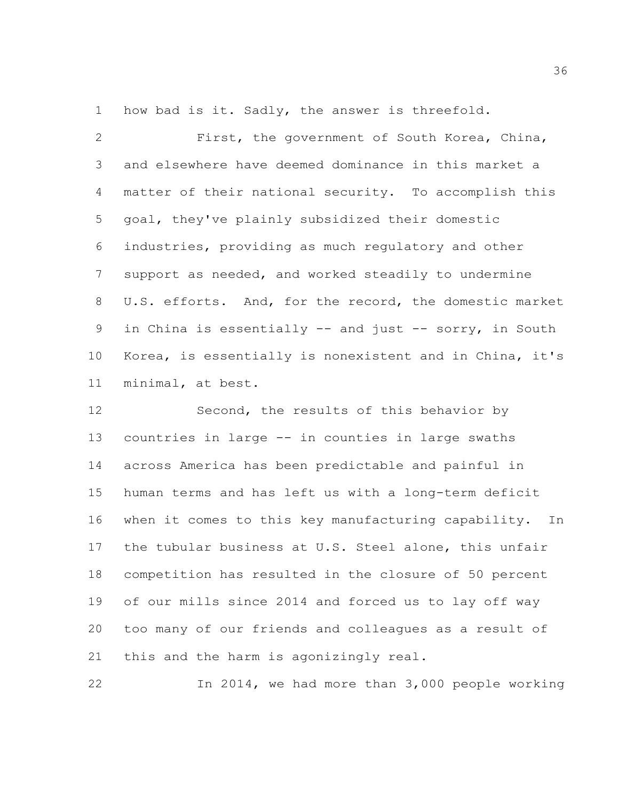how bad is it. Sadly, the answer is threefold.

 First, the government of South Korea, China, and elsewhere have deemed dominance in this market a matter of their national security. To accomplish this goal, they've plainly subsidized their domestic industries, providing as much regulatory and other support as needed, and worked steadily to undermine U.S. efforts. And, for the record, the domestic market 9 in China is essentially -- and just -- sorry, in South Korea, is essentially is nonexistent and in China, it's minimal, at best.

12 Second, the results of this behavior by countries in large -- in counties in large swaths across America has been predictable and painful in human terms and has left us with a long-term deficit when it comes to this key manufacturing capability. In the tubular business at U.S. Steel alone, this unfair competition has resulted in the closure of 50 percent of our mills since 2014 and forced us to lay off way too many of our friends and colleagues as a result of this and the harm is agonizingly real.

In 2014, we had more than 3,000 people working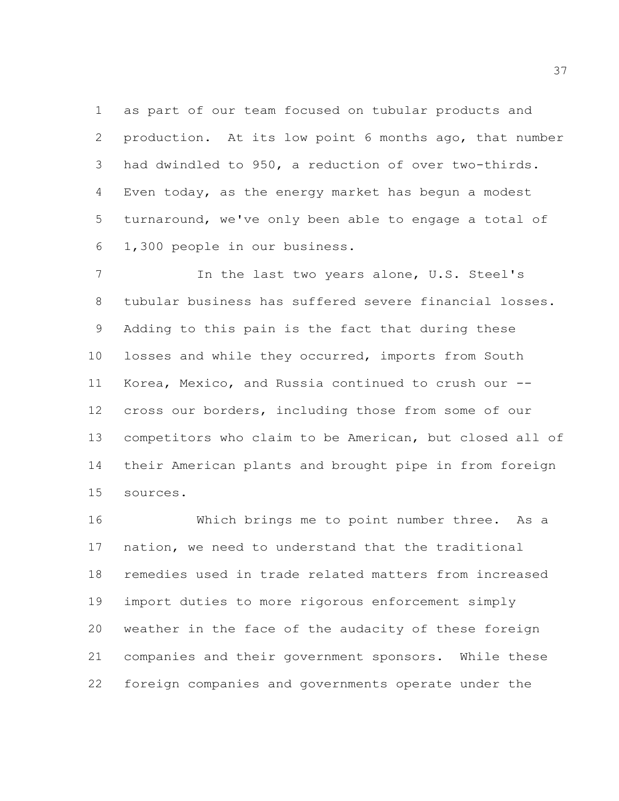as part of our team focused on tubular products and production. At its low point 6 months ago, that number had dwindled to 950, a reduction of over two-thirds. Even today, as the energy market has begun a modest turnaround, we've only been able to engage a total of 1,300 people in our business.

 In the last two years alone, U.S. Steel's tubular business has suffered severe financial losses. Adding to this pain is the fact that during these losses and while they occurred, imports from South Korea, Mexico, and Russia continued to crush our -- cross our borders, including those from some of our competitors who claim to be American, but closed all of their American plants and brought pipe in from foreign sources.

 Which brings me to point number three. As a nation, we need to understand that the traditional remedies used in trade related matters from increased import duties to more rigorous enforcement simply weather in the face of the audacity of these foreign companies and their government sponsors. While these foreign companies and governments operate under the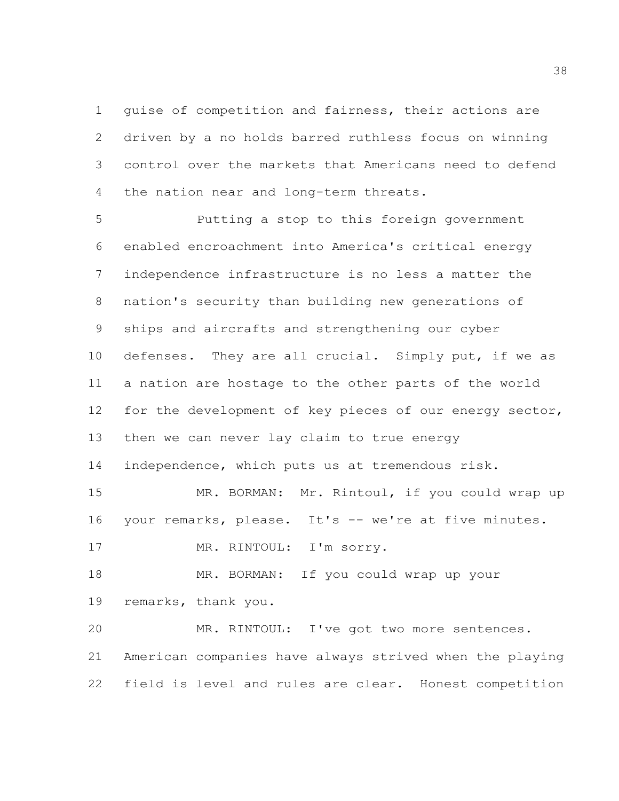guise of competition and fairness, their actions are driven by a no holds barred ruthless focus on winning control over the markets that Americans need to defend the nation near and long-term threats.

 Putting a stop to this foreign government enabled encroachment into America's critical energy independence infrastructure is no less a matter the nation's security than building new generations of ships and aircrafts and strengthening our cyber 10 defenses. They are all crucial. Simply put, if we as a nation are hostage to the other parts of the world for the development of key pieces of our energy sector, then we can never lay claim to true energy independence, which puts us at tremendous risk. MR. BORMAN: Mr. Rintoul, if you could wrap up your remarks, please. It's -- we're at five minutes. 17 MR. RINTOUL: I'm sorry. MR. BORMAN: If you could wrap up your remarks, thank you. MR. RINTOUL: I've got two more sentences. American companies have always strived when the playing

field is level and rules are clear. Honest competition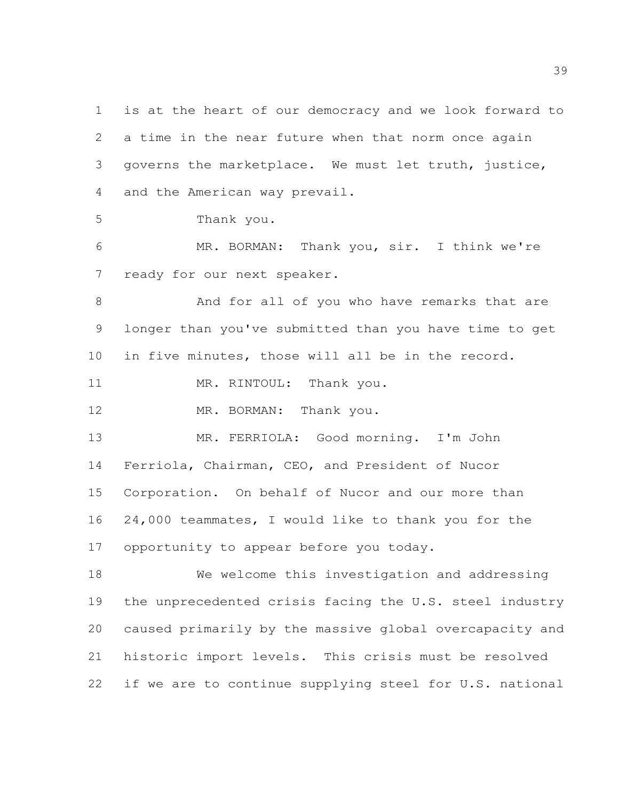is at the heart of our democracy and we look forward to a time in the near future when that norm once again governs the marketplace. We must let truth, justice, and the American way prevail.

Thank you.

 MR. BORMAN: Thank you, sir. I think we're ready for our next speaker.

 And for all of you who have remarks that are longer than you've submitted than you have time to get in five minutes, those will all be in the record.

11 MR. RINTOUL: Thank you.

12 MR. BORMAN: Thank you.

 MR. FERRIOLA: Good morning. I'm John Ferriola, Chairman, CEO, and President of Nucor Corporation. On behalf of Nucor and our more than 24,000 teammates, I would like to thank you for the opportunity to appear before you today.

 We welcome this investigation and addressing the unprecedented crisis facing the U.S. steel industry caused primarily by the massive global overcapacity and historic import levels. This crisis must be resolved if we are to continue supplying steel for U.S. national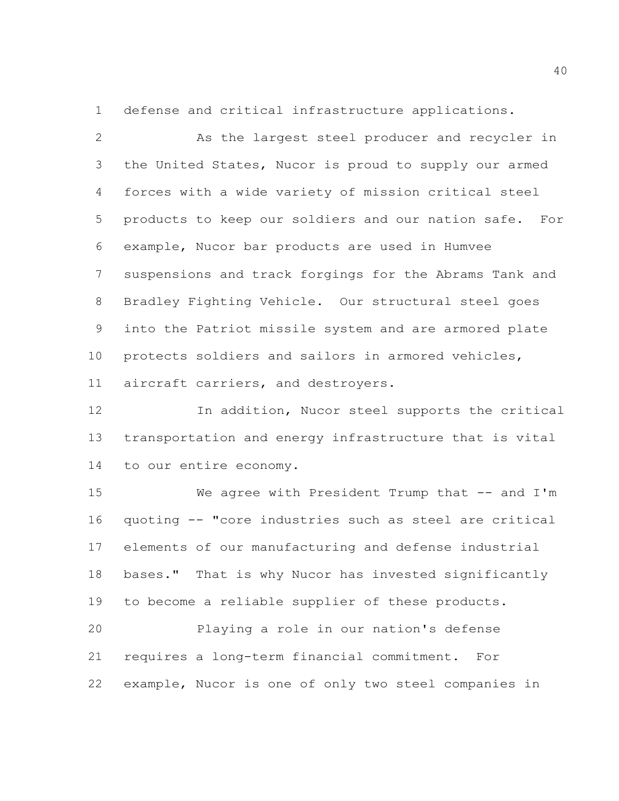defense and critical infrastructure applications.

 As the largest steel producer and recycler in the United States, Nucor is proud to supply our armed forces with a wide variety of mission critical steel products to keep our soldiers and our nation safe. For example, Nucor bar products are used in Humvee suspensions and track forgings for the Abrams Tank and Bradley Fighting Vehicle. Our structural steel goes into the Patriot missile system and are armored plate protects soldiers and sailors in armored vehicles, aircraft carriers, and destroyers.

 In addition, Nucor steel supports the critical transportation and energy infrastructure that is vital to our entire economy.

15 We agree with President Trump that -- and I'm quoting -- "core industries such as steel are critical elements of our manufacturing and defense industrial bases." That is why Nucor has invested significantly to become a reliable supplier of these products.

 Playing a role in our nation's defense requires a long-term financial commitment. For example, Nucor is one of only two steel companies in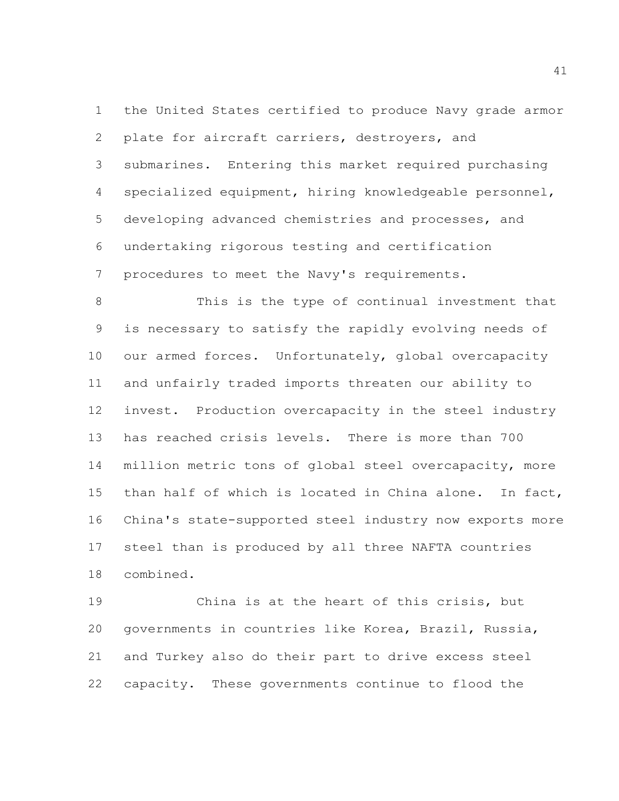the United States certified to produce Navy grade armor plate for aircraft carriers, destroyers, and submarines. Entering this market required purchasing specialized equipment, hiring knowledgeable personnel, developing advanced chemistries and processes, and undertaking rigorous testing and certification procedures to meet the Navy's requirements.

 This is the type of continual investment that is necessary to satisfy the rapidly evolving needs of 10 our armed forces. Unfortunately, global overcapacity and unfairly traded imports threaten our ability to invest. Production overcapacity in the steel industry has reached crisis levels. There is more than 700 million metric tons of global steel overcapacity, more than half of which is located in China alone. In fact, China's state-supported steel industry now exports more steel than is produced by all three NAFTA countries combined.

 China is at the heart of this crisis, but governments in countries like Korea, Brazil, Russia, and Turkey also do their part to drive excess steel capacity. These governments continue to flood the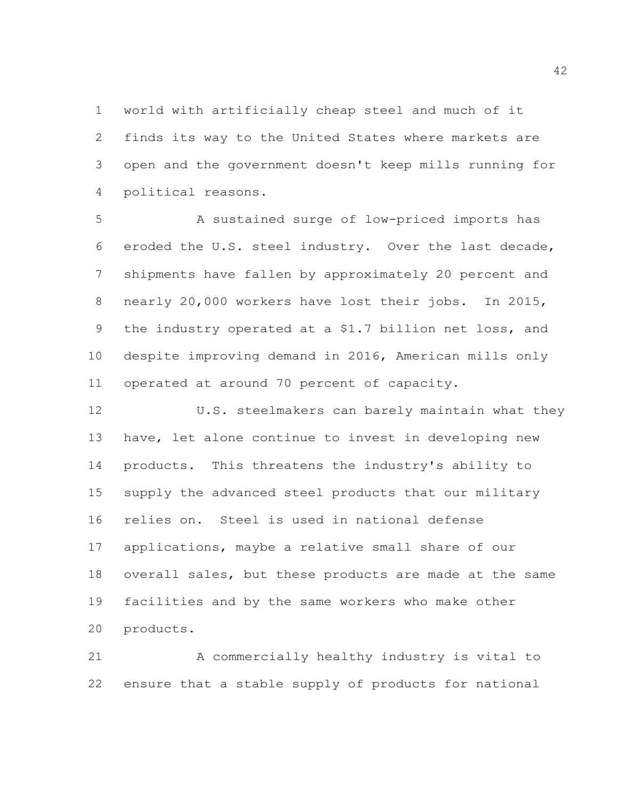world with artificially cheap steel and much of it finds its way to the United States where markets are open and the government doesn't keep mills running for political reasons.

 A sustained surge of low-priced imports has eroded the U.S. steel industry. Over the last decade, shipments have fallen by approximately 20 percent and nearly 20,000 workers have lost their jobs. In 2015, the industry operated at a \$1.7 billion net loss, and despite improving demand in 2016, American mills only operated at around 70 percent of capacity.

12 U.S. steelmakers can barely maintain what they have, let alone continue to invest in developing new products. This threatens the industry's ability to supply the advanced steel products that our military relies on. Steel is used in national defense applications, maybe a relative small share of our overall sales, but these products are made at the same facilities and by the same workers who make other products.

 A commercially healthy industry is vital to ensure that a stable supply of products for national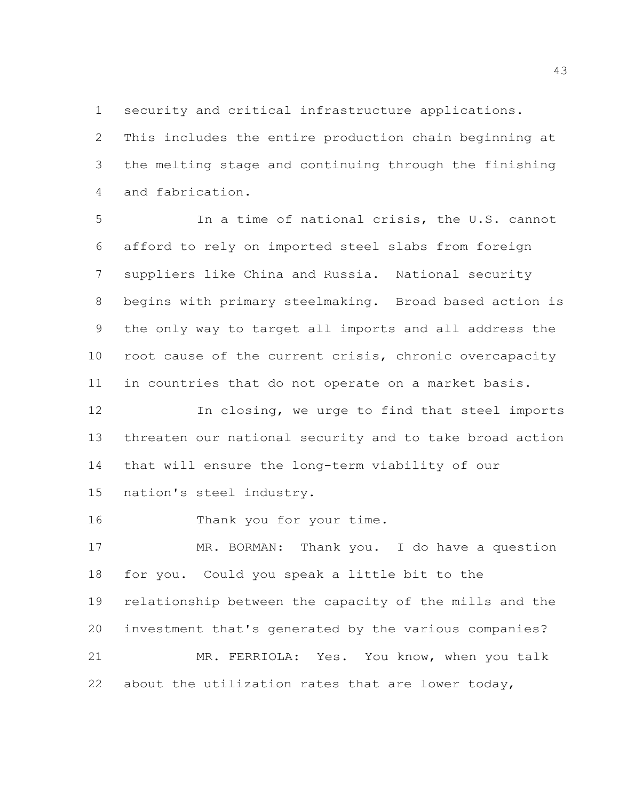security and critical infrastructure applications.

 This includes the entire production chain beginning at the melting stage and continuing through the finishing and fabrication.

 In a time of national crisis, the U.S. cannot afford to rely on imported steel slabs from foreign suppliers like China and Russia. National security begins with primary steelmaking. Broad based action is the only way to target all imports and all address the root cause of the current crisis, chronic overcapacity in countries that do not operate on a market basis.

 In closing, we urge to find that steel imports threaten our national security and to take broad action that will ensure the long-term viability of our

nation's steel industry.

16 Thank you for your time.

 MR. BORMAN: Thank you. I do have a question for you. Could you speak a little bit to the relationship between the capacity of the mills and the investment that's generated by the various companies? MR. FERRIOLA: Yes. You know, when you talk about the utilization rates that are lower today,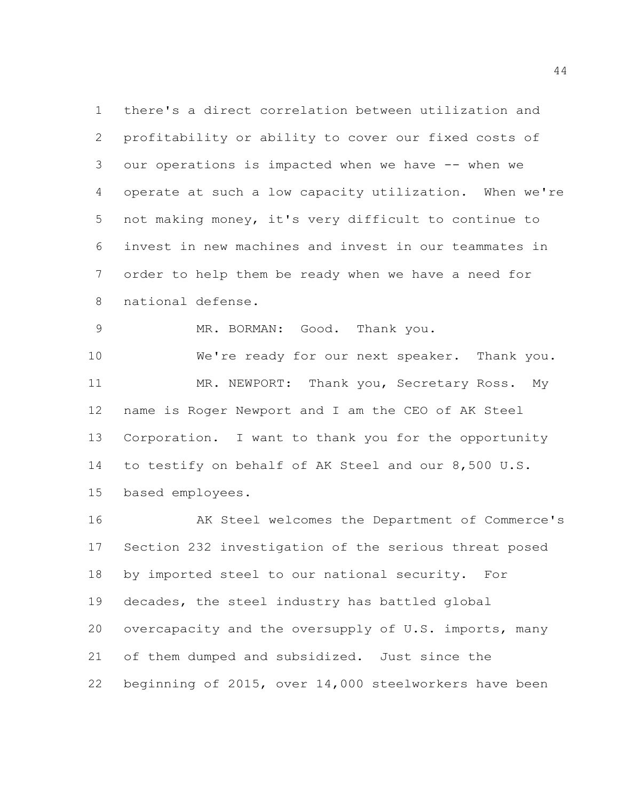there's a direct correlation between utilization and profitability or ability to cover our fixed costs of our operations is impacted when we have -- when we operate at such a low capacity utilization. When we're not making money, it's very difficult to continue to invest in new machines and invest in our teammates in order to help them be ready when we have a need for national defense.

MR. BORMAN: Good. Thank you.

 We're ready for our next speaker. Thank you. 11 MR. NEWPORT: Thank you, Secretary Ross. My name is Roger Newport and I am the CEO of AK Steel Corporation. I want to thank you for the opportunity to testify on behalf of AK Steel and our 8,500 U.S. based employees.

 AK Steel welcomes the Department of Commerce's Section 232 investigation of the serious threat posed by imported steel to our national security. For decades, the steel industry has battled global overcapacity and the oversupply of U.S. imports, many of them dumped and subsidized. Just since the beginning of 2015, over 14,000 steelworkers have been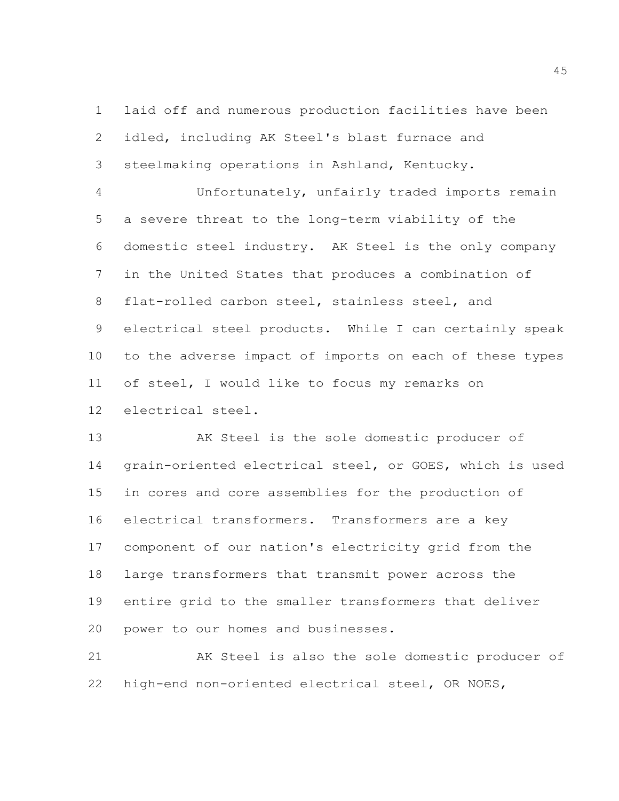laid off and numerous production facilities have been idled, including AK Steel's blast furnace and steelmaking operations in Ashland, Kentucky.

 Unfortunately, unfairly traded imports remain a severe threat to the long-term viability of the domestic steel industry. AK Steel is the only company in the United States that produces a combination of flat-rolled carbon steel, stainless steel, and electrical steel products. While I can certainly speak to the adverse impact of imports on each of these types of steel, I would like to focus my remarks on electrical steel.

 AK Steel is the sole domestic producer of grain-oriented electrical steel, or GOES, which is used in cores and core assemblies for the production of electrical transformers. Transformers are a key component of our nation's electricity grid from the large transformers that transmit power across the entire grid to the smaller transformers that deliver power to our homes and businesses.

 AK Steel is also the sole domestic producer of high-end non-oriented electrical steel, OR NOES,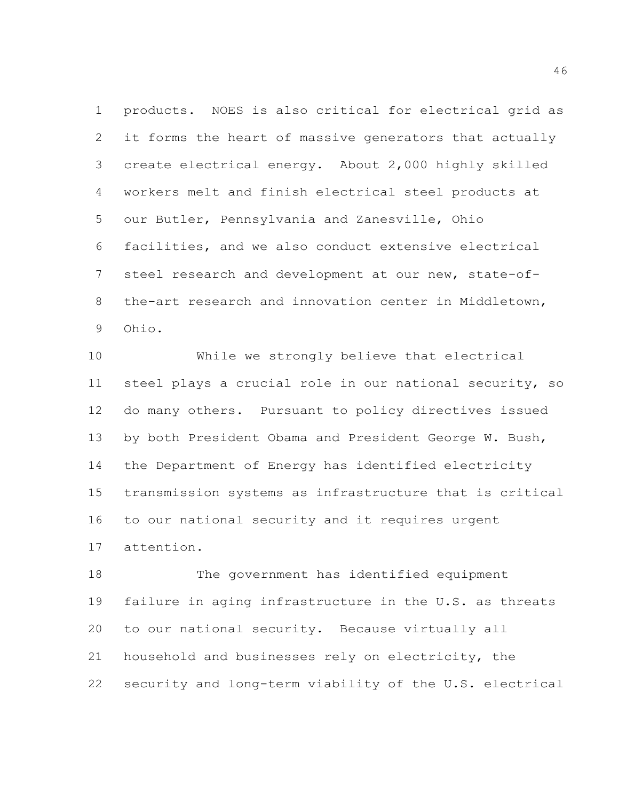products. NOES is also critical for electrical grid as it forms the heart of massive generators that actually create electrical energy. About 2,000 highly skilled workers melt and finish electrical steel products at our Butler, Pennsylvania and Zanesville, Ohio facilities, and we also conduct extensive electrical steel research and development at our new, state-of- the-art research and innovation center in Middletown, Ohio.

 While we strongly believe that electrical steel plays a crucial role in our national security, so do many others. Pursuant to policy directives issued by both President Obama and President George W. Bush, the Department of Energy has identified electricity transmission systems as infrastructure that is critical to our national security and it requires urgent attention.

 The government has identified equipment failure in aging infrastructure in the U.S. as threats to our national security. Because virtually all household and businesses rely on electricity, the security and long-term viability of the U.S. electrical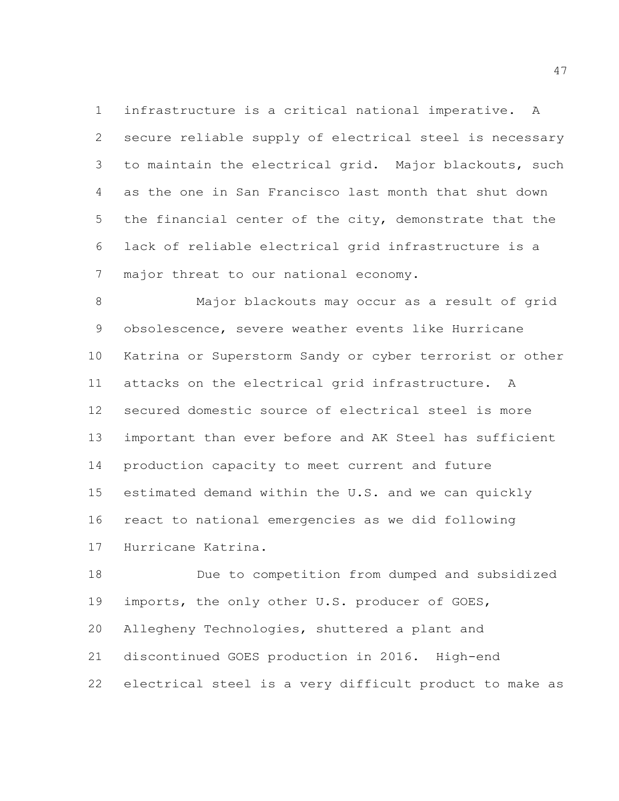infrastructure is a critical national imperative. A secure reliable supply of electrical steel is necessary to maintain the electrical grid. Major blackouts, such as the one in San Francisco last month that shut down the financial center of the city, demonstrate that the lack of reliable electrical grid infrastructure is a major threat to our national economy.

 Major blackouts may occur as a result of grid obsolescence, severe weather events like Hurricane Katrina or Superstorm Sandy or cyber terrorist or other attacks on the electrical grid infrastructure. A secured domestic source of electrical steel is more important than ever before and AK Steel has sufficient production capacity to meet current and future estimated demand within the U.S. and we can quickly react to national emergencies as we did following Hurricane Katrina.

 Due to competition from dumped and subsidized imports, the only other U.S. producer of GOES, Allegheny Technologies, shuttered a plant and discontinued GOES production in 2016. High-end electrical steel is a very difficult product to make as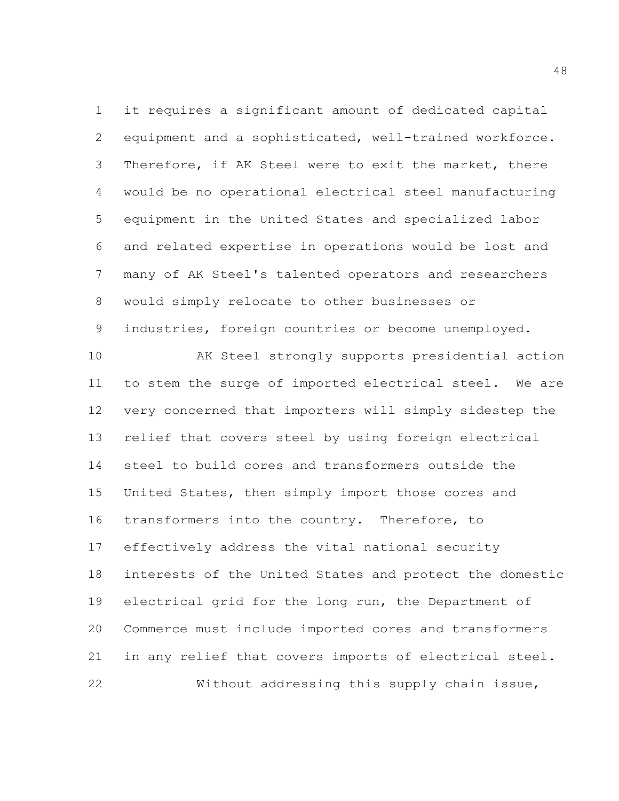it requires a significant amount of dedicated capital equipment and a sophisticated, well-trained workforce. Therefore, if AK Steel were to exit the market, there would be no operational electrical steel manufacturing equipment in the United States and specialized labor and related expertise in operations would be lost and many of AK Steel's talented operators and researchers would simply relocate to other businesses or

industries, foreign countries or become unemployed.

 AK Steel strongly supports presidential action to stem the surge of imported electrical steel. We are very concerned that importers will simply sidestep the relief that covers steel by using foreign electrical steel to build cores and transformers outside the United States, then simply import those cores and transformers into the country. Therefore, to effectively address the vital national security interests of the United States and protect the domestic electrical grid for the long run, the Department of Commerce must include imported cores and transformers in any relief that covers imports of electrical steel. Without addressing this supply chain issue,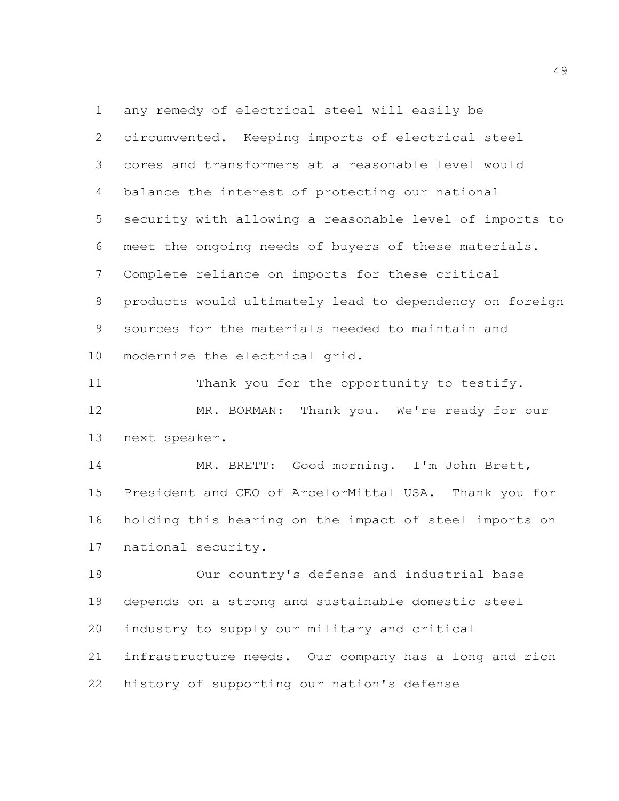any remedy of electrical steel will easily be circumvented. Keeping imports of electrical steel cores and transformers at a reasonable level would balance the interest of protecting our national security with allowing a reasonable level of imports to meet the ongoing needs of buyers of these materials. Complete reliance on imports for these critical products would ultimately lead to dependency on foreign sources for the materials needed to maintain and modernize the electrical grid.

11 Thank you for the opportunity to testify. 12 MR. BORMAN: Thank you. We're ready for our next speaker.

 MR. BRETT: Good morning. I'm John Brett, President and CEO of ArcelorMittal USA. Thank you for holding this hearing on the impact of steel imports on national security.

 Our country's defense and industrial base depends on a strong and sustainable domestic steel industry to supply our military and critical infrastructure needs. Our company has a long and rich history of supporting our nation's defense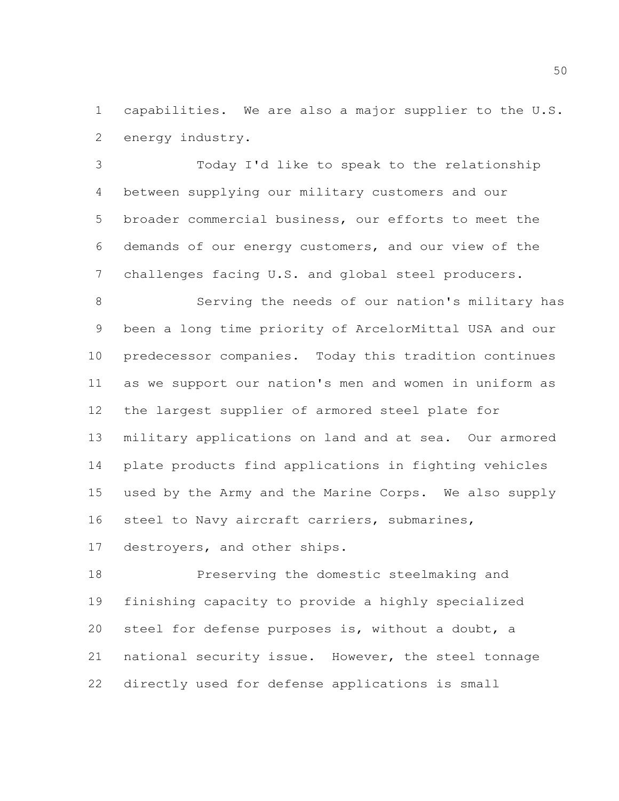capabilities. We are also a major supplier to the U.S. energy industry.

 Today I'd like to speak to the relationship between supplying our military customers and our broader commercial business, our efforts to meet the demands of our energy customers, and our view of the challenges facing U.S. and global steel producers.

 Serving the needs of our nation's military has been a long time priority of ArcelorMittal USA and our predecessor companies. Today this tradition continues as we support our nation's men and women in uniform as the largest supplier of armored steel plate for military applications on land and at sea. Our armored plate products find applications in fighting vehicles used by the Army and the Marine Corps. We also supply steel to Navy aircraft carriers, submarines,

destroyers, and other ships.

 Preserving the domestic steelmaking and finishing capacity to provide a highly specialized steel for defense purposes is, without a doubt, a national security issue. However, the steel tonnage directly used for defense applications is small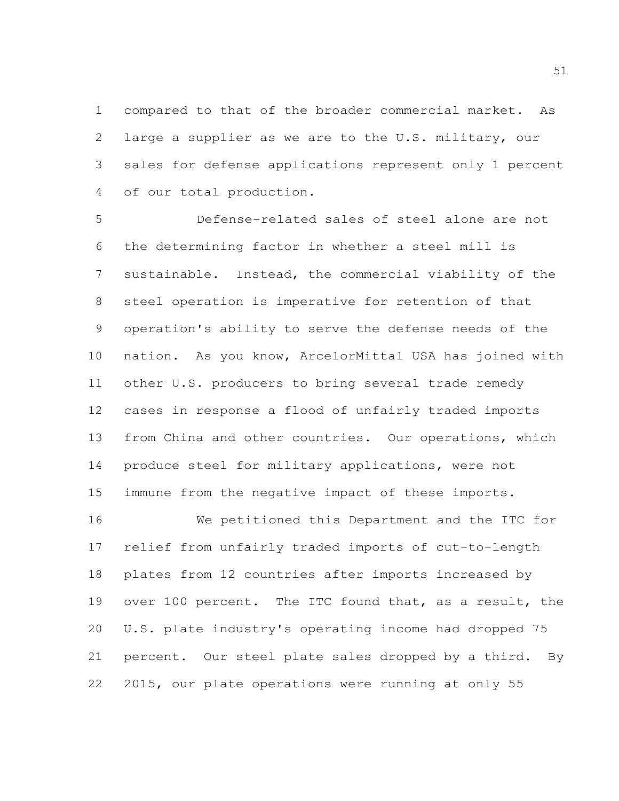compared to that of the broader commercial market. As large a supplier as we are to the U.S. military, our sales for defense applications represent only 1 percent of our total production.

 Defense-related sales of steel alone are not the determining factor in whether a steel mill is sustainable. Instead, the commercial viability of the steel operation is imperative for retention of that operation's ability to serve the defense needs of the nation. As you know, ArcelorMittal USA has joined with other U.S. producers to bring several trade remedy cases in response a flood of unfairly traded imports from China and other countries. Our operations, which produce steel for military applications, were not immune from the negative impact of these imports.

 We petitioned this Department and the ITC for relief from unfairly traded imports of cut-to-length plates from 12 countries after imports increased by over 100 percent. The ITC found that, as a result, the U.S. plate industry's operating income had dropped 75 percent. Our steel plate sales dropped by a third. By 2015, our plate operations were running at only 55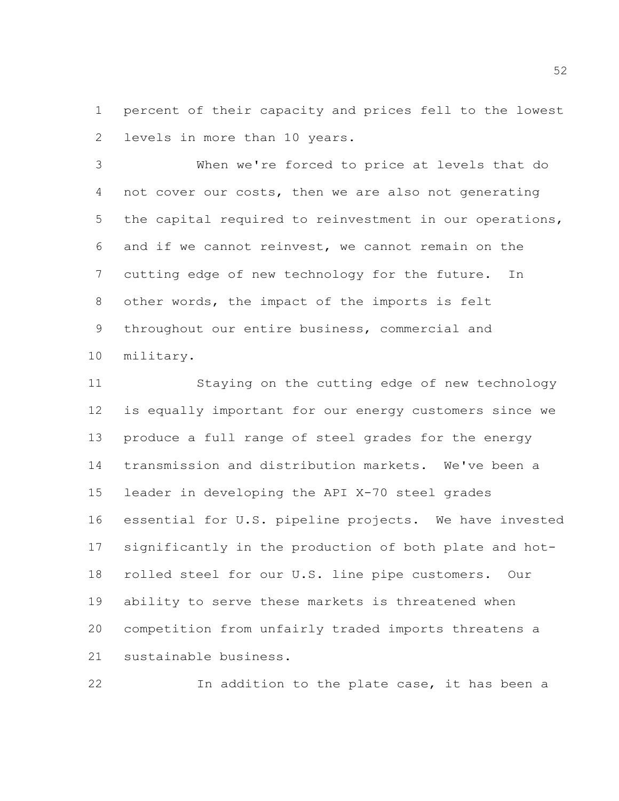percent of their capacity and prices fell to the lowest levels in more than 10 years.

 When we're forced to price at levels that do not cover our costs, then we are also not generating the capital required to reinvestment in our operations, and if we cannot reinvest, we cannot remain on the cutting edge of new technology for the future. In other words, the impact of the imports is felt throughout our entire business, commercial and military.

 Staying on the cutting edge of new technology is equally important for our energy customers since we produce a full range of steel grades for the energy transmission and distribution markets. We've been a leader in developing the API X-70 steel grades essential for U.S. pipeline projects. We have invested significantly in the production of both plate and hot- rolled steel for our U.S. line pipe customers. Our ability to serve these markets is threatened when competition from unfairly traded imports threatens a sustainable business.

In addition to the plate case, it has been a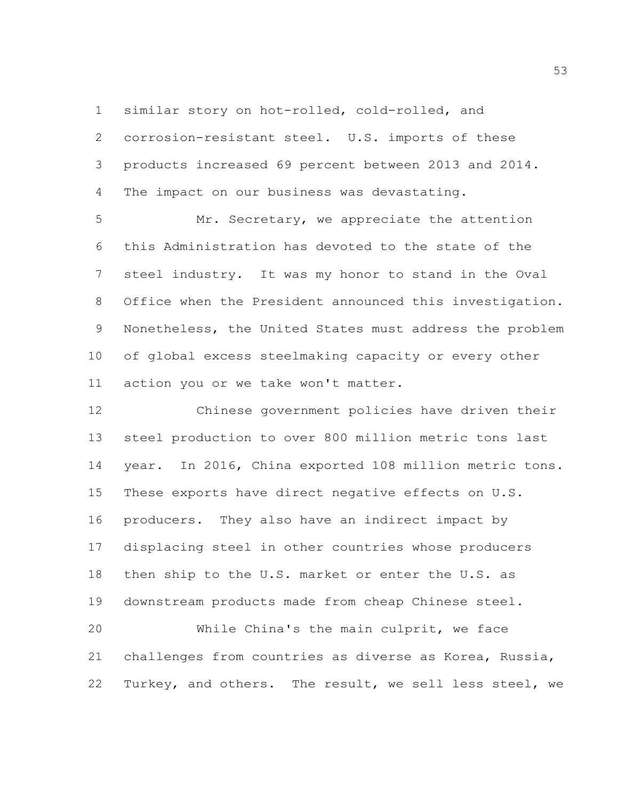similar story on hot-rolled, cold-rolled, and

 corrosion-resistant steel. U.S. imports of these products increased 69 percent between 2013 and 2014. The impact on our business was devastating.

 Mr. Secretary, we appreciate the attention this Administration has devoted to the state of the steel industry. It was my honor to stand in the Oval Office when the President announced this investigation. Nonetheless, the United States must address the problem of global excess steelmaking capacity or every other action you or we take won't matter.

 Chinese government policies have driven their steel production to over 800 million metric tons last year. In 2016, China exported 108 million metric tons. These exports have direct negative effects on U.S. producers. They also have an indirect impact by displacing steel in other countries whose producers then ship to the U.S. market or enter the U.S. as downstream products made from cheap Chinese steel.

 While China's the main culprit, we face challenges from countries as diverse as Korea, Russia, Turkey, and others. The result, we sell less steel, we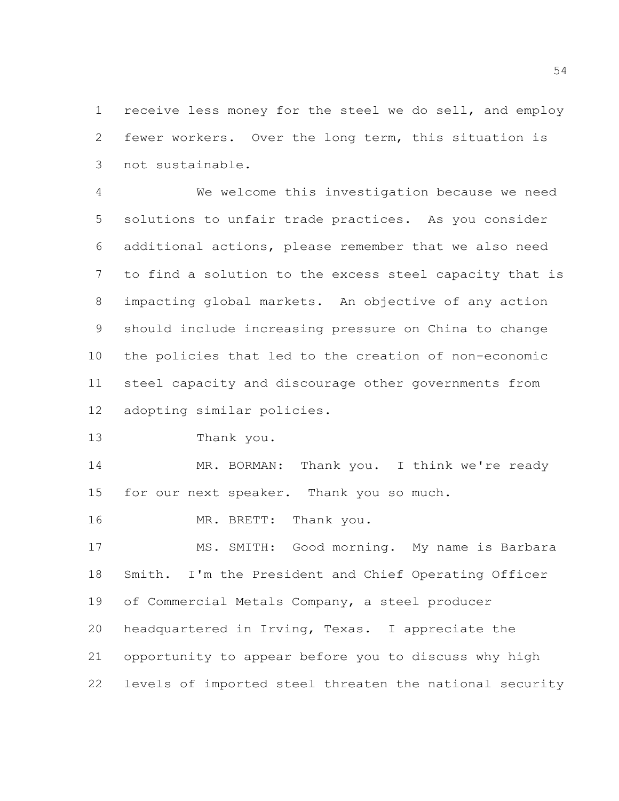receive less money for the steel we do sell, and employ fewer workers. Over the long term, this situation is not sustainable.

 We welcome this investigation because we need solutions to unfair trade practices. As you consider additional actions, please remember that we also need to find a solution to the excess steel capacity that is impacting global markets. An objective of any action should include increasing pressure on China to change the policies that led to the creation of non-economic steel capacity and discourage other governments from adopting similar policies.

Thank you.

 MR. BORMAN: Thank you. I think we're ready for our next speaker. Thank you so much.

MR. BRETT: Thank you.

 MS. SMITH: Good morning. My name is Barbara Smith. I'm the President and Chief Operating Officer of Commercial Metals Company, a steel producer headquartered in Irving, Texas. I appreciate the opportunity to appear before you to discuss why high levels of imported steel threaten the national security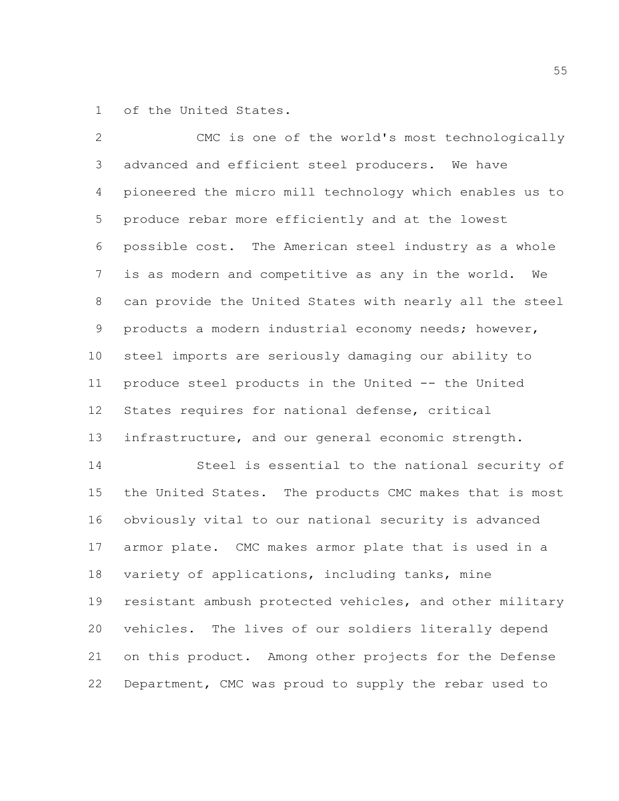of the United States.

 CMC is one of the world's most technologically advanced and efficient steel producers. We have pioneered the micro mill technology which enables us to produce rebar more efficiently and at the lowest possible cost. The American steel industry as a whole is as modern and competitive as any in the world. We can provide the United States with nearly all the steel products a modern industrial economy needs; however, steel imports are seriously damaging our ability to produce steel products in the United -- the United States requires for national defense, critical infrastructure, and our general economic strength. Steel is essential to the national security of the United States. The products CMC makes that is most obviously vital to our national security is advanced armor plate. CMC makes armor plate that is used in a variety of applications, including tanks, mine

 resistant ambush protected vehicles, and other military vehicles. The lives of our soldiers literally depend on this product. Among other projects for the Defense Department, CMC was proud to supply the rebar used to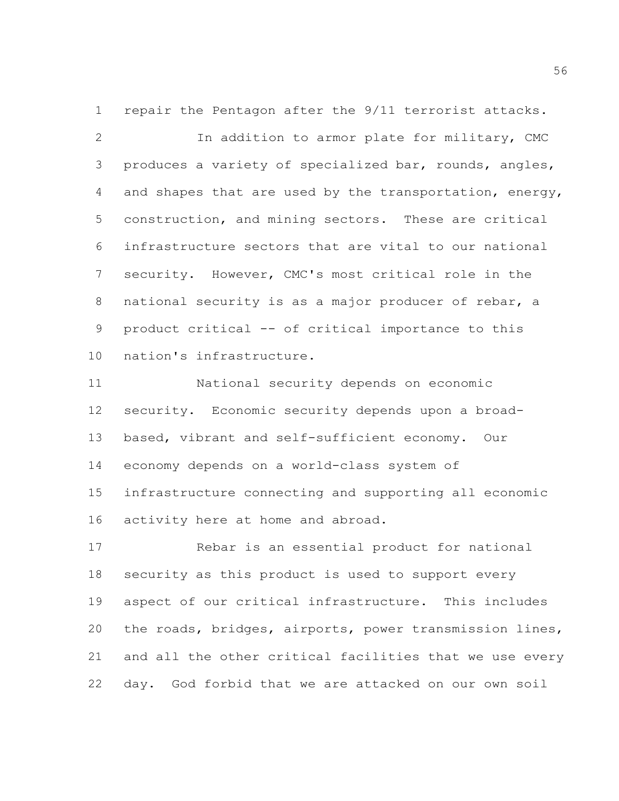repair the Pentagon after the 9/11 terrorist attacks. In addition to armor plate for military, CMC produces a variety of specialized bar, rounds, angles, and shapes that are used by the transportation, energy, construction, and mining sectors. These are critical infrastructure sectors that are vital to our national security. However, CMC's most critical role in the national security is as a major producer of rebar, a product critical -- of critical importance to this nation's infrastructure.

 National security depends on economic security. Economic security depends upon a broad- based, vibrant and self-sufficient economy. Our economy depends on a world-class system of infrastructure connecting and supporting all economic activity here at home and abroad.

 Rebar is an essential product for national security as this product is used to support every aspect of our critical infrastructure. This includes the roads, bridges, airports, power transmission lines, and all the other critical facilities that we use every day. God forbid that we are attacked on our own soil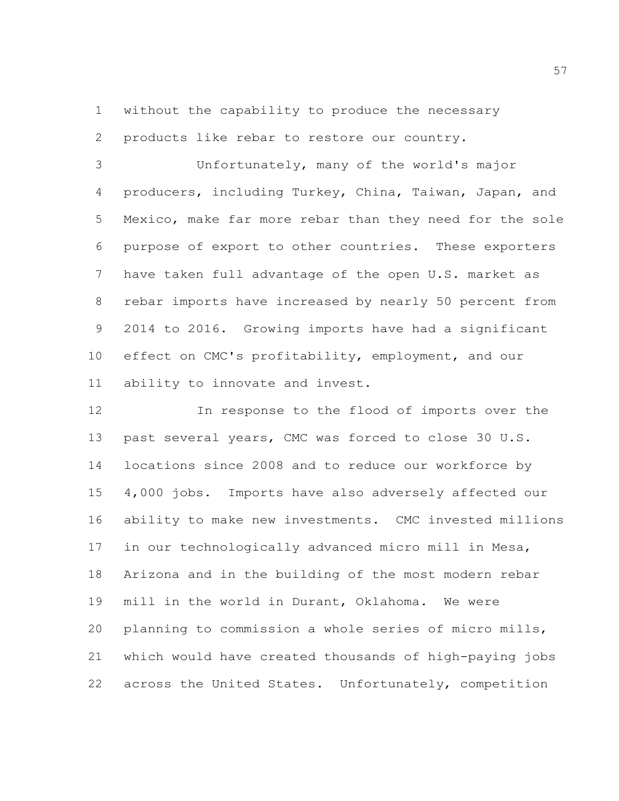without the capability to produce the necessary products like rebar to restore our country.

 Unfortunately, many of the world's major producers, including Turkey, China, Taiwan, Japan, and Mexico, make far more rebar than they need for the sole purpose of export to other countries. These exporters have taken full advantage of the open U.S. market as rebar imports have increased by nearly 50 percent from 2014 to 2016. Growing imports have had a significant effect on CMC's profitability, employment, and our ability to innovate and invest.

 In response to the flood of imports over the past several years, CMC was forced to close 30 U.S. locations since 2008 and to reduce our workforce by 4,000 jobs. Imports have also adversely affected our ability to make new investments. CMC invested millions in our technologically advanced micro mill in Mesa, Arizona and in the building of the most modern rebar mill in the world in Durant, Oklahoma. We were planning to commission a whole series of micro mills, which would have created thousands of high-paying jobs across the United States. Unfortunately, competition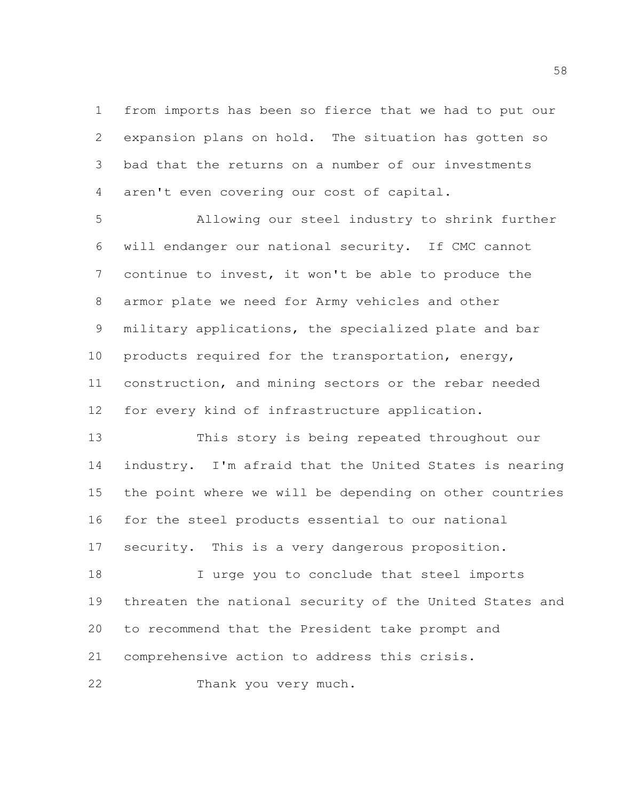from imports has been so fierce that we had to put our expansion plans on hold. The situation has gotten so bad that the returns on a number of our investments aren't even covering our cost of capital.

 Allowing our steel industry to shrink further will endanger our national security. If CMC cannot continue to invest, it won't be able to produce the armor plate we need for Army vehicles and other military applications, the specialized plate and bar products required for the transportation, energy, construction, and mining sectors or the rebar needed for every kind of infrastructure application.

 This story is being repeated throughout our industry. I'm afraid that the United States is nearing the point where we will be depending on other countries for the steel products essential to our national security. This is a very dangerous proposition.

 I urge you to conclude that steel imports threaten the national security of the United States and to recommend that the President take prompt and comprehensive action to address this crisis.

Thank you very much.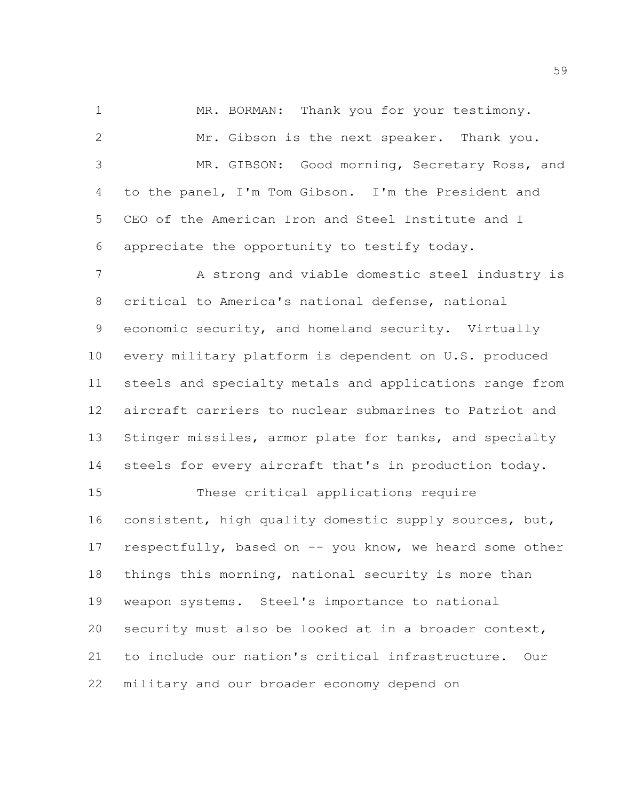MR. BORMAN: Thank you for your testimony. Mr. Gibson is the next speaker. Thank you. MR. GIBSON: Good morning, Secretary Ross, and to the panel, I'm Tom Gibson. I'm the President and CEO of the American Iron and Steel Institute and I appreciate the opportunity to testify today. A strong and viable domestic steel industry is critical to America's national defense, national economic security, and homeland security. Virtually every military platform is dependent on U.S. produced steels and specialty metals and applications range from aircraft carriers to nuclear submarines to Patriot and Stinger missiles, armor plate for tanks, and specialty steels for every aircraft that's in production today. These critical applications require consistent, high quality domestic supply sources, but, respectfully, based on -- you know, we heard some other things this morning, national security is more than weapon systems. Steel's importance to national security must also be looked at in a broader context, to include our nation's critical infrastructure. Our

military and our broader economy depend on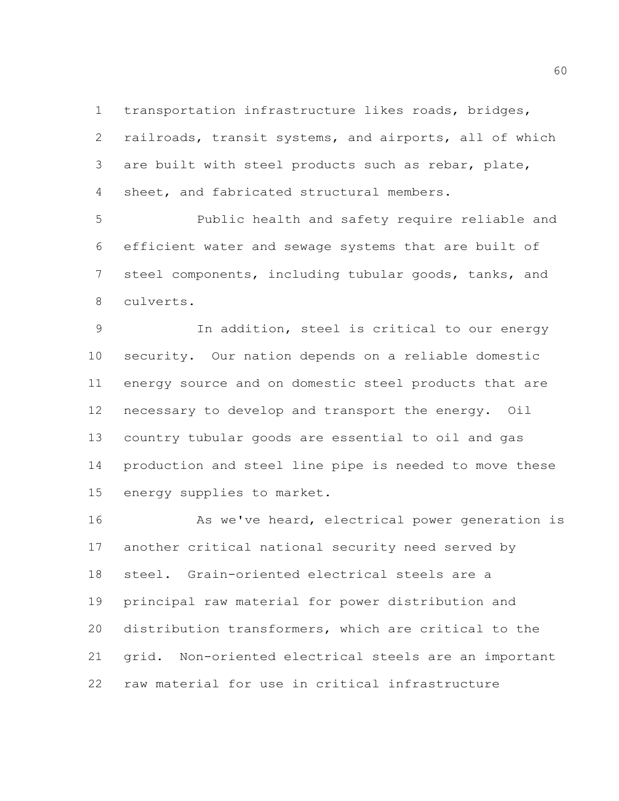transportation infrastructure likes roads, bridges, railroads, transit systems, and airports, all of which are built with steel products such as rebar, plate, sheet, and fabricated structural members.

 Public health and safety require reliable and efficient water and sewage systems that are built of steel components, including tubular goods, tanks, and culverts.

 In addition, steel is critical to our energy security. Our nation depends on a reliable domestic energy source and on domestic steel products that are necessary to develop and transport the energy. Oil country tubular goods are essential to oil and gas production and steel line pipe is needed to move these energy supplies to market.

16 As we've heard, electrical power generation is another critical national security need served by steel. Grain-oriented electrical steels are a principal raw material for power distribution and distribution transformers, which are critical to the grid. Non-oriented electrical steels are an important raw material for use in critical infrastructure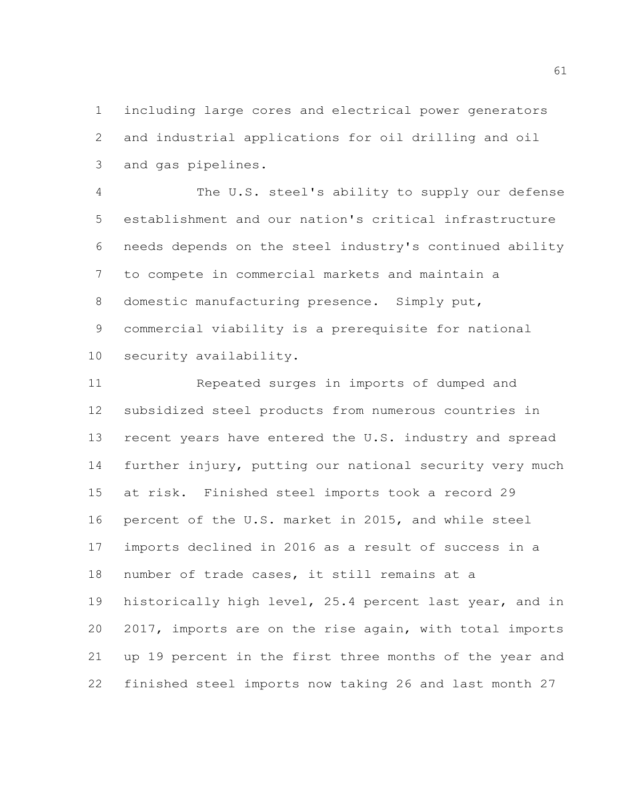including large cores and electrical power generators and industrial applications for oil drilling and oil and gas pipelines.

 The U.S. steel's ability to supply our defense establishment and our nation's critical infrastructure needs depends on the steel industry's continued ability to compete in commercial markets and maintain a domestic manufacturing presence. Simply put, commercial viability is a prerequisite for national security availability.

 Repeated surges in imports of dumped and subsidized steel products from numerous countries in recent years have entered the U.S. industry and spread further injury, putting our national security very much at risk. Finished steel imports took a record 29 percent of the U.S. market in 2015, and while steel imports declined in 2016 as a result of success in a number of trade cases, it still remains at a historically high level, 25.4 percent last year, and in 2017, imports are on the rise again, with total imports up 19 percent in the first three months of the year and finished steel imports now taking 26 and last month 27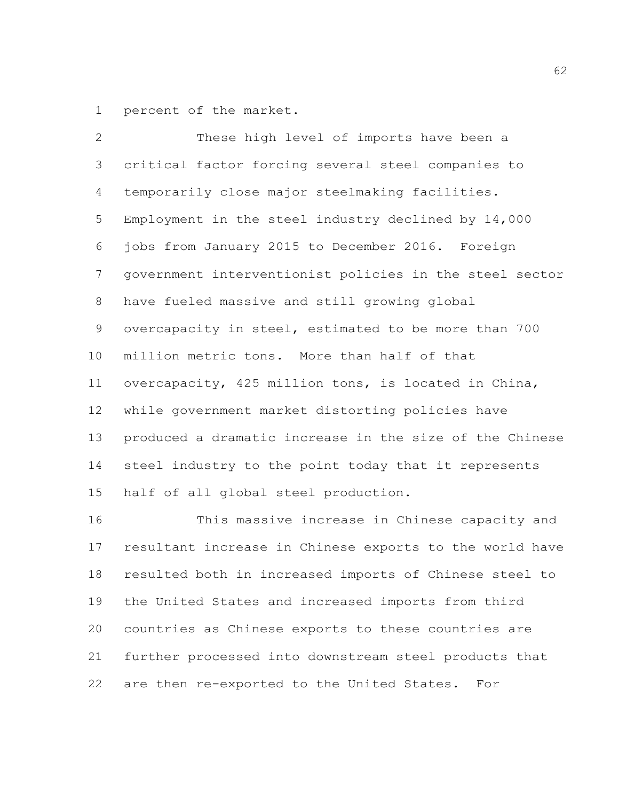percent of the market.

 These high level of imports have been a critical factor forcing several steel companies to temporarily close major steelmaking facilities. Employment in the steel industry declined by 14,000 jobs from January 2015 to December 2016. Foreign government interventionist policies in the steel sector have fueled massive and still growing global overcapacity in steel, estimated to be more than 700 million metric tons. More than half of that overcapacity, 425 million tons, is located in China, while government market distorting policies have produced a dramatic increase in the size of the Chinese steel industry to the point today that it represents half of all global steel production.

 This massive increase in Chinese capacity and resultant increase in Chinese exports to the world have resulted both in increased imports of Chinese steel to the United States and increased imports from third countries as Chinese exports to these countries are further processed into downstream steel products that are then re-exported to the United States. For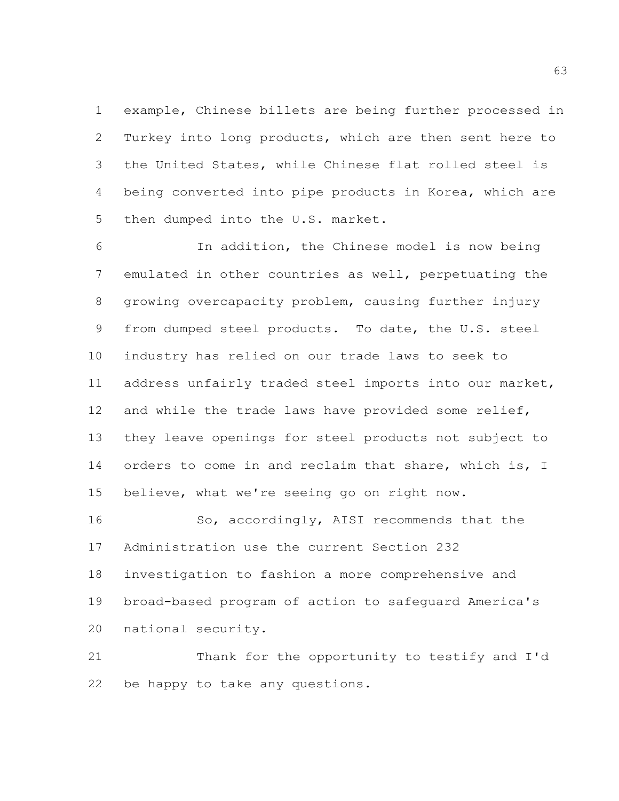example, Chinese billets are being further processed in Turkey into long products, which are then sent here to the United States, while Chinese flat rolled steel is being converted into pipe products in Korea, which are then dumped into the U.S. market.

 In addition, the Chinese model is now being emulated in other countries as well, perpetuating the growing overcapacity problem, causing further injury from dumped steel products. To date, the U.S. steel industry has relied on our trade laws to seek to address unfairly traded steel imports into our market, and while the trade laws have provided some relief, they leave openings for steel products not subject to 14 orders to come in and reclaim that share, which is, I believe, what we're seeing go on right now.

16 So, accordingly, AISI recommends that the Administration use the current Section 232 investigation to fashion a more comprehensive and broad-based program of action to safeguard America's national security.

 Thank for the opportunity to testify and I'd be happy to take any questions.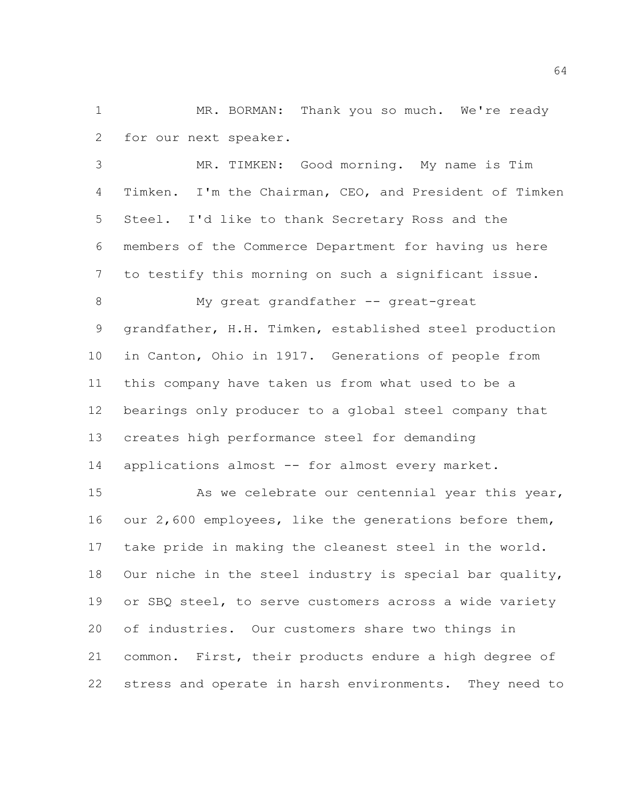1 MR. BORMAN: Thank you so much. We're ready for our next speaker.

 MR. TIMKEN: Good morning. My name is Tim Timken. I'm the Chairman, CEO, and President of Timken Steel. I'd like to thank Secretary Ross and the members of the Commerce Department for having us here to testify this morning on such a significant issue.

8 My great grandfather -- great-great grandfather, H.H. Timken, established steel production in Canton, Ohio in 1917. Generations of people from this company have taken us from what used to be a bearings only producer to a global steel company that creates high performance steel for demanding 14 applications almost -- for almost every market.

15 As we celebrate our centennial year this year, our 2,600 employees, like the generations before them, take pride in making the cleanest steel in the world. Our niche in the steel industry is special bar quality, or SBQ steel, to serve customers across a wide variety of industries. Our customers share two things in common. First, their products endure a high degree of stress and operate in harsh environments. They need to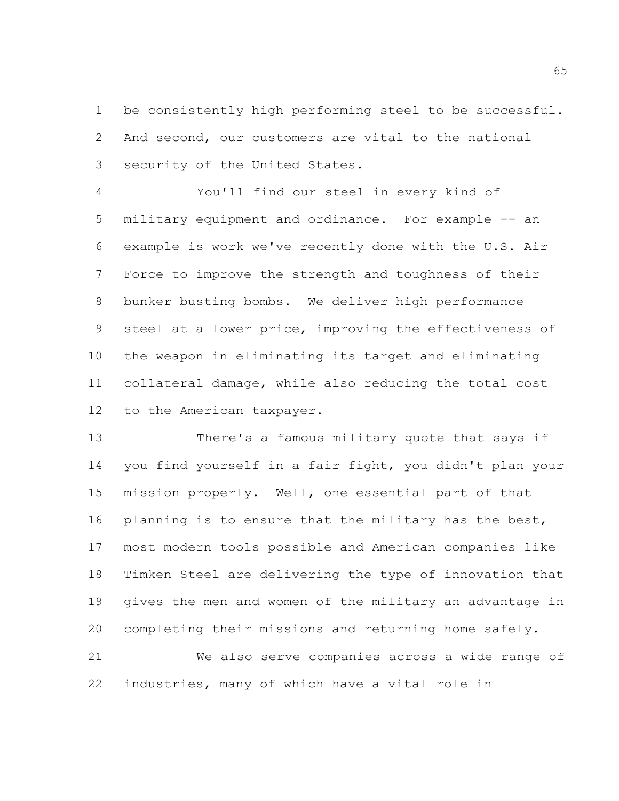be consistently high performing steel to be successful. And second, our customers are vital to the national security of the United States.

 You'll find our steel in every kind of military equipment and ordinance. For example -- an example is work we've recently done with the U.S. Air Force to improve the strength and toughness of their bunker busting bombs. We deliver high performance steel at a lower price, improving the effectiveness of the weapon in eliminating its target and eliminating collateral damage, while also reducing the total cost to the American taxpayer.

 There's a famous military quote that says if you find yourself in a fair fight, you didn't plan your mission properly. Well, one essential part of that planning is to ensure that the military has the best, most modern tools possible and American companies like Timken Steel are delivering the type of innovation that gives the men and women of the military an advantage in completing their missions and returning home safely. We also serve companies across a wide range of

industries, many of which have a vital role in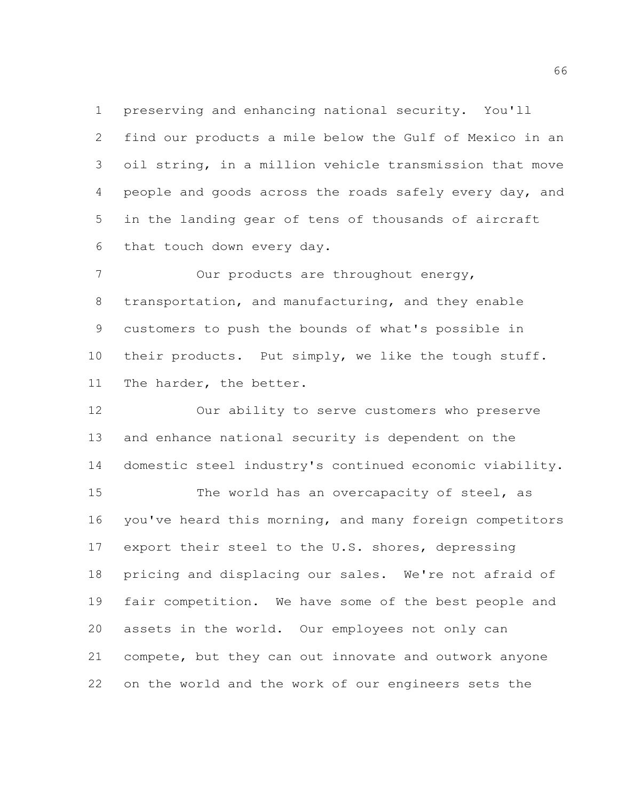preserving and enhancing national security. You'll find our products a mile below the Gulf of Mexico in an oil string, in a million vehicle transmission that move people and goods across the roads safely every day, and in the landing gear of tens of thousands of aircraft that touch down every day.

7 Our products are throughout energy, transportation, and manufacturing, and they enable customers to push the bounds of what's possible in their products. Put simply, we like the tough stuff. The harder, the better.

 Our ability to serve customers who preserve and enhance national security is dependent on the domestic steel industry's continued economic viability. 15 The world has an overcapacity of steel, as you've heard this morning, and many foreign competitors export their steel to the U.S. shores, depressing pricing and displacing our sales. We're not afraid of fair competition. We have some of the best people and assets in the world. Our employees not only can compete, but they can out innovate and outwork anyone on the world and the work of our engineers sets the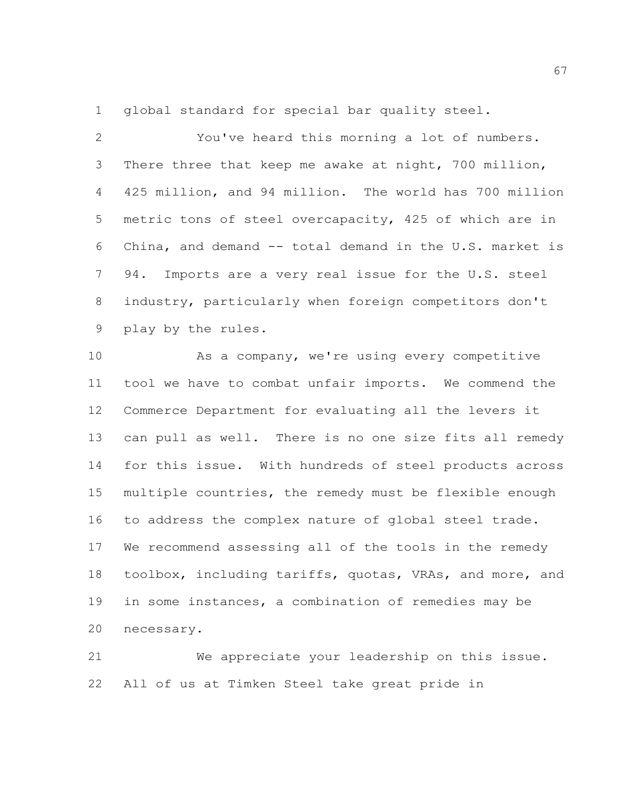global standard for special bar quality steel.

 You've heard this morning a lot of numbers. There three that keep me awake at night, 700 million, 425 million, and 94 million. The world has 700 million metric tons of steel overcapacity, 425 of which are in China, and demand -- total demand in the U.S. market is 94. Imports are a very real issue for the U.S. steel industry, particularly when foreign competitors don't play by the rules.

 As a company, we're using every competitive tool we have to combat unfair imports. We commend the Commerce Department for evaluating all the levers it can pull as well. There is no one size fits all remedy for this issue. With hundreds of steel products across multiple countries, the remedy must be flexible enough to address the complex nature of global steel trade. We recommend assessing all of the tools in the remedy toolbox, including tariffs, quotas, VRAs, and more, and in some instances, a combination of remedies may be necessary.

 We appreciate your leadership on this issue. All of us at Timken Steel take great pride in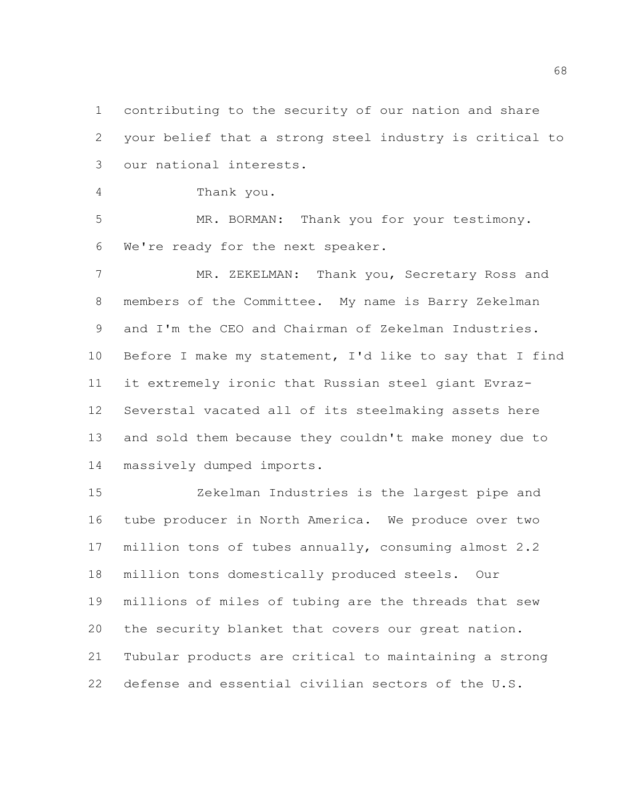contributing to the security of our nation and share your belief that a strong steel industry is critical to our national interests.

Thank you.

 MR. BORMAN: Thank you for your testimony. We're ready for the next speaker.

 MR. ZEKELMAN: Thank you, Secretary Ross and members of the Committee. My name is Barry Zekelman and I'm the CEO and Chairman of Zekelman Industries. Before I make my statement, I'd like to say that I find it extremely ironic that Russian steel giant Evraz- Severstal vacated all of its steelmaking assets here and sold them because they couldn't make money due to massively dumped imports.

 Zekelman Industries is the largest pipe and tube producer in North America. We produce over two million tons of tubes annually, consuming almost 2.2 million tons domestically produced steels. Our millions of miles of tubing are the threads that sew the security blanket that covers our great nation. Tubular products are critical to maintaining a strong defense and essential civilian sectors of the U.S.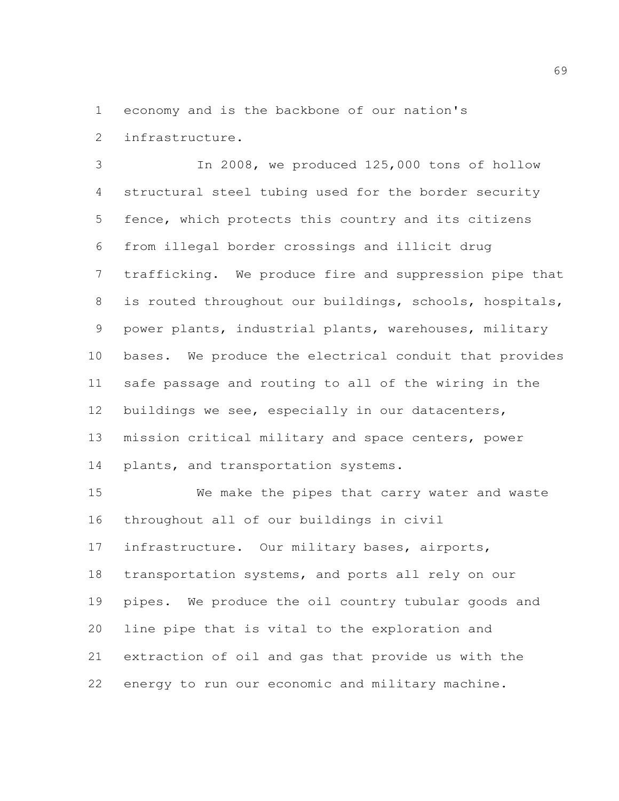economy and is the backbone of our nation's

infrastructure.

 In 2008, we produced 125,000 tons of hollow structural steel tubing used for the border security fence, which protects this country and its citizens from illegal border crossings and illicit drug trafficking. We produce fire and suppression pipe that is routed throughout our buildings, schools, hospitals, power plants, industrial plants, warehouses, military bases. We produce the electrical conduit that provides safe passage and routing to all of the wiring in the buildings we see, especially in our datacenters, mission critical military and space centers, power plants, and transportation systems.

 We make the pipes that carry water and waste throughout all of our buildings in civil infrastructure. Our military bases, airports, transportation systems, and ports all rely on our pipes. We produce the oil country tubular goods and line pipe that is vital to the exploration and extraction of oil and gas that provide us with the energy to run our economic and military machine.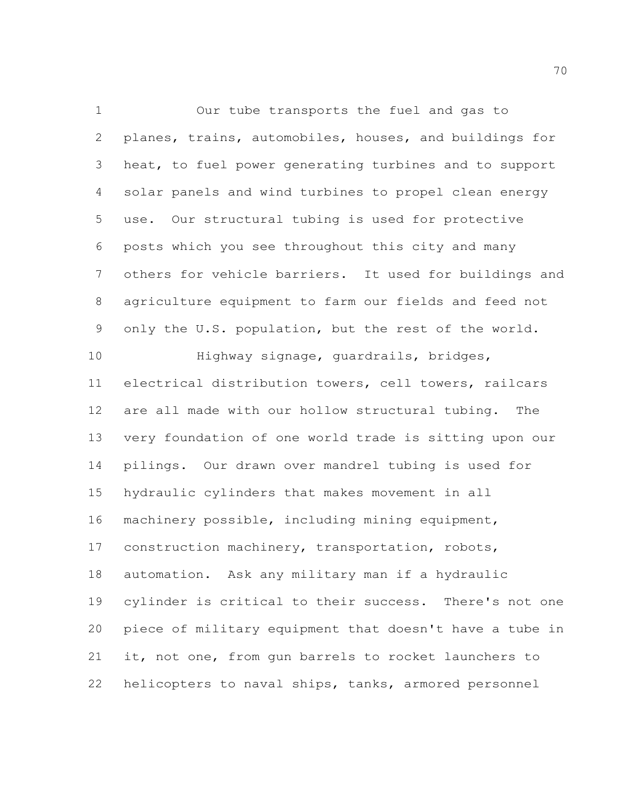Our tube transports the fuel and gas to planes, trains, automobiles, houses, and buildings for heat, to fuel power generating turbines and to support solar panels and wind turbines to propel clean energy use. Our structural tubing is used for protective posts which you see throughout this city and many others for vehicle barriers. It used for buildings and agriculture equipment to farm our fields and feed not only the U.S. population, but the rest of the world. Highway signage, guardrails, bridges, electrical distribution towers, cell towers, railcars are all made with our hollow structural tubing. The very foundation of one world trade is sitting upon our pilings. Our drawn over mandrel tubing is used for hydraulic cylinders that makes movement in all machinery possible, including mining equipment, construction machinery, transportation, robots, automation. Ask any military man if a hydraulic cylinder is critical to their success. There's not one piece of military equipment that doesn't have a tube in

 it, not one, from gun barrels to rocket launchers to helicopters to naval ships, tanks, armored personnel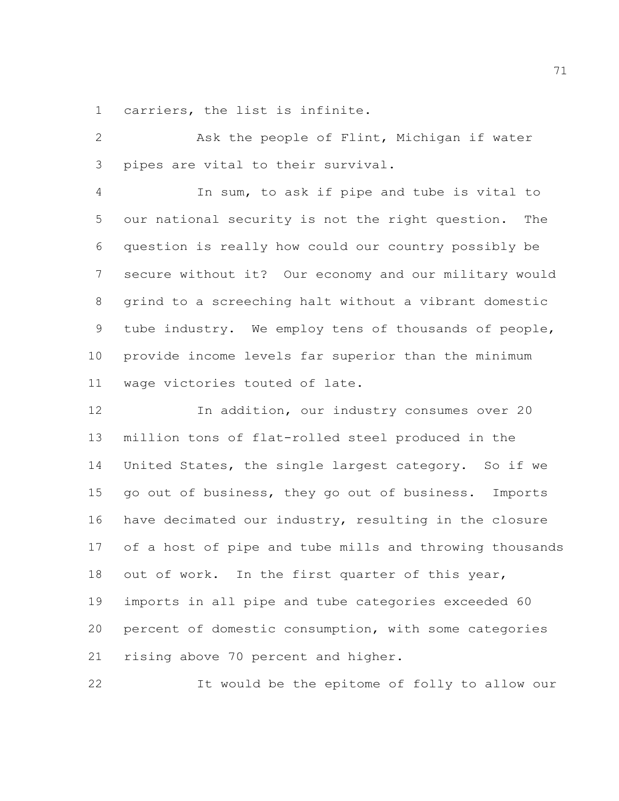carriers, the list is infinite.

 Ask the people of Flint, Michigan if water pipes are vital to their survival.

 In sum, to ask if pipe and tube is vital to our national security is not the right question. The question is really how could our country possibly be secure without it? Our economy and our military would grind to a screeching halt without a vibrant domestic tube industry. We employ tens of thousands of people, provide income levels far superior than the minimum wage victories touted of late.

 In addition, our industry consumes over 20 million tons of flat-rolled steel produced in the United States, the single largest category. So if we go out of business, they go out of business. Imports have decimated our industry, resulting in the closure of a host of pipe and tube mills and throwing thousands out of work. In the first quarter of this year, imports in all pipe and tube categories exceeded 60 percent of domestic consumption, with some categories rising above 70 percent and higher.

It would be the epitome of folly to allow our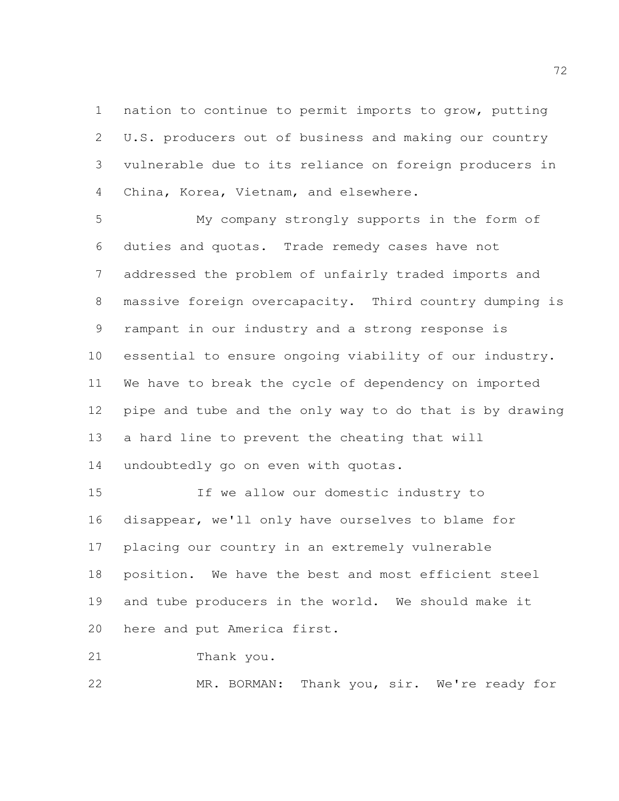nation to continue to permit imports to grow, putting U.S. producers out of business and making our country vulnerable due to its reliance on foreign producers in China, Korea, Vietnam, and elsewhere.

 My company strongly supports in the form of duties and quotas. Trade remedy cases have not addressed the problem of unfairly traded imports and massive foreign overcapacity. Third country dumping is rampant in our industry and a strong response is essential to ensure ongoing viability of our industry. We have to break the cycle of dependency on imported pipe and tube and the only way to do that is by drawing a hard line to prevent the cheating that will undoubtedly go on even with quotas.

 If we allow our domestic industry to disappear, we'll only have ourselves to blame for placing our country in an extremely vulnerable position. We have the best and most efficient steel and tube producers in the world. We should make it here and put America first.

Thank you.

MR. BORMAN: Thank you, sir. We're ready for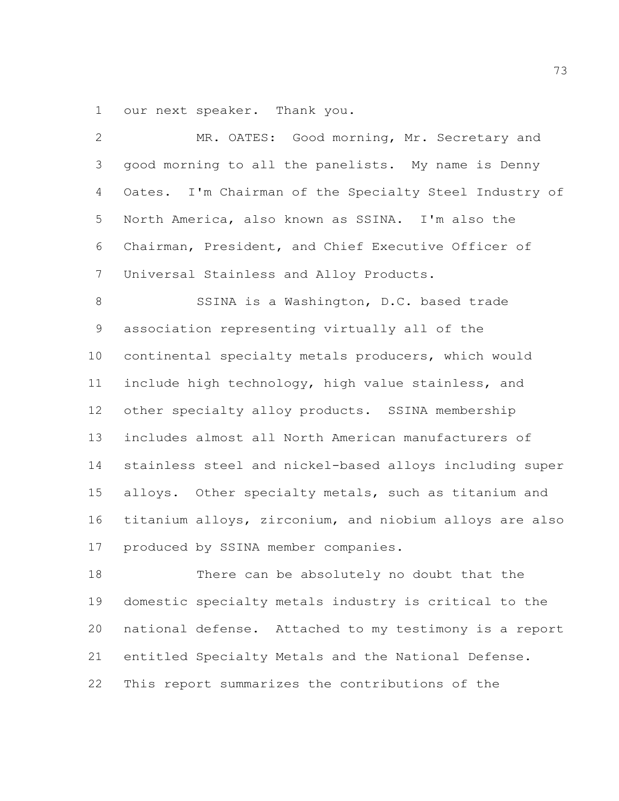our next speaker. Thank you.

| $\overline{2}$ | MR. OATES: Good morning, Mr. Secretary and              |
|----------------|---------------------------------------------------------|
| 3              | good morning to all the panelists. My name is Denny     |
| 4              | Oates. I'm Chairman of the Specialty Steel Industry of  |
| 5              | North America, also known as SSINA. I'm also the        |
| 6              | Chairman, President, and Chief Executive Officer of     |
| $7\phantom{.}$ | Universal Stainless and Alloy Products.                 |
| 8              | SSINA is a Washington, D.C. based trade                 |
| 9              | association representing virtually all of the           |
| 10             | continental specialty metals producers, which would     |
| 11             | include high technology, high value stainless, and      |
| 12             | other specialty alloy products. SSINA membership        |
| 13             | includes almost all North American manufacturers of     |
| 14             | stainless steel and nickel-based alloys including super |
| 15             | alloys. Other specialty metals, such as titanium and    |
| 16             | titanium alloys, zirconium, and niobium alloys are also |
| 17             | produced by SSINA member companies.                     |
| 18             | There can be absolutely no doubt that the               |
| 19             | domestic specialty metals industry is critical to the   |
| 20             | national defense. Attached to my testimony is a report  |
| 21             | entitled Specialty Metals and the National Defense.     |
|                |                                                         |

This report summarizes the contributions of the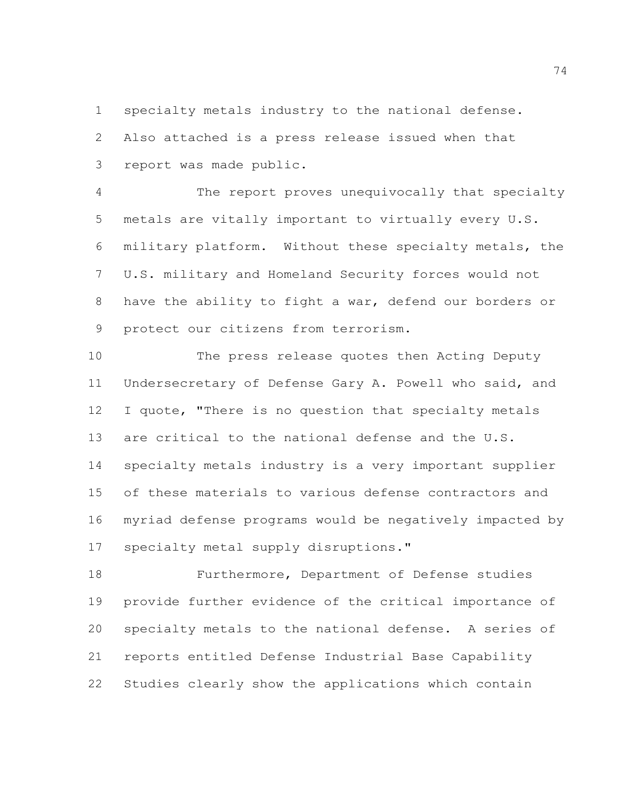specialty metals industry to the national defense.

 Also attached is a press release issued when that report was made public.

 The report proves unequivocally that specialty metals are vitally important to virtually every U.S. military platform. Without these specialty metals, the U.S. military and Homeland Security forces would not have the ability to fight a war, defend our borders or protect our citizens from terrorism.

 The press release quotes then Acting Deputy Undersecretary of Defense Gary A. Powell who said, and 12 I quote, "There is no question that specialty metals are critical to the national defense and the U.S. specialty metals industry is a very important supplier of these materials to various defense contractors and myriad defense programs would be negatively impacted by specialty metal supply disruptions."

 Furthermore, Department of Defense studies provide further evidence of the critical importance of specialty metals to the national defense. A series of reports entitled Defense Industrial Base Capability Studies clearly show the applications which contain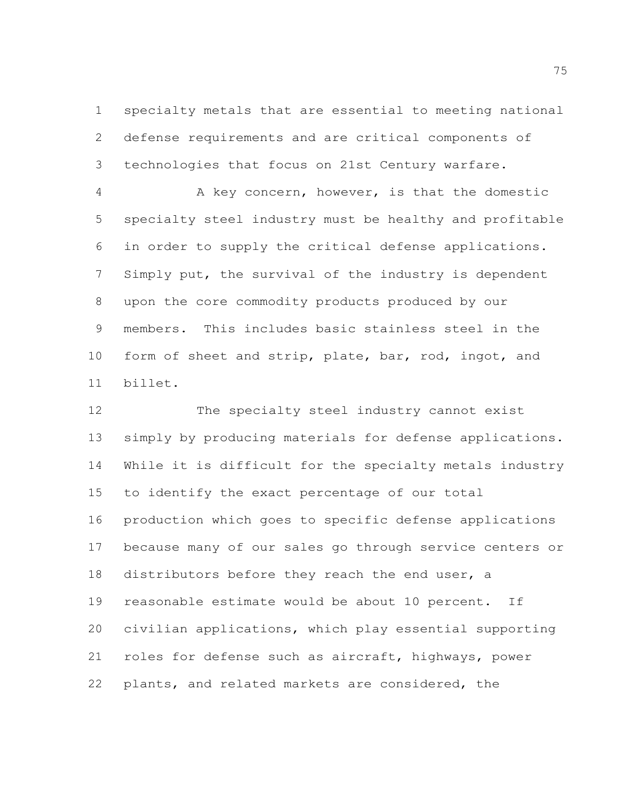specialty metals that are essential to meeting national defense requirements and are critical components of technologies that focus on 21st Century warfare.

 A key concern, however, is that the domestic specialty steel industry must be healthy and profitable in order to supply the critical defense applications. Simply put, the survival of the industry is dependent upon the core commodity products produced by our members. This includes basic stainless steel in the 10 form of sheet and strip, plate, bar, rod, ingot, and billet.

 The specialty steel industry cannot exist simply by producing materials for defense applications. While it is difficult for the specialty metals industry to identify the exact percentage of our total production which goes to specific defense applications because many of our sales go through service centers or distributors before they reach the end user, a reasonable estimate would be about 10 percent. If civilian applications, which play essential supporting roles for defense such as aircraft, highways, power plants, and related markets are considered, the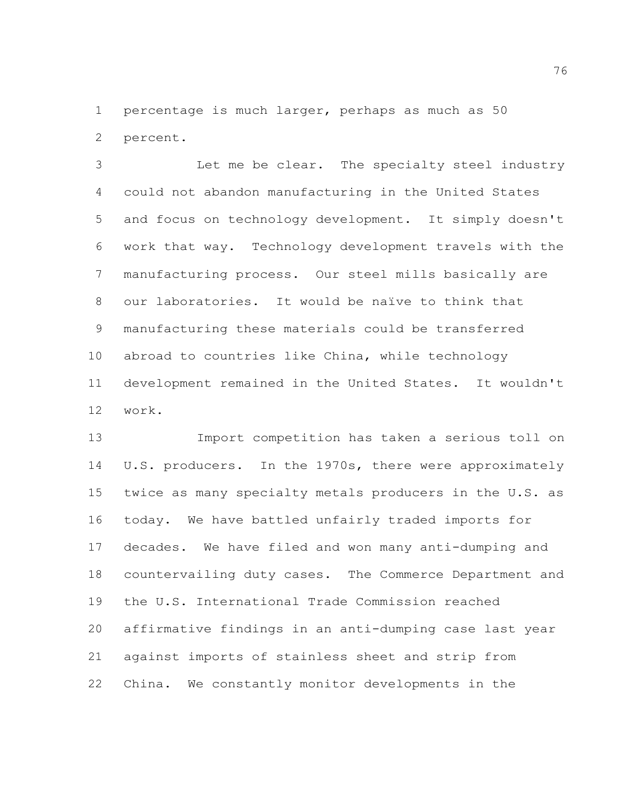percentage is much larger, perhaps as much as 50 percent.

 Let me be clear. The specialty steel industry could not abandon manufacturing in the United States and focus on technology development. It simply doesn't work that way. Technology development travels with the manufacturing process. Our steel mills basically are our laboratories. It would be naïve to think that manufacturing these materials could be transferred abroad to countries like China, while technology development remained in the United States. It wouldn't work.

 Import competition has taken a serious toll on U.S. producers. In the 1970s, there were approximately twice as many specialty metals producers in the U.S. as today. We have battled unfairly traded imports for decades. We have filed and won many anti-dumping and countervailing duty cases. The Commerce Department and the U.S. International Trade Commission reached affirmative findings in an anti-dumping case last year against imports of stainless sheet and strip from China. We constantly monitor developments in the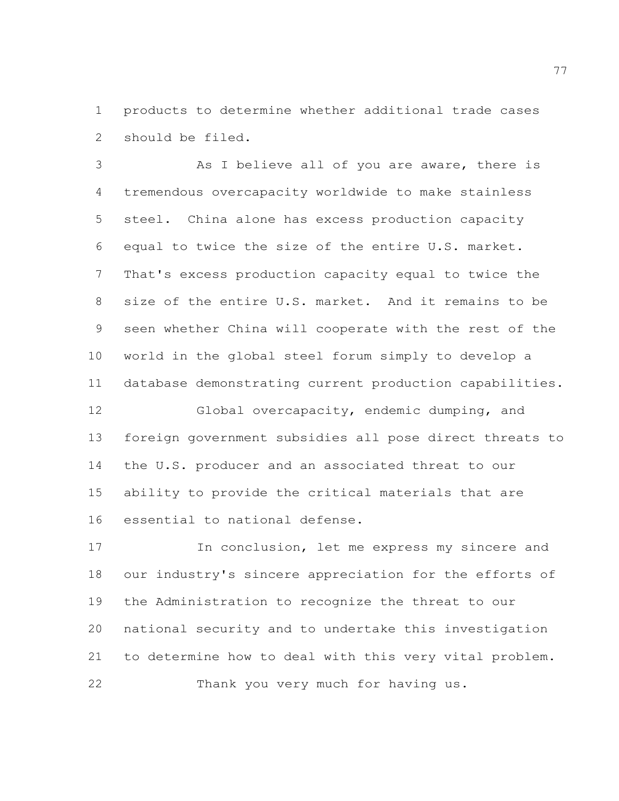products to determine whether additional trade cases should be filed.

 As I believe all of you are aware, there is tremendous overcapacity worldwide to make stainless steel. China alone has excess production capacity equal to twice the size of the entire U.S. market. That's excess production capacity equal to twice the size of the entire U.S. market. And it remains to be seen whether China will cooperate with the rest of the world in the global steel forum simply to develop a database demonstrating current production capabilities.

 Global overcapacity, endemic dumping, and foreign government subsidies all pose direct threats to the U.S. producer and an associated threat to our ability to provide the critical materials that are essential to national defense.

 In conclusion, let me express my sincere and our industry's sincere appreciation for the efforts of the Administration to recognize the threat to our national security and to undertake this investigation to determine how to deal with this very vital problem. Thank you very much for having us.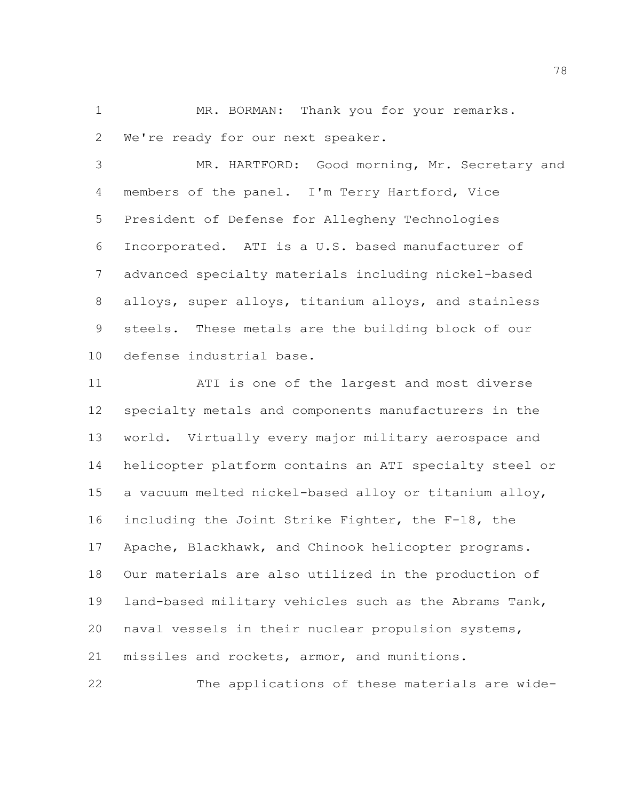MR. BORMAN: Thank you for your remarks. We're ready for our next speaker.

 MR. HARTFORD: Good morning, Mr. Secretary and members of the panel. I'm Terry Hartford, Vice President of Defense for Allegheny Technologies Incorporated. ATI is a U.S. based manufacturer of advanced specialty materials including nickel-based alloys, super alloys, titanium alloys, and stainless steels. These metals are the building block of our defense industrial base.

 ATI is one of the largest and most diverse specialty metals and components manufacturers in the world. Virtually every major military aerospace and helicopter platform contains an ATI specialty steel or a vacuum melted nickel-based alloy or titanium alloy, including the Joint Strike Fighter, the F-18, the Apache, Blackhawk, and Chinook helicopter programs. Our materials are also utilized in the production of land-based military vehicles such as the Abrams Tank, naval vessels in their nuclear propulsion systems, missiles and rockets, armor, and munitions.

The applications of these materials are wide-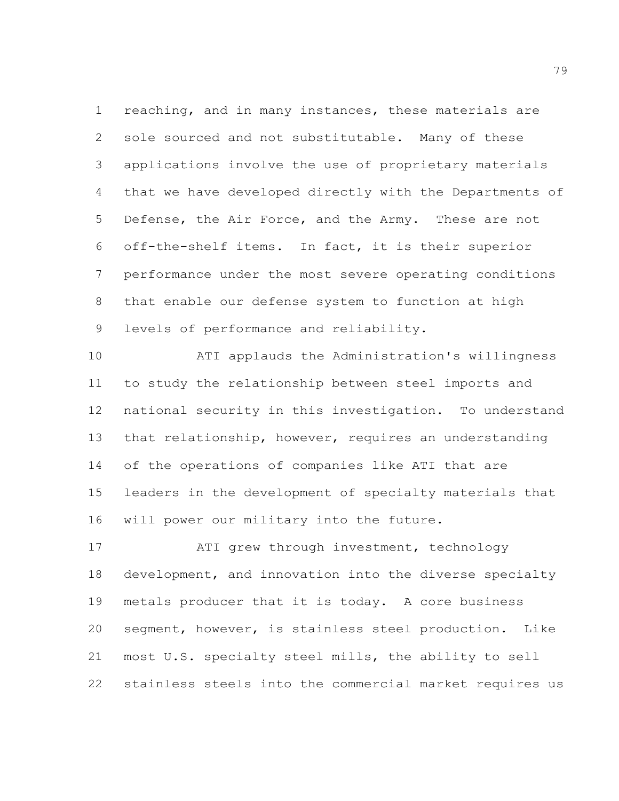reaching, and in many instances, these materials are sole sourced and not substitutable. Many of these applications involve the use of proprietary materials that we have developed directly with the Departments of Defense, the Air Force, and the Army. These are not off-the-shelf items. In fact, it is their superior performance under the most severe operating conditions that enable our defense system to function at high levels of performance and reliability.

 ATI applauds the Administration's willingness to study the relationship between steel imports and national security in this investigation. To understand that relationship, however, requires an understanding of the operations of companies like ATI that are leaders in the development of specialty materials that will power our military into the future.

17 ATI grew through investment, technology development, and innovation into the diverse specialty metals producer that it is today. A core business segment, however, is stainless steel production. Like most U.S. specialty steel mills, the ability to sell stainless steels into the commercial market requires us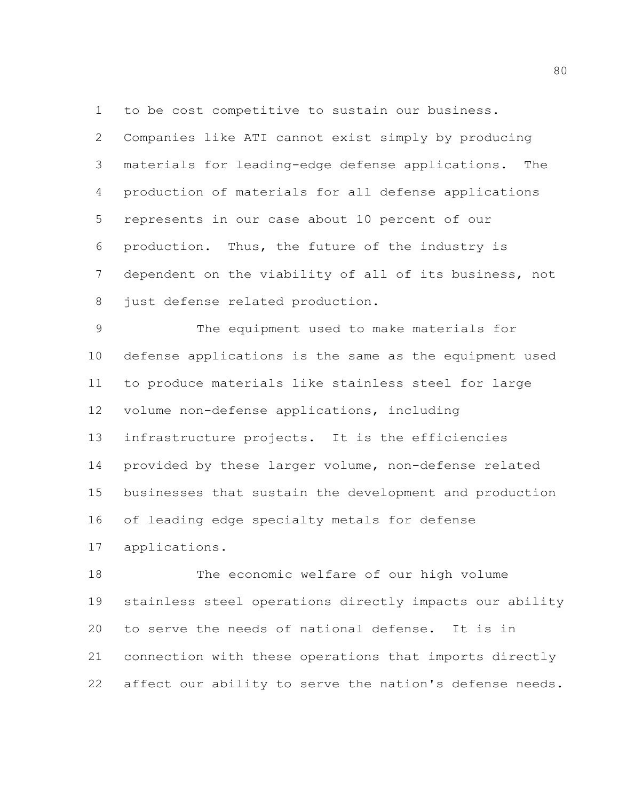to be cost competitive to sustain our business.

 Companies like ATI cannot exist simply by producing materials for leading-edge defense applications. The production of materials for all defense applications represents in our case about 10 percent of our production. Thus, the future of the industry is dependent on the viability of all of its business, not 8 just defense related production.

 The equipment used to make materials for defense applications is the same as the equipment used to produce materials like stainless steel for large volume non-defense applications, including infrastructure projects. It is the efficiencies provided by these larger volume, non-defense related businesses that sustain the development and production of leading edge specialty metals for defense applications.

 The economic welfare of our high volume stainless steel operations directly impacts our ability to serve the needs of national defense. It is in connection with these operations that imports directly affect our ability to serve the nation's defense needs.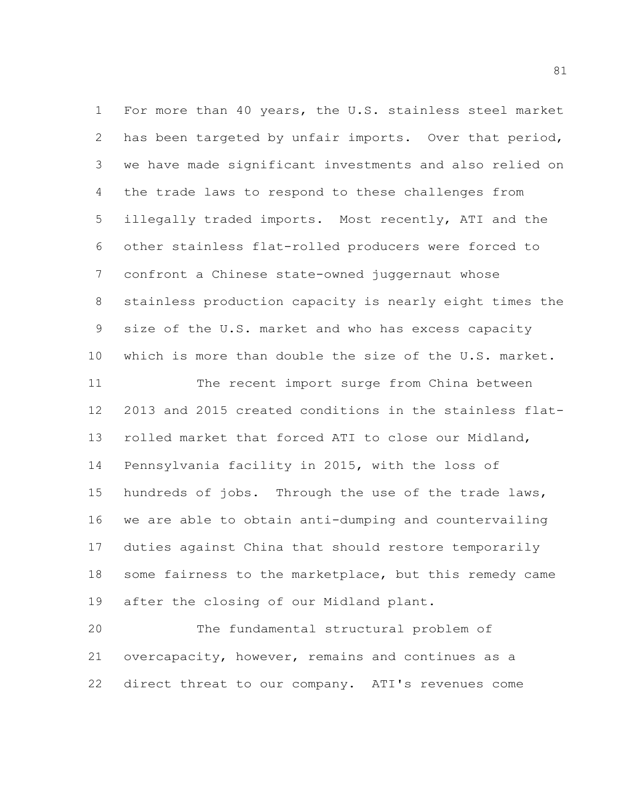For more than 40 years, the U.S. stainless steel market has been targeted by unfair imports. Over that period, we have made significant investments and also relied on the trade laws to respond to these challenges from illegally traded imports. Most recently, ATI and the other stainless flat-rolled producers were forced to confront a Chinese state-owned juggernaut whose stainless production capacity is nearly eight times the size of the U.S. market and who has excess capacity which is more than double the size of the U.S. market. The recent import surge from China between 2013 and 2015 created conditions in the stainless flat- rolled market that forced ATI to close our Midland, Pennsylvania facility in 2015, with the loss of hundreds of jobs. Through the use of the trade laws, we are able to obtain anti-dumping and countervailing duties against China that should restore temporarily some fairness to the marketplace, but this remedy came after the closing of our Midland plant.

 The fundamental structural problem of overcapacity, however, remains and continues as a direct threat to our company. ATI's revenues come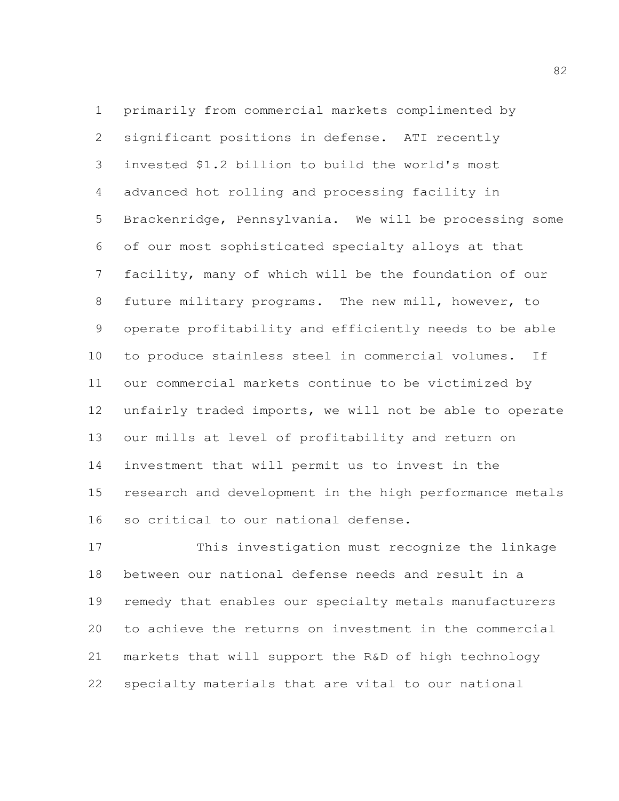primarily from commercial markets complimented by significant positions in defense. ATI recently invested \$1.2 billion to build the world's most advanced hot rolling and processing facility in Brackenridge, Pennsylvania. We will be processing some of our most sophisticated specialty alloys at that facility, many of which will be the foundation of our future military programs. The new mill, however, to operate profitability and efficiently needs to be able to produce stainless steel in commercial volumes. If our commercial markets continue to be victimized by unfairly traded imports, we will not be able to operate our mills at level of profitability and return on investment that will permit us to invest in the research and development in the high performance metals so critical to our national defense.

 This investigation must recognize the linkage between our national defense needs and result in a remedy that enables our specialty metals manufacturers to achieve the returns on investment in the commercial markets that will support the R&D of high technology specialty materials that are vital to our national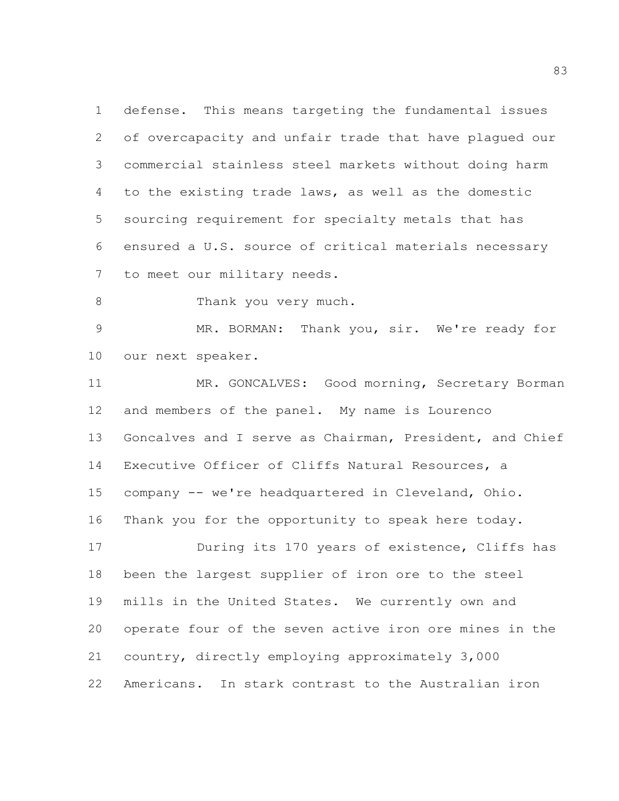defense. This means targeting the fundamental issues of overcapacity and unfair trade that have plagued our commercial stainless steel markets without doing harm to the existing trade laws, as well as the domestic sourcing requirement for specialty metals that has ensured a U.S. source of critical materials necessary to meet our military needs.

8 Thank you very much.

 MR. BORMAN: Thank you, sir. We're ready for our next speaker.

11 MR. GONCALVES: Good morning, Secretary Borman and members of the panel. My name is Lourenco Goncalves and I serve as Chairman, President, and Chief Executive Officer of Cliffs Natural Resources, a company -- we're headquartered in Cleveland, Ohio. Thank you for the opportunity to speak here today. **During its 170 years of existence, Cliffs has**  been the largest supplier of iron ore to the steel mills in the United States. We currently own and operate four of the seven active iron ore mines in the country, directly employing approximately 3,000 Americans. In stark contrast to the Australian iron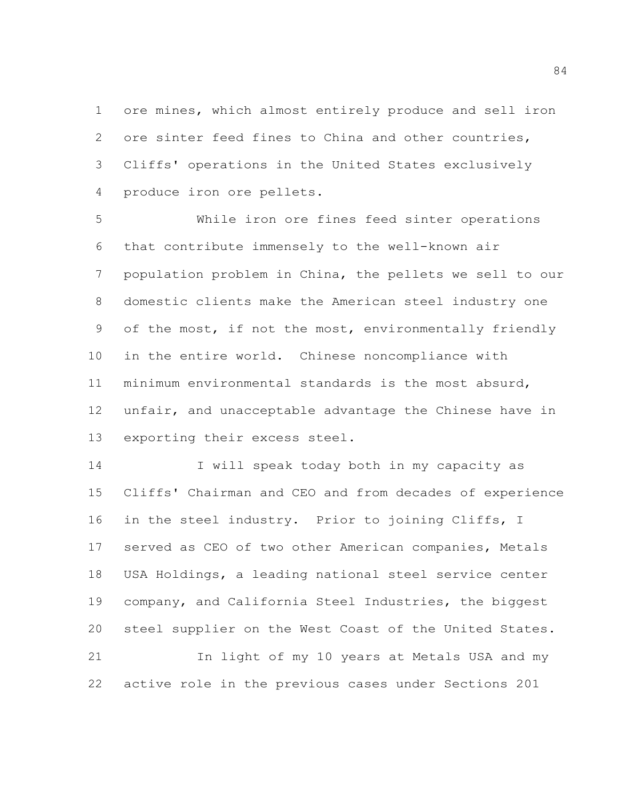ore mines, which almost entirely produce and sell iron ore sinter feed fines to China and other countries, Cliffs' operations in the United States exclusively produce iron ore pellets.

 While iron ore fines feed sinter operations that contribute immensely to the well-known air population problem in China, the pellets we sell to our domestic clients make the American steel industry one of the most, if not the most, environmentally friendly in the entire world. Chinese noncompliance with minimum environmental standards is the most absurd, unfair, and unacceptable advantage the Chinese have in exporting their excess steel.

14 I will speak today both in my capacity as Cliffs' Chairman and CEO and from decades of experience in the steel industry. Prior to joining Cliffs, I served as CEO of two other American companies, Metals USA Holdings, a leading national steel service center company, and California Steel Industries, the biggest steel supplier on the West Coast of the United States. In light of my 10 years at Metals USA and my active role in the previous cases under Sections 201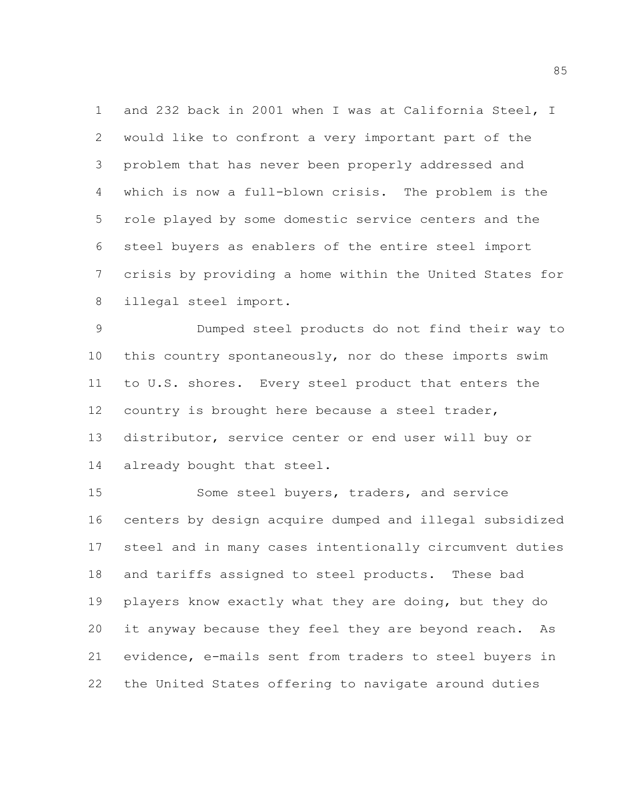and 232 back in 2001 when I was at California Steel, I would like to confront a very important part of the problem that has never been properly addressed and which is now a full-blown crisis. The problem is the role played by some domestic service centers and the steel buyers as enablers of the entire steel import crisis by providing a home within the United States for illegal steel import.

 Dumped steel products do not find their way to this country spontaneously, nor do these imports swim to U.S. shores. Every steel product that enters the country is brought here because a steel trader, distributor, service center or end user will buy or already bought that steel.

 Some steel buyers, traders, and service centers by design acquire dumped and illegal subsidized steel and in many cases intentionally circumvent duties and tariffs assigned to steel products. These bad players know exactly what they are doing, but they do it anyway because they feel they are beyond reach. As evidence, e-mails sent from traders to steel buyers in the United States offering to navigate around duties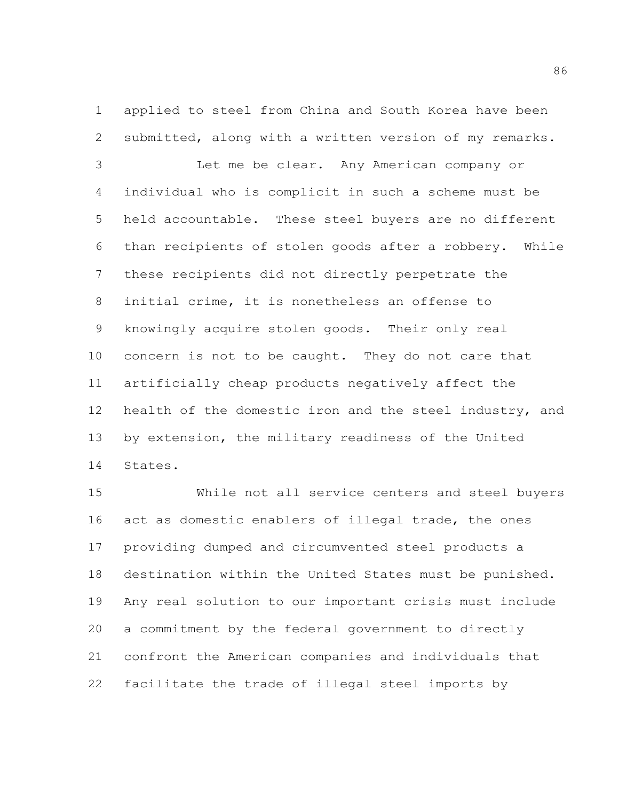applied to steel from China and South Korea have been submitted, along with a written version of my remarks.

 Let me be clear. Any American company or individual who is complicit in such a scheme must be held accountable. These steel buyers are no different than recipients of stolen goods after a robbery. While these recipients did not directly perpetrate the initial crime, it is nonetheless an offense to knowingly acquire stolen goods. Their only real concern is not to be caught. They do not care that artificially cheap products negatively affect the health of the domestic iron and the steel industry, and by extension, the military readiness of the United States.

 While not all service centers and steel buyers act as domestic enablers of illegal trade, the ones providing dumped and circumvented steel products a destination within the United States must be punished. Any real solution to our important crisis must include a commitment by the federal government to directly confront the American companies and individuals that facilitate the trade of illegal steel imports by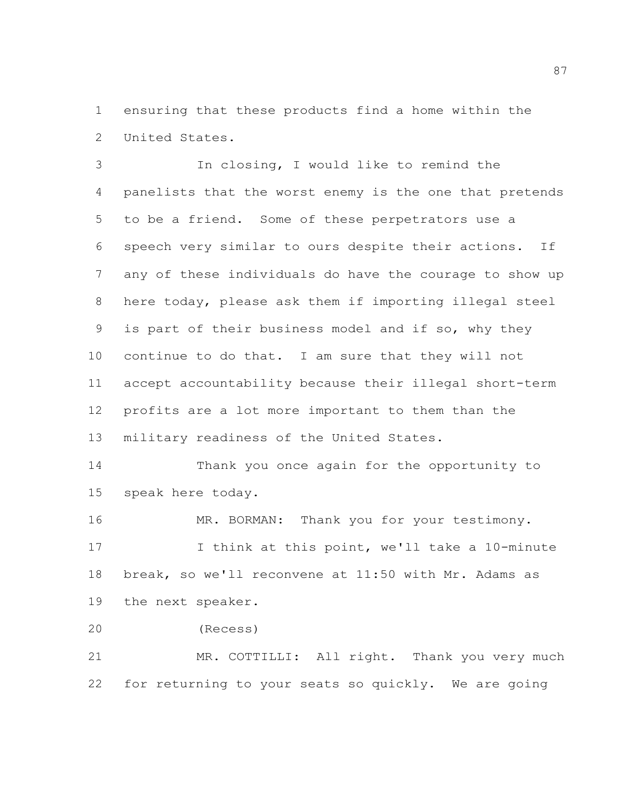ensuring that these products find a home within the United States.

 In closing, I would like to remind the panelists that the worst enemy is the one that pretends to be a friend. Some of these perpetrators use a speech very similar to ours despite their actions. If any of these individuals do have the courage to show up here today, please ask them if importing illegal steel is part of their business model and if so, why they continue to do that. I am sure that they will not accept accountability because their illegal short-term profits are a lot more important to them than the military readiness of the United States.

 Thank you once again for the opportunity to speak here today.

16 MR. BORMAN: Thank you for your testimony. I think at this point, we'll take a 10-minute break, so we'll reconvene at 11:50 with Mr. Adams as the next speaker.

(Recess)

 MR. COTTILLI: All right. Thank you very much for returning to your seats so quickly. We are going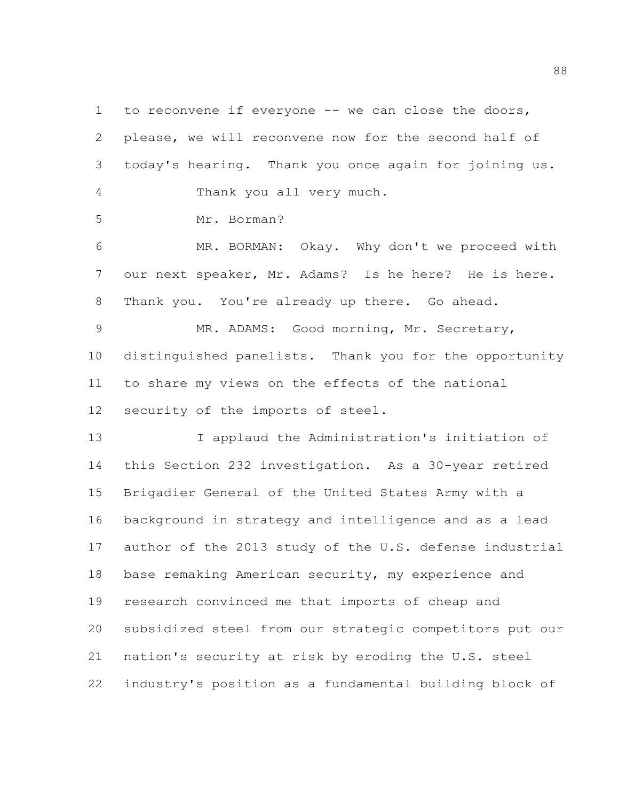to reconvene if everyone -- we can close the doors, please, we will reconvene now for the second half of today's hearing. Thank you once again for joining us. Thank you all very much. Mr. Borman? MR. BORMAN: Okay. Why don't we proceed with our next speaker, Mr. Adams? Is he here? He is here. Thank you. You're already up there. Go ahead. MR. ADAMS: Good morning, Mr. Secretary,

 distinguished panelists. Thank you for the opportunity to share my views on the effects of the national security of the imports of steel.

 I applaud the Administration's initiation of this Section 232 investigation. As a 30-year retired Brigadier General of the United States Army with a background in strategy and intelligence and as a lead author of the 2013 study of the U.S. defense industrial base remaking American security, my experience and research convinced me that imports of cheap and subsidized steel from our strategic competitors put our nation's security at risk by eroding the U.S. steel industry's position as a fundamental building block of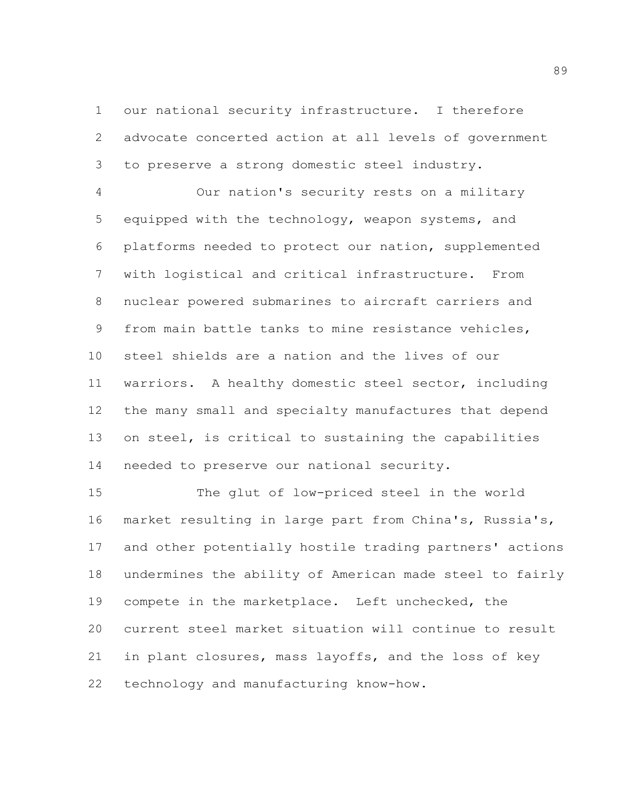our national security infrastructure. I therefore advocate concerted action at all levels of government to preserve a strong domestic steel industry.

 Our nation's security rests on a military equipped with the technology, weapon systems, and platforms needed to protect our nation, supplemented with logistical and critical infrastructure. From nuclear powered submarines to aircraft carriers and from main battle tanks to mine resistance vehicles, steel shields are a nation and the lives of our warriors. A healthy domestic steel sector, including the many small and specialty manufactures that depend on steel, is critical to sustaining the capabilities needed to preserve our national security.

 The glut of low-priced steel in the world market resulting in large part from China's, Russia's, and other potentially hostile trading partners' actions undermines the ability of American made steel to fairly compete in the marketplace. Left unchecked, the current steel market situation will continue to result in plant closures, mass layoffs, and the loss of key technology and manufacturing know-how.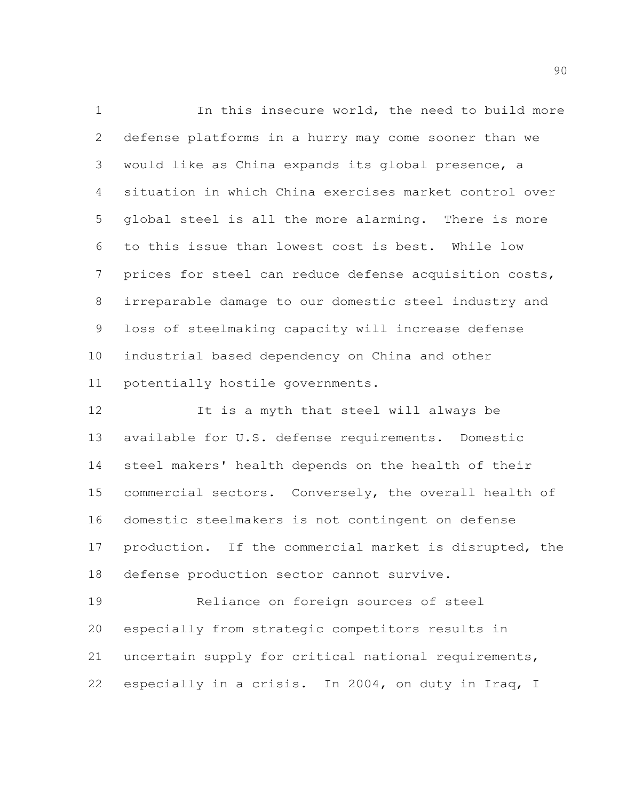In this insecure world, the need to build more defense platforms in a hurry may come sooner than we would like as China expands its global presence, a situation in which China exercises market control over global steel is all the more alarming. There is more to this issue than lowest cost is best. While low prices for steel can reduce defense acquisition costs, irreparable damage to our domestic steel industry and loss of steelmaking capacity will increase defense industrial based dependency on China and other potentially hostile governments.

 It is a myth that steel will always be available for U.S. defense requirements. Domestic steel makers' health depends on the health of their commercial sectors. Conversely, the overall health of domestic steelmakers is not contingent on defense production. If the commercial market is disrupted, the defense production sector cannot survive.

 Reliance on foreign sources of steel especially from strategic competitors results in uncertain supply for critical national requirements, especially in a crisis. In 2004, on duty in Iraq, I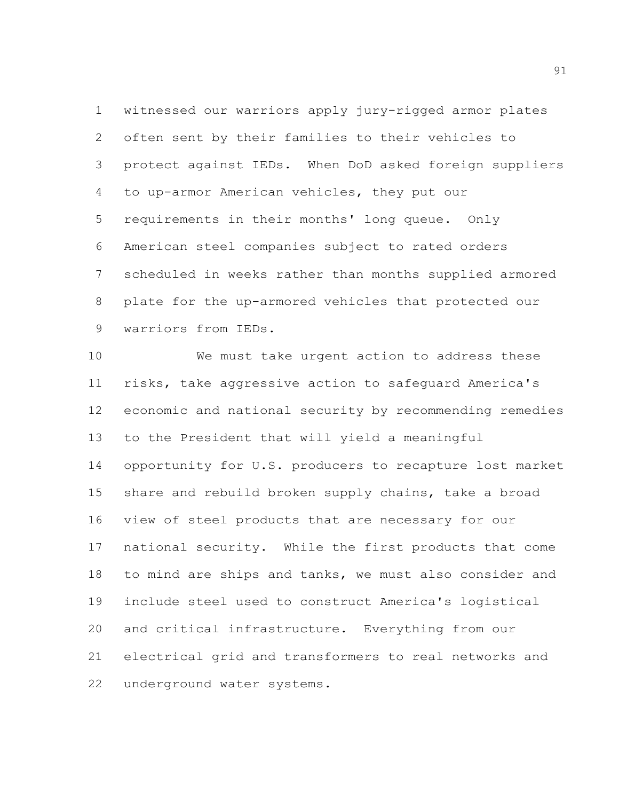witnessed our warriors apply jury-rigged armor plates often sent by their families to their vehicles to protect against IEDs. When DoD asked foreign suppliers to up-armor American vehicles, they put our requirements in their months' long queue. Only American steel companies subject to rated orders scheduled in weeks rather than months supplied armored plate for the up-armored vehicles that protected our warriors from IEDs.

 We must take urgent action to address these risks, take aggressive action to safeguard America's economic and national security by recommending remedies to the President that will yield a meaningful opportunity for U.S. producers to recapture lost market share and rebuild broken supply chains, take a broad view of steel products that are necessary for our national security. While the first products that come to mind are ships and tanks, we must also consider and include steel used to construct America's logistical and critical infrastructure. Everything from our electrical grid and transformers to real networks and underground water systems.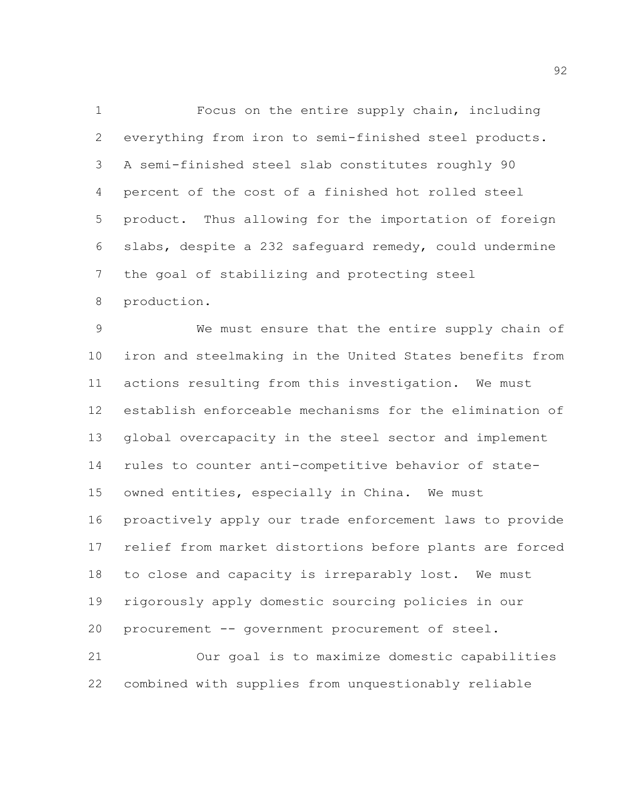Focus on the entire supply chain, including everything from iron to semi-finished steel products. A semi-finished steel slab constitutes roughly 90 percent of the cost of a finished hot rolled steel product. Thus allowing for the importation of foreign slabs, despite a 232 safeguard remedy, could undermine the goal of stabilizing and protecting steel

production.

 We must ensure that the entire supply chain of iron and steelmaking in the United States benefits from actions resulting from this investigation. We must establish enforceable mechanisms for the elimination of global overcapacity in the steel sector and implement rules to counter anti-competitive behavior of state- owned entities, especially in China. We must proactively apply our trade enforcement laws to provide relief from market distortions before plants are forced to close and capacity is irreparably lost. We must rigorously apply domestic sourcing policies in our procurement -- government procurement of steel. Our goal is to maximize domestic capabilities

combined with supplies from unquestionably reliable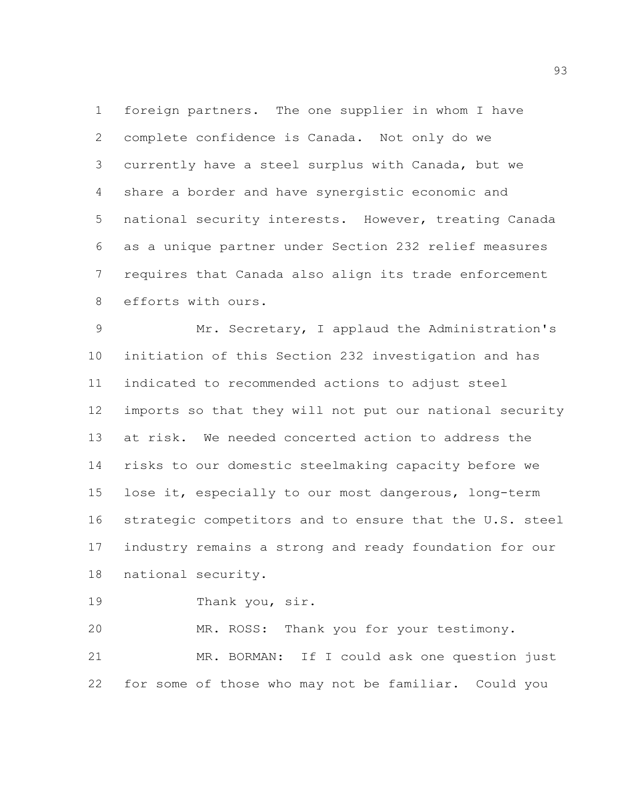foreign partners. The one supplier in whom I have complete confidence is Canada. Not only do we currently have a steel surplus with Canada, but we share a border and have synergistic economic and national security interests. However, treating Canada as a unique partner under Section 232 relief measures requires that Canada also align its trade enforcement efforts with ours.

 Mr. Secretary, I applaud the Administration's initiation of this Section 232 investigation and has indicated to recommended actions to adjust steel imports so that they will not put our national security at risk. We needed concerted action to address the risks to our domestic steelmaking capacity before we lose it, especially to our most dangerous, long-term strategic competitors and to ensure that the U.S. steel industry remains a strong and ready foundation for our national security.

19 Thank you, sir.

MR. ROSS: Thank you for your testimony.

 MR. BORMAN: If I could ask one question just for some of those who may not be familiar. Could you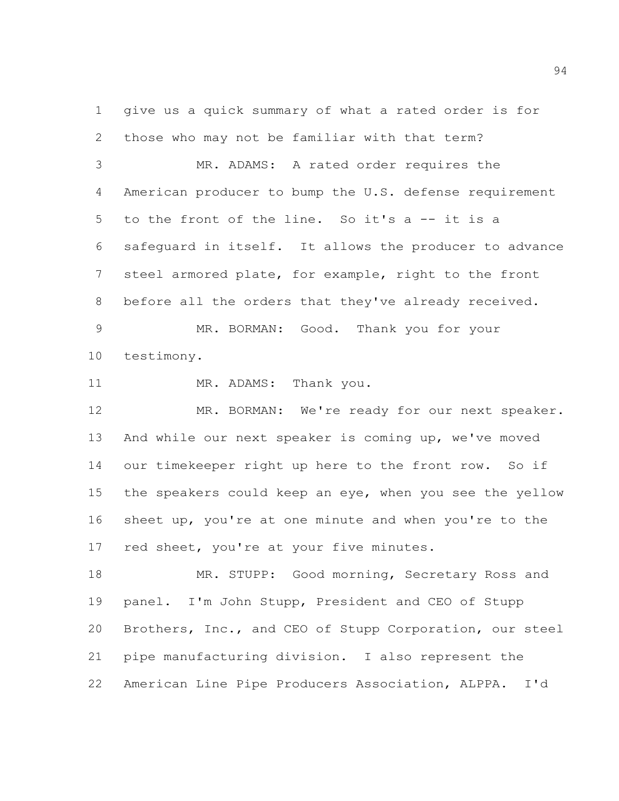give us a quick summary of what a rated order is for those who may not be familiar with that term?

 MR. ADAMS: A rated order requires the American producer to bump the U.S. defense requirement to the front of the line. So it's a -- it is a safeguard in itself. It allows the producer to advance steel armored plate, for example, right to the front before all the orders that they've already received. MR. BORMAN: Good. Thank you for your

testimony.

11 MR. ADAMS: Thank you.

12 MR. BORMAN: We're ready for our next speaker. And while our next speaker is coming up, we've moved 14 our timekeeper right up here to the front row. So if the speakers could keep an eye, when you see the yellow sheet up, you're at one minute and when you're to the 17 red sheet, you're at your five minutes.

18 MR. STUPP: Good morning, Secretary Ross and panel. I'm John Stupp, President and CEO of Stupp Brothers, Inc., and CEO of Stupp Corporation, our steel pipe manufacturing division. I also represent the American Line Pipe Producers Association, ALPPA. I'd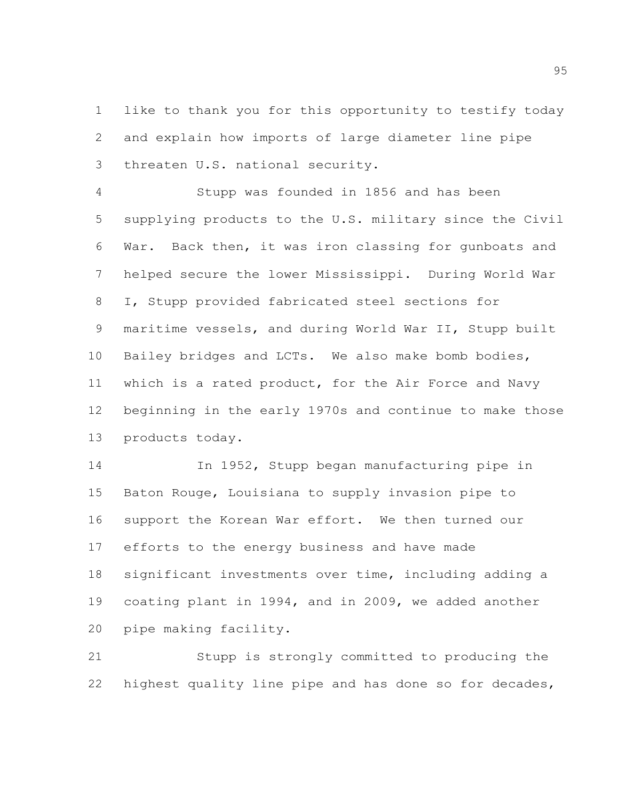like to thank you for this opportunity to testify today and explain how imports of large diameter line pipe threaten U.S. national security.

 Stupp was founded in 1856 and has been supplying products to the U.S. military since the Civil War. Back then, it was iron classing for gunboats and helped secure the lower Mississippi. During World War I, Stupp provided fabricated steel sections for maritime vessels, and during World War II, Stupp built Bailey bridges and LCTs. We also make bomb bodies, which is a rated product, for the Air Force and Navy beginning in the early 1970s and continue to make those products today.

 In 1952, Stupp began manufacturing pipe in Baton Rouge, Louisiana to supply invasion pipe to support the Korean War effort. We then turned our efforts to the energy business and have made significant investments over time, including adding a coating plant in 1994, and in 2009, we added another pipe making facility.

 Stupp is strongly committed to producing the highest quality line pipe and has done so for decades,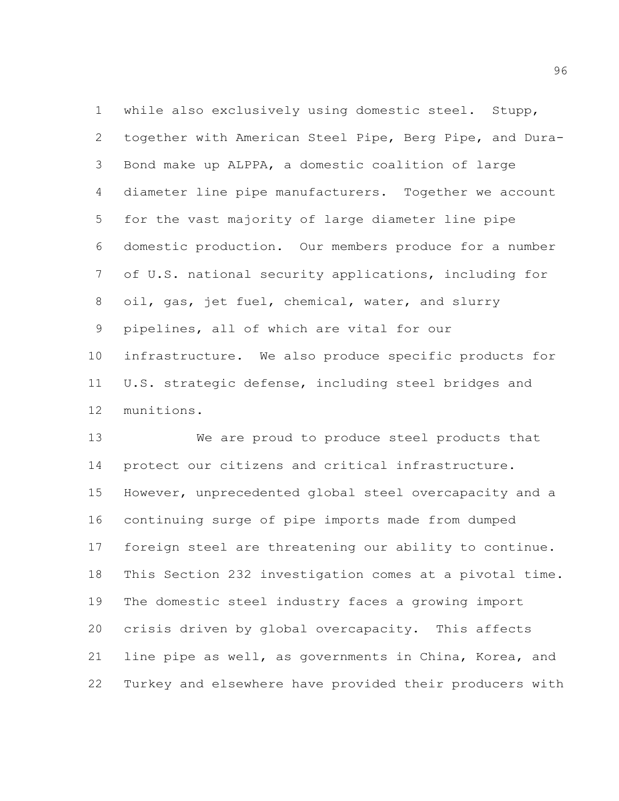while also exclusively using domestic steel. Stupp, together with American Steel Pipe, Berg Pipe, and Dura- Bond make up ALPPA, a domestic coalition of large diameter line pipe manufacturers. Together we account for the vast majority of large diameter line pipe domestic production. Our members produce for a number of U.S. national security applications, including for oil, gas, jet fuel, chemical, water, and slurry pipelines, all of which are vital for our infrastructure. We also produce specific products for U.S. strategic defense, including steel bridges and munitions.

 We are proud to produce steel products that protect our citizens and critical infrastructure. However, unprecedented global steel overcapacity and a continuing surge of pipe imports made from dumped foreign steel are threatening our ability to continue. This Section 232 investigation comes at a pivotal time. The domestic steel industry faces a growing import crisis driven by global overcapacity. This affects line pipe as well, as governments in China, Korea, and Turkey and elsewhere have provided their producers with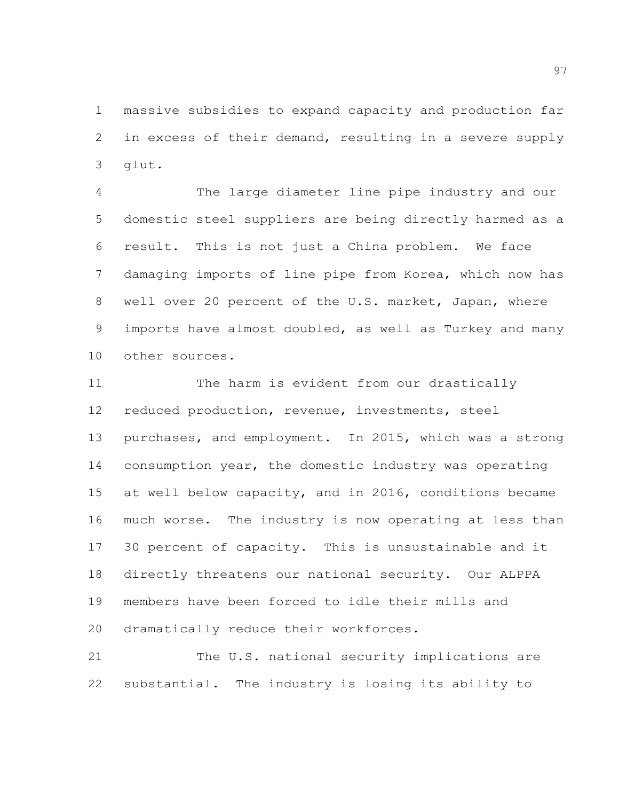massive subsidies to expand capacity and production far in excess of their demand, resulting in a severe supply glut.

 The large diameter line pipe industry and our domestic steel suppliers are being directly harmed as a result. This is not just a China problem. We face damaging imports of line pipe from Korea, which now has well over 20 percent of the U.S. market, Japan, where imports have almost doubled, as well as Turkey and many other sources.

 The harm is evident from our drastically reduced production, revenue, investments, steel purchases, and employment. In 2015, which was a strong consumption year, the domestic industry was operating at well below capacity, and in 2016, conditions became much worse. The industry is now operating at less than 30 percent of capacity. This is unsustainable and it directly threatens our national security. Our ALPPA members have been forced to idle their mills and dramatically reduce their workforces.

 The U.S. national security implications are substantial. The industry is losing its ability to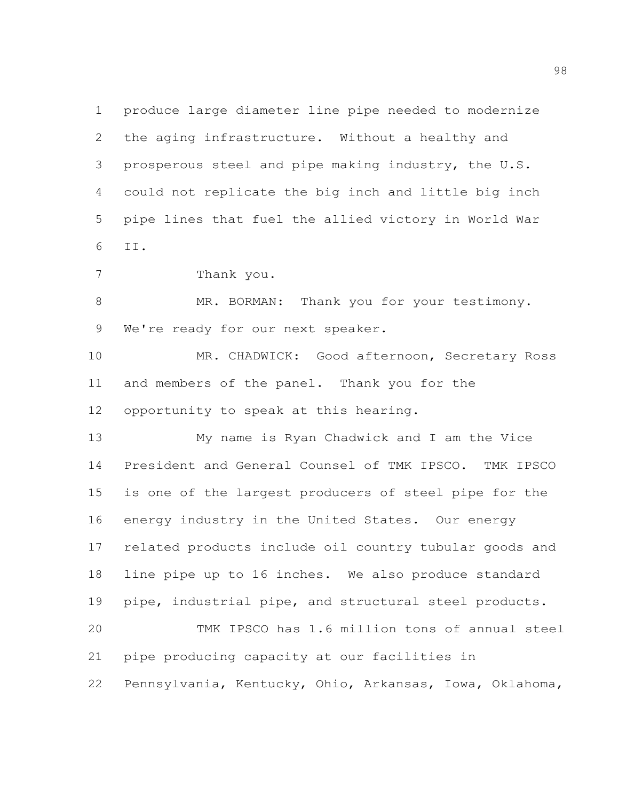produce large diameter line pipe needed to modernize the aging infrastructure. Without a healthy and prosperous steel and pipe making industry, the U.S. could not replicate the big inch and little big inch pipe lines that fuel the allied victory in World War II.

Thank you.

8 MR. BORMAN: Thank you for your testimony. 9 We're ready for our next speaker.

 MR. CHADWICK: Good afternoon, Secretary Ross and members of the panel. Thank you for the opportunity to speak at this hearing.

 My name is Ryan Chadwick and I am the Vice President and General Counsel of TMK IPSCO. TMK IPSCO is one of the largest producers of steel pipe for the energy industry in the United States. Our energy related products include oil country tubular goods and line pipe up to 16 inches. We also produce standard pipe, industrial pipe, and structural steel products. TMK IPSCO has 1.6 million tons of annual steel

pipe producing capacity at our facilities in

Pennsylvania, Kentucky, Ohio, Arkansas, Iowa, Oklahoma,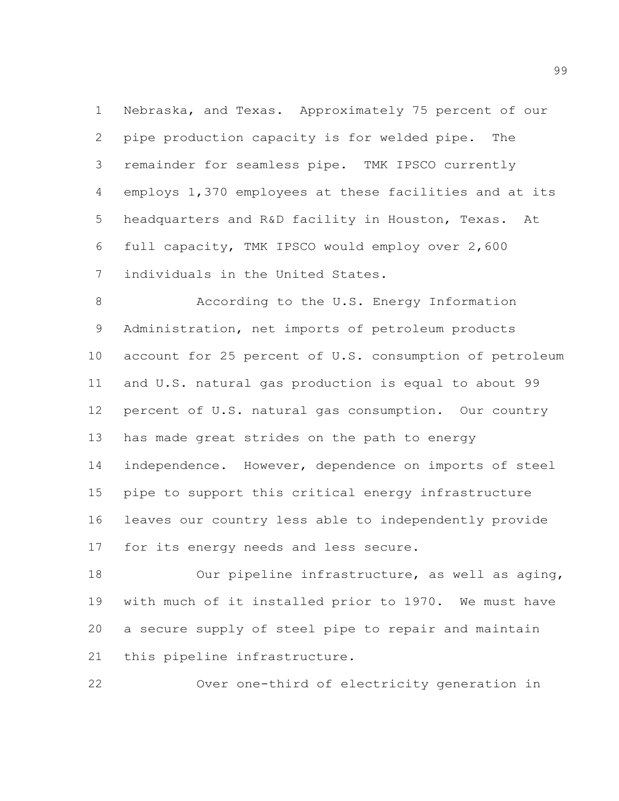Nebraska, and Texas. Approximately 75 percent of our pipe production capacity is for welded pipe. The remainder for seamless pipe. TMK IPSCO currently employs 1,370 employees at these facilities and at its headquarters and R&D facility in Houston, Texas. At full capacity, TMK IPSCO would employ over 2,600 individuals in the United States.

 According to the U.S. Energy Information Administration, net imports of petroleum products account for 25 percent of U.S. consumption of petroleum and U.S. natural gas production is equal to about 99 percent of U.S. natural gas consumption. Our country has made great strides on the path to energy independence. However, dependence on imports of steel pipe to support this critical energy infrastructure leaves our country less able to independently provide for its energy needs and less secure.

 Our pipeline infrastructure, as well as aging, with much of it installed prior to 1970. We must have a secure supply of steel pipe to repair and maintain this pipeline infrastructure.

Over one-third of electricity generation in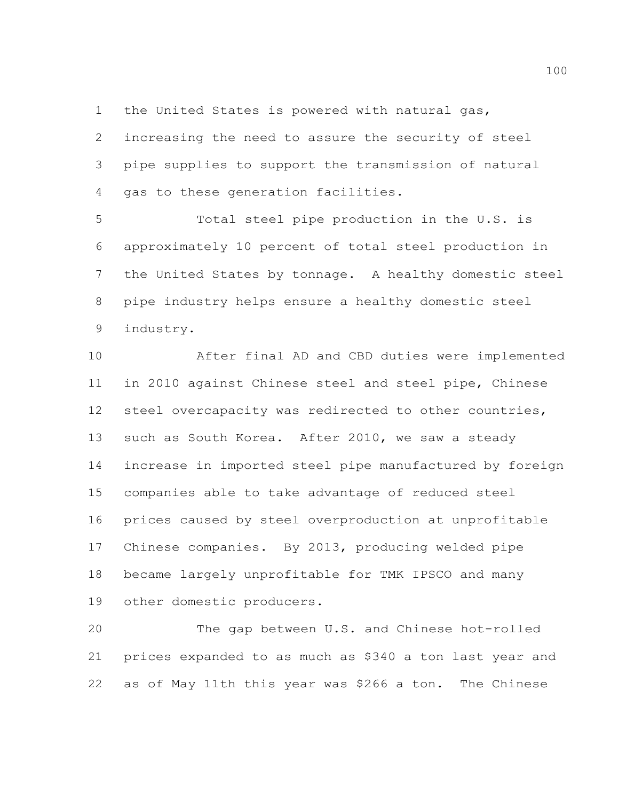the United States is powered with natural gas,

 increasing the need to assure the security of steel pipe supplies to support the transmission of natural gas to these generation facilities.

 Total steel pipe production in the U.S. is approximately 10 percent of total steel production in the United States by tonnage. A healthy domestic steel pipe industry helps ensure a healthy domestic steel industry.

 After final AD and CBD duties were implemented in 2010 against Chinese steel and steel pipe, Chinese steel overcapacity was redirected to other countries, such as South Korea. After 2010, we saw a steady increase in imported steel pipe manufactured by foreign companies able to take advantage of reduced steel prices caused by steel overproduction at unprofitable Chinese companies. By 2013, producing welded pipe became largely unprofitable for TMK IPSCO and many other domestic producers.

 The gap between U.S. and Chinese hot-rolled prices expanded to as much as \$340 a ton last year and as of May 11th this year was \$266 a ton. The Chinese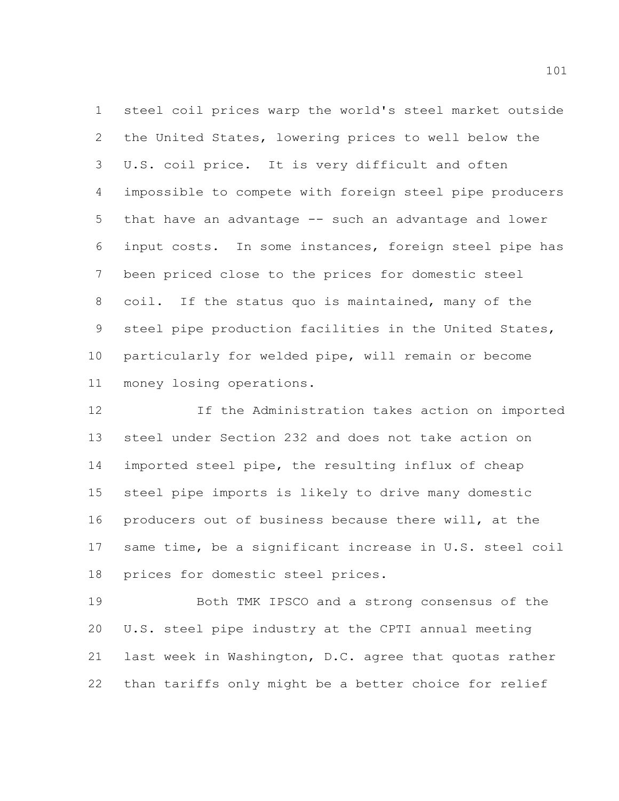steel coil prices warp the world's steel market outside the United States, lowering prices to well below the U.S. coil price. It is very difficult and often impossible to compete with foreign steel pipe producers that have an advantage -- such an advantage and lower input costs. In some instances, foreign steel pipe has been priced close to the prices for domestic steel coil. If the status quo is maintained, many of the steel pipe production facilities in the United States, particularly for welded pipe, will remain or become money losing operations.

 If the Administration takes action on imported steel under Section 232 and does not take action on imported steel pipe, the resulting influx of cheap steel pipe imports is likely to drive many domestic producers out of business because there will, at the same time, be a significant increase in U.S. steel coil prices for domestic steel prices.

 Both TMK IPSCO and a strong consensus of the U.S. steel pipe industry at the CPTI annual meeting last week in Washington, D.C. agree that quotas rather than tariffs only might be a better choice for relief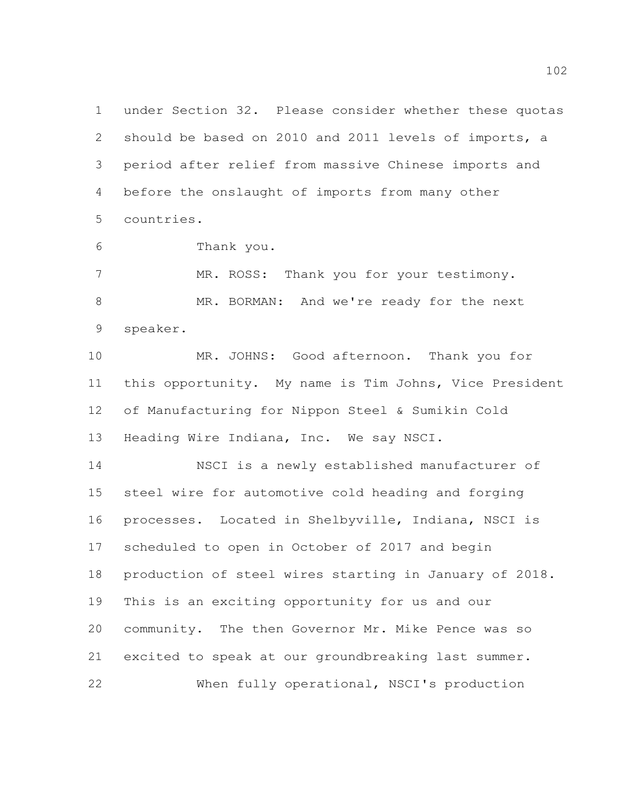under Section 32. Please consider whether these quotas should be based on 2010 and 2011 levels of imports, a period after relief from massive Chinese imports and before the onslaught of imports from many other countries.

Thank you.

 MR. ROSS: Thank you for your testimony. MR. BORMAN: And we're ready for the next speaker.

 MR. JOHNS: Good afternoon. Thank you for this opportunity. My name is Tim Johns, Vice President of Manufacturing for Nippon Steel & Sumikin Cold Heading Wire Indiana, Inc. We say NSCI.

 NSCI is a newly established manufacturer of steel wire for automotive cold heading and forging processes. Located in Shelbyville, Indiana, NSCI is scheduled to open in October of 2017 and begin production of steel wires starting in January of 2018. This is an exciting opportunity for us and our community. The then Governor Mr. Mike Pence was so excited to speak at our groundbreaking last summer. When fully operational, NSCI's production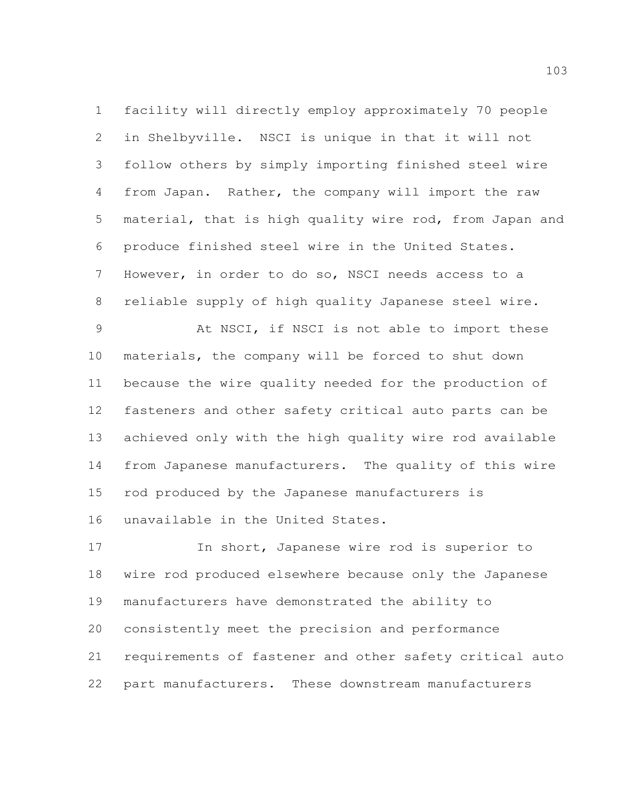facility will directly employ approximately 70 people in Shelbyville. NSCI is unique in that it will not follow others by simply importing finished steel wire from Japan. Rather, the company will import the raw material, that is high quality wire rod, from Japan and produce finished steel wire in the United States. However, in order to do so, NSCI needs access to a reliable supply of high quality Japanese steel wire.

 At NSCI, if NSCI is not able to import these materials, the company will be forced to shut down because the wire quality needed for the production of fasteners and other safety critical auto parts can be achieved only with the high quality wire rod available from Japanese manufacturers. The quality of this wire rod produced by the Japanese manufacturers is unavailable in the United States.

 In short, Japanese wire rod is superior to wire rod produced elsewhere because only the Japanese manufacturers have demonstrated the ability to consistently meet the precision and performance requirements of fastener and other safety critical auto part manufacturers. These downstream manufacturers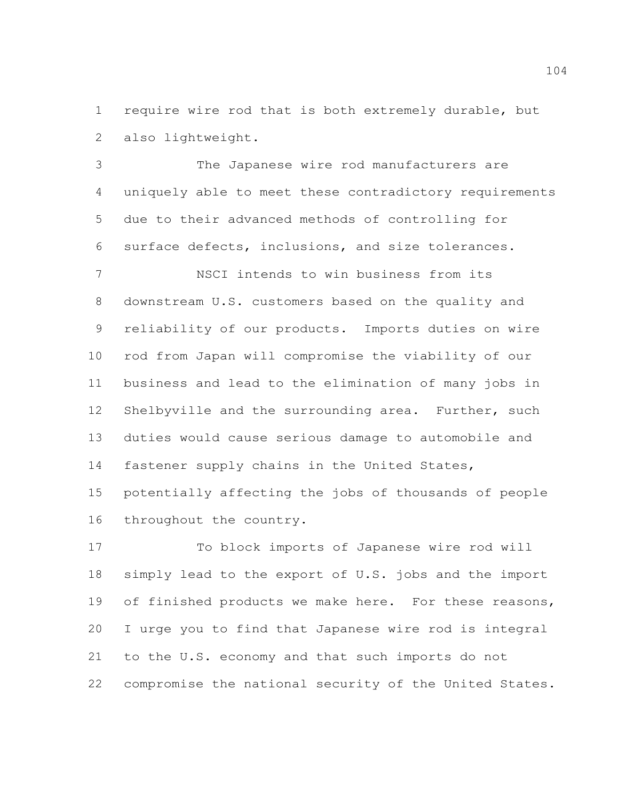require wire rod that is both extremely durable, but also lightweight.

 The Japanese wire rod manufacturers are uniquely able to meet these contradictory requirements due to their advanced methods of controlling for surface defects, inclusions, and size tolerances.

 NSCI intends to win business from its downstream U.S. customers based on the quality and reliability of our products. Imports duties on wire rod from Japan will compromise the viability of our business and lead to the elimination of many jobs in Shelbyville and the surrounding area. Further, such duties would cause serious damage to automobile and fastener supply chains in the United States,

 potentially affecting the jobs of thousands of people throughout the country.

 To block imports of Japanese wire rod will simply lead to the export of U.S. jobs and the import of finished products we make here. For these reasons, I urge you to find that Japanese wire rod is integral to the U.S. economy and that such imports do not compromise the national security of the United States.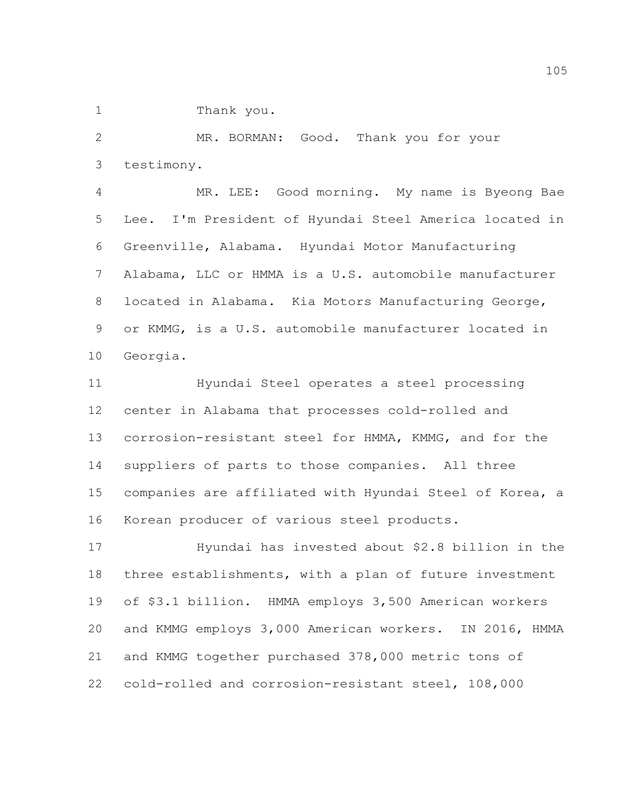Thank you.

 MR. BORMAN: Good. Thank you for your testimony.

 MR. LEE: Good morning. My name is Byeong Bae Lee. I'm President of Hyundai Steel America located in Greenville, Alabama. Hyundai Motor Manufacturing Alabama, LLC or HMMA is a U.S. automobile manufacturer located in Alabama. Kia Motors Manufacturing George, or KMMG, is a U.S. automobile manufacturer located in Georgia.

 Hyundai Steel operates a steel processing center in Alabama that processes cold-rolled and corrosion-resistant steel for HMMA, KMMG, and for the suppliers of parts to those companies. All three companies are affiliated with Hyundai Steel of Korea, a Korean producer of various steel products.

 Hyundai has invested about \$2.8 billion in the three establishments, with a plan of future investment of \$3.1 billion. HMMA employs 3,500 American workers and KMMG employs 3,000 American workers. IN 2016, HMMA and KMMG together purchased 378,000 metric tons of cold-rolled and corrosion-resistant steel, 108,000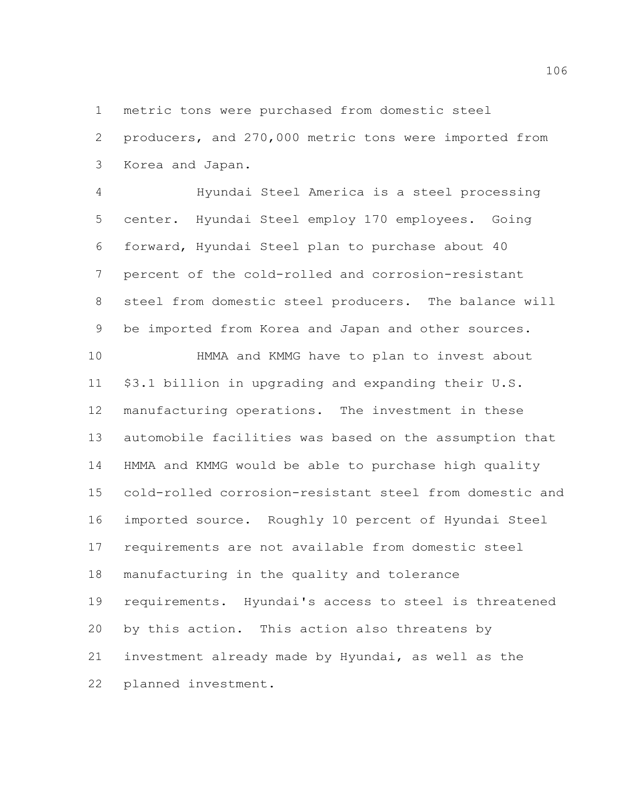metric tons were purchased from domestic steel

 producers, and 270,000 metric tons were imported from Korea and Japan.

 Hyundai Steel America is a steel processing center. Hyundai Steel employ 170 employees. Going forward, Hyundai Steel plan to purchase about 40 percent of the cold-rolled and corrosion-resistant steel from domestic steel producers. The balance will be imported from Korea and Japan and other sources.

 HMMA and KMMG have to plan to invest about \$3.1 billion in upgrading and expanding their U.S. manufacturing operations. The investment in these automobile facilities was based on the assumption that HMMA and KMMG would be able to purchase high quality cold-rolled corrosion-resistant steel from domestic and imported source. Roughly 10 percent of Hyundai Steel requirements are not available from domestic steel manufacturing in the quality and tolerance requirements. Hyundai's access to steel is threatened by this action. This action also threatens by investment already made by Hyundai, as well as the planned investment.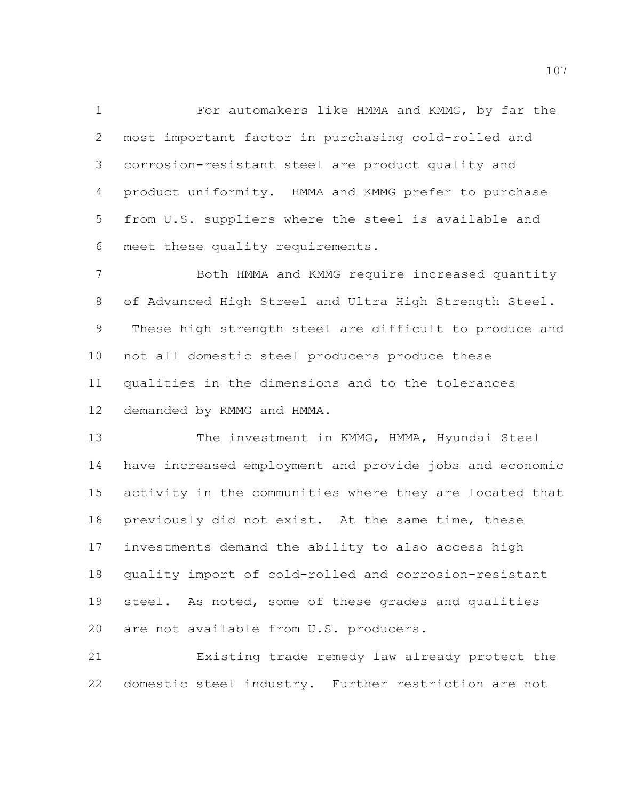For automakers like HMMA and KMMG, by far the most important factor in purchasing cold-rolled and corrosion-resistant steel are product quality and product uniformity. HMMA and KMMG prefer to purchase from U.S. suppliers where the steel is available and meet these quality requirements.

 Both HMMA and KMMG require increased quantity of Advanced High Streel and Ultra High Strength Steel. These high strength steel are difficult to produce and not all domestic steel producers produce these qualities in the dimensions and to the tolerances demanded by KMMG and HMMA.

 The investment in KMMG, HMMA, Hyundai Steel have increased employment and provide jobs and economic activity in the communities where they are located that previously did not exist. At the same time, these investments demand the ability to also access high quality import of cold-rolled and corrosion-resistant steel. As noted, some of these grades and qualities are not available from U.S. producers.

 Existing trade remedy law already protect the domestic steel industry. Further restriction are not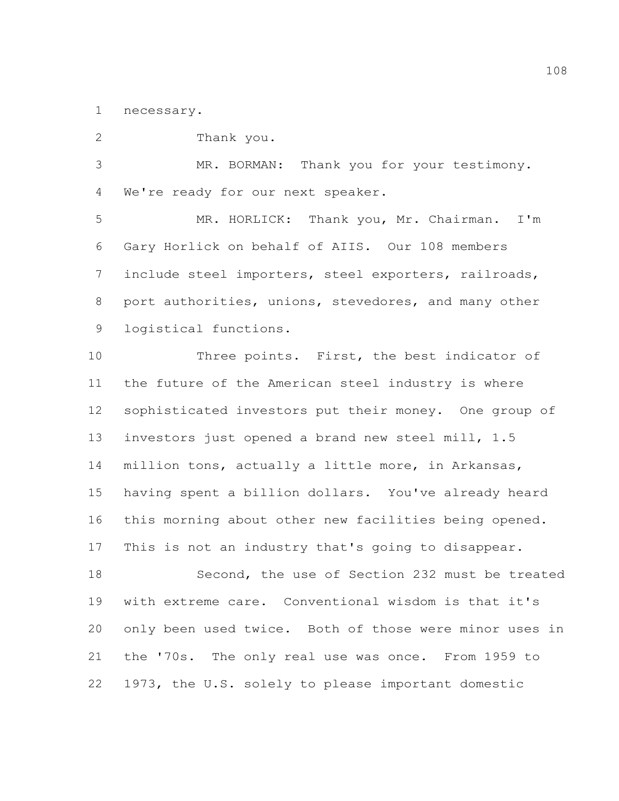necessary.

 Thank you. MR. BORMAN: Thank you for your testimony. We're ready for our next speaker. MR. HORLICK: Thank you, Mr. Chairman. I'm Gary Horlick on behalf of AIIS. Our 108 members include steel importers, steel exporters, railroads, port authorities, unions, stevedores, and many other logistical functions. Three points. First, the best indicator of the future of the American steel industry is where sophisticated investors put their money. One group of investors just opened a brand new steel mill, 1.5 million tons, actually a little more, in Arkansas, having spent a billion dollars. You've already heard this morning about other new facilities being opened. This is not an industry that's going to disappear. Second, the use of Section 232 must be treated with extreme care. Conventional wisdom is that it's only been used twice. Both of those were minor uses in the '70s. The only real use was once. From 1959 to 1973, the U.S. solely to please important domestic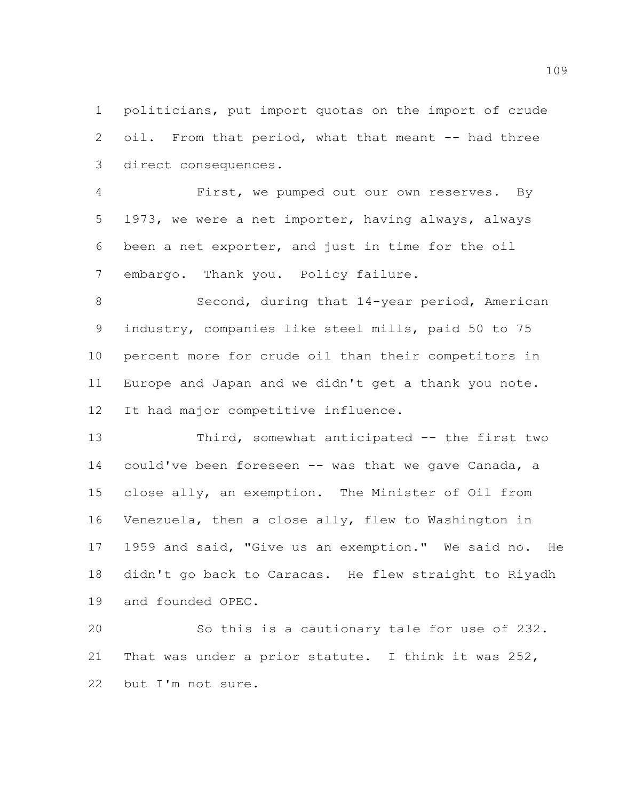politicians, put import quotas on the import of crude oil. From that period, what that meant -- had three direct consequences.

 First, we pumped out our own reserves. By 1973, we were a net importer, having always, always been a net exporter, and just in time for the oil embargo. Thank you. Policy failure.

 Second, during that 14-year period, American industry, companies like steel mills, paid 50 to 75 percent more for crude oil than their competitors in Europe and Japan and we didn't get a thank you note. It had major competitive influence.

 Third, somewhat anticipated -- the first two could've been foreseen -- was that we gave Canada, a close ally, an exemption. The Minister of Oil from Venezuela, then a close ally, flew to Washington in 1959 and said, "Give us an exemption." We said no. He didn't go back to Caracas. He flew straight to Riyadh and founded OPEC.

 So this is a cautionary tale for use of 232. That was under a prior statute. I think it was 252, but I'm not sure.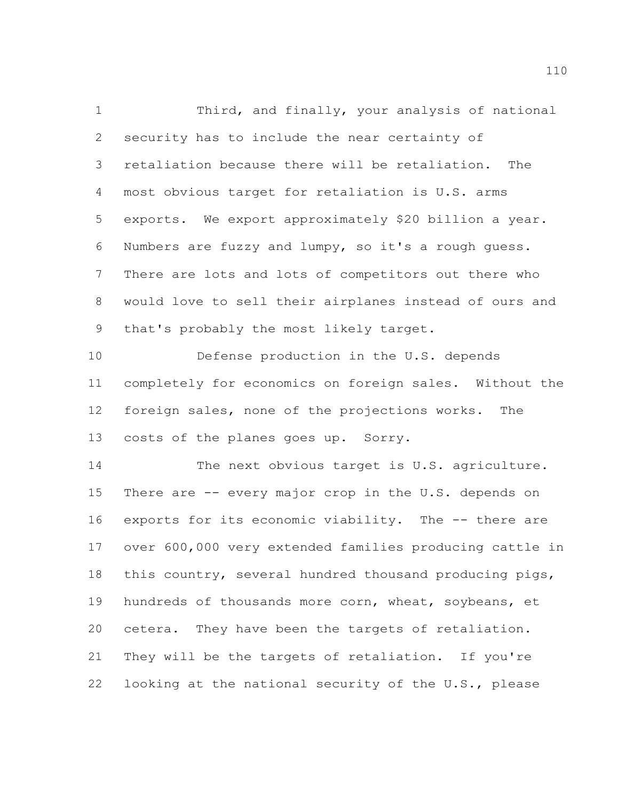Third, and finally, your analysis of national security has to include the near certainty of retaliation because there will be retaliation. The most obvious target for retaliation is U.S. arms exports. We export approximately \$20 billion a year. Numbers are fuzzy and lumpy, so it's a rough guess. There are lots and lots of competitors out there who would love to sell their airplanes instead of ours and that's probably the most likely target. Defense production in the U.S. depends completely for economics on foreign sales. Without the

 foreign sales, none of the projections works. The costs of the planes goes up. Sorry.

 The next obvious target is U.S. agriculture. There are -- every major crop in the U.S. depends on exports for its economic viability. The -- there are over 600,000 very extended families producing cattle in this country, several hundred thousand producing pigs, hundreds of thousands more corn, wheat, soybeans, et cetera. They have been the targets of retaliation. They will be the targets of retaliation. If you're looking at the national security of the U.S., please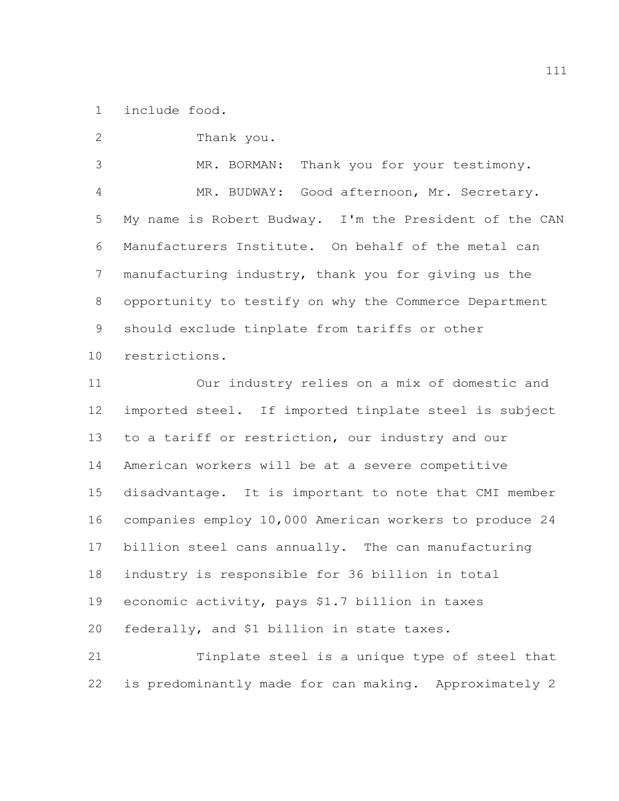include food.

Thank you.

 MR. BORMAN: Thank you for your testimony. MR. BUDWAY: Good afternoon, Mr. Secretary. My name is Robert Budway. I'm the President of the CAN Manufacturers Institute. On behalf of the metal can manufacturing industry, thank you for giving us the opportunity to testify on why the Commerce Department should exclude tinplate from tariffs or other restrictions.

 Our industry relies on a mix of domestic and imported steel. If imported tinplate steel is subject to a tariff or restriction, our industry and our American workers will be at a severe competitive disadvantage. It is important to note that CMI member companies employ 10,000 American workers to produce 24 billion steel cans annually. The can manufacturing industry is responsible for 36 billion in total economic activity, pays \$1.7 billion in taxes federally, and \$1 billion in state taxes. Tinplate steel is a unique type of steel that

is predominantly made for can making. Approximately 2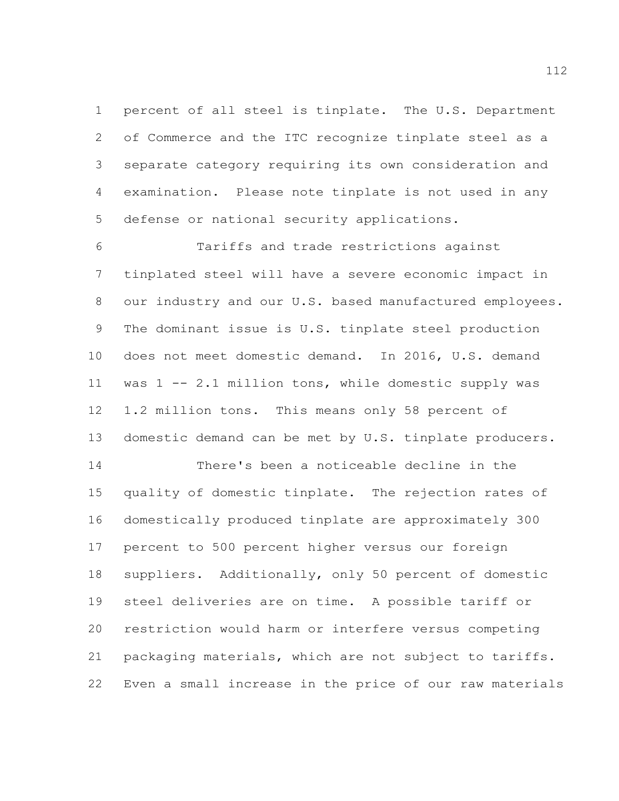percent of all steel is tinplate. The U.S. Department of Commerce and the ITC recognize tinplate steel as a separate category requiring its own consideration and examination. Please note tinplate is not used in any defense or national security applications.

 Tariffs and trade restrictions against tinplated steel will have a severe economic impact in our industry and our U.S. based manufactured employees. The dominant issue is U.S. tinplate steel production does not meet domestic demand. In 2016, U.S. demand was 1 -- 2.1 million tons, while domestic supply was 1.2 million tons. This means only 58 percent of domestic demand can be met by U.S. tinplate producers.

 There's been a noticeable decline in the quality of domestic tinplate. The rejection rates of domestically produced tinplate are approximately 300 percent to 500 percent higher versus our foreign suppliers. Additionally, only 50 percent of domestic steel deliveries are on time. A possible tariff or restriction would harm or interfere versus competing packaging materials, which are not subject to tariffs. Even a small increase in the price of our raw materials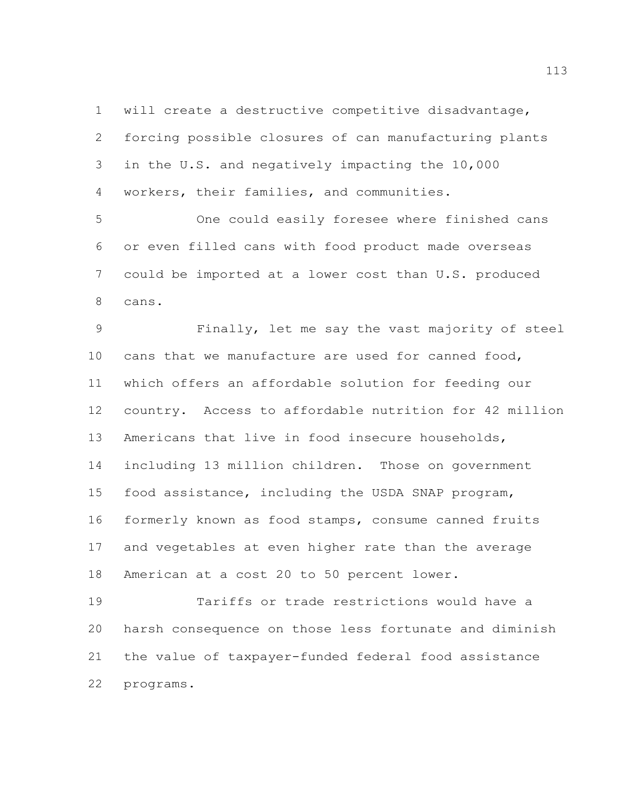will create a destructive competitive disadvantage, forcing possible closures of can manufacturing plants in the U.S. and negatively impacting the 10,000 workers, their families, and communities.

 One could easily foresee where finished cans or even filled cans with food product made overseas could be imported at a lower cost than U.S. produced cans.

 Finally, let me say the vast majority of steel cans that we manufacture are used for canned food, which offers an affordable solution for feeding our country. Access to affordable nutrition for 42 million Americans that live in food insecure households, including 13 million children. Those on government food assistance, including the USDA SNAP program, formerly known as food stamps, consume canned fruits and vegetables at even higher rate than the average American at a cost 20 to 50 percent lower.

 Tariffs or trade restrictions would have a harsh consequence on those less fortunate and diminish the value of taxpayer-funded federal food assistance programs.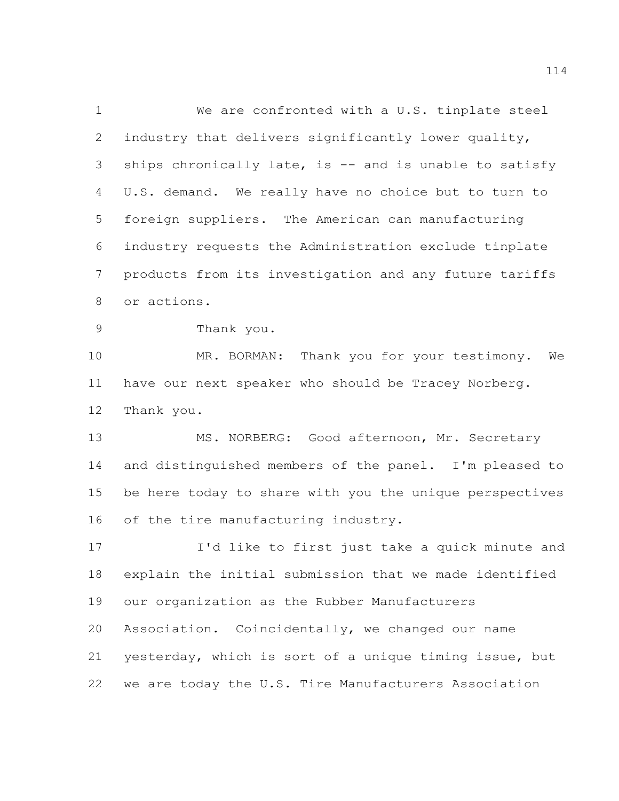We are confronted with a U.S. tinplate steel industry that delivers significantly lower quality, ships chronically late, is -- and is unable to satisfy U.S. demand. We really have no choice but to turn to foreign suppliers. The American can manufacturing industry requests the Administration exclude tinplate products from its investigation and any future tariffs or actions.

Thank you.

 MR. BORMAN: Thank you for your testimony. We have our next speaker who should be Tracey Norberg. Thank you.

13 MS. NORBERG: Good afternoon, Mr. Secretary and distinguished members of the panel. I'm pleased to be here today to share with you the unique perspectives of the tire manufacturing industry.

 I'd like to first just take a quick minute and explain the initial submission that we made identified our organization as the Rubber Manufacturers Association. Coincidentally, we changed our name yesterday, which is sort of a unique timing issue, but we are today the U.S. Tire Manufacturers Association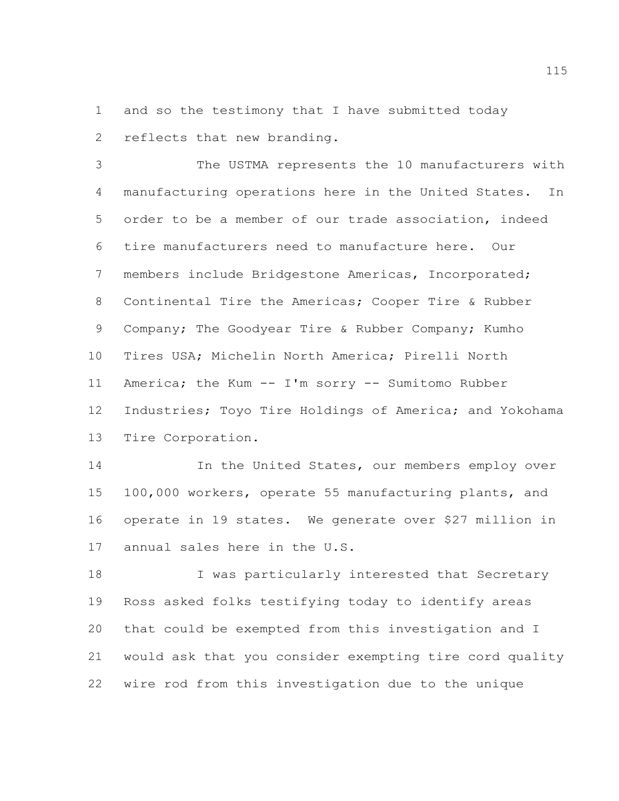and so the testimony that I have submitted today reflects that new branding.

 The USTMA represents the 10 manufacturers with manufacturing operations here in the United States. In order to be a member of our trade association, indeed tire manufacturers need to manufacture here. Our members include Bridgestone Americas, Incorporated; Continental Tire the Americas; Cooper Tire & Rubber Company; The Goodyear Tire & Rubber Company; Kumho Tires USA; Michelin North America; Pirelli North America; the Kum -- I'm sorry -- Sumitomo Rubber Industries; Toyo Tire Holdings of America; and Yokohama Tire Corporation.

14 14 In the United States, our members employ over 100,000 workers, operate 55 manufacturing plants, and operate in 19 states. We generate over \$27 million in annual sales here in the U.S.

18 I was particularly interested that Secretary Ross asked folks testifying today to identify areas that could be exempted from this investigation and I would ask that you consider exempting tire cord quality wire rod from this investigation due to the unique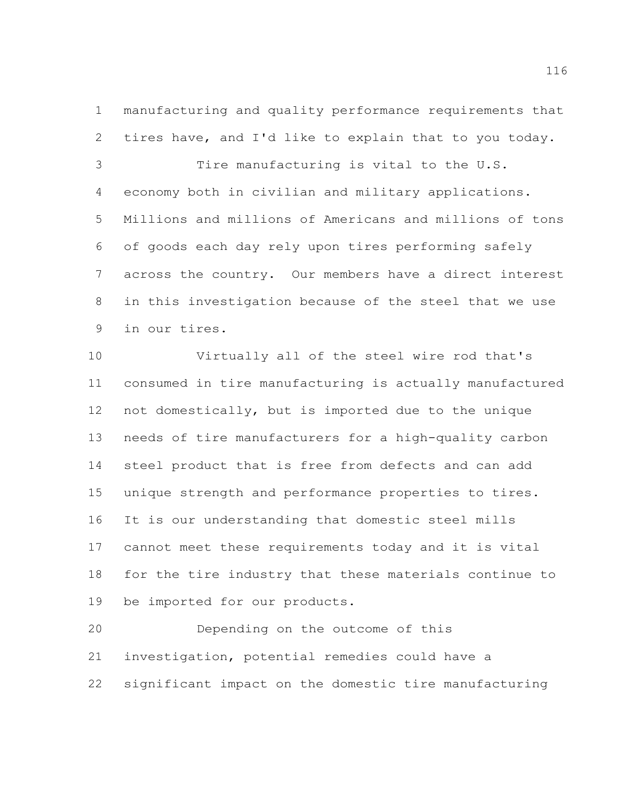manufacturing and quality performance requirements that tires have, and I'd like to explain that to you today.

 Tire manufacturing is vital to the U.S. economy both in civilian and military applications. Millions and millions of Americans and millions of tons of goods each day rely upon tires performing safely across the country. Our members have a direct interest in this investigation because of the steel that we use in our tires.

 Virtually all of the steel wire rod that's consumed in tire manufacturing is actually manufactured not domestically, but is imported due to the unique needs of tire manufacturers for a high-quality carbon steel product that is free from defects and can add unique strength and performance properties to tires. It is our understanding that domestic steel mills cannot meet these requirements today and it is vital for the tire industry that these materials continue to be imported for our products.

 Depending on the outcome of this investigation, potential remedies could have a significant impact on the domestic tire manufacturing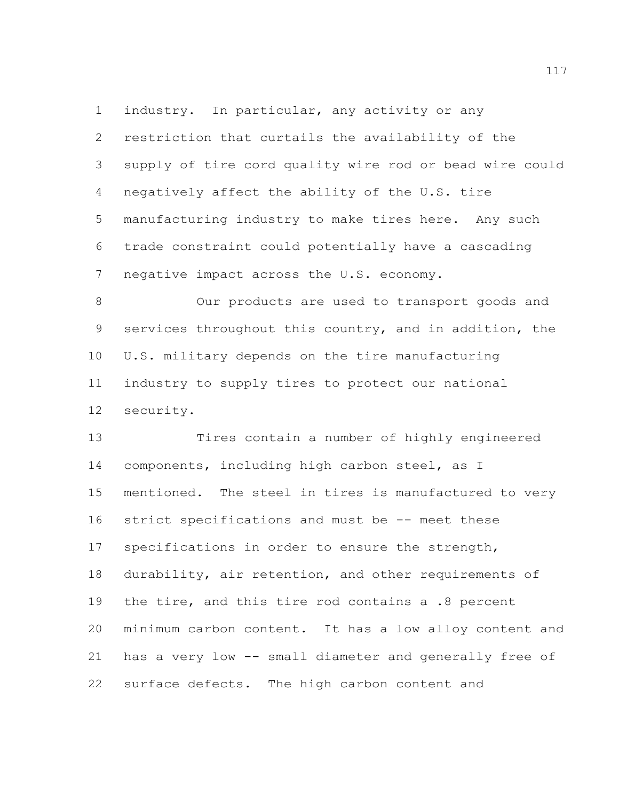industry. In particular, any activity or any restriction that curtails the availability of the supply of tire cord quality wire rod or bead wire could negatively affect the ability of the U.S. tire manufacturing industry to make tires here. Any such trade constraint could potentially have a cascading 7 negative impact across the U.S. economy.

 Our products are used to transport goods and services throughout this country, and in addition, the U.S. military depends on the tire manufacturing industry to supply tires to protect our national security.

 Tires contain a number of highly engineered components, including high carbon steel, as I mentioned. The steel in tires is manufactured to very strict specifications and must be -- meet these specifications in order to ensure the strength, durability, air retention, and other requirements of the tire, and this tire rod contains a .8 percent minimum carbon content. It has a low alloy content and has a very low -- small diameter and generally free of surface defects. The high carbon content and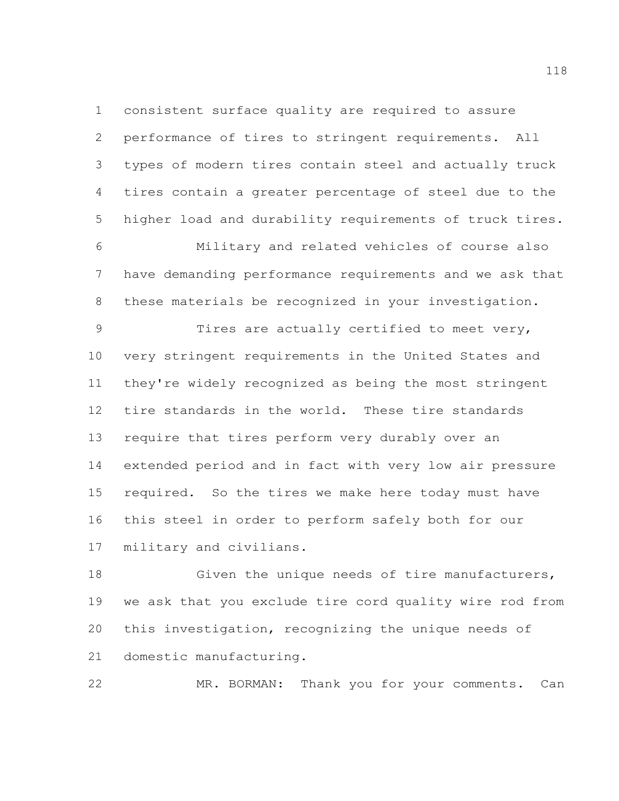consistent surface quality are required to assure performance of tires to stringent requirements. All types of modern tires contain steel and actually truck tires contain a greater percentage of steel due to the higher load and durability requirements of truck tires. Military and related vehicles of course also have demanding performance requirements and we ask that these materials be recognized in your investigation.

 Tires are actually certified to meet very, very stringent requirements in the United States and they're widely recognized as being the most stringent tire standards in the world. These tire standards require that tires perform very durably over an extended period and in fact with very low air pressure required. So the tires we make here today must have this steel in order to perform safely both for our military and civilians.

 Given the unique needs of tire manufacturers, we ask that you exclude tire cord quality wire rod from this investigation, recognizing the unique needs of domestic manufacturing.

MR. BORMAN: Thank you for your comments. Can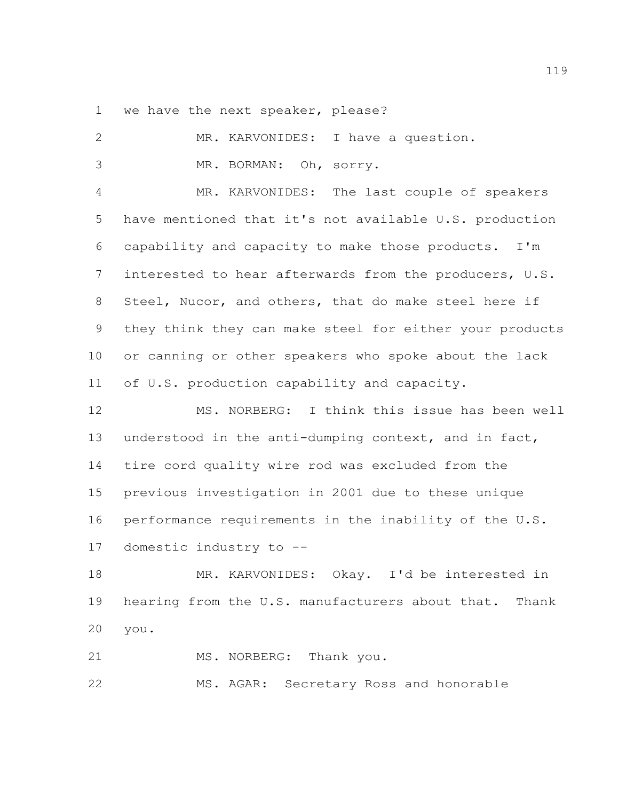we have the next speaker, please?

| 2               | I have a question.<br>MR. KARVONIDES:                    |
|-----------------|----------------------------------------------------------|
| 3               | MR. BORMAN: Oh, sorry.                                   |
| 4               | The last couple of speakers<br>MR. KARVONIDES:           |
| 5               | have mentioned that it's not available U.S. production   |
| 6               | capability and capacity to make those products. I'm      |
| $7\phantom{.0}$ | interested to hear afterwards from the producers, U.S.   |
| 8               | Steel, Nucor, and others, that do make steel here if     |
| 9               | they think they can make steel for either your products  |
| $10 \,$         | or canning or other speakers who spoke about the lack    |
| 11              | of U.S. production capability and capacity.              |
| 12              | MS. NORBERG: I think this issue has been well            |
| 13              | understood in the anti-dumping context, and in fact,     |
| 14              | tire cord quality wire rod was excluded from the         |
| 15              | previous investigation in 2001 due to these unique       |
| 16              | performance requirements in the inability of the U.S.    |
| 17              | domestic industry to --                                  |
| 18              | MR. KARVONIDES:<br>Okay. I'd be interested in            |
| 19              | hearing from the U.S. manufacturers about that.<br>Thank |
| 20              | you.                                                     |
|                 |                                                          |
| 21              | NORBERG: Thank you.<br>MS.                               |

MS. AGAR: Secretary Ross and honorable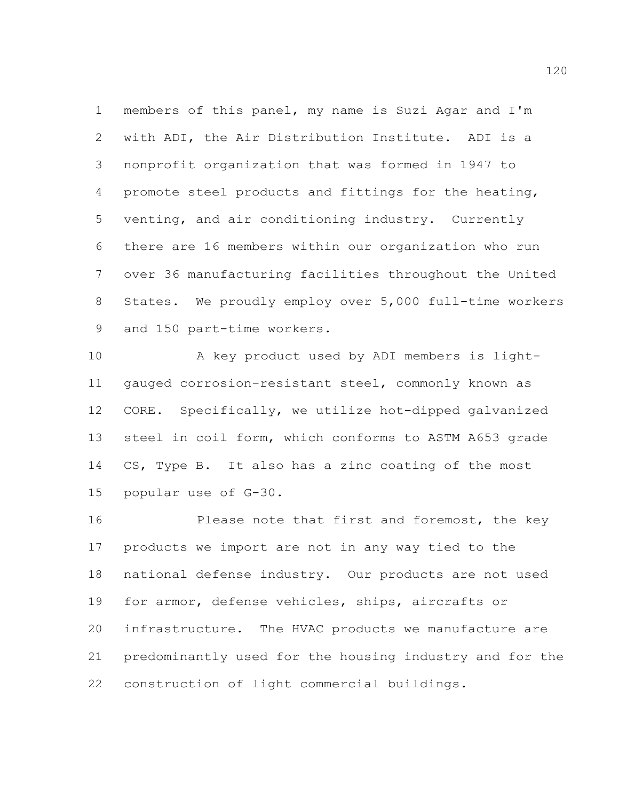members of this panel, my name is Suzi Agar and I'm with ADI, the Air Distribution Institute. ADI is a nonprofit organization that was formed in 1947 to promote steel products and fittings for the heating, venting, and air conditioning industry. Currently there are 16 members within our organization who run over 36 manufacturing facilities throughout the United States. We proudly employ over 5,000 full-time workers 9 and 150 part-time workers.

 A key product used by ADI members is light- gauged corrosion-resistant steel, commonly known as CORE. Specifically, we utilize hot-dipped galvanized steel in coil form, which conforms to ASTM A653 grade CS, Type B. It also has a zinc coating of the most popular use of G-30.

 Please note that first and foremost, the key products we import are not in any way tied to the national defense industry. Our products are not used for armor, defense vehicles, ships, aircrafts or infrastructure. The HVAC products we manufacture are predominantly used for the housing industry and for the construction of light commercial buildings.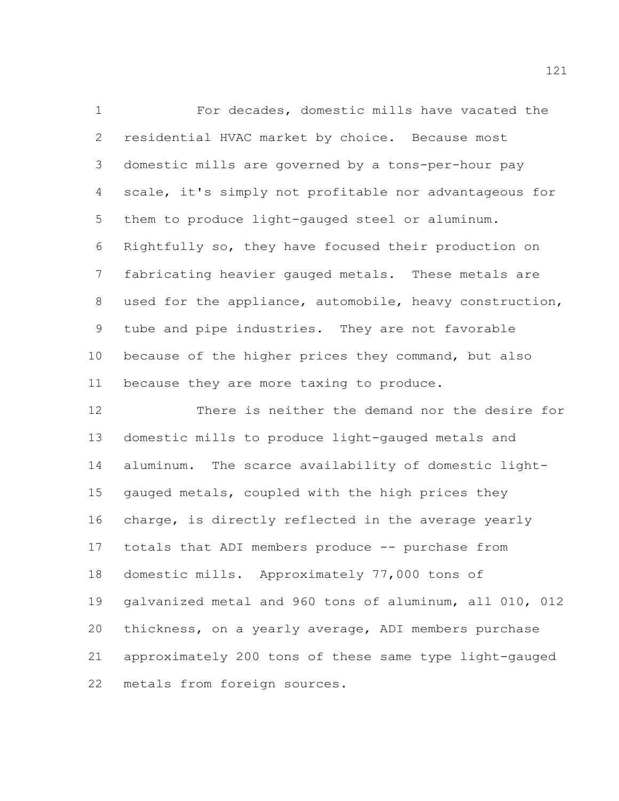For decades, domestic mills have vacated the residential HVAC market by choice. Because most domestic mills are governed by a tons-per-hour pay scale, it's simply not profitable nor advantageous for them to produce light-gauged steel or aluminum. Rightfully so, they have focused their production on fabricating heavier gauged metals. These metals are used for the appliance, automobile, heavy construction, tube and pipe industries. They are not favorable because of the higher prices they command, but also 11 because they are more taxing to produce.

 There is neither the demand nor the desire for domestic mills to produce light-gauged metals and aluminum. The scarce availability of domestic light- gauged metals, coupled with the high prices they charge, is directly reflected in the average yearly totals that ADI members produce -- purchase from domestic mills. Approximately 77,000 tons of galvanized metal and 960 tons of aluminum, all 010, 012 thickness, on a yearly average, ADI members purchase approximately 200 tons of these same type light-gauged metals from foreign sources.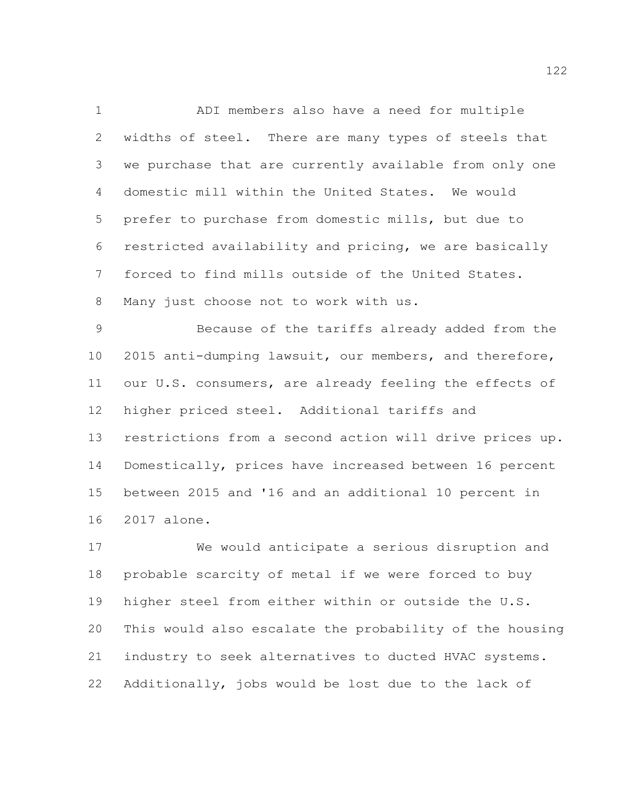ADI members also have a need for multiple widths of steel. There are many types of steels that we purchase that are currently available from only one domestic mill within the United States. We would prefer to purchase from domestic mills, but due to restricted availability and pricing, we are basically forced to find mills outside of the United States. Many just choose not to work with us.

 Because of the tariffs already added from the 2015 anti-dumping lawsuit, our members, and therefore, our U.S. consumers, are already feeling the effects of higher priced steel. Additional tariffs and restrictions from a second action will drive prices up. Domestically, prices have increased between 16 percent between 2015 and '16 and an additional 10 percent in 2017 alone.

 We would anticipate a serious disruption and probable scarcity of metal if we were forced to buy higher steel from either within or outside the U.S. This would also escalate the probability of the housing industry to seek alternatives to ducted HVAC systems. Additionally, jobs would be lost due to the lack of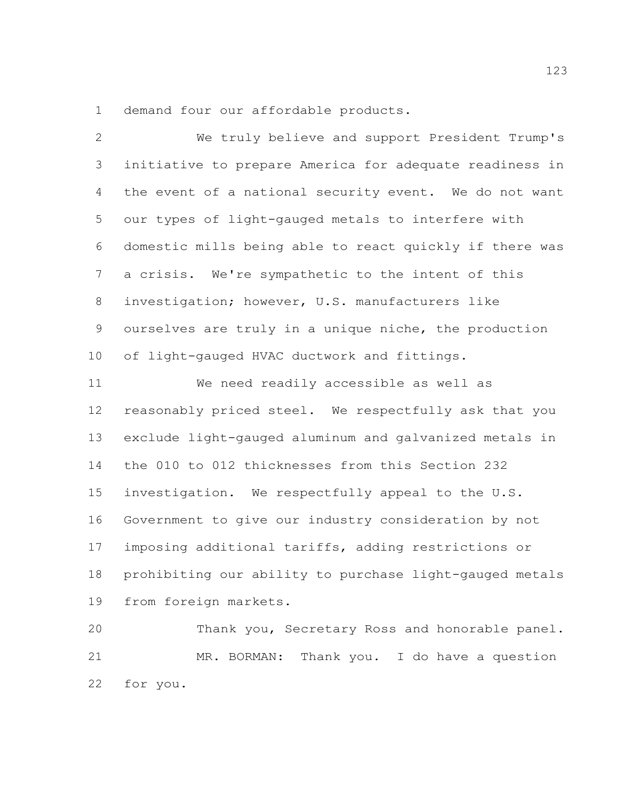demand four our affordable products.

 We truly believe and support President Trump's initiative to prepare America for adequate readiness in the event of a national security event. We do not want our types of light-gauged metals to interfere with domestic mills being able to react quickly if there was a crisis. We're sympathetic to the intent of this investigation; however, U.S. manufacturers like ourselves are truly in a unique niche, the production of light-gauged HVAC ductwork and fittings. We need readily accessible as well as reasonably priced steel. We respectfully ask that you exclude light-gauged aluminum and galvanized metals in the 010 to 012 thicknesses from this Section 232 investigation. We respectfully appeal to the U.S. Government to give our industry consideration by not imposing additional tariffs, adding restrictions or prohibiting our ability to purchase light-gauged metals from foreign markets. Thank you, Secretary Ross and honorable panel.

 MR. BORMAN: Thank you. I do have a question for you.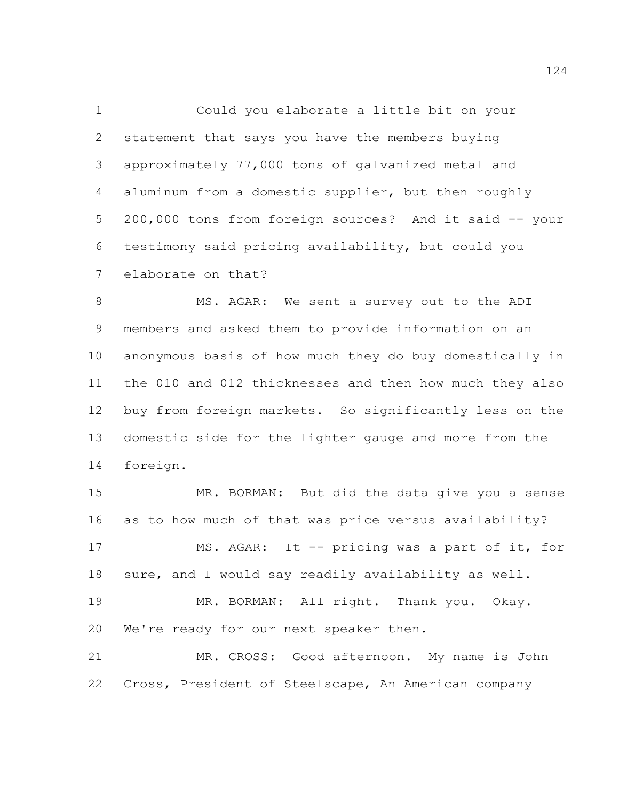Could you elaborate a little bit on your statement that says you have the members buying approximately 77,000 tons of galvanized metal and aluminum from a domestic supplier, but then roughly 200,000 tons from foreign sources? And it said -- your testimony said pricing availability, but could you elaborate on that?

8 MS. AGAR: We sent a survey out to the ADI members and asked them to provide information on an anonymous basis of how much they do buy domestically in the 010 and 012 thicknesses and then how much they also buy from foreign markets. So significantly less on the domestic side for the lighter gauge and more from the foreign.

 MR. BORMAN: But did the data give you a sense as to how much of that was price versus availability? MS. AGAR: It -- pricing was a part of it, for sure, and I would say readily availability as well. MR. BORMAN: All right. Thank you. Okay. We're ready for our next speaker then. MR. CROSS: Good afternoon. My name is John

Cross, President of Steelscape, An American company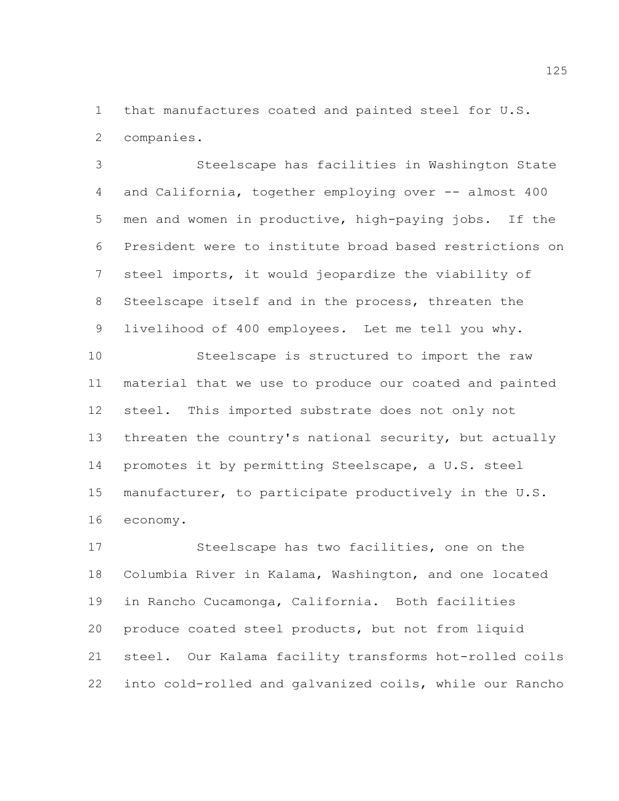that manufactures coated and painted steel for U.S. companies.

 Steelscape has facilities in Washington State and California, together employing over -- almost 400 men and women in productive, high-paying jobs. If the President were to institute broad based restrictions on steel imports, it would jeopardize the viability of Steelscape itself and in the process, threaten the livelihood of 400 employees. Let me tell you why. Steelscape is structured to import the raw

 material that we use to produce our coated and painted steel. This imported substrate does not only not threaten the country's national security, but actually promotes it by permitting Steelscape, a U.S. steel manufacturer, to participate productively in the U.S. economy.

 Steelscape has two facilities, one on the Columbia River in Kalama, Washington, and one located in Rancho Cucamonga, California. Both facilities produce coated steel products, but not from liquid steel. Our Kalama facility transforms hot-rolled coils into cold-rolled and galvanized coils, while our Rancho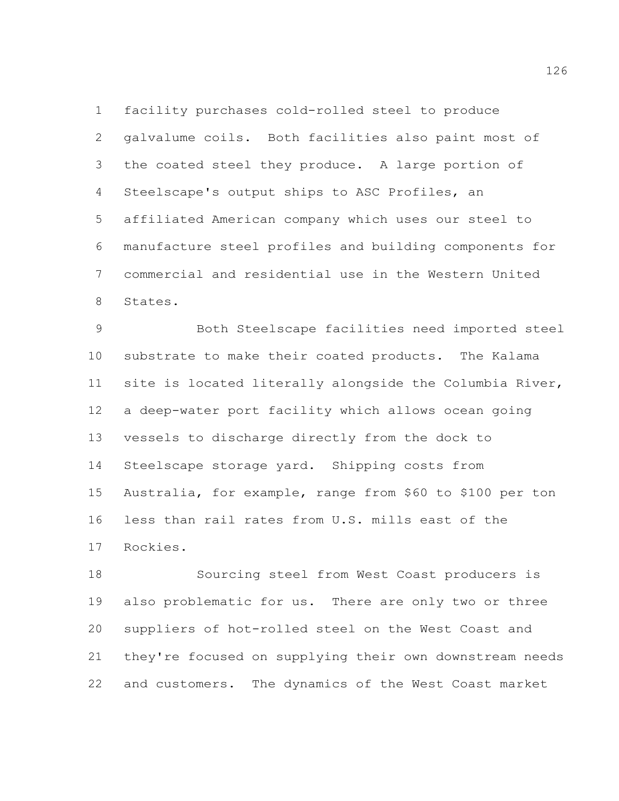facility purchases cold-rolled steel to produce galvalume coils. Both facilities also paint most of the coated steel they produce. A large portion of Steelscape's output ships to ASC Profiles, an affiliated American company which uses our steel to manufacture steel profiles and building components for commercial and residential use in the Western United States.

 Both Steelscape facilities need imported steel substrate to make their coated products. The Kalama site is located literally alongside the Columbia River, a deep-water port facility which allows ocean going vessels to discharge directly from the dock to Steelscape storage yard. Shipping costs from Australia, for example, range from \$60 to \$100 per ton less than rail rates from U.S. mills east of the Rockies.

 Sourcing steel from West Coast producers is also problematic for us. There are only two or three suppliers of hot-rolled steel on the West Coast and they're focused on supplying their own downstream needs and customers. The dynamics of the West Coast market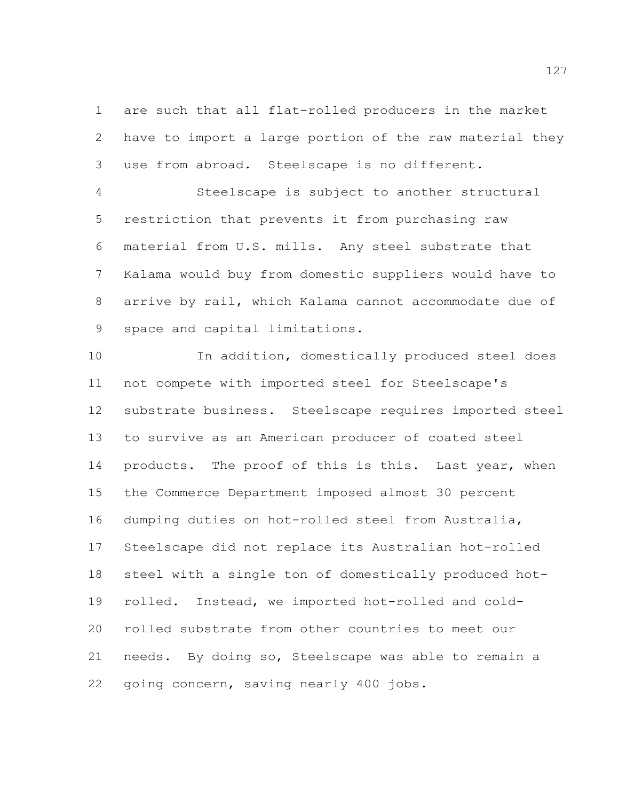are such that all flat-rolled producers in the market have to import a large portion of the raw material they use from abroad. Steelscape is no different.

 Steelscape is subject to another structural restriction that prevents it from purchasing raw material from U.S. mills. Any steel substrate that Kalama would buy from domestic suppliers would have to arrive by rail, which Kalama cannot accommodate due of space and capital limitations.

 In addition, domestically produced steel does not compete with imported steel for Steelscape's substrate business. Steelscape requires imported steel to survive as an American producer of coated steel 14 products. The proof of this is this. Last year, when the Commerce Department imposed almost 30 percent dumping duties on hot-rolled steel from Australia, Steelscape did not replace its Australian hot-rolled steel with a single ton of domestically produced hot- rolled. Instead, we imported hot-rolled and cold- rolled substrate from other countries to meet our needs. By doing so, Steelscape was able to remain a going concern, saving nearly 400 jobs.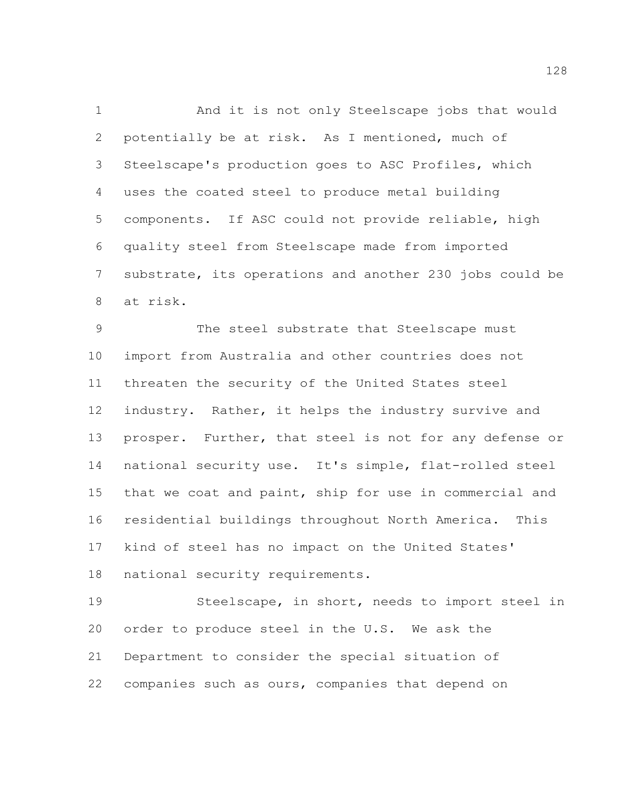And it is not only Steelscape jobs that would potentially be at risk. As I mentioned, much of Steelscape's production goes to ASC Profiles, which uses the coated steel to produce metal building components. If ASC could not provide reliable, high quality steel from Steelscape made from imported substrate, its operations and another 230 jobs could be at risk.

 The steel substrate that Steelscape must import from Australia and other countries does not threaten the security of the United States steel industry. Rather, it helps the industry survive and prosper. Further, that steel is not for any defense or national security use. It's simple, flat-rolled steel that we coat and paint, ship for use in commercial and residential buildings throughout North America. This kind of steel has no impact on the United States' national security requirements.

 Steelscape, in short, needs to import steel in order to produce steel in the U.S. We ask the Department to consider the special situation of companies such as ours, companies that depend on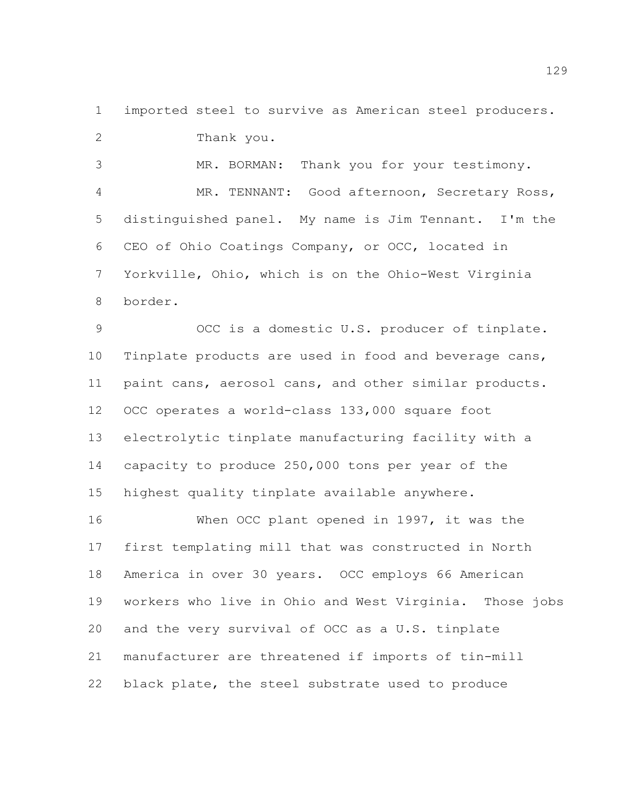imported steel to survive as American steel producers. Thank you.

 MR. BORMAN: Thank you for your testimony. MR. TENNANT: Good afternoon, Secretary Ross, distinguished panel. My name is Jim Tennant. I'm the CEO of Ohio Coatings Company, or OCC, located in Yorkville, Ohio, which is on the Ohio-West Virginia border.

 OCC is a domestic U.S. producer of tinplate. Tinplate products are used in food and beverage cans, paint cans, aerosol cans, and other similar products. OCC operates a world-class 133,000 square foot electrolytic tinplate manufacturing facility with a capacity to produce 250,000 tons per year of the highest quality tinplate available anywhere.

 When OCC plant opened in 1997, it was the first templating mill that was constructed in North America in over 30 years. OCC employs 66 American workers who live in Ohio and West Virginia. Those jobs and the very survival of OCC as a U.S. tinplate manufacturer are threatened if imports of tin-mill black plate, the steel substrate used to produce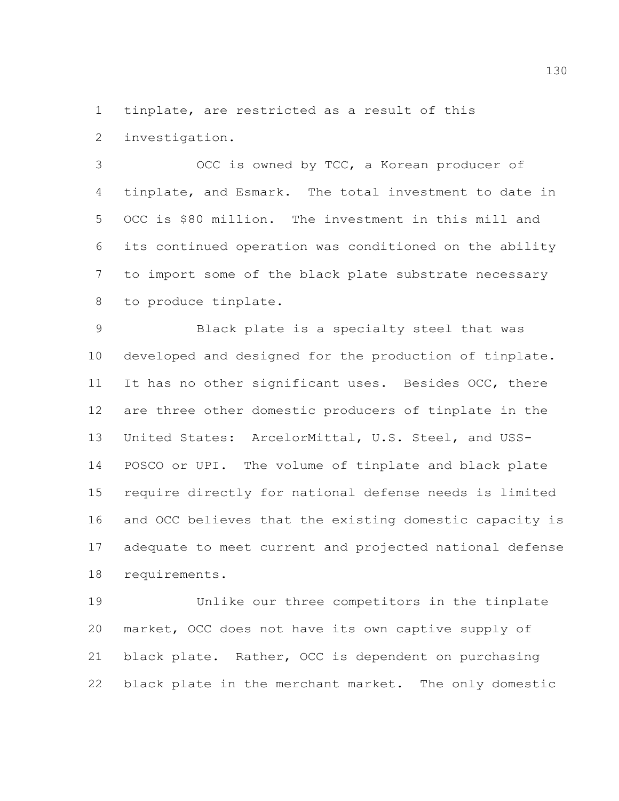tinplate, are restricted as a result of this

investigation.

 OCC is owned by TCC, a Korean producer of tinplate, and Esmark. The total investment to date in OCC is \$80 million. The investment in this mill and its continued operation was conditioned on the ability to import some of the black plate substrate necessary to produce tinplate.

 Black plate is a specialty steel that was developed and designed for the production of tinplate. 11 It has no other significant uses. Besides OCC, there are three other domestic producers of tinplate in the United States: ArcelorMittal, U.S. Steel, and USS- POSCO or UPI. The volume of tinplate and black plate require directly for national defense needs is limited and OCC believes that the existing domestic capacity is adequate to meet current and projected national defense requirements.

 Unlike our three competitors in the tinplate market, OCC does not have its own captive supply of black plate. Rather, OCC is dependent on purchasing black plate in the merchant market. The only domestic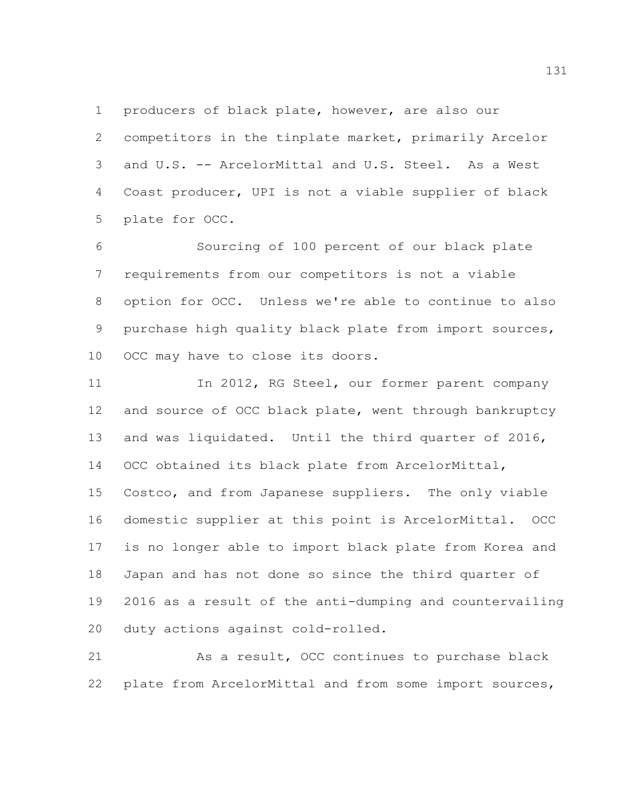producers of black plate, however, are also our competitors in the tinplate market, primarily Arcelor and U.S. -- ArcelorMittal and U.S. Steel. As a West Coast producer, UPI is not a viable supplier of black plate for OCC.

 Sourcing of 100 percent of our black plate requirements from our competitors is not a viable option for OCC. Unless we're able to continue to also purchase high quality black plate from import sources, OCC may have to close its doors.

11 In 2012, RG Steel, our former parent company and source of OCC black plate, went through bankruptcy and was liquidated. Until the third quarter of 2016, OCC obtained its black plate from ArcelorMittal, Costco, and from Japanese suppliers. The only viable domestic supplier at this point is ArcelorMittal. OCC is no longer able to import black plate from Korea and Japan and has not done so since the third quarter of 2016 as a result of the anti-dumping and countervailing duty actions against cold-rolled.

 As a result, OCC continues to purchase black plate from ArcelorMittal and from some import sources,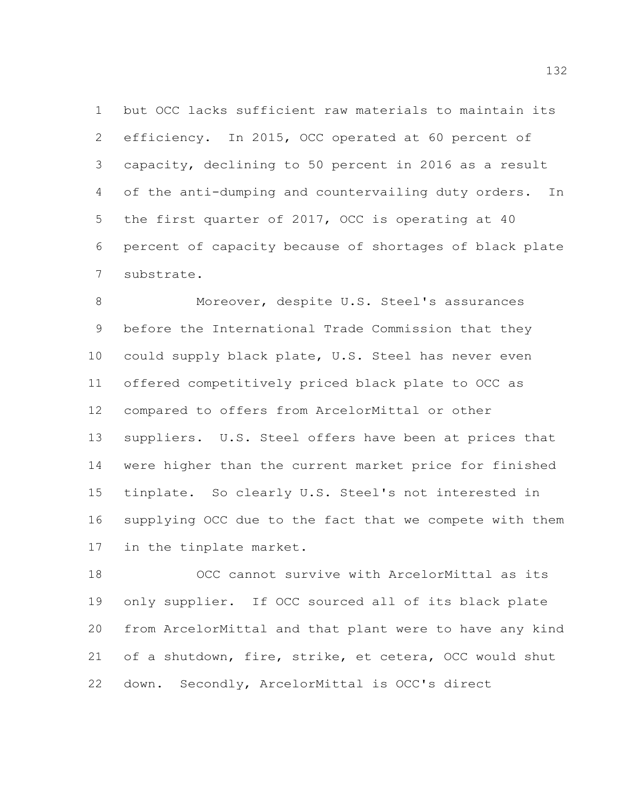but OCC lacks sufficient raw materials to maintain its efficiency. In 2015, OCC operated at 60 percent of capacity, declining to 50 percent in 2016 as a result of the anti-dumping and countervailing duty orders. In the first quarter of 2017, OCC is operating at 40 percent of capacity because of shortages of black plate substrate.

 Moreover, despite U.S. Steel's assurances before the International Trade Commission that they could supply black plate, U.S. Steel has never even offered competitively priced black plate to OCC as compared to offers from ArcelorMittal or other suppliers. U.S. Steel offers have been at prices that were higher than the current market price for finished tinplate. So clearly U.S. Steel's not interested in supplying OCC due to the fact that we compete with them in the tinplate market.

 OCC cannot survive with ArcelorMittal as its only supplier. If OCC sourced all of its black plate from ArcelorMittal and that plant were to have any kind of a shutdown, fire, strike, et cetera, OCC would shut down. Secondly, ArcelorMittal is OCC's direct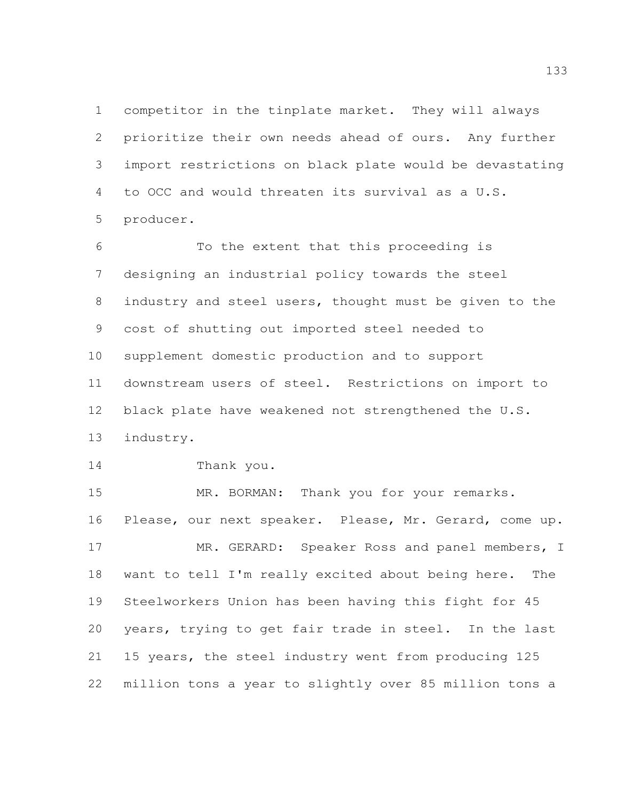competitor in the tinplate market. They will always prioritize their own needs ahead of ours. Any further import restrictions on black plate would be devastating to OCC and would threaten its survival as a U.S. producer.

 To the extent that this proceeding is designing an industrial policy towards the steel industry and steel users, thought must be given to the cost of shutting out imported steel needed to supplement domestic production and to support downstream users of steel. Restrictions on import to black plate have weakened not strengthened the U.S. industry.

Thank you.

15 MR. BORMAN: Thank you for your remarks. Please, our next speaker. Please, Mr. Gerard, come up. MR. GERARD: Speaker Ross and panel members, I want to tell I'm really excited about being here. The Steelworkers Union has been having this fight for 45 years, trying to get fair trade in steel. In the last 15 years, the steel industry went from producing 125 million tons a year to slightly over 85 million tons a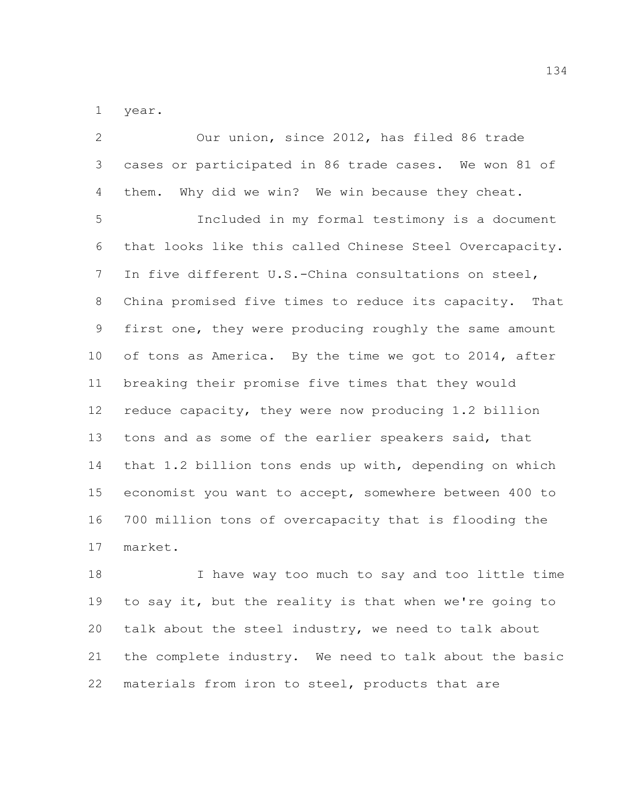year.

| $\overline{2}$  | Our union, since 2012, has filed 86 trade               |
|-----------------|---------------------------------------------------------|
| 3               | cases or participated in 86 trade cases. We won 81 of   |
| 4               | them. Why did we win? We win because they cheat.        |
| 5               | Included in my formal testimony is a document           |
| 6               | that looks like this called Chinese Steel Overcapacity. |
| $7\phantom{.}$  | In five different U.S.-China consultations on steel,    |
| 8               | China promised five times to reduce its capacity. That  |
| 9               | first one, they were producing roughly the same amount  |
| 10 <sub>o</sub> | of tons as America. By the time we got to 2014, after   |
| 11              | breaking their promise five times that they would       |
| 12              | reduce capacity, they were now producing 1.2 billion    |
| 13              | tons and as some of the earlier speakers said, that     |
| 14              | that 1.2 billion tons ends up with, depending on which  |
| 15              | economist you want to accept, somewhere between 400 to  |
| 16              | 700 million tons of overcapacity that is flooding the   |
| 17              | market.                                                 |
|                 |                                                         |

 I have way too much to say and too little time to say it, but the reality is that when we're going to talk about the steel industry, we need to talk about the complete industry. We need to talk about the basic materials from iron to steel, products that are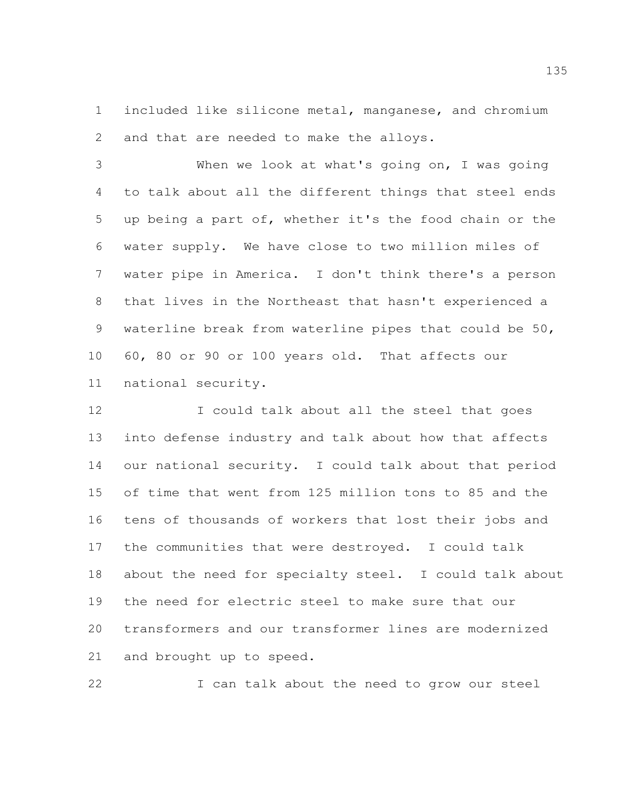included like silicone metal, manganese, and chromium and that are needed to make the alloys.

 When we look at what's going on, I was going to talk about all the different things that steel ends up being a part of, whether it's the food chain or the water supply. We have close to two million miles of water pipe in America. I don't think there's a person that lives in the Northeast that hasn't experienced a waterline break from waterline pipes that could be 50, 60, 80 or 90 or 100 years old. That affects our national security.

12 I could talk about all the steel that goes into defense industry and talk about how that affects our national security. I could talk about that period of time that went from 125 million tons to 85 and the tens of thousands of workers that lost their jobs and the communities that were destroyed. I could talk about the need for specialty steel. I could talk about the need for electric steel to make sure that our transformers and our transformer lines are modernized and brought up to speed.

I can talk about the need to grow our steel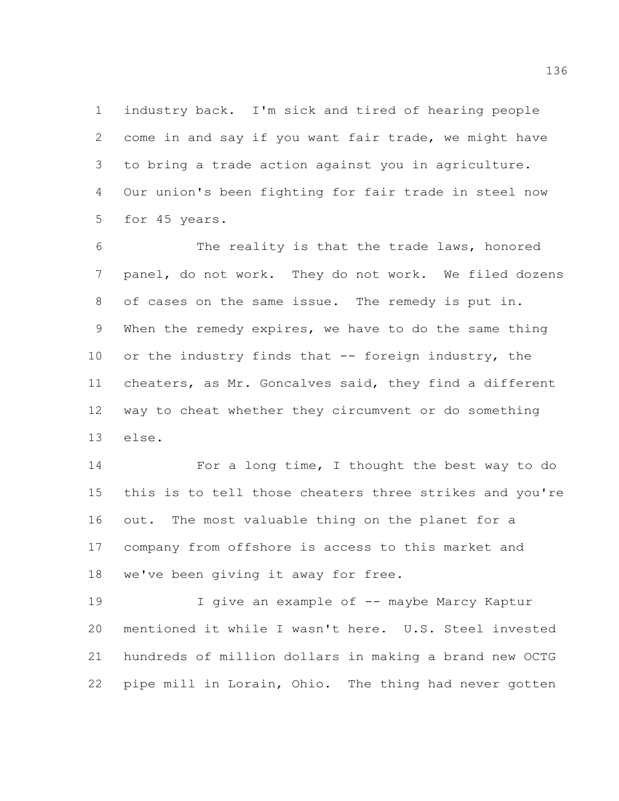industry back. I'm sick and tired of hearing people come in and say if you want fair trade, we might have to bring a trade action against you in agriculture. Our union's been fighting for fair trade in steel now for 45 years.

 The reality is that the trade laws, honored panel, do not work. They do not work. We filed dozens of cases on the same issue. The remedy is put in. When the remedy expires, we have to do the same thing 10 or the industry finds that -- foreign industry, the cheaters, as Mr. Goncalves said, they find a different way to cheat whether they circumvent or do something else.

 For a long time, I thought the best way to do this is to tell those cheaters three strikes and you're out. The most valuable thing on the planet for a company from offshore is access to this market and we've been giving it away for free.

19 I give an example of -- maybe Marcy Kaptur mentioned it while I wasn't here. U.S. Steel invested hundreds of million dollars in making a brand new OCTG pipe mill in Lorain, Ohio. The thing had never gotten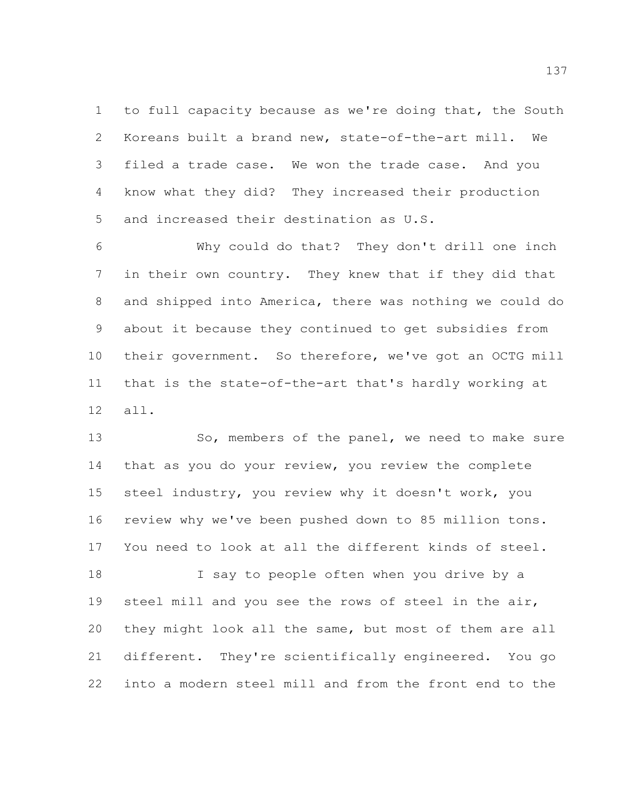to full capacity because as we're doing that, the South Koreans built a brand new, state-of-the-art mill. We filed a trade case. We won the trade case. And you know what they did? They increased their production and increased their destination as U.S.

 Why could do that? They don't drill one inch in their own country. They knew that if they did that and shipped into America, there was nothing we could do about it because they continued to get subsidies from their government. So therefore, we've got an OCTG mill that is the state-of-the-art that's hardly working at all.

13 So, members of the panel, we need to make sure that as you do your review, you review the complete steel industry, you review why it doesn't work, you review why we've been pushed down to 85 million tons. You need to look at all the different kinds of steel.

18 I say to people often when you drive by a steel mill and you see the rows of steel in the air, they might look all the same, but most of them are all different. They're scientifically engineered. You go into a modern steel mill and from the front end to the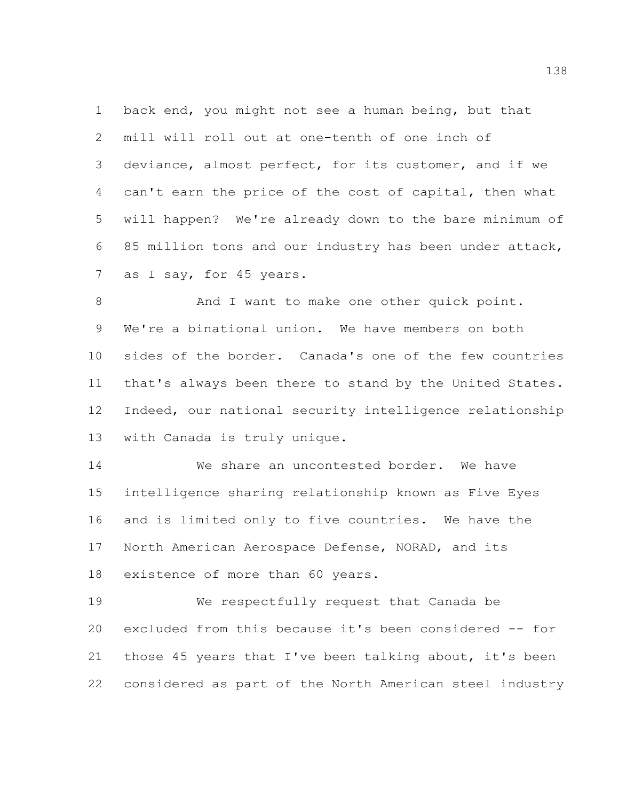back end, you might not see a human being, but that mill will roll out at one-tenth of one inch of deviance, almost perfect, for its customer, and if we can't earn the price of the cost of capital, then what will happen? We're already down to the bare minimum of 85 million tons and our industry has been under attack, 7 as I say, for 45 years.

8 And I want to make one other quick point. We're a binational union. We have members on both sides of the border. Canada's one of the few countries that's always been there to stand by the United States. Indeed, our national security intelligence relationship with Canada is truly unique.

 We share an uncontested border. We have intelligence sharing relationship known as Five Eyes and is limited only to five countries. We have the North American Aerospace Defense, NORAD, and its existence of more than 60 years.

 We respectfully request that Canada be excluded from this because it's been considered -- for those 45 years that I've been talking about, it's been considered as part of the North American steel industry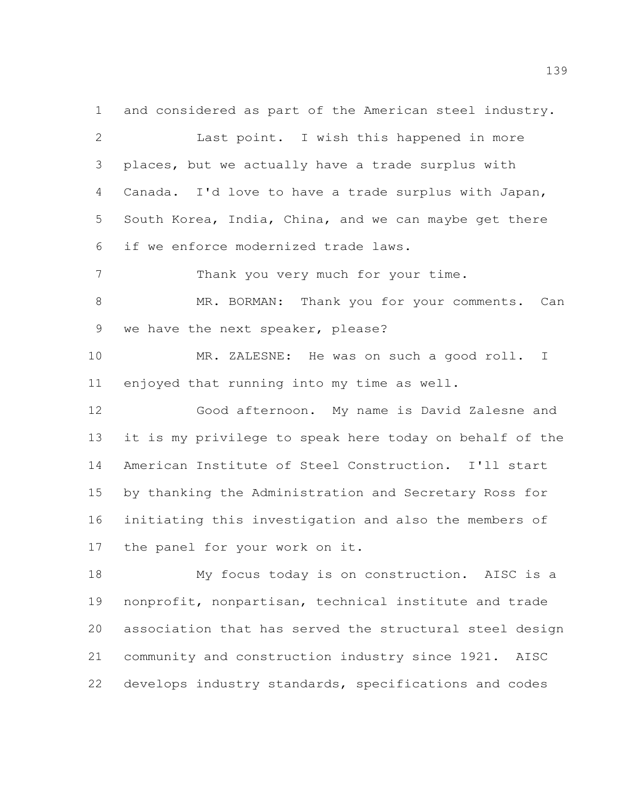and considered as part of the American steel industry. Last point. I wish this happened in more places, but we actually have a trade surplus with Canada. I'd love to have a trade surplus with Japan, South Korea, India, China, and we can maybe get there

if we enforce modernized trade laws.

7 Thank you very much for your time.

 MR. BORMAN: Thank you for your comments. Can we have the next speaker, please?

 MR. ZALESNE: He was on such a good roll. I enjoyed that running into my time as well.

 Good afternoon. My name is David Zalesne and it is my privilege to speak here today on behalf of the American Institute of Steel Construction. I'll start by thanking the Administration and Secretary Ross for initiating this investigation and also the members of the panel for your work on it.

 My focus today is on construction. AISC is a nonprofit, nonpartisan, technical institute and trade association that has served the structural steel design community and construction industry since 1921. AISC develops industry standards, specifications and codes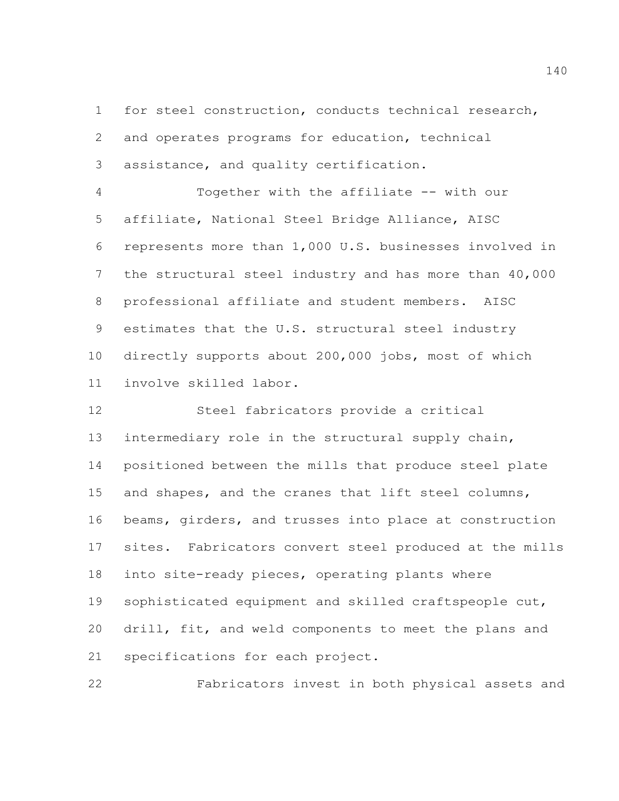for steel construction, conducts technical research, and operates programs for education, technical assistance, and quality certification.

 Together with the affiliate -- with our affiliate, National Steel Bridge Alliance, AISC represents more than 1,000 U.S. businesses involved in the structural steel industry and has more than 40,000 professional affiliate and student members. AISC estimates that the U.S. structural steel industry directly supports about 200,000 jobs, most of which involve skilled labor.

 Steel fabricators provide a critical intermediary role in the structural supply chain, positioned between the mills that produce steel plate and shapes, and the cranes that lift steel columns, beams, girders, and trusses into place at construction sites. Fabricators convert steel produced at the mills into site-ready pieces, operating plants where sophisticated equipment and skilled craftspeople cut, drill, fit, and weld components to meet the plans and specifications for each project.

Fabricators invest in both physical assets and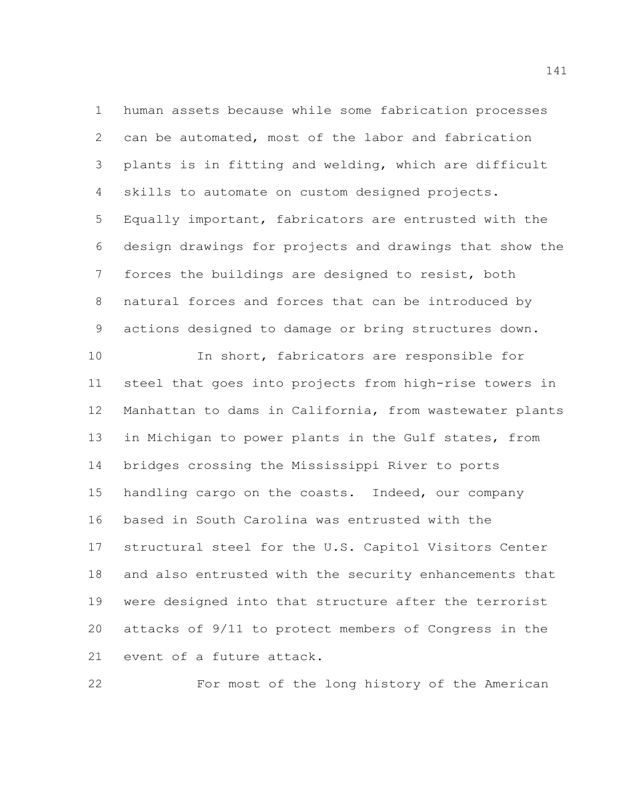human assets because while some fabrication processes can be automated, most of the labor and fabrication plants is in fitting and welding, which are difficult skills to automate on custom designed projects. Equally important, fabricators are entrusted with the design drawings for projects and drawings that show the forces the buildings are designed to resist, both natural forces and forces that can be introduced by actions designed to damage or bring structures down.

 In short, fabricators are responsible for steel that goes into projects from high-rise towers in Manhattan to dams in California, from wastewater plants in Michigan to power plants in the Gulf states, from bridges crossing the Mississippi River to ports handling cargo on the coasts. Indeed, our company based in South Carolina was entrusted with the structural steel for the U.S. Capitol Visitors Center and also entrusted with the security enhancements that were designed into that structure after the terrorist attacks of 9/11 to protect members of Congress in the event of a future attack.

For most of the long history of the American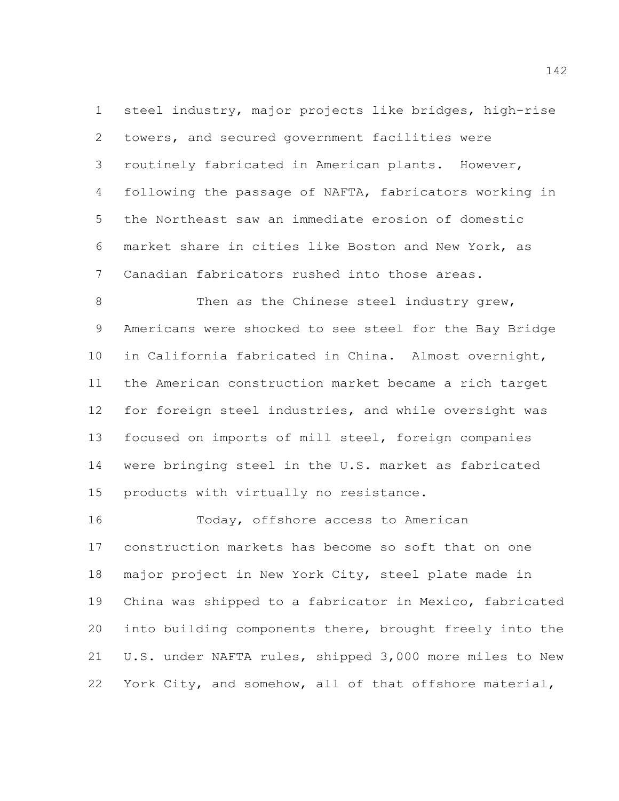steel industry, major projects like bridges, high-rise towers, and secured government facilities were routinely fabricated in American plants. However, following the passage of NAFTA, fabricators working in the Northeast saw an immediate erosion of domestic market share in cities like Boston and New York, as Canadian fabricators rushed into those areas.

8 Then as the Chinese steel industry grew, Americans were shocked to see steel for the Bay Bridge in California fabricated in China. Almost overnight, the American construction market became a rich target for foreign steel industries, and while oversight was focused on imports of mill steel, foreign companies were bringing steel in the U.S. market as fabricated products with virtually no resistance.

 Today, offshore access to American construction markets has become so soft that on one major project in New York City, steel plate made in China was shipped to a fabricator in Mexico, fabricated into building components there, brought freely into the U.S. under NAFTA rules, shipped 3,000 more miles to New York City, and somehow, all of that offshore material,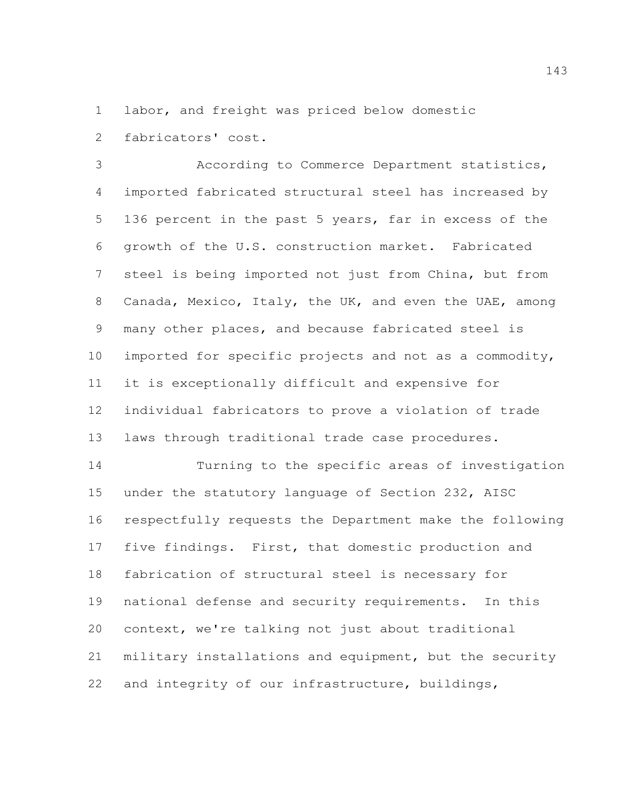labor, and freight was priced below domestic fabricators' cost.

 According to Commerce Department statistics, imported fabricated structural steel has increased by 136 percent in the past 5 years, far in excess of the growth of the U.S. construction market. Fabricated steel is being imported not just from China, but from Canada, Mexico, Italy, the UK, and even the UAE, among many other places, and because fabricated steel is imported for specific projects and not as a commodity, it is exceptionally difficult and expensive for individual fabricators to prove a violation of trade laws through traditional trade case procedures.

 Turning to the specific areas of investigation under the statutory language of Section 232, AISC respectfully requests the Department make the following five findings. First, that domestic production and fabrication of structural steel is necessary for national defense and security requirements. In this context, we're talking not just about traditional military installations and equipment, but the security and integrity of our infrastructure, buildings,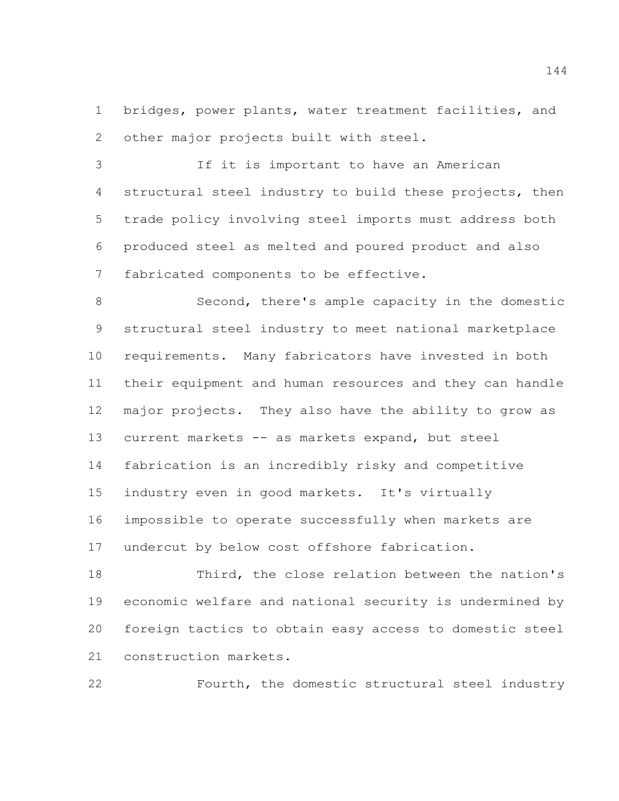bridges, power plants, water treatment facilities, and other major projects built with steel.

 If it is important to have an American structural steel industry to build these projects, then trade policy involving steel imports must address both produced steel as melted and poured product and also fabricated components to be effective.

 Second, there's ample capacity in the domestic structural steel industry to meet national marketplace requirements. Many fabricators have invested in both their equipment and human resources and they can handle major projects. They also have the ability to grow as current markets -- as markets expand, but steel fabrication is an incredibly risky and competitive industry even in good markets. It's virtually impossible to operate successfully when markets are undercut by below cost offshore fabrication.

 Third, the close relation between the nation's economic welfare and national security is undermined by foreign tactics to obtain easy access to domestic steel construction markets.

Fourth, the domestic structural steel industry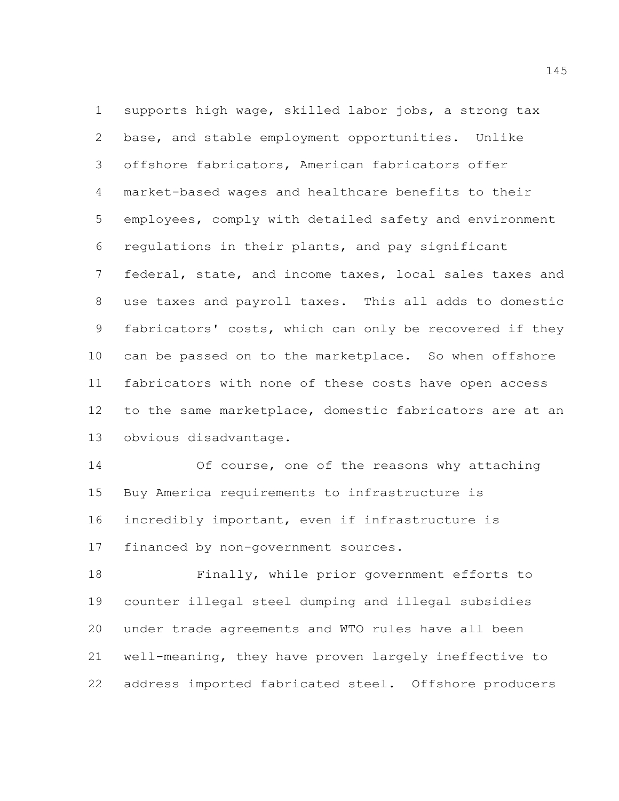supports high wage, skilled labor jobs, a strong tax base, and stable employment opportunities. Unlike offshore fabricators, American fabricators offer market-based wages and healthcare benefits to their employees, comply with detailed safety and environment regulations in their plants, and pay significant federal, state, and income taxes, local sales taxes and use taxes and payroll taxes. This all adds to domestic fabricators' costs, which can only be recovered if they can be passed on to the marketplace. So when offshore fabricators with none of these costs have open access to the same marketplace, domestic fabricators are at an obvious disadvantage.

 Of course, one of the reasons why attaching Buy America requirements to infrastructure is incredibly important, even if infrastructure is financed by non-government sources.

 Finally, while prior government efforts to counter illegal steel dumping and illegal subsidies under trade agreements and WTO rules have all been well-meaning, they have proven largely ineffective to address imported fabricated steel. Offshore producers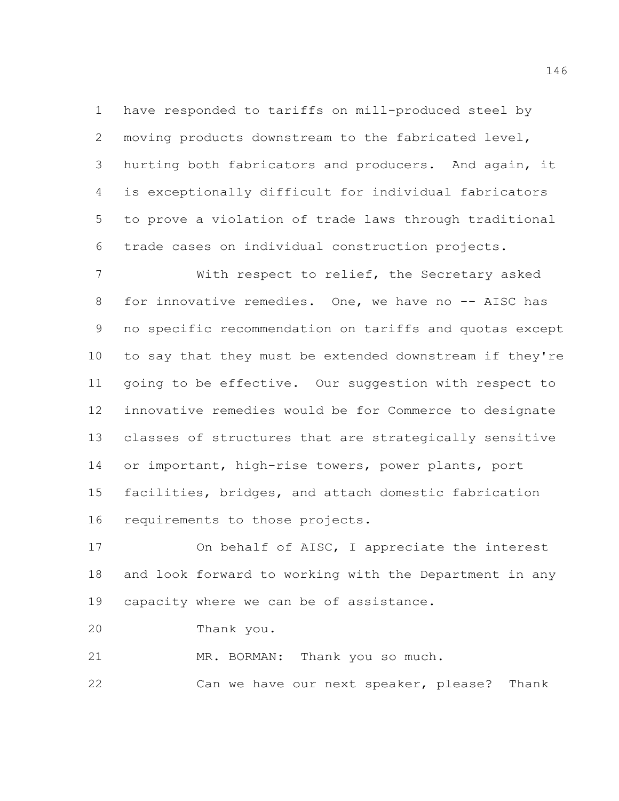have responded to tariffs on mill-produced steel by moving products downstream to the fabricated level, hurting both fabricators and producers. And again, it is exceptionally difficult for individual fabricators to prove a violation of trade laws through traditional trade cases on individual construction projects.

 With respect to relief, the Secretary asked 8 for innovative remedies. One, we have no -- AISC has no specific recommendation on tariffs and quotas except to say that they must be extended downstream if they're going to be effective. Our suggestion with respect to innovative remedies would be for Commerce to designate classes of structures that are strategically sensitive or important, high-rise towers, power plants, port facilities, bridges, and attach domestic fabrication requirements to those projects.

 On behalf of AISC, I appreciate the interest and look forward to working with the Department in any 19 capacity where we can be of assistance.

Thank you.

21 MR. BORMAN: Thank you so much.

Can we have our next speaker, please? Thank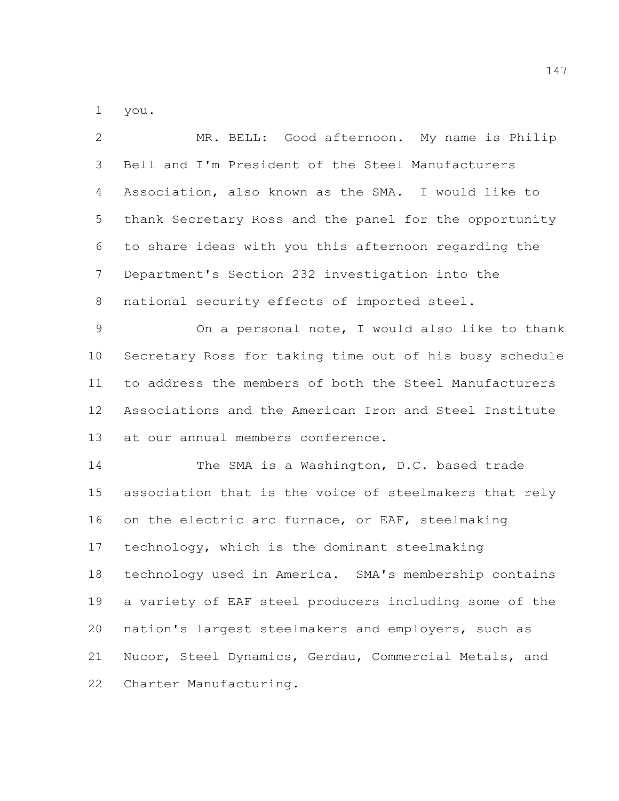you.

| $\mathbf{2}$   | MR. BELL: Good afternoon. My name is Philip             |
|----------------|---------------------------------------------------------|
| 3              | Bell and I'm President of the Steel Manufacturers       |
| 4              | Association, also known as the SMA. I would like to     |
| 5              | thank Secretary Ross and the panel for the opportunity  |
| 6              | to share ideas with you this afternoon regarding the    |
| $7\phantom{.}$ | Department's Section 232 investigation into the         |
| 8              | national security effects of imported steel.            |
| $\mathcal{G}$  | On a personal note, I would also like to thank          |
| 10             | Secretary Ross for taking time out of his busy schedule |
| 11             | to address the members of both the Steel Manufacturers  |
| 12             | Associations and the American Iron and Steel Institute  |
| 13             | at our annual members conference.                       |
| 14             | The SMA is a Washington, D.C. based trade               |
| 15             | association that is the voice of steelmakers that rely  |
| 16             | on the electric arc furnace, or EAF, steelmaking        |
| 17             | technology, which is the dominant steelmaking           |
| 18             | technology used in America. SMA's membership contains   |
| 19             | a variety of EAF steel producers including some of the  |
| 20             | nation's largest steelmakers and employers, such as     |
| 21             | Nucor, Steel Dynamics, Gerdau, Commercial Metals, and   |
| 22             | Charter Manufacturing.                                  |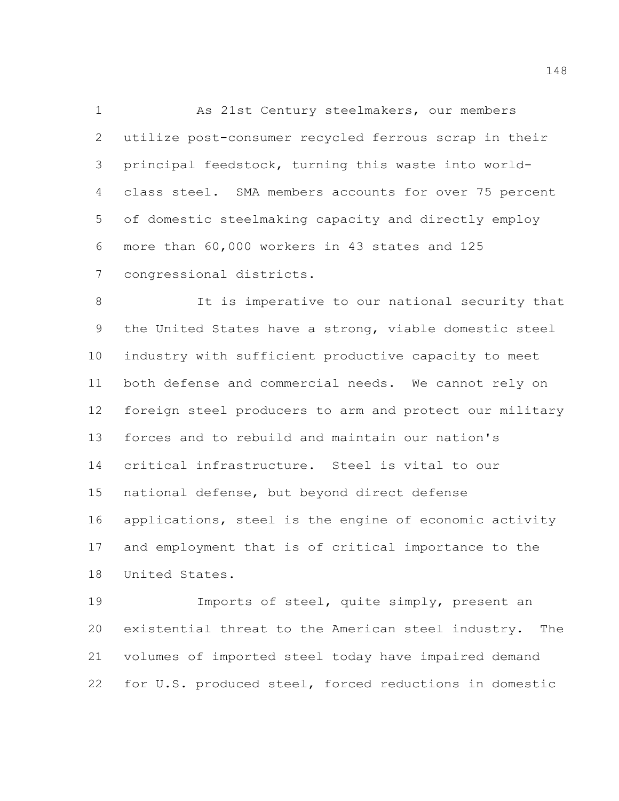As 21st Century steelmakers, our members utilize post-consumer recycled ferrous scrap in their principal feedstock, turning this waste into world- class steel. SMA members accounts for over 75 percent of domestic steelmaking capacity and directly employ more than 60,000 workers in 43 states and 125 congressional districts.

 It is imperative to our national security that the United States have a strong, viable domestic steel industry with sufficient productive capacity to meet both defense and commercial needs. We cannot rely on foreign steel producers to arm and protect our military forces and to rebuild and maintain our nation's critical infrastructure. Steel is vital to our national defense, but beyond direct defense applications, steel is the engine of economic activity and employment that is of critical importance to the United States.

 Imports of steel, quite simply, present an existential threat to the American steel industry. The volumes of imported steel today have impaired demand for U.S. produced steel, forced reductions in domestic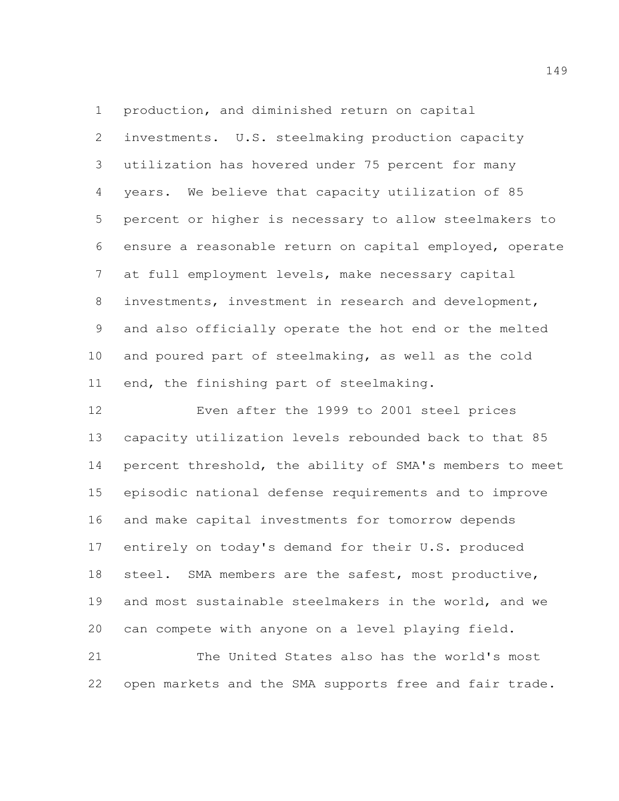production, and diminished return on capital investments. U.S. steelmaking production capacity utilization has hovered under 75 percent for many years. We believe that capacity utilization of 85 percent or higher is necessary to allow steelmakers to ensure a reasonable return on capital employed, operate at full employment levels, make necessary capital investments, investment in research and development, and also officially operate the hot end or the melted and poured part of steelmaking, as well as the cold end, the finishing part of steelmaking.

 Even after the 1999 to 2001 steel prices capacity utilization levels rebounded back to that 85 percent threshold, the ability of SMA's members to meet episodic national defense requirements and to improve and make capital investments for tomorrow depends entirely on today's demand for their U.S. produced steel. SMA members are the safest, most productive, and most sustainable steelmakers in the world, and we can compete with anyone on a level playing field.

 The United States also has the world's most open markets and the SMA supports free and fair trade.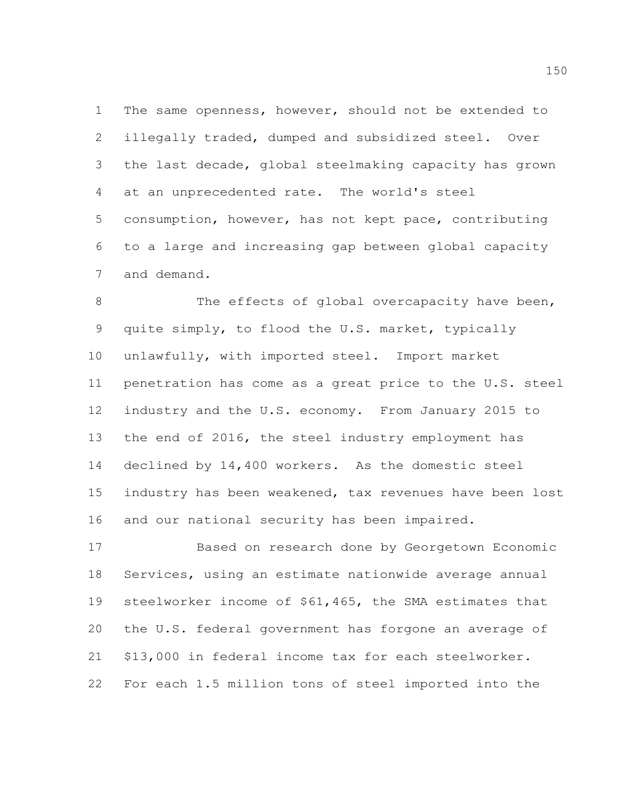The same openness, however, should not be extended to illegally traded, dumped and subsidized steel. Over the last decade, global steelmaking capacity has grown at an unprecedented rate. The world's steel consumption, however, has not kept pace, contributing to a large and increasing gap between global capacity and demand.

8 The effects of global overcapacity have been, quite simply, to flood the U.S. market, typically unlawfully, with imported steel. Import market penetration has come as a great price to the U.S. steel industry and the U.S. economy. From January 2015 to the end of 2016, the steel industry employment has declined by 14,400 workers. As the domestic steel industry has been weakened, tax revenues have been lost and our national security has been impaired.

 Based on research done by Georgetown Economic Services, using an estimate nationwide average annual steelworker income of \$61,465, the SMA estimates that the U.S. federal government has forgone an average of \$13,000 in federal income tax for each steelworker. For each 1.5 million tons of steel imported into the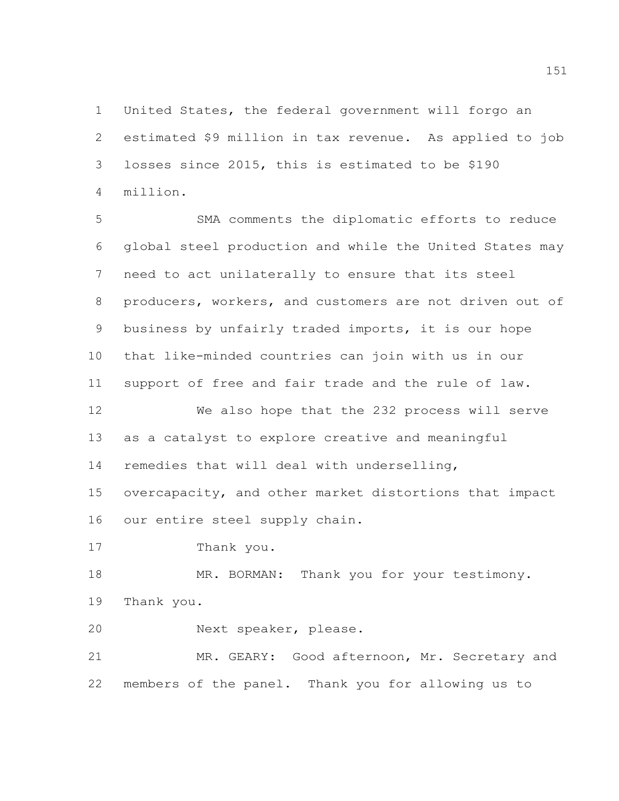United States, the federal government will forgo an estimated \$9 million in tax revenue. As applied to job losses since 2015, this is estimated to be \$190 million.

 SMA comments the diplomatic efforts to reduce global steel production and while the United States may need to act unilaterally to ensure that its steel producers, workers, and customers are not driven out of business by unfairly traded imports, it is our hope that like-minded countries can join with us in our support of free and fair trade and the rule of law. We also hope that the 232 process will serve as a catalyst to explore creative and meaningful

remedies that will deal with underselling,

 overcapacity, and other market distortions that impact our entire steel supply chain.

Thank you.

18 MR. BORMAN: Thank you for your testimony. Thank you.

Next speaker, please.

 MR. GEARY: Good afternoon, Mr. Secretary and members of the panel. Thank you for allowing us to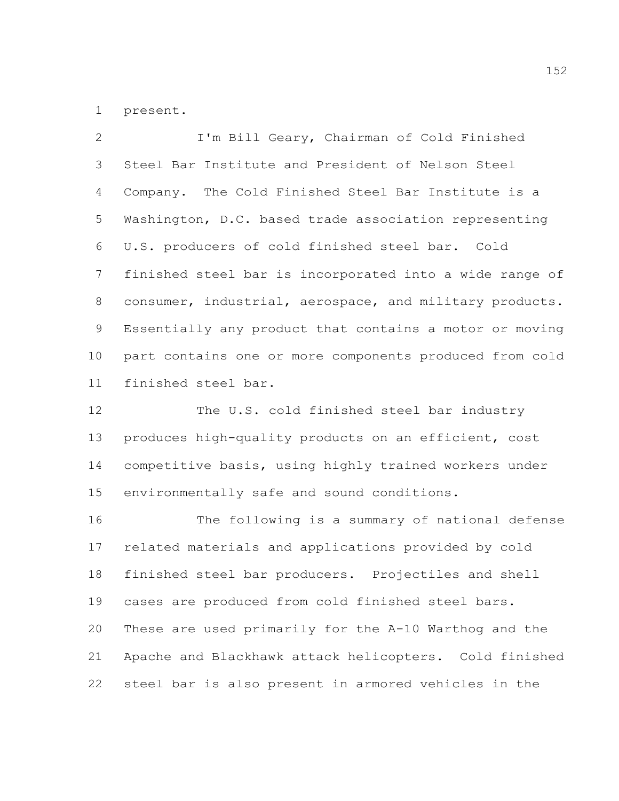present.

 I'm Bill Geary, Chairman of Cold Finished Steel Bar Institute and President of Nelson Steel Company. The Cold Finished Steel Bar Institute is a Washington, D.C. based trade association representing U.S. producers of cold finished steel bar. Cold finished steel bar is incorporated into a wide range of consumer, industrial, aerospace, and military products. Essentially any product that contains a motor or moving part contains one or more components produced from cold finished steel bar.

12 The U.S. cold finished steel bar industry produces high-quality products on an efficient, cost competitive basis, using highly trained workers under environmentally safe and sound conditions.

 The following is a summary of national defense related materials and applications provided by cold finished steel bar producers. Projectiles and shell cases are produced from cold finished steel bars. These are used primarily for the A-10 Warthog and the Apache and Blackhawk attack helicopters. Cold finished steel bar is also present in armored vehicles in the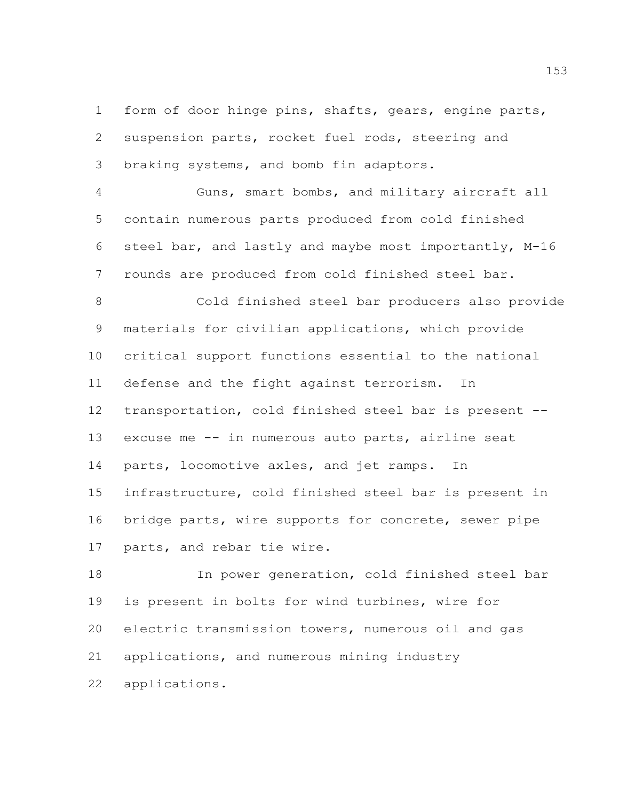form of door hinge pins, shafts, gears, engine parts, suspension parts, rocket fuel rods, steering and braking systems, and bomb fin adaptors.

 Guns, smart bombs, and military aircraft all contain numerous parts produced from cold finished steel bar, and lastly and maybe most importantly, M-16 rounds are produced from cold finished steel bar.

 Cold finished steel bar producers also provide materials for civilian applications, which provide critical support functions essential to the national defense and the fight against terrorism. In transportation, cold finished steel bar is present -- excuse me -- in numerous auto parts, airline seat parts, locomotive axles, and jet ramps. In infrastructure, cold finished steel bar is present in bridge parts, wire supports for concrete, sewer pipe parts, and rebar tie wire.

 In power generation, cold finished steel bar is present in bolts for wind turbines, wire for electric transmission towers, numerous oil and gas applications, and numerous mining industry applications.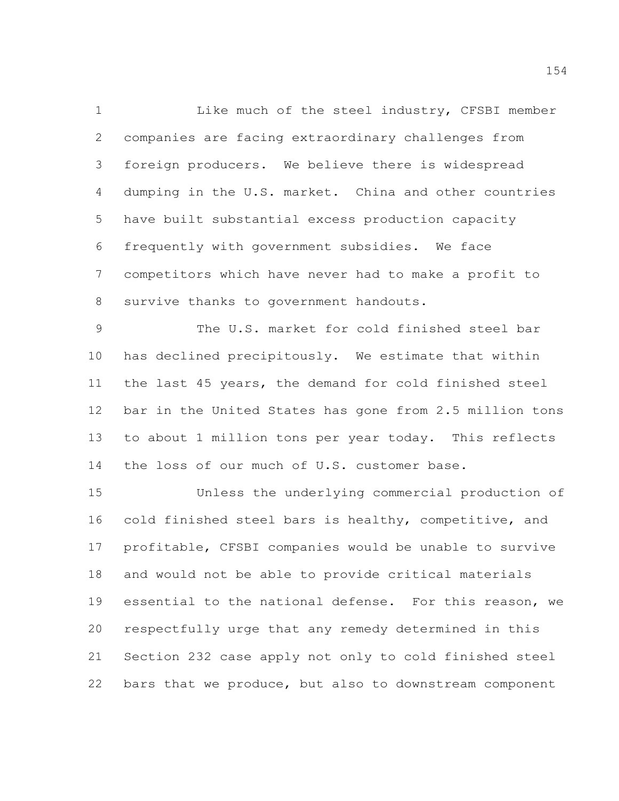1 Like much of the steel industry, CFSBI member companies are facing extraordinary challenges from foreign producers. We believe there is widespread dumping in the U.S. market. China and other countries have built substantial excess production capacity frequently with government subsidies. We face competitors which have never had to make a profit to survive thanks to government handouts.

 The U.S. market for cold finished steel bar has declined precipitously. We estimate that within the last 45 years, the demand for cold finished steel bar in the United States has gone from 2.5 million tons to about 1 million tons per year today. This reflects 14 the loss of our much of U.S. customer base.

 Unless the underlying commercial production of cold finished steel bars is healthy, competitive, and profitable, CFSBI companies would be unable to survive and would not be able to provide critical materials essential to the national defense. For this reason, we respectfully urge that any remedy determined in this Section 232 case apply not only to cold finished steel bars that we produce, but also to downstream component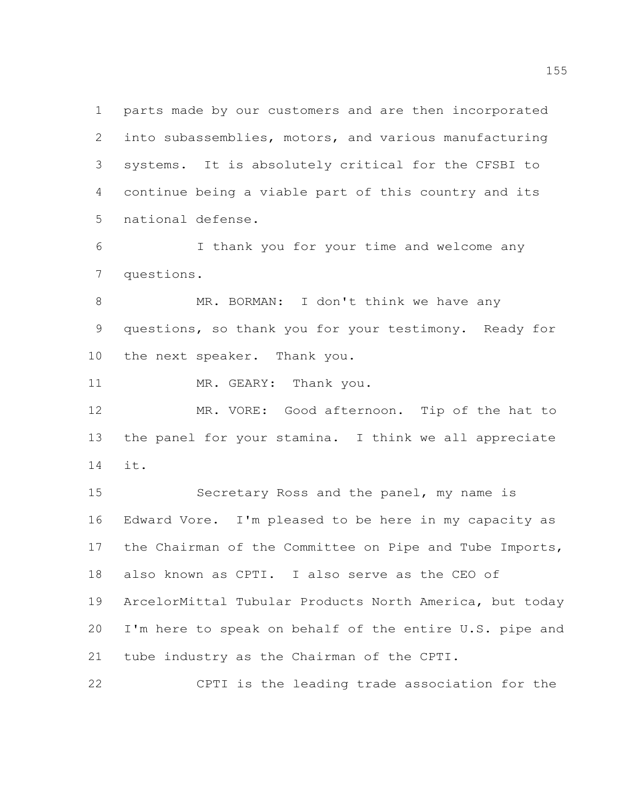parts made by our customers and are then incorporated into subassemblies, motors, and various manufacturing systems. It is absolutely critical for the CFSBI to continue being a viable part of this country and its national defense.

 I thank you for your time and welcome any questions.

 MR. BORMAN: I don't think we have any questions, so thank you for your testimony. Ready for the next speaker. Thank you.

11 MR. GEARY: Thank you.

 MR. VORE: Good afternoon. Tip of the hat to the panel for your stamina. I think we all appreciate it.

 Secretary Ross and the panel, my name is Edward Vore. I'm pleased to be here in my capacity as the Chairman of the Committee on Pipe and Tube Imports, also known as CPTI. I also serve as the CEO of ArcelorMittal Tubular Products North America, but today I'm here to speak on behalf of the entire U.S. pipe and tube industry as the Chairman of the CPTI.

CPTI is the leading trade association for the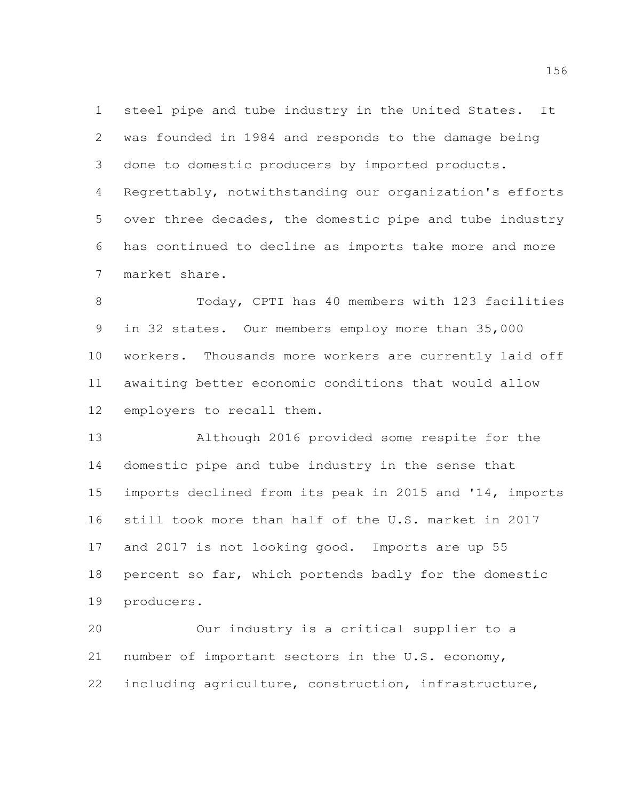steel pipe and tube industry in the United States. It was founded in 1984 and responds to the damage being done to domestic producers by imported products. Regrettably, notwithstanding our organization's efforts over three decades, the domestic pipe and tube industry has continued to decline as imports take more and more market share.

 Today, CPTI has 40 members with 123 facilities in 32 states. Our members employ more than 35,000 workers. Thousands more workers are currently laid off awaiting better economic conditions that would allow employers to recall them.

 Although 2016 provided some respite for the domestic pipe and tube industry in the sense that imports declined from its peak in 2015 and '14, imports still took more than half of the U.S. market in 2017 and 2017 is not looking good. Imports are up 55 percent so far, which portends badly for the domestic producers.

 Our industry is a critical supplier to a number of important sectors in the U.S. economy, including agriculture, construction, infrastructure,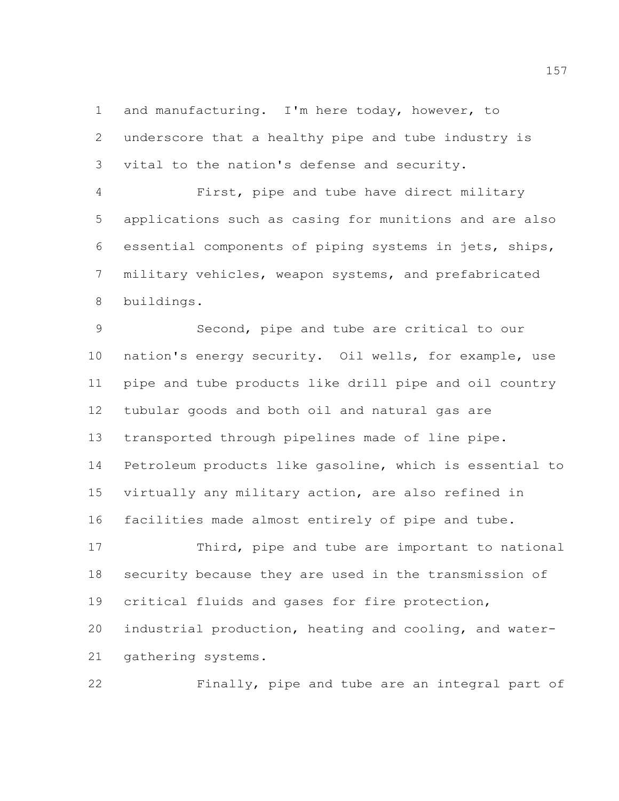and manufacturing. I'm here today, however, to underscore that a healthy pipe and tube industry is vital to the nation's defense and security.

 First, pipe and tube have direct military applications such as casing for munitions and are also essential components of piping systems in jets, ships, military vehicles, weapon systems, and prefabricated buildings.

 Second, pipe and tube are critical to our nation's energy security. Oil wells, for example, use pipe and tube products like drill pipe and oil country tubular goods and both oil and natural gas are transported through pipelines made of line pipe. Petroleum products like gasoline, which is essential to virtually any military action, are also refined in facilities made almost entirely of pipe and tube.

 Third, pipe and tube are important to national security because they are used in the transmission of critical fluids and gases for fire protection, industrial production, heating and cooling, and water-

gathering systems.

Finally, pipe and tube are an integral part of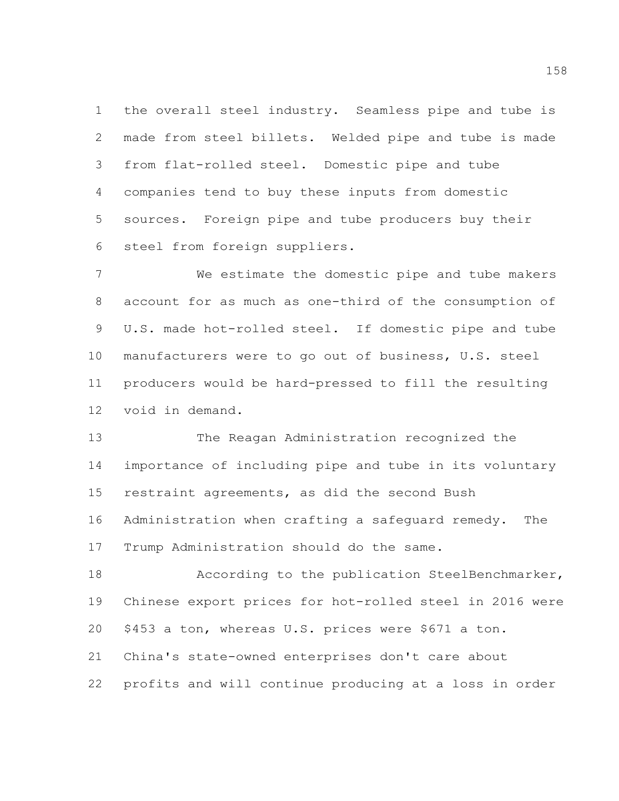the overall steel industry. Seamless pipe and tube is made from steel billets. Welded pipe and tube is made from flat-rolled steel. Domestic pipe and tube companies tend to buy these inputs from domestic sources. Foreign pipe and tube producers buy their steel from foreign suppliers.

 We estimate the domestic pipe and tube makers account for as much as one-third of the consumption of U.S. made hot-rolled steel. If domestic pipe and tube manufacturers were to go out of business, U.S. steel producers would be hard-pressed to fill the resulting void in demand.

 The Reagan Administration recognized the importance of including pipe and tube in its voluntary restraint agreements, as did the second Bush Administration when crafting a safeguard remedy. The Trump Administration should do the same.

 According to the publication SteelBenchmarker, Chinese export prices for hot-rolled steel in 2016 were \$453 a ton, whereas U.S. prices were \$671 a ton. China's state-owned enterprises don't care about profits and will continue producing at a loss in order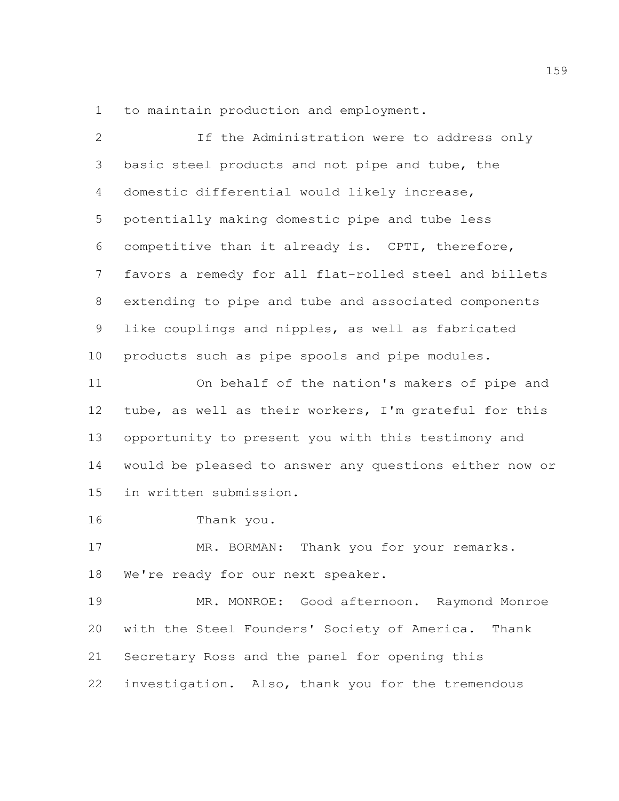to maintain production and employment.

 If the Administration were to address only basic steel products and not pipe and tube, the domestic differential would likely increase, potentially making domestic pipe and tube less competitive than it already is. CPTI, therefore, favors a remedy for all flat-rolled steel and billets extending to pipe and tube and associated components like couplings and nipples, as well as fabricated products such as pipe spools and pipe modules. On behalf of the nation's makers of pipe and tube, as well as their workers, I'm grateful for this opportunity to present you with this testimony and would be pleased to answer any questions either now or in written submission. Thank you. 17 MR. BORMAN: Thank you for your remarks. 18 We're ready for our next speaker. MR. MONROE: Good afternoon. Raymond Monroe with the Steel Founders' Society of America. Thank Secretary Ross and the panel for opening this

investigation. Also, thank you for the tremendous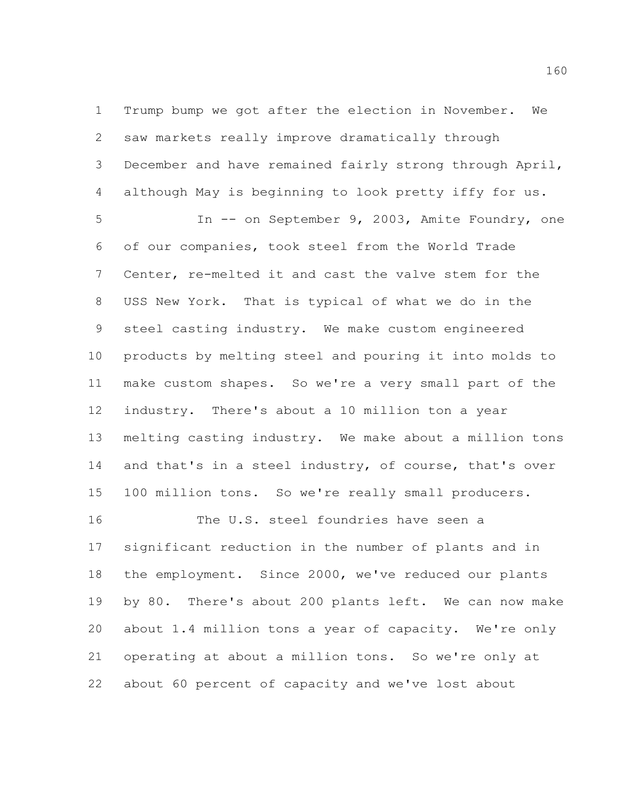Trump bump we got after the election in November. We saw markets really improve dramatically through December and have remained fairly strong through April, although May is beginning to look pretty iffy for us.

 In -- on September 9, 2003, Amite Foundry, one of our companies, took steel from the World Trade Center, re-melted it and cast the valve stem for the USS New York. That is typical of what we do in the steel casting industry. We make custom engineered products by melting steel and pouring it into molds to make custom shapes. So we're a very small part of the industry. There's about a 10 million ton a year melting casting industry. We make about a million tons 14 and that's in a steel industry, of course, that's over 100 million tons. So we're really small producers.

 significant reduction in the number of plants and in the employment. Since 2000, we've reduced our plants by 80. There's about 200 plants left. We can now make about 1.4 million tons a year of capacity. We're only operating at about a million tons. So we're only at about 60 percent of capacity and we've lost about

The U.S. steel foundries have seen a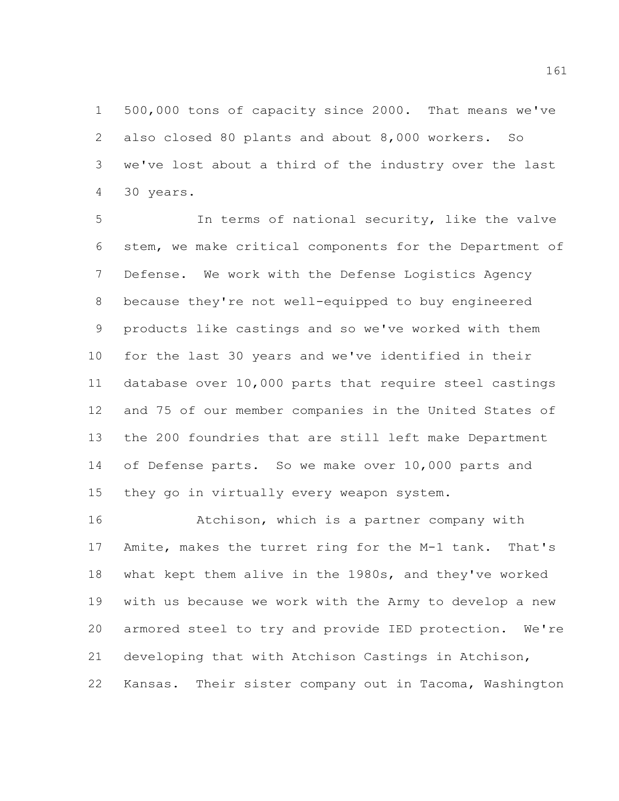500,000 tons of capacity since 2000. That means we've also closed 80 plants and about 8,000 workers. So we've lost about a third of the industry over the last 30 years.

 In terms of national security, like the valve stem, we make critical components for the Department of Defense. We work with the Defense Logistics Agency because they're not well-equipped to buy engineered products like castings and so we've worked with them for the last 30 years and we've identified in their database over 10,000 parts that require steel castings and 75 of our member companies in the United States of the 200 foundries that are still left make Department of Defense parts. So we make over 10,000 parts and they go in virtually every weapon system.

 Atchison, which is a partner company with Amite, makes the turret ring for the M-1 tank. That's what kept them alive in the 1980s, and they've worked with us because we work with the Army to develop a new armored steel to try and provide IED protection. We're developing that with Atchison Castings in Atchison, Kansas. Their sister company out in Tacoma, Washington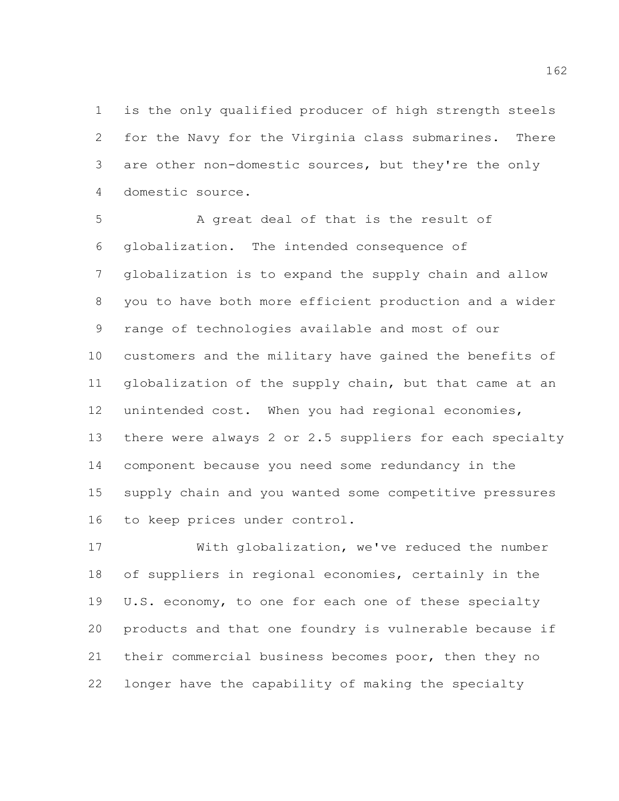is the only qualified producer of high strength steels for the Navy for the Virginia class submarines. There are other non-domestic sources, but they're the only domestic source.

 A great deal of that is the result of globalization. The intended consequence of globalization is to expand the supply chain and allow you to have both more efficient production and a wider range of technologies available and most of our customers and the military have gained the benefits of globalization of the supply chain, but that came at an unintended cost. When you had regional economies, there were always 2 or 2.5 suppliers for each specialty component because you need some redundancy in the supply chain and you wanted some competitive pressures to keep prices under control.

 With globalization, we've reduced the number of suppliers in regional economies, certainly in the U.S. economy, to one for each one of these specialty products and that one foundry is vulnerable because if their commercial business becomes poor, then they no longer have the capability of making the specialty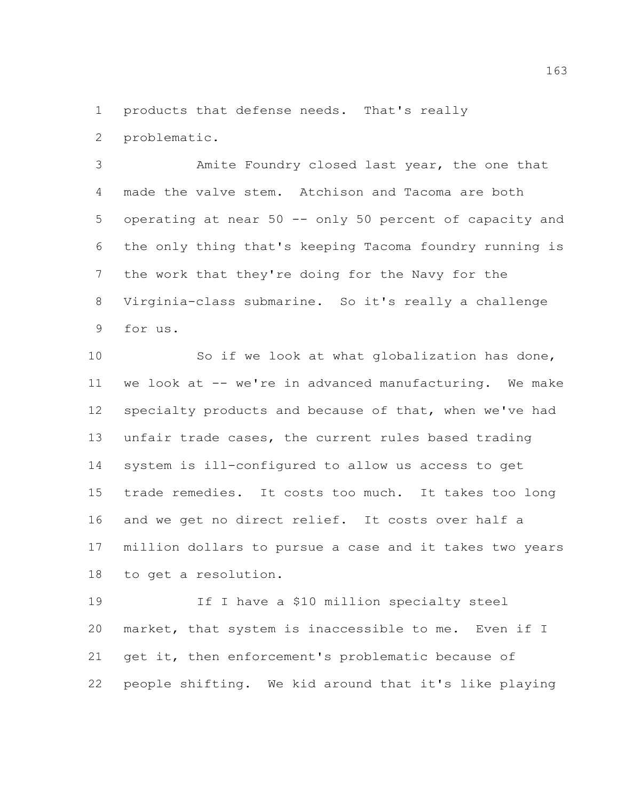products that defense needs. That's really

problematic.

 Amite Foundry closed last year, the one that made the valve stem. Atchison and Tacoma are both operating at near 50 -- only 50 percent of capacity and the only thing that's keeping Tacoma foundry running is the work that they're doing for the Navy for the Virginia-class submarine. So it's really a challenge for us.

 So if we look at what globalization has done, we look at -- we're in advanced manufacturing. We make specialty products and because of that, when we've had unfair trade cases, the current rules based trading system is ill-configured to allow us access to get trade remedies. It costs too much. It takes too long and we get no direct relief. It costs over half a million dollars to pursue a case and it takes two years to get a resolution.

 If I have a \$10 million specialty steel market, that system is inaccessible to me. Even if I get it, then enforcement's problematic because of people shifting. We kid around that it's like playing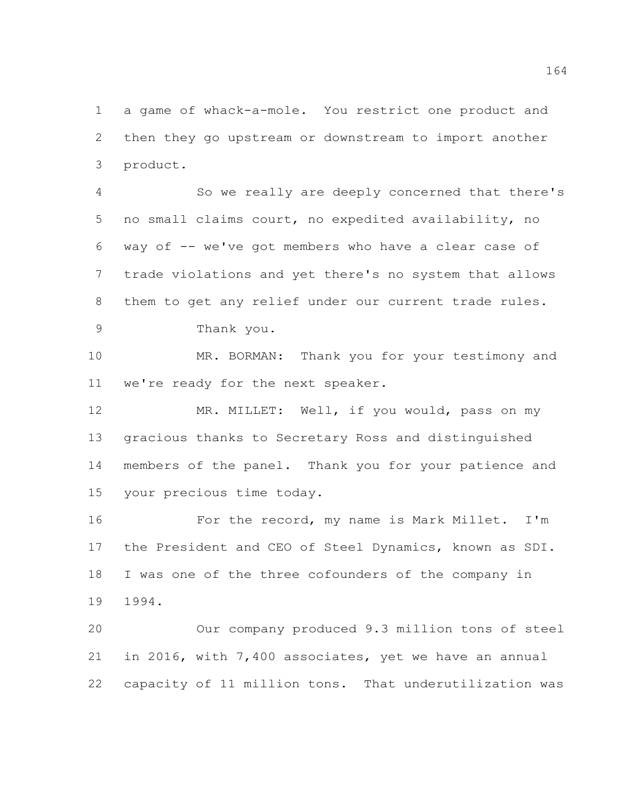a game of whack-a-mole. You restrict one product and then they go upstream or downstream to import another product.

 So we really are deeply concerned that there's no small claims court, no expedited availability, no way of -- we've got members who have a clear case of trade violations and yet there's no system that allows them to get any relief under our current trade rules. Thank you.

 MR. BORMAN: Thank you for your testimony and we're ready for the next speaker.

12 MR. MILLET: Well, if you would, pass on my gracious thanks to Secretary Ross and distinguished members of the panel. Thank you for your patience and your precious time today.

 For the record, my name is Mark Millet. I'm the President and CEO of Steel Dynamics, known as SDI. I was one of the three cofounders of the company in 1994.

 Our company produced 9.3 million tons of steel in 2016, with 7,400 associates, yet we have an annual capacity of 11 million tons. That underutilization was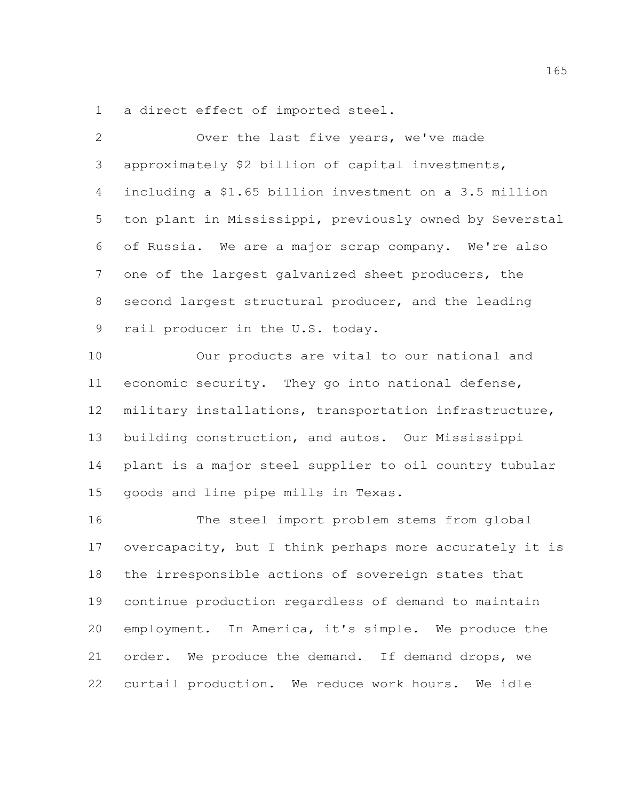a direct effect of imported steel.

| 2               | Over the last five years, we've made                    |
|-----------------|---------------------------------------------------------|
| 3               | approximately \$2 billion of capital investments,       |
| 4               | including a \$1.65 billion investment on a 3.5 million  |
| 5               | ton plant in Mississippi, previously owned by Severstal |
| 6               | of Russia. We are a major scrap company. We're also     |
| $7\phantom{.0}$ | one of the largest galvanized sheet producers, the      |
| 8               | second largest structural producer, and the leading     |
| 9               | rail producer in the U.S. today.                        |
| 10              | Our products are vital to our national and              |
| 11              | economic security. They go into national defense,       |
| 12              | military installations, transportation infrastructure,  |
| 13              | building construction, and autos. Our Mississippi       |
| 14              | plant is a major steel supplier to oil country tubular  |
| 15              | goods and line pipe mills in Texas.                     |
| 16              | The steel import problem stems from global              |
| 17              | overcapacity, but I think perhaps more accurately it is |
| 18              | the irresponsible actions of sovereign states that      |
| 19              | continue production regardless of demand to maintain    |

 order. We produce the demand. If demand drops, we curtail production. We reduce work hours. We idle

employment. In America, it's simple. We produce the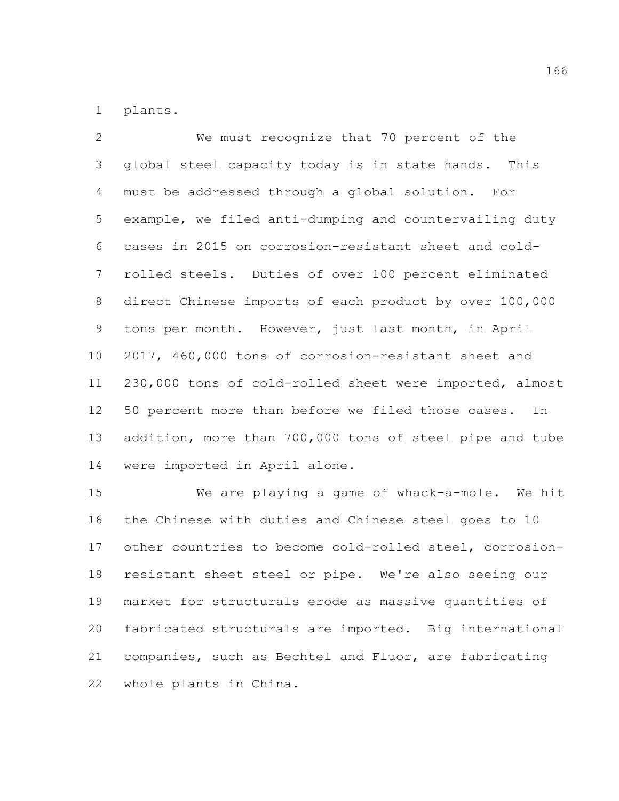plants.

 We must recognize that 70 percent of the global steel capacity today is in state hands. This must be addressed through a global solution. For example, we filed anti-dumping and countervailing duty cases in 2015 on corrosion-resistant sheet and cold- rolled steels. Duties of over 100 percent eliminated direct Chinese imports of each product by over 100,000 tons per month. However, just last month, in April 2017, 460,000 tons of corrosion-resistant sheet and 230,000 tons of cold-rolled sheet were imported, almost 50 percent more than before we filed those cases. In addition, more than 700,000 tons of steel pipe and tube were imported in April alone.

 We are playing a game of whack-a-mole. We hit the Chinese with duties and Chinese steel goes to 10 other countries to become cold-rolled steel, corrosion- resistant sheet steel or pipe. We're also seeing our market for structurals erode as massive quantities of fabricated structurals are imported. Big international companies, such as Bechtel and Fluor, are fabricating whole plants in China.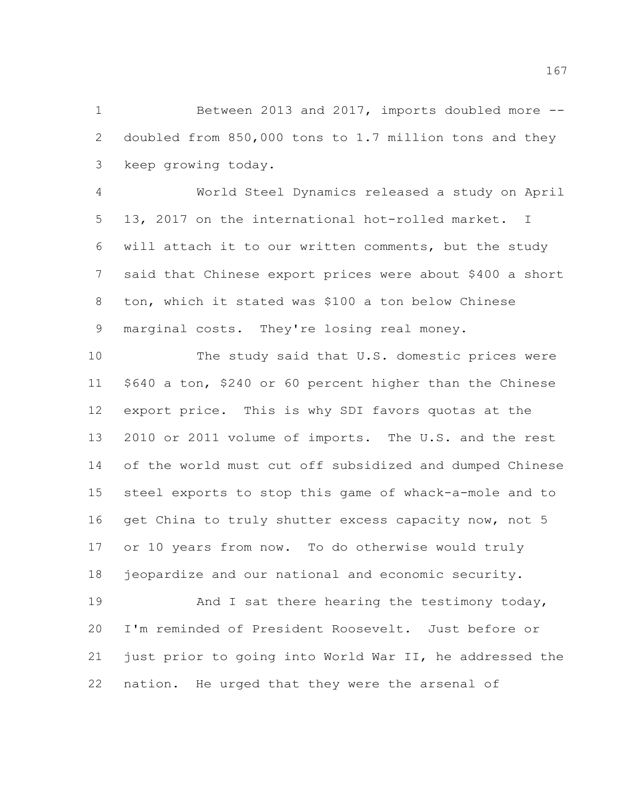Between 2013 and 2017, imports doubled more -- doubled from 850,000 tons to 1.7 million tons and they keep growing today.

 World Steel Dynamics released a study on April 13, 2017 on the international hot-rolled market. I will attach it to our written comments, but the study said that Chinese export prices were about \$400 a short ton, which it stated was \$100 a ton below Chinese marginal costs. They're losing real money.

 The study said that U.S. domestic prices were \$640 a ton, \$240 or 60 percent higher than the Chinese export price. This is why SDI favors quotas at the 2010 or 2011 volume of imports. The U.S. and the rest of the world must cut off subsidized and dumped Chinese steel exports to stop this game of whack-a-mole and to 16 get China to truly shutter excess capacity now, not 5 or 10 years from now. To do otherwise would truly jeopardize and our national and economic security.

 And I sat there hearing the testimony today, I'm reminded of President Roosevelt. Just before or just prior to going into World War II, he addressed the nation. He urged that they were the arsenal of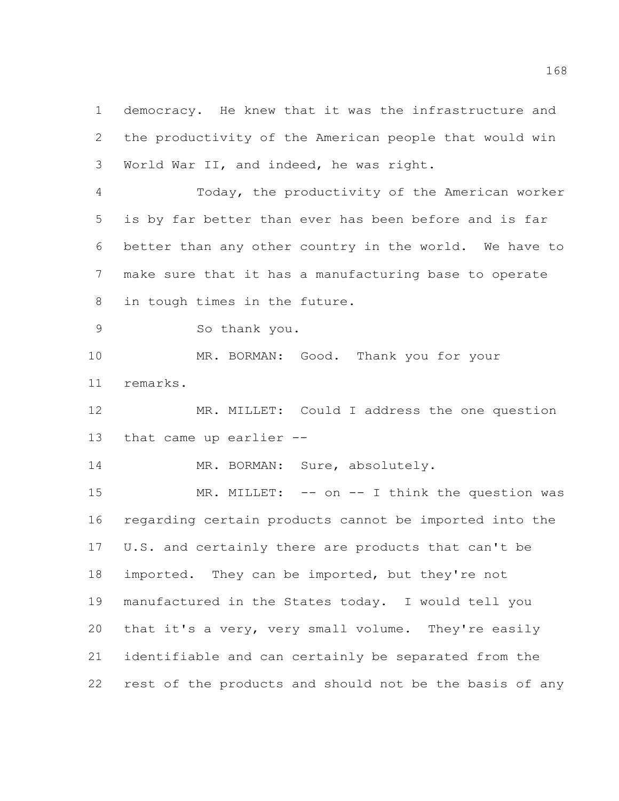democracy. He knew that it was the infrastructure and the productivity of the American people that would win World War II, and indeed, he was right.

 Today, the productivity of the American worker is by far better than ever has been before and is far better than any other country in the world. We have to make sure that it has a manufacturing base to operate in tough times in the future.

So thank you.

 MR. BORMAN: Good. Thank you for your remarks.

 MR. MILLET: Could I address the one question that came up earlier --

14 MR. BORMAN: Sure, absolutely.

15 MR. MILLET: -- on -- I think the question was regarding certain products cannot be imported into the U.S. and certainly there are products that can't be imported. They can be imported, but they're not manufactured in the States today. I would tell you that it's a very, very small volume. They're easily identifiable and can certainly be separated from the rest of the products and should not be the basis of any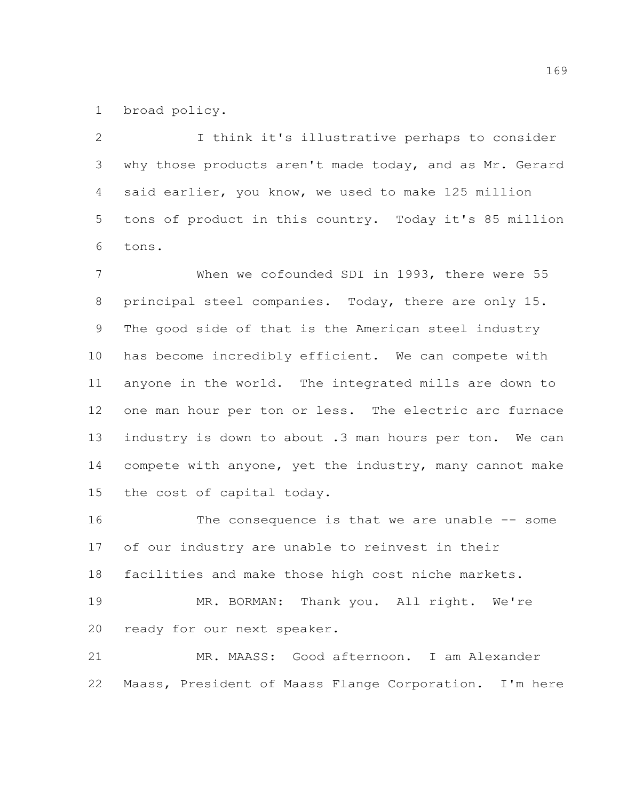broad policy.

 I think it's illustrative perhaps to consider why those products aren't made today, and as Mr. Gerard said earlier, you know, we used to make 125 million tons of product in this country. Today it's 85 million tons.

 When we cofounded SDI in 1993, there were 55 principal steel companies. Today, there are only 15. The good side of that is the American steel industry has become incredibly efficient. We can compete with anyone in the world. The integrated mills are down to one man hour per ton or less. The electric arc furnace industry is down to about .3 man hours per ton. We can compete with anyone, yet the industry, many cannot make the cost of capital today.

 The consequence is that we are unable -- some of our industry are unable to reinvest in their facilities and make those high cost niche markets. MR. BORMAN: Thank you. All right. We're ready for our next speaker. MR. MAASS: Good afternoon. I am Alexander

Maass, President of Maass Flange Corporation. I'm here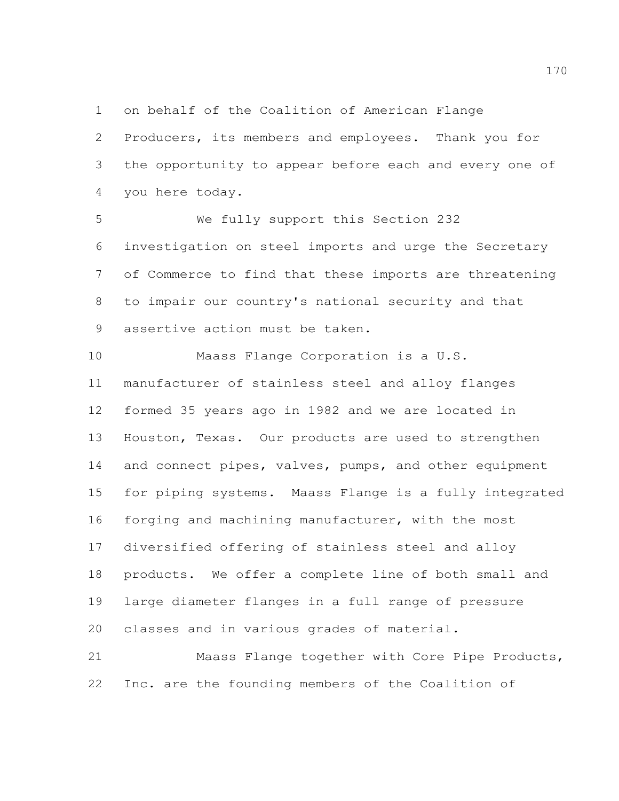on behalf of the Coalition of American Flange

 Producers, its members and employees. Thank you for the opportunity to appear before each and every one of you here today.

 We fully support this Section 232 investigation on steel imports and urge the Secretary of Commerce to find that these imports are threatening to impair our country's national security and that assertive action must be taken.

 Maass Flange Corporation is a U.S. manufacturer of stainless steel and alloy flanges formed 35 years ago in 1982 and we are located in Houston, Texas. Our products are used to strengthen 14 and connect pipes, valves, pumps, and other equipment for piping systems. Maass Flange is a fully integrated forging and machining manufacturer, with the most diversified offering of stainless steel and alloy products. We offer a complete line of both small and large diameter flanges in a full range of pressure classes and in various grades of material.

 Maass Flange together with Core Pipe Products, Inc. are the founding members of the Coalition of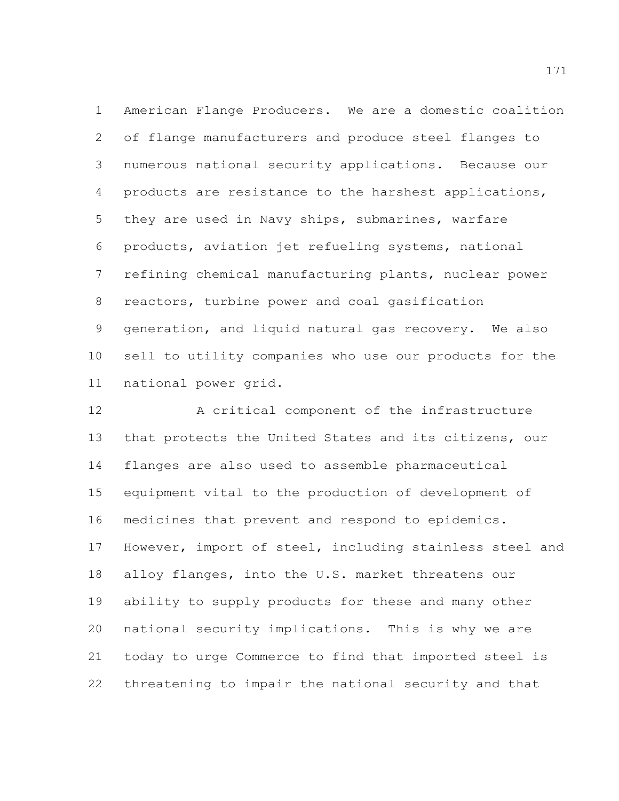American Flange Producers. We are a domestic coalition of flange manufacturers and produce steel flanges to numerous national security applications. Because our products are resistance to the harshest applications, they are used in Navy ships, submarines, warfare products, aviation jet refueling systems, national refining chemical manufacturing plants, nuclear power reactors, turbine power and coal gasification generation, and liquid natural gas recovery. We also sell to utility companies who use our products for the national power grid.

 A critical component of the infrastructure that protects the United States and its citizens, our flanges are also used to assemble pharmaceutical equipment vital to the production of development of medicines that prevent and respond to epidemics. However, import of steel, including stainless steel and alloy flanges, into the U.S. market threatens our ability to supply products for these and many other national security implications. This is why we are today to urge Commerce to find that imported steel is threatening to impair the national security and that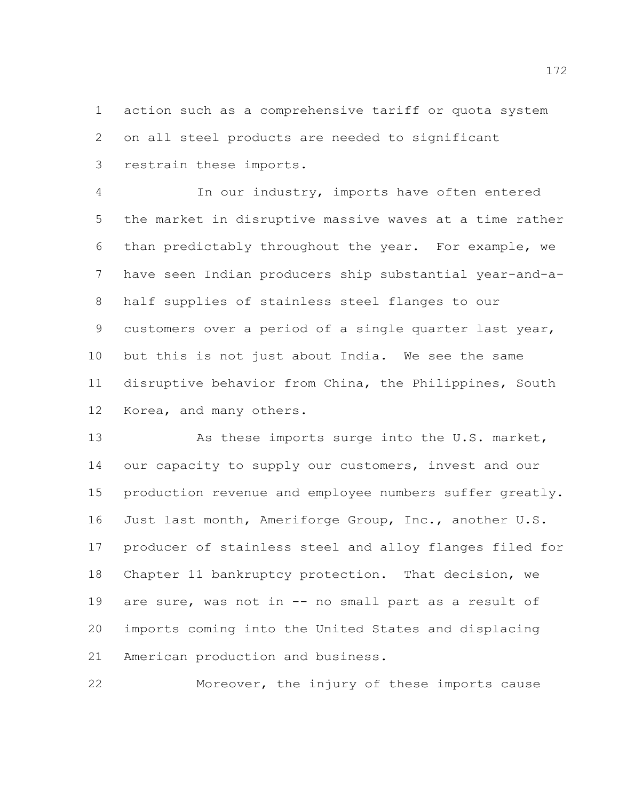action such as a comprehensive tariff or quota system on all steel products are needed to significant restrain these imports.

 In our industry, imports have often entered the market in disruptive massive waves at a time rather than predictably throughout the year. For example, we have seen Indian producers ship substantial year-and-a- half supplies of stainless steel flanges to our customers over a period of a single quarter last year, but this is not just about India. We see the same disruptive behavior from China, the Philippines, South Korea, and many others.

13 As these imports surge into the U.S. market, 14 our capacity to supply our customers, invest and our production revenue and employee numbers suffer greatly. Just last month, Ameriforge Group, Inc., another U.S. producer of stainless steel and alloy flanges filed for Chapter 11 bankruptcy protection. That decision, we are sure, was not in -- no small part as a result of imports coming into the United States and displacing American production and business.

Moreover, the injury of these imports cause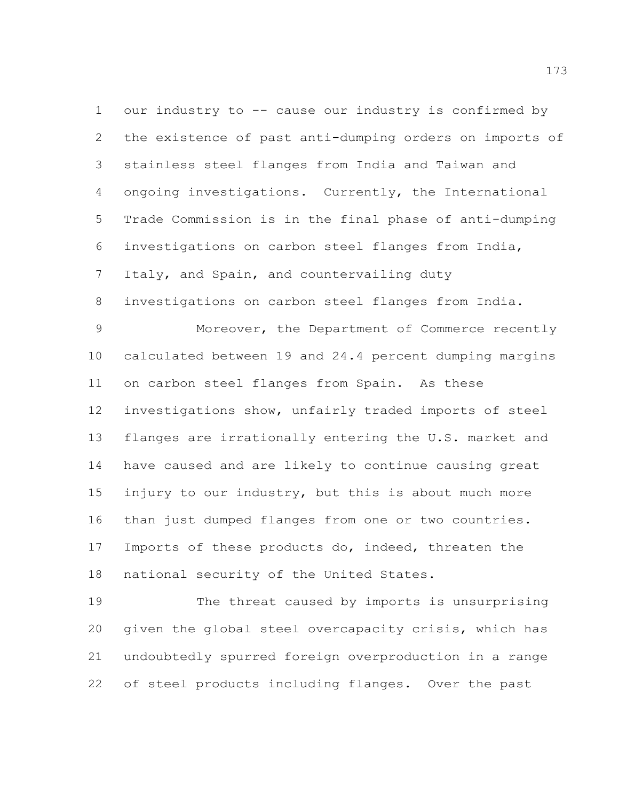our industry to -- cause our industry is confirmed by the existence of past anti-dumping orders on imports of stainless steel flanges from India and Taiwan and ongoing investigations. Currently, the International Trade Commission is in the final phase of anti-dumping investigations on carbon steel flanges from India, 7 Italy, and Spain, and countervailing duty

investigations on carbon steel flanges from India.

 Moreover, the Department of Commerce recently calculated between 19 and 24.4 percent dumping margins on carbon steel flanges from Spain. As these investigations show, unfairly traded imports of steel flanges are irrationally entering the U.S. market and have caused and are likely to continue causing great injury to our industry, but this is about much more than just dumped flanges from one or two countries. Imports of these products do, indeed, threaten the national security of the United States.

 The threat caused by imports is unsurprising given the global steel overcapacity crisis, which has undoubtedly spurred foreign overproduction in a range of steel products including flanges. Over the past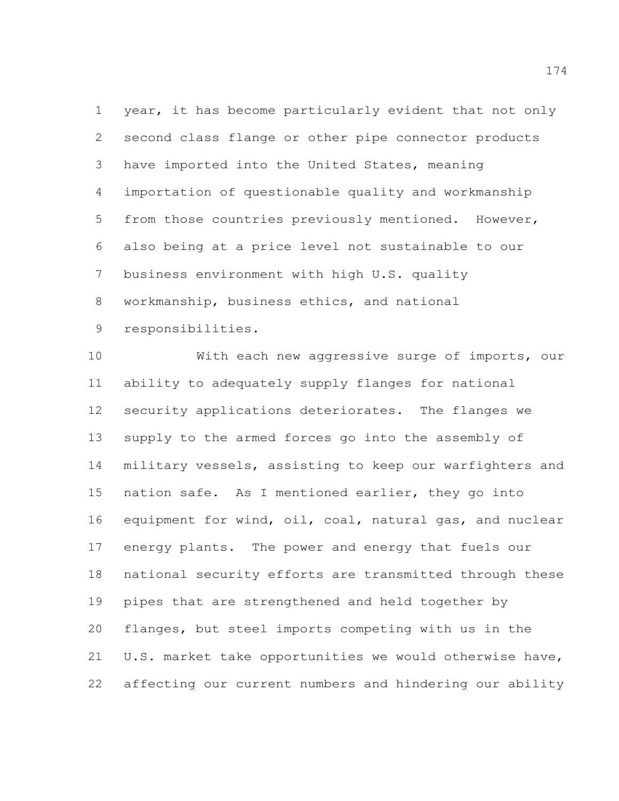year, it has become particularly evident that not only second class flange or other pipe connector products have imported into the United States, meaning importation of questionable quality and workmanship from those countries previously mentioned. However, also being at a price level not sustainable to our business environment with high U.S. quality workmanship, business ethics, and national responsibilities.

 With each new aggressive surge of imports, our ability to adequately supply flanges for national security applications deteriorates. The flanges we supply to the armed forces go into the assembly of military vessels, assisting to keep our warfighters and nation safe. As I mentioned earlier, they go into equipment for wind, oil, coal, natural gas, and nuclear energy plants. The power and energy that fuels our national security efforts are transmitted through these pipes that are strengthened and held together by flanges, but steel imports competing with us in the U.S. market take opportunities we would otherwise have, affecting our current numbers and hindering our ability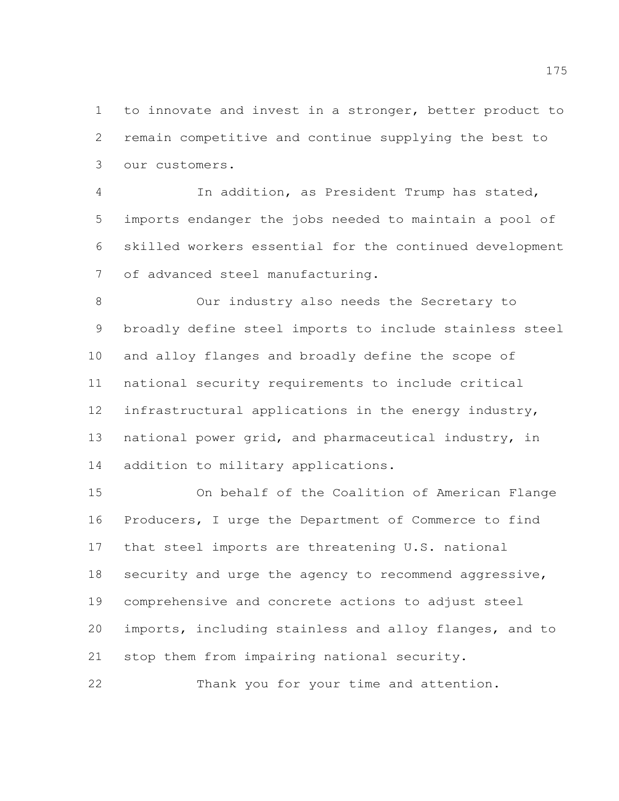to innovate and invest in a stronger, better product to remain competitive and continue supplying the best to our customers.

 In addition, as President Trump has stated, imports endanger the jobs needed to maintain a pool of skilled workers essential for the continued development of advanced steel manufacturing.

 Our industry also needs the Secretary to broadly define steel imports to include stainless steel and alloy flanges and broadly define the scope of national security requirements to include critical infrastructural applications in the energy industry, national power grid, and pharmaceutical industry, in addition to military applications.

 On behalf of the Coalition of American Flange Producers, I urge the Department of Commerce to find that steel imports are threatening U.S. national security and urge the agency to recommend aggressive, comprehensive and concrete actions to adjust steel imports, including stainless and alloy flanges, and to stop them from impairing national security. Thank you for your time and attention.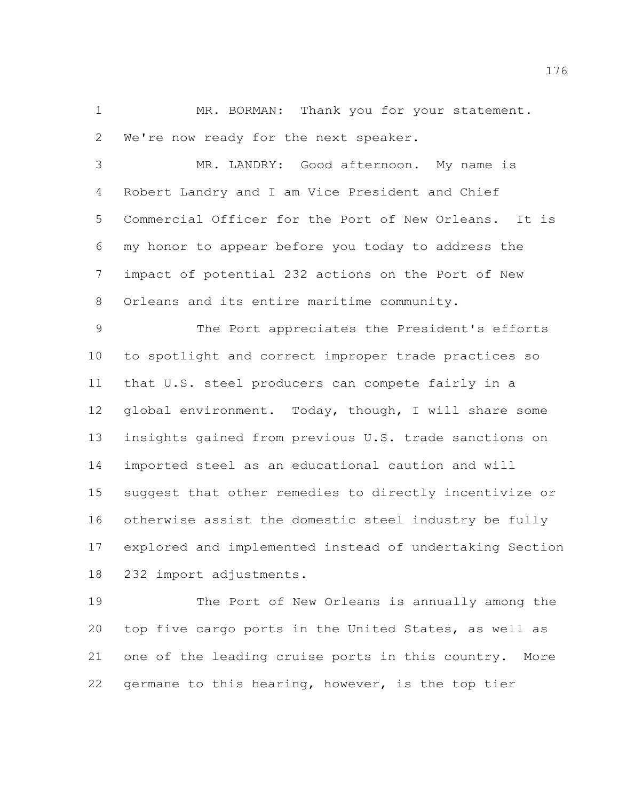1 MR. BORMAN: Thank you for your statement. We're now ready for the next speaker.

 MR. LANDRY: Good afternoon. My name is Robert Landry and I am Vice President and Chief Commercial Officer for the Port of New Orleans. It is my honor to appear before you today to address the impact of potential 232 actions on the Port of New 8 Orleans and its entire maritime community.

 The Port appreciates the President's efforts to spotlight and correct improper trade practices so that U.S. steel producers can compete fairly in a global environment. Today, though, I will share some insights gained from previous U.S. trade sanctions on imported steel as an educational caution and will suggest that other remedies to directly incentivize or otherwise assist the domestic steel industry be fully explored and implemented instead of undertaking Section 232 import adjustments.

 The Port of New Orleans is annually among the top five cargo ports in the United States, as well as one of the leading cruise ports in this country. More germane to this hearing, however, is the top tier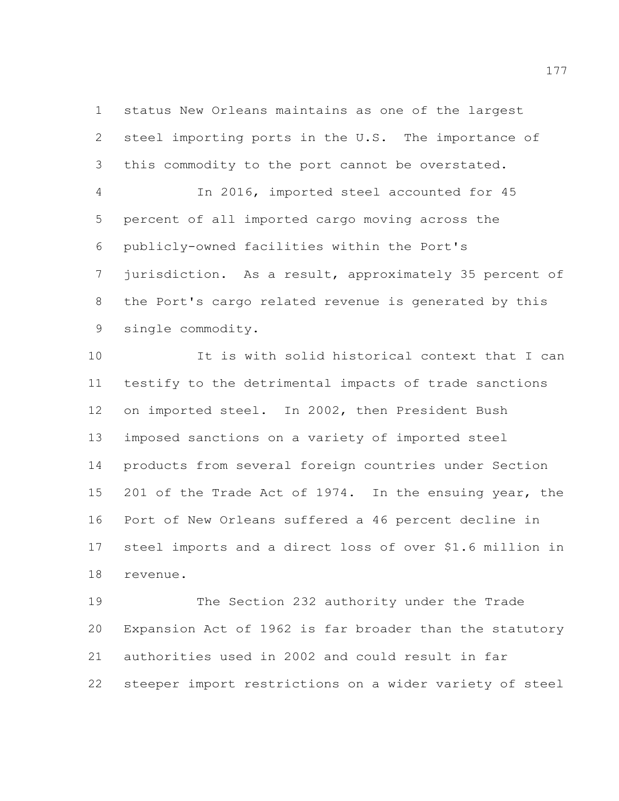status New Orleans maintains as one of the largest steel importing ports in the U.S. The importance of this commodity to the port cannot be overstated.

 In 2016, imported steel accounted for 45 percent of all imported cargo moving across the publicly-owned facilities within the Port's jurisdiction. As a result, approximately 35 percent of the Port's cargo related revenue is generated by this single commodity.

 It is with solid historical context that I can testify to the detrimental impacts of trade sanctions on imported steel. In 2002, then President Bush imposed sanctions on a variety of imported steel products from several foreign countries under Section 201 of the Trade Act of 1974. In the ensuing year, the Port of New Orleans suffered a 46 percent decline in steel imports and a direct loss of over \$1.6 million in revenue.

 The Section 232 authority under the Trade Expansion Act of 1962 is far broader than the statutory authorities used in 2002 and could result in far steeper import restrictions on a wider variety of steel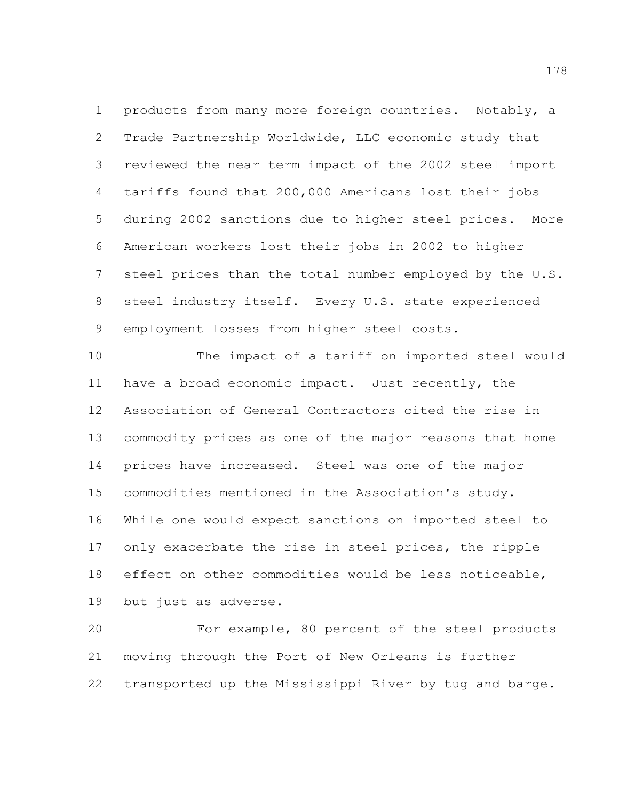products from many more foreign countries. Notably, a Trade Partnership Worldwide, LLC economic study that reviewed the near term impact of the 2002 steel import tariffs found that 200,000 Americans lost their jobs during 2002 sanctions due to higher steel prices. More American workers lost their jobs in 2002 to higher steel prices than the total number employed by the U.S. steel industry itself. Every U.S. state experienced employment losses from higher steel costs.

 The impact of a tariff on imported steel would have a broad economic impact. Just recently, the Association of General Contractors cited the rise in commodity prices as one of the major reasons that home prices have increased. Steel was one of the major commodities mentioned in the Association's study. While one would expect sanctions on imported steel to only exacerbate the rise in steel prices, the ripple effect on other commodities would be less noticeable, but just as adverse.

 For example, 80 percent of the steel products moving through the Port of New Orleans is further transported up the Mississippi River by tug and barge.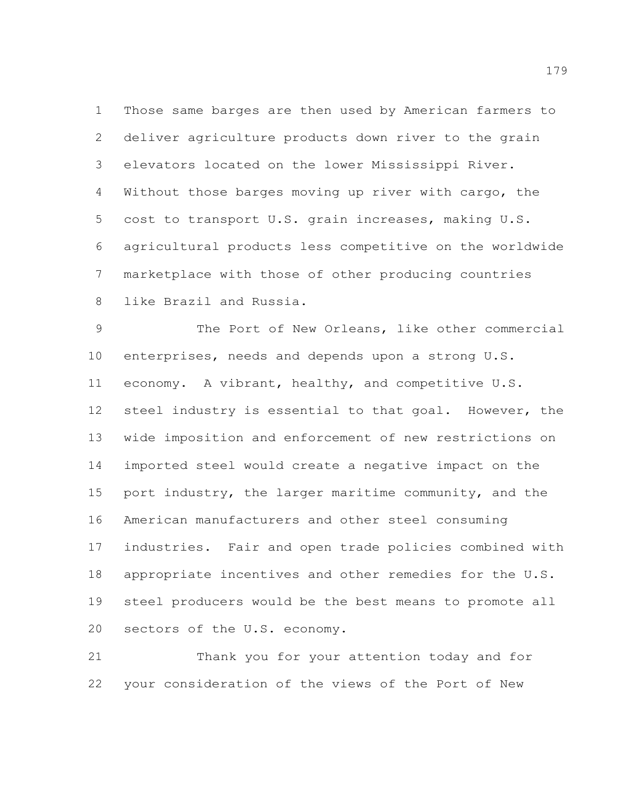Those same barges are then used by American farmers to deliver agriculture products down river to the grain elevators located on the lower Mississippi River. Without those barges moving up river with cargo, the cost to transport U.S. grain increases, making U.S. agricultural products less competitive on the worldwide marketplace with those of other producing countries like Brazil and Russia.

 The Port of New Orleans, like other commercial enterprises, needs and depends upon a strong U.S. economy. A vibrant, healthy, and competitive U.S. steel industry is essential to that goal. However, the wide imposition and enforcement of new restrictions on imported steel would create a negative impact on the port industry, the larger maritime community, and the American manufacturers and other steel consuming industries. Fair and open trade policies combined with appropriate incentives and other remedies for the U.S. steel producers would be the best means to promote all sectors of the U.S. economy.

 Thank you for your attention today and for your consideration of the views of the Port of New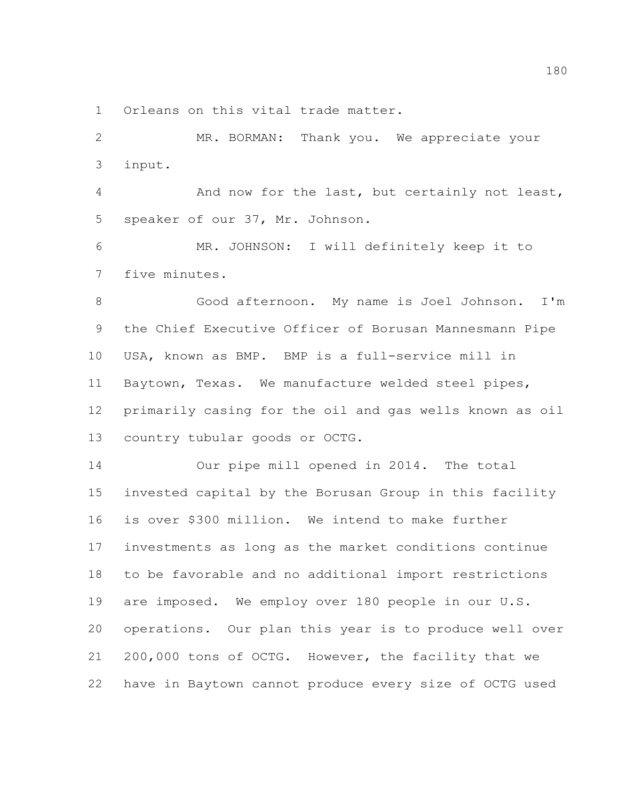Orleans on this vital trade matter.

 MR. BORMAN: Thank you. We appreciate your input.

 And now for the last, but certainly not least, speaker of our 37, Mr. Johnson.

 MR. JOHNSON: I will definitely keep it to five minutes.

 Good afternoon. My name is Joel Johnson. I'm the Chief Executive Officer of Borusan Mannesmann Pipe USA, known as BMP. BMP is a full-service mill in Baytown, Texas. We manufacture welded steel pipes, primarily casing for the oil and gas wells known as oil country tubular goods or OCTG.

 Our pipe mill opened in 2014. The total invested capital by the Borusan Group in this facility is over \$300 million. We intend to make further investments as long as the market conditions continue to be favorable and no additional import restrictions are imposed. We employ over 180 people in our U.S. operations. Our plan this year is to produce well over 200,000 tons of OCTG. However, the facility that we have in Baytown cannot produce every size of OCTG used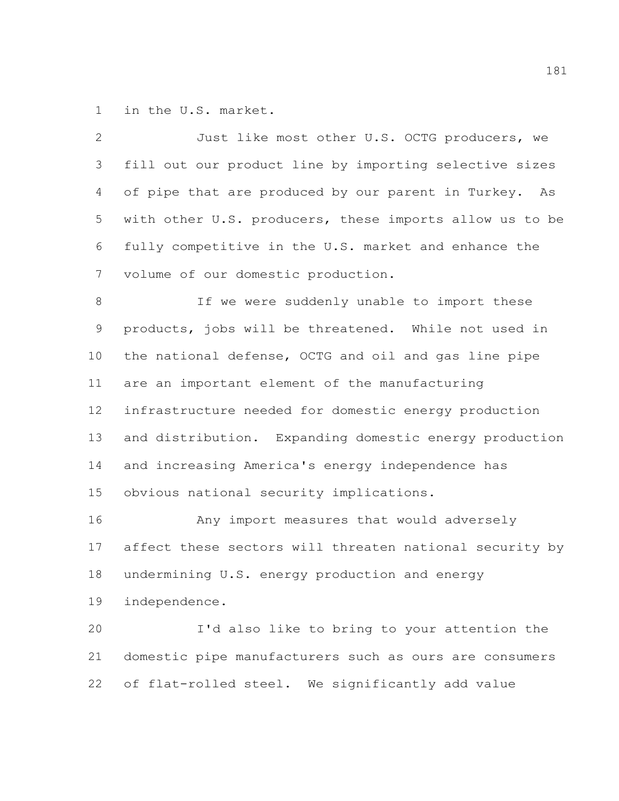in the U.S. market.

 Just like most other U.S. OCTG producers, we fill out our product line by importing selective sizes of pipe that are produced by our parent in Turkey. As with other U.S. producers, these imports allow us to be fully competitive in the U.S. market and enhance the volume of our domestic production. 8 1f we were suddenly unable to import these products, jobs will be threatened. While not used in the national defense, OCTG and oil and gas line pipe are an important element of the manufacturing infrastructure needed for domestic energy production and distribution. Expanding domestic energy production and increasing America's energy independence has obvious national security implications. Any import measures that would adversely affect these sectors will threaten national security by undermining U.S. energy production and energy independence. I'd also like to bring to your attention the

 domestic pipe manufacturers such as ours are consumers of flat-rolled steel. We significantly add value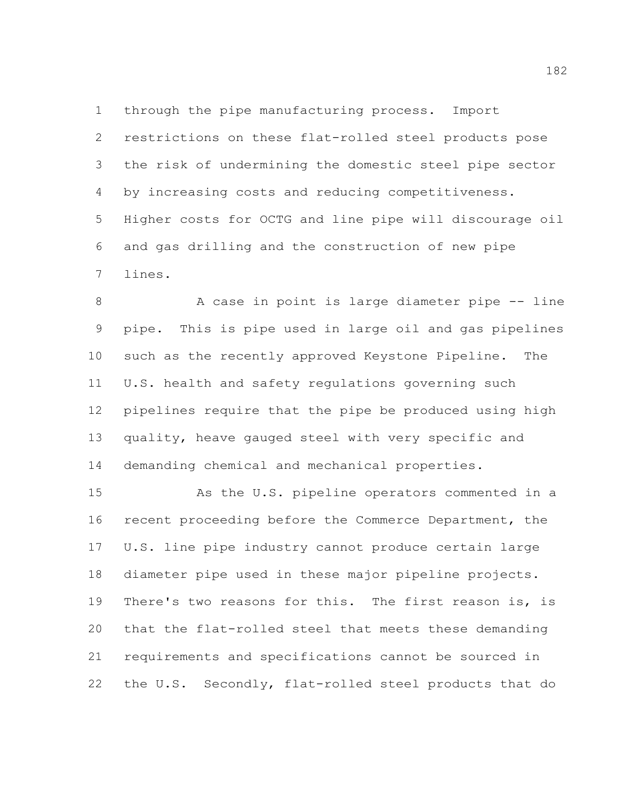through the pipe manufacturing process. Import restrictions on these flat-rolled steel products pose the risk of undermining the domestic steel pipe sector by increasing costs and reducing competitiveness. Higher costs for OCTG and line pipe will discourage oil and gas drilling and the construction of new pipe lines.

8 A case in point is large diameter pipe -- line pipe. This is pipe used in large oil and gas pipelines such as the recently approved Keystone Pipeline. The U.S. health and safety regulations governing such pipelines require that the pipe be produced using high quality, heave gauged steel with very specific and demanding chemical and mechanical properties.

 As the U.S. pipeline operators commented in a recent proceeding before the Commerce Department, the U.S. line pipe industry cannot produce certain large diameter pipe used in these major pipeline projects. There's two reasons for this. The first reason is, is that the flat-rolled steel that meets these demanding requirements and specifications cannot be sourced in the U.S. Secondly, flat-rolled steel products that do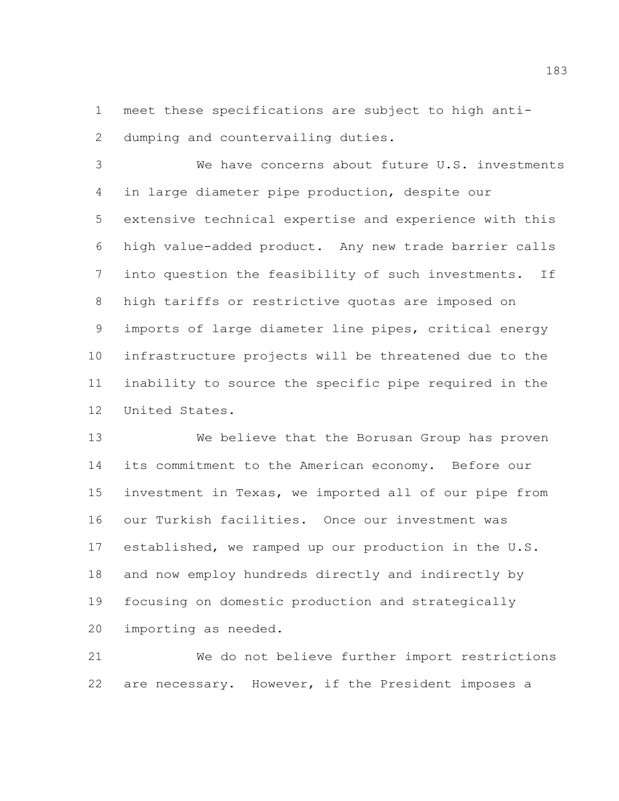meet these specifications are subject to high anti-dumping and countervailing duties.

 We have concerns about future U.S. investments in large diameter pipe production, despite our extensive technical expertise and experience with this high value-added product. Any new trade barrier calls into question the feasibility of such investments. If high tariffs or restrictive quotas are imposed on imports of large diameter line pipes, critical energy infrastructure projects will be threatened due to the inability to source the specific pipe required in the United States.

 We believe that the Borusan Group has proven its commitment to the American economy. Before our investment in Texas, we imported all of our pipe from our Turkish facilities. Once our investment was established, we ramped up our production in the U.S. and now employ hundreds directly and indirectly by focusing on domestic production and strategically importing as needed.

 We do not believe further import restrictions are necessary. However, if the President imposes a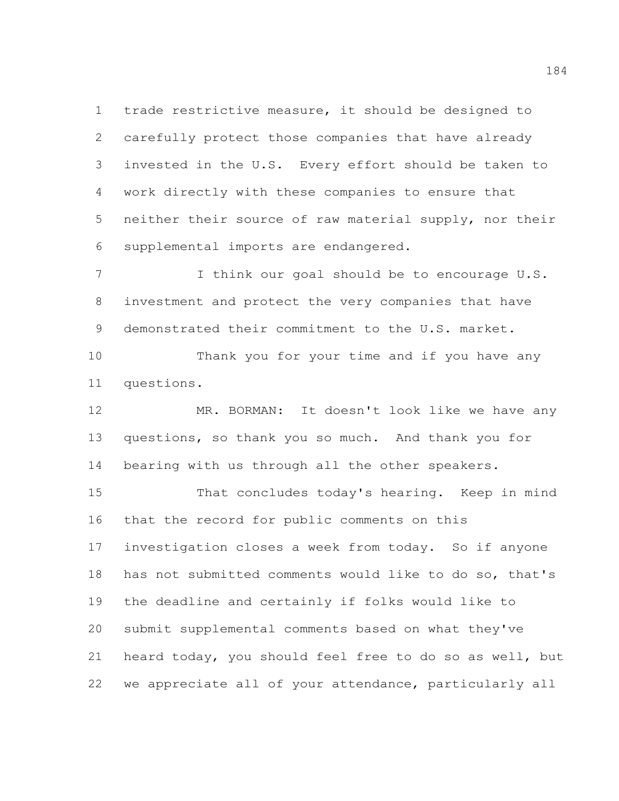trade restrictive measure, it should be designed to carefully protect those companies that have already invested in the U.S. Every effort should be taken to work directly with these companies to ensure that neither their source of raw material supply, nor their supplemental imports are endangered.

 I think our goal should be to encourage U.S. investment and protect the very companies that have demonstrated their commitment to the U.S. market.

 Thank you for your time and if you have any questions.

 MR. BORMAN: It doesn't look like we have any questions, so thank you so much. And thank you for bearing with us through all the other speakers.

 That concludes today's hearing. Keep in mind that the record for public comments on this investigation closes a week from today. So if anyone has not submitted comments would like to do so, that's the deadline and certainly if folks would like to submit supplemental comments based on what they've heard today, you should feel free to do so as well, but we appreciate all of your attendance, particularly all